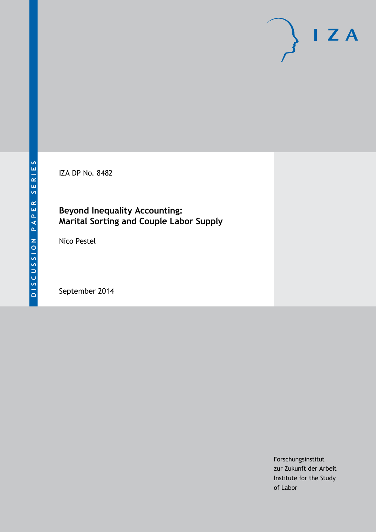IZA DP No. 8482

### **Beyond Inequality Accounting: Marital Sorting and Couple Labor Supply**

Nico Pestel

September 2014

Forschungsinstitut zur Zukunft der Arbeit Institute for the Study of Labor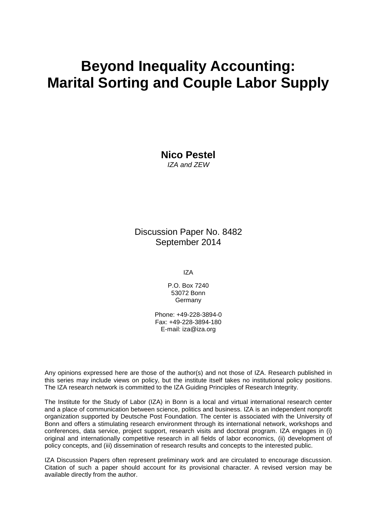# **Beyond Inequality Accounting: Marital Sorting and Couple Labor Supply**

**Nico Pestel** *IZA and ZEW*

Discussion Paper No. 8482 September 2014

IZA

P.O. Box 7240 53072 Bonn **Germany** 

Phone: +49-228-3894-0 Fax: +49-228-3894-180 E-mail: [iza@iza.org](mailto:iza@iza.org)

Any opinions expressed here are those of the author(s) and not those of IZA. Research published in this series may include views on policy, but the institute itself takes no institutional policy positions. The IZA research network is committed to the IZA Guiding Principles of Research Integrity.

The Institute for the Study of Labor (IZA) in Bonn is a local and virtual international research center and a place of communication between science, politics and business. IZA is an independent nonprofit organization supported by Deutsche Post Foundation. The center is associated with the University of Bonn and offers a stimulating research environment through its international network, workshops and conferences, data service, project support, research visits and doctoral program. IZA engages in (i) original and internationally competitive research in all fields of labor economics, (ii) development of policy concepts, and (iii) dissemination of research results and concepts to the interested public.

IZA Discussion Papers often represent preliminary work and are circulated to encourage discussion. Citation of such a paper should account for its provisional character. A revised version may be available directly from the author.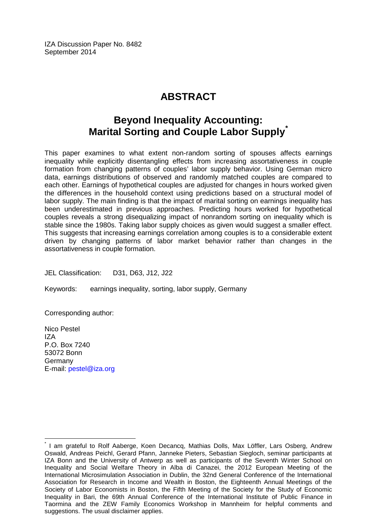IZA Discussion Paper No. 8482 September 2014

# **ABSTRACT**

# **Beyond Inequality Accounting: Marital Sorting and Couple Labor Supply[\\*](#page-2-0)**

This paper examines to what extent non-random sorting of spouses affects earnings inequality while explicitly disentangling effects from increasing assortativeness in couple formation from changing patterns of couples' labor supply behavior. Using German micro data, earnings distributions of observed and randomly matched couples are compared to each other. Earnings of hypothetical couples are adjusted for changes in hours worked given the differences in the household context using predictions based on a structural model of labor supply. The main finding is that the impact of marital sorting on earnings inequality has been underestimated in previous approaches. Predicting hours worked for hypothetical couples reveals a strong disequalizing impact of nonrandom sorting on inequality which is stable since the 1980s. Taking labor supply choices as given would suggest a smaller effect. This suggests that increasing earnings correlation among couples is to a considerable extent driven by changing patterns of labor market behavior rather than changes in the assortativeness in couple formation.

JEL Classification: D31, D63, J12, J22

Keywords: earnings inequality, sorting, labor supply, Germany

Corresponding author:

Nico Pestel IZA P.O. Box 7240 53072 Bonn Germany E-mail: [pestel@iza.org](mailto:pestel@iza.org)

<span id="page-2-0"></span>I am grateful to Rolf Aaberge, Koen Decancq, Mathias Dolls, Max Löffler, Lars Osberg, Andrew Oswald, Andreas Peichl, Gerard Pfann, Janneke Pieters, Sebastian Siegloch, seminar participants at IZA Bonn and the University of Antwerp as well as participants of the Seventh Winter School on Inequality and Social Welfare Theory in Alba di Canazei, the 2012 European Meeting of the International Microsimulation Association in Dublin, the 32nd General Conference of the International Association for Research in Income and Wealth in Boston, the Eighteenth Annual Meetings of the Society of Labor Economists in Boston, the Fifth Meeting of the Society for the Study of Economic Inequality in Bari, the 69th Annual Conference of the International Institute of Public Finance in Taormina and the ZEW Family Economics Workshop in Mannheim for helpful comments and suggestions. The usual disclaimer applies.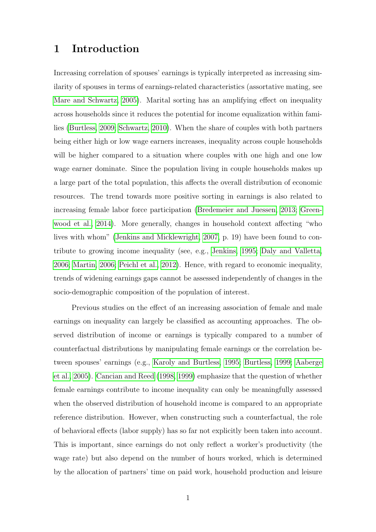# 1 Introduction

Increasing correlation of spouses' earnings is typically interpreted as increasing similarity of spouses in terms of earnings-related characteristics (assortative mating, see [Mare and Schwartz, 2005\)](#page-24-0). Marital sorting has an amplifying effect on inequality across households since it reduces the potential for income equalization within families [\(Burtless, 2009;](#page-23-0) [Schwartz, 2010\)](#page-25-0). When the share of couples with both partners being either high or low wage earners increases, inequality across couple households will be higher compared to a situation where couples with one high and one low wage earner dominate. Since the population living in couple households makes up a large part of the total population, this affects the overall distribution of economic resources. The trend towards more positive sorting in earnings is also related to increasing female labor force participation [\(Bredemeier and Juessen, 2013;](#page-23-1) [Green](#page-24-1)[wood et al., 2014\)](#page-24-1). More generally, changes in household context affecting "who lives with whom" [\(Jenkins and Micklewright, 2007,](#page-24-2) p. 19) have been found to contribute to growing income inequality (see, e.g., [Jenkins, 1995;](#page-24-3) [Daly and Valletta,](#page-23-2) [2006;](#page-23-2) [Martin, 2006;](#page-24-4) [Peichl et al., 2012\)](#page-25-1). Hence, with regard to economic inequality, trends of widening earnings gaps cannot be assessed independently of changes in the socio-demographic composition of the population of interest.

Previous studies on the effect of an increasing association of female and male earnings on inequality can largely be classified as accounting approaches. The observed distribution of income or earnings is typically compared to a number of counterfactual distributions by manipulating female earnings or the correlation between spouses' earnings (e.g., [Karoly and Burtless, 1995;](#page-24-5) [Burtless, 1999;](#page-23-3) [Aaberge](#page-23-4) [et al., 2005\)](#page-23-4). [Cancian and Reed](#page-23-5) [\(1998,](#page-23-5) [1999\)](#page-23-6) emphasize that the question of whether female earnings contribute to income inequality can only be meaningfully assessed when the observed distribution of household income is compared to an appropriate reference distribution. However, when constructing such a counterfactual, the role of behavioral effects (labor supply) has so far not explicitly been taken into account. This is important, since earnings do not only reflect a worker's productivity (the wage rate) but also depend on the number of hours worked, which is determined by the allocation of partners' time on paid work, household production and leisure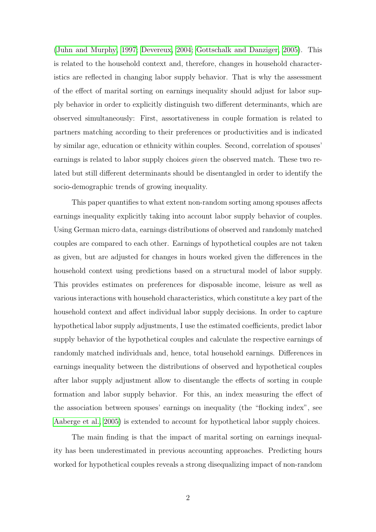[\(Juhn and Murphy, 1997;](#page-24-6) [Devereux, 2004;](#page-23-7) [Gottschalk and Danziger, 2005\)](#page-24-7). This is related to the household context and, therefore, changes in household characteristics are reflected in changing labor supply behavior. That is why the assessment of the effect of marital sorting on earnings inequality should adjust for labor supply behavior in order to explicitly distinguish two different determinants, which are observed simultaneously: First, assortativeness in couple formation is related to partners matching according to their preferences or productivities and is indicated by similar age, education or ethnicity within couples. Second, correlation of spouses' earnings is related to labor supply choices given the observed match. These two related but still different determinants should be disentangled in order to identify the socio-demographic trends of growing inequality.

This paper quantifies to what extent non-random sorting among spouses affects earnings inequality explicitly taking into account labor supply behavior of couples. Using German micro data, earnings distributions of observed and randomly matched couples are compared to each other. Earnings of hypothetical couples are not taken as given, but are adjusted for changes in hours worked given the differences in the household context using predictions based on a structural model of labor supply. This provides estimates on preferences for disposable income, leisure as well as various interactions with household characteristics, which constitute a key part of the household context and affect individual labor supply decisions. In order to capture hypothetical labor supply adjustments, I use the estimated coefficients, predict labor supply behavior of the hypothetical couples and calculate the respective earnings of randomly matched individuals and, hence, total household earnings. Differences in earnings inequality between the distributions of observed and hypothetical couples after labor supply adjustment allow to disentangle the effects of sorting in couple formation and labor supply behavior. For this, an index measuring the effect of the association between spouses' earnings on inequality (the "flocking index", see [Aaberge et al., 2005\)](#page-23-4) is extended to account for hypothetical labor supply choices.

The main finding is that the impact of marital sorting on earnings inequality has been underestimated in previous accounting approaches. Predicting hours worked for hypothetical couples reveals a strong disequalizing impact of non-random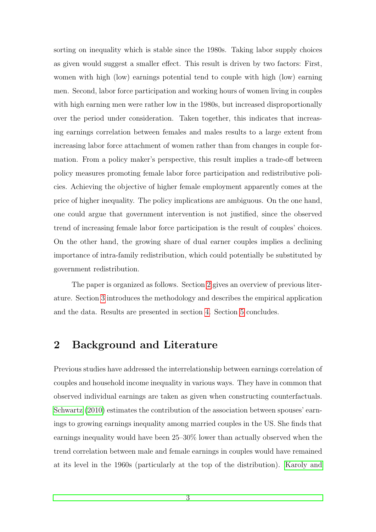sorting on inequality which is stable since the 1980s. Taking labor supply choices as given would suggest a smaller effect. This result is driven by two factors: First, women with high (low) earnings potential tend to couple with high (low) earning men. Second, labor force participation and working hours of women living in couples with high earning men were rather low in the 1980s, but increased disproportionally over the period under consideration. Taken together, this indicates that increasing earnings correlation between females and males results to a large extent from increasing labor force attachment of women rather than from changes in couple formation. From a policy maker's perspective, this result implies a trade-off between policy measures promoting female labor force participation and redistributive policies. Achieving the objective of higher female employment apparently comes at the price of higher inequality. The policy implications are ambiguous. On the one hand, one could argue that government intervention is not justified, since the observed trend of increasing female labor force participation is the result of couples' choices. On the other hand, the growing share of dual earner couples implies a declining importance of intra-family redistribution, which could potentially be substituted by government redistribution.

The paper is organized as follows. Section [2](#page-5-0) gives an overview of previous literature. Section [3](#page-6-0) introduces the methodology and describes the empirical application and the data. Results are presented in section [4.](#page-16-0) Section [5](#page-21-0) concludes.

# <span id="page-5-0"></span>2 Background and Literature

Previous studies have addressed the interrelationship between earnings correlation of couples and household income inequality in various ways. They have in common that observed individual earnings are taken as given when constructing counterfactuals. [Schwartz](#page-25-0) [\(2010\)](#page-25-0) estimates the contribution of the association between spouses' earnings to growing earnings inequality among married couples in the US. She finds that earnings inequality would have been 25–30% lower than actually observed when the trend correlation between male and female earnings in couples would have remained at its level in the 1960s (particularly at the top of the distribution). [Karoly and](#page-24-5)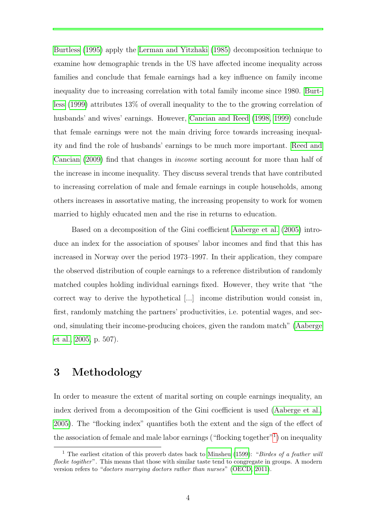[Burtless](#page-24-5) [\(1995\)](#page-24-5) apply the [Lerman and Yitzhaki](#page-24-8) [\(1985\)](#page-24-8) decomposition technique to examine how demographic trends in the US have affected income inequality across families and conclude that female earnings had a key influence on family income inequality due to increasing correlation with total family income since 1980. [Burt](#page-23-3)[less](#page-23-3) [\(1999\)](#page-23-3) attributes 13% of overall inequality to the to the growing correlation of husbands' and wives' earnings. However, [Cancian and Reed](#page-23-5) [\(1998,](#page-23-5) [1999\)](#page-23-6) conclude that female earnings were not the main driving force towards increasing inequality and find the role of husbands' earnings to be much more important. [Reed and](#page-25-2) [Cancian](#page-25-2) [\(2009\)](#page-25-2) find that changes in income sorting account for more than half of the increase in income inequality. They discuss several trends that have contributed to increasing correlation of male and female earnings in couple households, among others increases in assortative mating, the increasing propensity to work for women married to highly educated men and the rise in returns to education.

Based on a decomposition of the Gini coefficient [Aaberge et al.](#page-23-4) [\(2005\)](#page-23-4) introduce an index for the association of spouses' labor incomes and find that this has increased in Norway over the period 1973–1997. In their application, they compare the observed distribution of couple earnings to a reference distribution of randomly matched couples holding individual earnings fixed. However, they write that "the correct way to derive the hypothetical [...] income distribution would consist in, first, randomly matching the partners' productivities, i.e. potential wages, and second, simulating their income-producing choices, given the random match" [\(Aaberge](#page-23-4) [et al., 2005,](#page-23-4) p. 507).

# <span id="page-6-0"></span>3 Methodology

In order to measure the extent of marital sorting on couple earnings inequality, an index derived from a decomposition of the Gini coefficient is used [\(Aaberge et al.,](#page-23-4) [2005\)](#page-23-4). The "flocking index" quantifies both the extent and the sign of the effect of the association of female and male labor earnings ("flocking together"<sup>[1](#page-6-1)</sup>) on inequality

<span id="page-6-1"></span><sup>&</sup>lt;sup>1</sup> The earliest citation of this proverb dates back to [Minsheu](#page-24-9) [\(1599\)](#page-24-9): "*Birdes of a feather will* flocke togither". This means that those with similar taste tend to congregate in groups. A modern version refers to "doctors marrying doctors rather than nurses" [\(OECD, 2011\)](#page-24-10).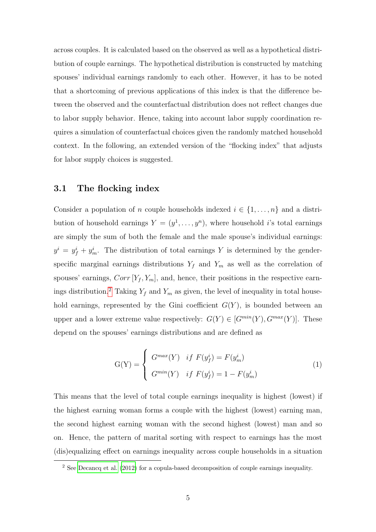across couples. It is calculated based on the observed as well as a hypothetical distribution of couple earnings. The hypothetical distribution is constructed by matching spouses' individual earnings randomly to each other. However, it has to be noted that a shortcoming of previous applications of this index is that the difference between the observed and the counterfactual distribution does not reflect changes due to labor supply behavior. Hence, taking into account labor supply coordination requires a simulation of counterfactual choices given the randomly matched household context. In the following, an extended version of the "flocking index" that adjusts for labor supply choices is suggested.

#### 3.1 The flocking index

Consider a population of n couple households indexed  $i \in \{1, \ldots, n\}$  and a distribution of household earnings  $Y = (y^1, \ldots, y^n)$ , where household i's total earnings are simply the sum of both the female and the male spouse's individual earnings:  $y^{i} = y_{f}^{i} + y_{m}^{i}$ . The distribution of total earnings Y is determined by the genderspecific marginal earnings distributions  $Y_f$  and  $Y_m$  as well as the correlation of spouses' earnings,  $Corr[Y_f, Y_m]$ , and, hence, their positions in the respective earn-ings distribution.<sup>[2](#page-7-0)</sup> Taking  $Y_f$  and  $Y_m$  as given, the level of inequality in total household earnings, represented by the Gini coefficient  $G(Y)$ , is bounded between an upper and a lower extreme value respectively:  $G(Y) \in [G^{min}(Y), G^{max}(Y)]$ . These depend on the spouses' earnings distributions and are defined as

$$
G(Y) = \begin{cases} G^{max}(Y) & if \ F(y_f^i) = F(y_m^i) \\ G^{min}(Y) & if \ F(y_f^i) = 1 - F(y_m^i) \end{cases}
$$
 (1)

This means that the level of total couple earnings inequality is highest (lowest) if the highest earning woman forms a couple with the highest (lowest) earning man, the second highest earning woman with the second highest (lowest) man and so on. Hence, the pattern of marital sorting with respect to earnings has the most (dis)equalizing effect on earnings inequality across couple households in a situation

<span id="page-7-0"></span><sup>&</sup>lt;sup>2</sup> See [Decancq et al.](#page-23-8) [\(2012\)](#page-23-8) for a copula-based decomposition of couple earnings inequality.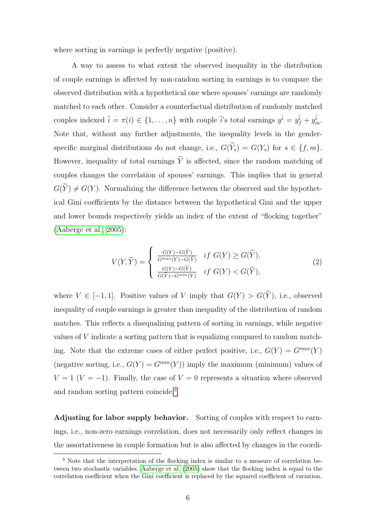where sorting in earnings is perfectly negative (positive).

A way to assess to what extent the observed inequality in the distribution of couple earnings is affected by non-random sorting in earnings is to compare the observed distribution with a hypothetical one where spouses' earnings are randomly matched to each other. Consider a counterfactual distribution of randomly matched couples indexed  $\tilde{i} = \pi(i) \in \{1, \ldots, n\}$  with couple  $\tilde{i}$ 's total earnings  $y^{\tilde{i}} = y^{\tilde{i}}_f + y^{\tilde{i}}_m$ . Note that, without any further adjustments, the inequality levels in the genderspecific marginal distributions do not change, i.e.,  $G(\widetilde{Y}_s) = G(Y_s)$  for  $s \in \{f, m\}.$ However, inequality of total earnings  $\widetilde{Y}$  is affected, since the random matching of couples changes the correlation of spouses' earnings. This implies that in general  $G(\widetilde{Y}) \neq G(Y)$ . Normalizing the difference between the observed and the hypothetical Gini coefficients by the distance between the hypothetical Gini and the upper and lower bounds respectively yields an index of the extent of "flocking together" [\(Aaberge et al., 2005\)](#page-23-4):

<span id="page-8-1"></span>
$$
V(Y,\widetilde{Y}) = \begin{cases} \frac{G(Y) - G(\widetilde{Y})}{G^{max}(Y) - G(\widetilde{Y})} & \text{if } G(Y) \ge G(\widetilde{Y}), \\ \frac{G(Y) - G(\widetilde{Y})}{G(\widetilde{Y}) - G^{min}(Y)} & \text{if } G(Y) < G(\widetilde{Y}), \end{cases} \tag{2}
$$

where  $V \in [-1, 1]$ . Positive values of V imply that  $G(Y) > G(\tilde{Y})$ , i.e., observed inequality of couple earnings is greater than inequality of the distribution of random matches. This reflects a disequalizing pattern of sorting in earnings, while negative values of V indicate a sorting pattern that is equalizing compared to random matching. Note that the extreme cases of either perfect positive, i.e.,  $G(Y) = G^{max}(Y)$ (negative sorting, i.e.,  $G(Y) = G^{min}(Y)$ ) imply the maximum (minimum) values of  $V = 1$  ( $V = -1$ ). Finally, the case of  $V = 0$  represents a situation where observed and random sorting pattern coincide.[3](#page-8-0)

Adjusting for labor supply behavior. Sorting of couples with respect to earnings, i.e., non-zero earnings correlation, does not necessarily only reflect changes in the assortativeness in couple formation but is also affected by changes in the coordi-

<span id="page-8-0"></span><sup>&</sup>lt;sup>3</sup> Note that the interpretation of the flocking index is similar to a measure of correlation between two stochastic variables. [Aaberge et al.](#page-23-4) [\(2005\)](#page-23-4) show that the flocking index is equal to the correlation coefficient when the Gini coefficient is replaced by the squared coefficient of variation.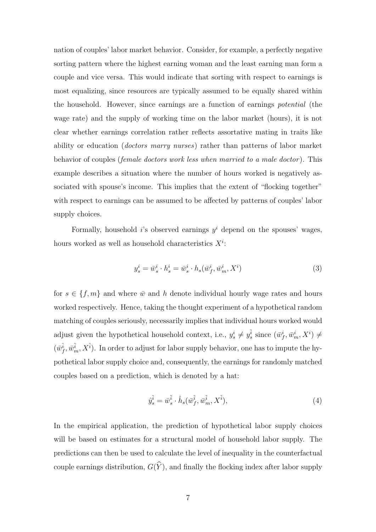nation of couples' labor market behavior. Consider, for example, a perfectly negative sorting pattern where the highest earning woman and the least earning man form a couple and vice versa. This would indicate that sorting with respect to earnings is most equalizing, since resources are typically assumed to be equally shared within the household. However, since earnings are a function of earnings potential (the wage rate) and the supply of working time on the labor market (hours), it is not clear whether earnings correlation rather reflects assortative mating in traits like ability or education (*doctors marry nurses*) rather than patterns of labor market behavior of couples *(female doctors work less when married to a male doctor)*. This example describes a situation where the number of hours worked is negatively associated with spouse's income. This implies that the extent of "flocking together" with respect to earnings can be assumed to be affected by patterns of couples' labor supply choices.

Formally, household *i*'s observed earnings  $y^i$  depend on the spouses' wages, hours worked as well as household characteristics  $X^i$ :

$$
y_s^i = \bar{w}_s^i \cdot h_s^i = \bar{w}_s^i \cdot h_s(\bar{w}_f^i, \bar{w}_m^i, X^i)
$$
\n
$$
\tag{3}
$$

for  $s \in \{f, m\}$  and where  $\bar{w}$  and h denote individual hourly wage rates and hours worked respectively. Hence, taking the thought experiment of a hypothetical random matching of couples seriously, necessarily implies that individual hours worked would adjust given the hypothetical household context, i.e.,  $y_s^i \neq y_s^{\tilde{i}}$  since  $(\bar{w}_f^i, \bar{w}_m^i, X^i) \neq$  $(\bar{w}_f^{\tilde{i}}, \bar{w}_m^{\tilde{i}}, X^{\tilde{i}})$ . In order to adjust for labor supply behavior, one has to impute the hypothetical labor supply choice and, consequently, the earnings for randomly matched couples based on a prediction, which is denoted by a hat:

$$
\hat{y}_s^{\tilde{i}} = \bar{w}_s^{\tilde{i}} \cdot \hat{h}_s(\bar{w}_f^{\tilde{i}}, \bar{w}_m^{\tilde{i}}, X^{\tilde{i}}),\tag{4}
$$

In the empirical application, the prediction of hypothetical labor supply choices will be based on estimates for a structural model of household labor supply. The predictions can then be used to calculate the level of inequality in the counterfactual couple earnings distribution,  $G(\widehat{Y})$ , and finally the flocking index after labor supply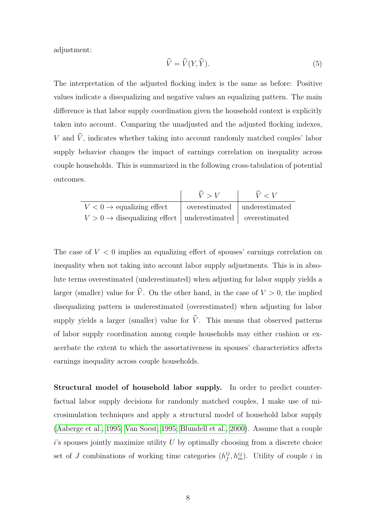adjustment:

$$
\widehat{V} = \widehat{V}(Y, \widehat{Y}).\tag{5}
$$

The interpretation of the adjusted flocking index is the same as before: Positive values indicate a disequalizing and negative values an equalizing pattern. The main difference is that labor supply coordination given the household context is explicitly taken into account. Comparing the unadjusted and the adjusted flocking indexes, V and  $\hat{V}$ , indicates whether taking into account randomly matched couples' labor supply behavior changes the impact of earnings correlation on inequality across couple households. This is summarized in the following cross-tabulation of potential outcomes.

|                                                                           | $\hat{V} > V$                  | V < V |
|---------------------------------------------------------------------------|--------------------------------|-------|
| $V < 0 \rightarrow$ equalizing effect                                     | overestimated   underestimated |       |
| $V > 0 \rightarrow$ disequalizing effect   underestimated   overestimated |                                |       |

The case of  $V < 0$  implies an equalizing effect of spouses' earnings correlation on inequality when not taking into account labor supply adjustments. This is in absolute terms overestimated (underestimated) when adjusting for labor supply yields a larger (smaller) value for  $\hat{V}$ . On the other hand, in the case of  $V > 0$ , the implied disequalizing pattern is underestimated (overestimated) when adjusting for labor supply yields a larger (smaller) value for  $\hat{V}$ . This means that observed patterns of labor supply coordination among couple households may either cushion or exacerbate the extent to which the assortativeness in spouses' characteristics affects earnings inequality across couple households.

Structural model of household labor supply. In order to predict counterfactual labor supply decisions for randomly matched couples, I make use of microsimulation techniques and apply a structural model of household labor supply [\(Aaberge et al., 1995;](#page-23-9) [Van Soest, 1995;](#page-25-3) [Blundell et al., 2000\)](#page-23-10). Assume that a couple  $i$ 's spouses jointly maximize utility U by optimally choosing from a discrete choice set of J combinations of working time categories  $(h_f^{ij})$  $f_j^{ij}, h_m^{ij}$ . Utility of couple i in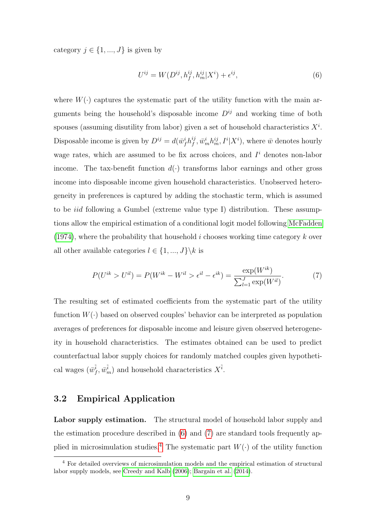category  $j \in \{1, ..., J\}$  is given by

<span id="page-11-0"></span>
$$
U^{ij} = W(D^{ij}, h_f^{ij}, h_m^{ij} | X^i) + \epsilon^{ij}, \tag{6}
$$

where  $W(\cdot)$  captures the systematic part of the utility function with the main arguments being the household's disposable income  $D^{ij}$  and working time of both spouses (assuming disutility from labor) given a set of household characteristics  $X^i$ . Disposable income is given by  $D^{ij} = d(\bar{w}_f^i h_f^{ij})$  $f_j^{ij}, \bar{w}_m^i h_m^{ij}, I^i|X^i$ , where  $\bar{w}$  denotes hourly wage rates, which are assumed to be fix across choices, and  $I<sup>i</sup>$  denotes non-labor income. The tax-benefit function  $d(\cdot)$  transforms labor earnings and other gross income into disposable income given household characteristics. Unobserved heterogeneity in preferences is captured by adding the stochastic term, which is assumed to be *iid* following a Gumbel (extreme value type I) distribution. These assumptions allow the empirical estimation of a conditional logit model following [McFadden](#page-24-11)  $(1974)$ , where the probability that household i chooses working time category k over all other available categories  $l \in \{1, ..., J\} \backslash k$  is

<span id="page-11-1"></span>
$$
P(U^{ik} > U^{il}) = P(W^{ik} - W^{il} > \epsilon^{il} - \epsilon^{ik}) = \frac{\exp(W^{ik})}{\sum_{l=1}^{J} \exp(W^{il})}.
$$
 (7)

The resulting set of estimated coefficients from the systematic part of the utility function  $W(\cdot)$  based on observed couples' behavior can be interpreted as population averages of preferences for disposable income and leisure given observed heterogeneity in household characteristics. The estimates obtained can be used to predict counterfactual labor supply choices for randomly matched couples given hypothetical wages  $(\bar{w}_f^{\tilde{i}}, \bar{w}_m^{\tilde{i}})$  and household characteristics  $X^{\tilde{i}}$ .

#### 3.2 Empirical Application

Labor supply estimation. The structural model of household labor supply and the estimation procedure described in [\(6\)](#page-11-0) and [\(7\)](#page-11-1) are standard tools frequently ap-plied in microsimulation studies.<sup>[4](#page-11-2)</sup> The systematic part  $W(\cdot)$  of the utility function

<span id="page-11-2"></span><sup>4</sup> For detailed overviews of microsimulation models and the empirical estimation of structural labor supply models, see [Creedy and Kalb](#page-23-11) [\(2006\)](#page-23-11); [Bargain et al.](#page-23-12) [\(2014\)](#page-23-12).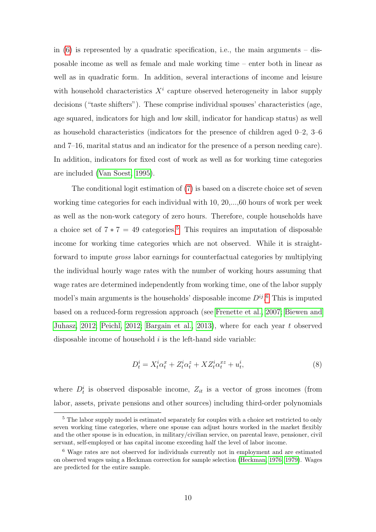in  $(6)$  is represented by a quadratic specification, i.e., the main arguments – disposable income as well as female and male working time – enter both in linear as well as in quadratic form. In addition, several interactions of income and leisure with household characteristics  $X^i$  capture observed heterogeneity in labor supply decisions ("taste shifters"). These comprise individual spouses' characteristics (age, age squared, indicators for high and low skill, indicator for handicap status) as well as household characteristics (indicators for the presence of children aged 0–2, 3–6 and 7–16, marital status and an indicator for the presence of a person needing care). In addition, indicators for fixed cost of work as well as for working time categories are included [\(Van Soest, 1995\)](#page-25-3).

The conditional logit estimation of [\(7\)](#page-11-1) is based on a discrete choice set of seven working time categories for each individual with 10, 20,...,60 hours of work per week as well as the non-work category of zero hours. Therefore, couple households have a choice set of  $7 * 7 = 49$  categories.<sup>[5](#page-12-0)</sup> This requires an imputation of disposable income for working time categories which are not observed. While it is straightforward to impute gross labor earnings for counterfactual categories by multiplying the individual hourly wage rates with the number of working hours assuming that wage rates are determined independently from working time, one of the labor supply model's main arguments is the households' disposable income  $D^{ij}$ .<sup>[6](#page-12-1)</sup> This is imputed based on a reduced-form regression approach (see [Frenette et al., 2007;](#page-24-12) [Biewen and](#page-23-13) [Juhasz, 2012;](#page-23-13) [Peichl, 2012;](#page-24-13) [Bargain et al., 2013\)](#page-23-14), where for each year t observed disposable income of household  $i$  is the left-hand side variable:

$$
D_t^i = X_t^i \alpha_t^x + Z_t^i \alpha_t^z + X Z_t^i \alpha_t^{xz} + u_t^i,\tag{8}
$$

where  $D_t^i$  is observed disposable income,  $Z_{it}$  is a vector of gross incomes (from labor, assets, private pensions and other sources) including third-order polynomials

<span id="page-12-0"></span><sup>&</sup>lt;sup>5</sup> The labor supply model is estimated separately for couples with a choice set restricted to only seven working time categories, where one spouse can adjust hours worked in the market flexibly and the other spouse is in education, in military/civilian service, on parental leave, pensioner, civil servant, self-employed or has capital income exceeding half the level of labor income.

<span id="page-12-1"></span><sup>6</sup> Wage rates are not observed for individuals currently not in employment and are estimated on observed wages using a Heckman correction for sample selection [\(Heckman, 1976,](#page-24-14) [1979\)](#page-24-15). Wages are predicted for the entire sample.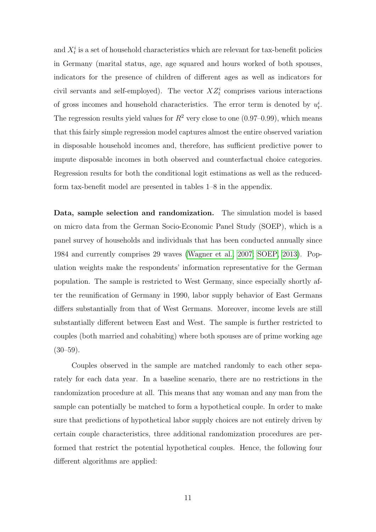and  $X_t^i$  is a set of household characteristics which are relevant for tax-benefit policies in Germany (marital status, age, age squared and hours worked of both spouses, indicators for the presence of children of different ages as well as indicators for civil servants and self-employed). The vector  $XZ_t^i$  comprises various interactions of gross incomes and household characteristics. The error term is denoted by  $u_t^i$ . The regression results yield values for  $R^2$  very close to one (0.97–0.99), which means that this fairly simple regression model captures almost the entire observed variation in disposable household incomes and, therefore, has sufficient predictive power to impute disposable incomes in both observed and counterfactual choice categories. Regression results for both the conditional logit estimations as well as the reducedform tax-benefit model are presented in tables 1–8 in the appendix.

Data, sample selection and randomization. The simulation model is based on micro data from the German Socio-Economic Panel Study (SOEP), which is a panel survey of households and individuals that has been conducted annually since 1984 and currently comprises 29 waves [\(Wagner et al., 2007;](#page-25-4) [SOEP, 2013\)](#page-25-5). Population weights make the respondents' information representative for the German population. The sample is restricted to West Germany, since especially shortly after the reunification of Germany in 1990, labor supply behavior of East Germans differs substantially from that of West Germans. Moreover, income levels are still substantially different between East and West. The sample is further restricted to couples (both married and cohabiting) where both spouses are of prime working age  $(30-59)$ .

Couples observed in the sample are matched randomly to each other separately for each data year. In a baseline scenario, there are no restrictions in the randomization procedure at all. This means that any woman and any man from the sample can potentially be matched to form a hypothetical couple. In order to make sure that predictions of hypothetical labor supply choices are not entirely driven by certain couple characteristics, three additional randomization procedures are performed that restrict the potential hypothetical couples. Hence, the following four different algorithms are applied: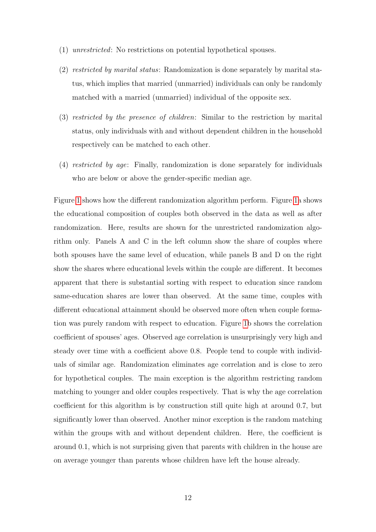- (1) unrestricted: No restrictions on potential hypothetical spouses.
- (2) restricted by marital status: Randomization is done separately by marital status, which implies that married (unmarried) individuals can only be randomly matched with a married (unmarried) individual of the opposite sex.
- (3) restricted by the presence of children: Similar to the restriction by marital status, only individuals with and without dependent children in the household respectively can be matched to each other.
- (4) restricted by age: Finally, randomization is done separately for individuals who are below or above the gender-specific median age.

Figure [1](#page-15-0) shows how the different randomization algorithm perform. Figure [1a](#page-15-0) shows the educational composition of couples both observed in the data as well as after randomization. Here, results are shown for the unrestricted randomization algorithm only. Panels A and C in the left column show the share of couples where both spouses have the same level of education, while panels B and D on the right show the shares where educational levels within the couple are different. It becomes apparent that there is substantial sorting with respect to education since random same-education shares are lower than observed. At the same time, couples with different educational attainment should be observed more often when couple formation was purely random with respect to education. Figure [1b](#page-15-0) shows the correlation coefficient of spouses' ages. Observed age correlation is unsurprisingly very high and steady over time with a coefficient above 0.8. People tend to couple with individuals of similar age. Randomization eliminates age correlation and is close to zero for hypothetical couples. The main exception is the algorithm restricting random matching to younger and older couples respectively. That is why the age correlation coefficient for this algorithm is by construction still quite high at around 0.7, but significantly lower than observed. Another minor exception is the random matching within the groups with and without dependent children. Here, the coefficient is around 0.1, which is not surprising given that parents with children in the house are on average younger than parents whose children have left the house already.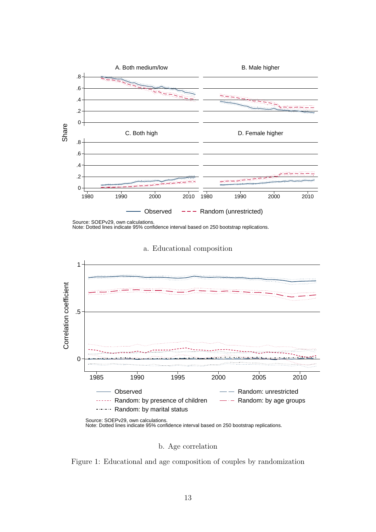<span id="page-15-0"></span>

Source: SOEPv29, own calculations. Note: Dotted lines indicate 95% confidence interval based on 250 bootstrap replications.



a. Educational composition

b. Age correlation

Figure 1: Educational and age composition of couples by randomization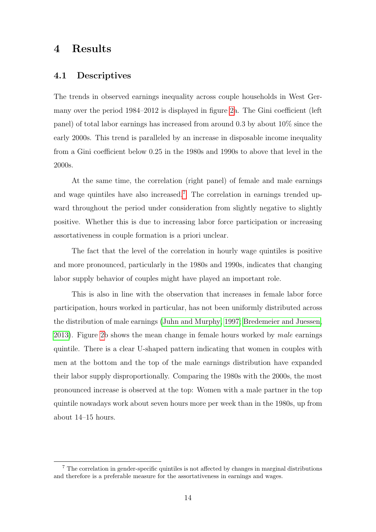# <span id="page-16-0"></span>4 Results

#### 4.1 Descriptives

The trends in observed earnings inequality across couple households in West Germany over the period 1984–2012 is displayed in figure [2a](#page-17-0). The Gini coefficient (left panel) of total labor earnings has increased from around 0.3 by about 10% since the early 2000s. This trend is paralleled by an increase in disposable income inequality from a Gini coefficient below 0.25 in the 1980s and 1990s to above that level in the 2000s.

At the same time, the correlation (right panel) of female and male earnings and wage quintiles have also increased.<sup>[7](#page-16-1)</sup> The correlation in earnings trended upward throughout the period under consideration from slightly negative to slightly positive. Whether this is due to increasing labor force participation or increasing assortativeness in couple formation is a priori unclear.

The fact that the level of the correlation in hourly wage quintiles is positive and more pronounced, particularly in the 1980s and 1990s, indicates that changing labor supply behavior of couples might have played an important role.

This is also in line with the observation that increases in female labor force participation, hours worked in particular, has not been uniformly distributed across the distribution of male earnings [\(Juhn and Murphy, 1997;](#page-24-6) [Bredemeier and Juessen,](#page-23-1) [2013\)](#page-23-1). Figure [2b](#page-17-0) shows the mean change in female hours worked by male earnings quintile. There is a clear U-shaped pattern indicating that women in couples with men at the bottom and the top of the male earnings distribution have expanded their labor supply disproportionally. Comparing the 1980s with the 2000s, the most pronounced increase is observed at the top: Women with a male partner in the top quintile nowadays work about seven hours more per week than in the 1980s, up from about 14–15 hours.

<span id="page-16-1"></span><sup>7</sup> The correlation in gender-specific quintiles is not affected by changes in marginal distributions and therefore is a preferable measure for the assortativeness in earnings and wages.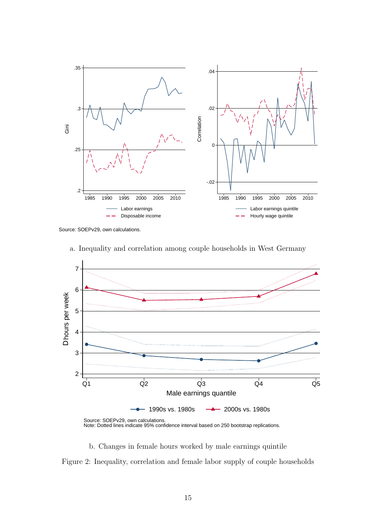<span id="page-17-0"></span>

Source: SOEPv29, own calculations.



a. Inequality and correlation among couple households in West Germany

b. Changes in female hours worked by male earnings quintile

Figure 2: Inequality, correlation and female labor supply of couple households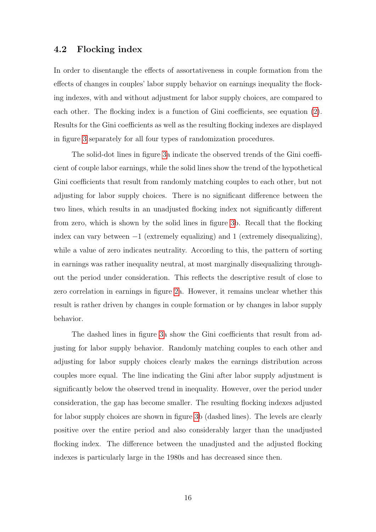#### 4.2 Flocking index

In order to disentangle the effects of assortativeness in couple formation from the effects of changes in couples' labor supply behavior on earnings inequality the flocking indexes, with and without adjustment for labor supply choices, are compared to each other. The flocking index is a function of Gini coefficients, see equation [\(2\)](#page-8-1). Results for the Gini coefficients as well as the resulting flocking indexes are displayed in figure [3](#page-19-0) separately for all four types of randomization procedures.

The solid-dot lines in figure [3a](#page-19-0) indicate the observed trends of the Gini coefficient of couple labor earnings, while the solid lines show the trend of the hypothetical Gini coefficients that result from randomly matching couples to each other, but not adjusting for labor supply choices. There is no significant difference between the two lines, which results in an unadjusted flocking index not significantly different from zero, which is shown by the solid lines in figure [3b](#page-19-0). Recall that the flocking index can vary between  $-1$  (extremely equalizing) and 1 (extremely disequalizing), while a value of zero indicates neutrality. According to this, the pattern of sorting in earnings was rather inequality neutral, at most marginally disequalizing throughout the period under consideration. This reflects the descriptive result of close to zero correlation in earnings in figure [2a](#page-17-0). However, it remains unclear whether this result is rather driven by changes in couple formation or by changes in labor supply behavior.

The dashed lines in figure [3a](#page-19-0) show the Gini coefficients that result from adjusting for labor supply behavior. Randomly matching couples to each other and adjusting for labor supply choices clearly makes the earnings distribution across couples more equal. The line indicating the Gini after labor supply adjustment is significantly below the observed trend in inequality. However, over the period under consideration, the gap has become smaller. The resulting flocking indexes adjusted for labor supply choices are shown in figure [3b](#page-19-0) (dashed lines). The levels are clearly positive over the entire period and also considerably larger than the unadjusted flocking index. The difference between the unadjusted and the adjusted flocking indexes is particularly large in the 1980s and has decreased since then.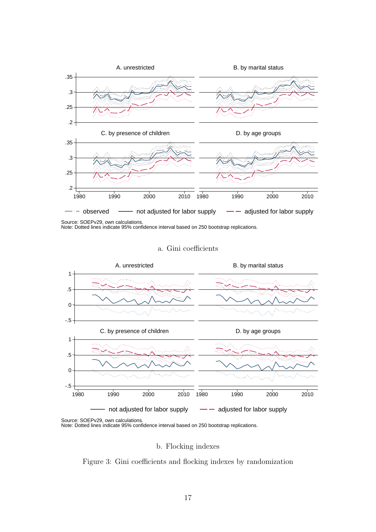<span id="page-19-0"></span>

Source: SOEPv29, own calculations. Note: Dotted lines indicate 95% confidence interval based on 250 bootstrap replications.

#### a. Gini coefficients



Source: SOEPv29, own calculations. Note: Dotted lines indicate 95% confidence interval based on 250 bootstrap replications.

b. Flocking indexes

Figure 3: Gini coefficients and flocking indexes by randomization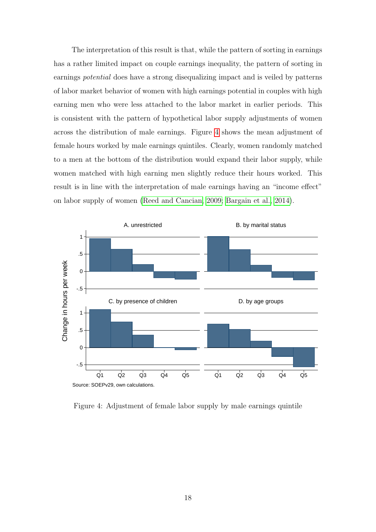The interpretation of this result is that, while the pattern of sorting in earnings has a rather limited impact on couple earnings inequality, the pattern of sorting in earnings potential does have a strong disequalizing impact and is veiled by patterns of labor market behavior of women with high earnings potential in couples with high earning men who were less attached to the labor market in earlier periods. This is consistent with the pattern of hypothetical labor supply adjustments of women across the distribution of male earnings. Figure [4](#page-20-0) shows the mean adjustment of female hours worked by male earnings quintiles. Clearly, women randomly matched to a men at the bottom of the distribution would expand their labor supply, while women matched with high earning men slightly reduce their hours worked. This result is in line with the interpretation of male earnings having an "income effect" on labor supply of women [\(Reed and Cancian, 2009;](#page-25-2) [Bargain et al., 2014\)](#page-23-12).

<span id="page-20-0"></span>

Figure 4: Adjustment of female labor supply by male earnings quintile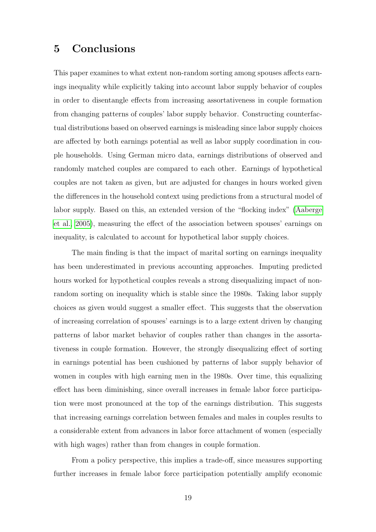### <span id="page-21-0"></span>5 Conclusions

This paper examines to what extent non-random sorting among spouses affects earnings inequality while explicitly taking into account labor supply behavior of couples in order to disentangle effects from increasing assortativeness in couple formation from changing patterns of couples' labor supply behavior. Constructing counterfactual distributions based on observed earnings is misleading since labor supply choices are affected by both earnings potential as well as labor supply coordination in couple households. Using German micro data, earnings distributions of observed and randomly matched couples are compared to each other. Earnings of hypothetical couples are not taken as given, but are adjusted for changes in hours worked given the differences in the household context using predictions from a structural model of labor supply. Based on this, an extended version of the "flocking index" [\(Aaberge](#page-23-4) [et al., 2005\)](#page-23-4), measuring the effect of the association between spouses' earnings on inequality, is calculated to account for hypothetical labor supply choices.

The main finding is that the impact of marital sorting on earnings inequality has been underestimated in previous accounting approaches. Imputing predicted hours worked for hypothetical couples reveals a strong disequalizing impact of nonrandom sorting on inequality which is stable since the 1980s. Taking labor supply choices as given would suggest a smaller effect. This suggests that the observation of increasing correlation of spouses' earnings is to a large extent driven by changing patterns of labor market behavior of couples rather than changes in the assortativeness in couple formation. However, the strongly disequalizing effect of sorting in earnings potential has been cushioned by patterns of labor supply behavior of women in couples with high earning men in the 1980s. Over time, this equalizing effect has been diminishing, since overall increases in female labor force participation were most pronounced at the top of the earnings distribution. This suggests that increasing earnings correlation between females and males in couples results to a considerable extent from advances in labor force attachment of women (especially with high wages) rather than from changes in couple formation.

From a policy perspective, this implies a trade-off, since measures supporting further increases in female labor force participation potentially amplify economic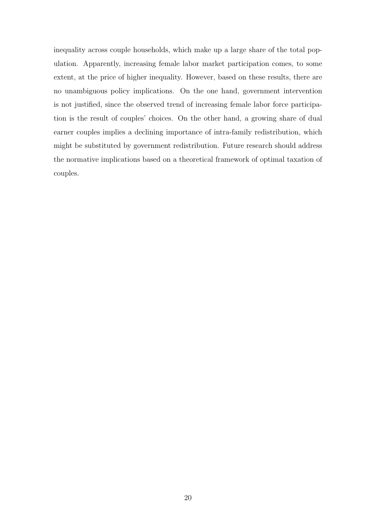inequality across couple households, which make up a large share of the total population. Apparently, increasing female labor market participation comes, to some extent, at the price of higher inequality. However, based on these results, there are no unambiguous policy implications. On the one hand, government intervention is not justified, since the observed trend of increasing female labor force participation is the result of couples' choices. On the other hand, a growing share of dual earner couples implies a declining importance of intra-family redistribution, which might be substituted by government redistribution. Future research should address the normative implications based on a theoretical framework of optimal taxation of couples.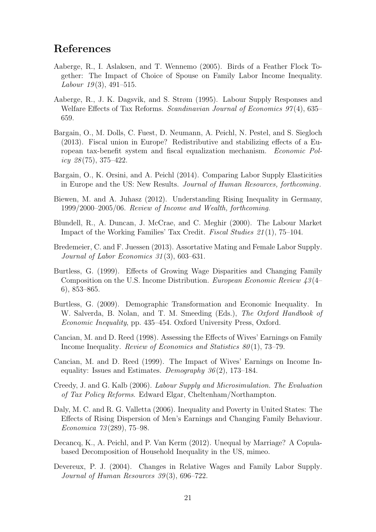### References

- <span id="page-23-4"></span>Aaberge, R., I. Aslaksen, and T. Wennemo (2005). Birds of a Feather Flock Together: The Impact of Choice of Spouse on Family Labor Income Inequality. Labour  $19(3)$ , 491–515.
- <span id="page-23-9"></span>Aaberge, R., J. K. Dagsvik, and S. Strøm (1995). Labour Supply Responses and Welfare Effects of Tax Reforms. Scandinavian Journal of Economics 97(4), 635– 659.
- <span id="page-23-14"></span>Bargain, O., M. Dolls, C. Fuest, D. Neumann, A. Peichl, N. Pestel, and S. Siegloch (2013). Fiscal union in Europe? Redistributive and stabilizing effects of a European tax-benefit system and fiscal equalization mechanism. Economic Policy  $28(75)$ , 375–422.
- <span id="page-23-12"></span>Bargain, O., K. Orsini, and A. Peichl (2014). Comparing Labor Supply Elasticities in Europe and the US: New Results. Journal of Human Resources, forthcoming.
- <span id="page-23-13"></span>Biewen, M. and A. Juhasz (2012). Understanding Rising Inequality in Germany, 1999/2000–2005/06. Review of Income and Wealth, forthcoming.
- <span id="page-23-10"></span>Blundell, R., A. Duncan, J. McCrae, and C. Meghir (2000). The Labour Market Impact of the Working Families' Tax Credit. Fiscal Studies 21 (1), 75–104.
- <span id="page-23-1"></span>Bredemeier, C. and F. Juessen (2013). Assortative Mating and Female Labor Supply. Journal of Labor Economics 31 (3), 603–631.
- <span id="page-23-3"></span>Burtless, G. (1999). Effects of Growing Wage Disparities and Changing Family Composition on the U.S. Income Distribution. European Economic Review 43(4– 6), 853–865.
- <span id="page-23-0"></span>Burtless, G. (2009). Demographic Transformation and Economic Inequality. In W. Salverda, B. Nolan, and T. M. Smeeding (Eds.), The Oxford Handbook of Economic Inequality, pp. 435–454. Oxford University Press, Oxford.
- <span id="page-23-5"></span>Cancian, M. and D. Reed (1998). Assessing the Effects of Wives' Earnings on Family Income Inequality. Review of Economics and Statistics  $80(1)$ , 73–79.
- <span id="page-23-6"></span>Cancian, M. and D. Reed (1999). The Impact of Wives' Earnings on Income Inequality: Issues and Estimates. Demography  $36(2)$ , 173–184.
- <span id="page-23-11"></span>Creedy, J. and G. Kalb (2006). Labour Supply and Microsimulation. The Evaluation of Tax Policy Reforms. Edward Elgar, Cheltenham/Northampton.
- <span id="page-23-2"></span>Daly, M. C. and R. G. Valletta (2006). Inequality and Poverty in United States: The Effects of Rising Dispersion of Men's Earnings and Changing Family Behaviour. Economica 73 (289), 75–98.
- <span id="page-23-8"></span>Decancq, K., A. Peichl, and P. Van Kerm (2012). Unequal by Marriage? A Copulabased Decomposition of Household Inequality in the US, mimeo.
- <span id="page-23-7"></span>Devereux, P. J. (2004). Changes in Relative Wages and Family Labor Supply. Journal of Human Resources 39(3), 696-722.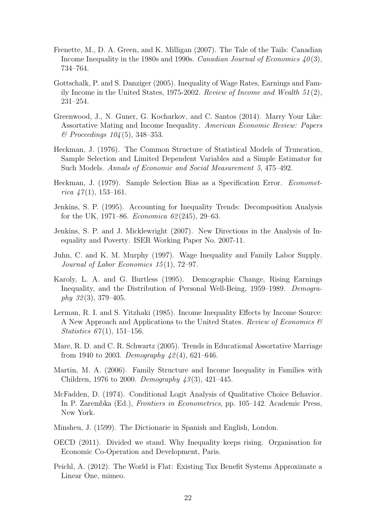- <span id="page-24-12"></span>Frenette, M., D. A. Green, and K. Milligan (2007). The Tale of the Tails: Canadian Income Inequality in the 1980s and 1990s. Canadian Journal of Economics  $40(3)$ , 734–764.
- <span id="page-24-7"></span>Gottschalk, P. and S. Danziger (2005). Inequality of Wage Rates, Earnings and Family Income in the United States, 1975-2002. Review of Income and Wealth 51 (2), 231–254.
- <span id="page-24-1"></span>Greenwood, J., N. Guner, G. Kocharkov, and C. Santos (2014). Marry Your Like: Assortative Mating and Income Inequality. American Economic Review: Papers  $\&$  Proceedings 104(5), 348–353.
- <span id="page-24-14"></span>Heckman, J. (1976). The Common Structure of Statistical Models of Truncation, Sample Selection and Limited Dependent Variables and a Simple Estimator for Such Models. Annals of Economic and Social Measurement 5, 475–492.
- <span id="page-24-15"></span>Heckman, J. (1979). Sample Selection Bias as a Specification Error. Econometrica  $47(1)$ , 153-161.
- <span id="page-24-3"></span>Jenkins, S. P. (1995). Accounting for Inequality Trends: Decomposition Analysis for the UK, 1971–86. *Economica* 62(245), 29–63.
- <span id="page-24-2"></span>Jenkins, S. P. and J. Micklewright (2007). New Directions in the Analysis of Inequality and Poverty. ISER Working Paper No. 2007-11.
- <span id="page-24-6"></span>Juhn, C. and K. M. Murphy (1997). Wage Inequality and Family Labor Supply. Journal of Labor Economics 15 (1), 72–97.
- <span id="page-24-5"></span>Karoly, L. A. and G. Burtless (1995). Demographic Change, Rising Earnings Inequality, and the Distribution of Personal Well-Being, 1959–1989. Demography  $32(3)$ , 379–405.
- <span id="page-24-8"></span>Lerman, R. I. and S. Yitzhaki (1985). Income Inequality Effects by Income Source: A New Approach and Applications to the United States. Review of Economics  $\mathscr$ *Statistics*  $67(1)$ , 151–156.
- <span id="page-24-0"></span>Mare, R. D. and C. R. Schwartz (2005). Trends in Educational Assortative Marriage from 1940 to 2003. Demography  $42(4)$ , 621–646.
- <span id="page-24-4"></span>Martin, M. A. (2006). Family Structure and Income Inequality in Families with Children, 1976 to 2000. Demography  $43(3)$ , 421–445.
- <span id="page-24-11"></span>McFadden, D. (1974). Conditional Logit Analysis of Qualitative Choice Behavior. In P. Zarembka (Ed.), Frontiers in Econometrics, pp. 105–142. Academic Press, New York.
- <span id="page-24-9"></span>Minsheu, J. (1599). The Dictionarie in Spanish and English, London.
- <span id="page-24-10"></span>OECD (2011). Divided we stand. Why Inequality keeps rising. Organisation for Economic Co-Operation and Development, Paris.
- <span id="page-24-13"></span>Peichl, A. (2012). The World is Flat: Existing Tax Benefit Systems Approximate a Linear One, mimeo.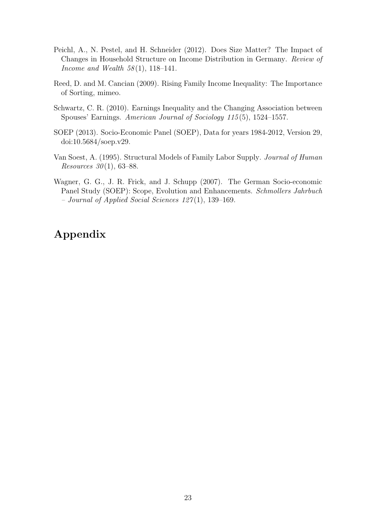- <span id="page-25-1"></span>Peichl, A., N. Pestel, and H. Schneider (2012). Does Size Matter? The Impact of Changes in Household Structure on Income Distribution in Germany. Review of Income and Wealth  $58(1)$ , 118-141.
- <span id="page-25-2"></span>Reed, D. and M. Cancian (2009). Rising Family Income Inequality: The Importance of Sorting, mimeo.
- <span id="page-25-0"></span>Schwartz, C. R. (2010). Earnings Inequality and the Changing Association between Spouses' Earnings. American Journal of Sociology 115 (5), 1524–1557.
- <span id="page-25-5"></span>SOEP (2013). Socio-Economic Panel (SOEP), Data for years 1984-2012, Version 29, doi:10.5684/soep.v29.
- <span id="page-25-3"></span>Van Soest, A. (1995). Structural Models of Family Labor Supply. Journal of Human *Resources*  $30(1)$ , 63–88.
- <span id="page-25-4"></span>Wagner, G. G., J. R. Frick, and J. Schupp (2007). The German Socio-economic Panel Study (SOEP): Scope, Evolution and Enhancements. Schmollers Jahrbuch – Journal of Applied Social Sciences  $127(1)$ , 139–169.

# Appendix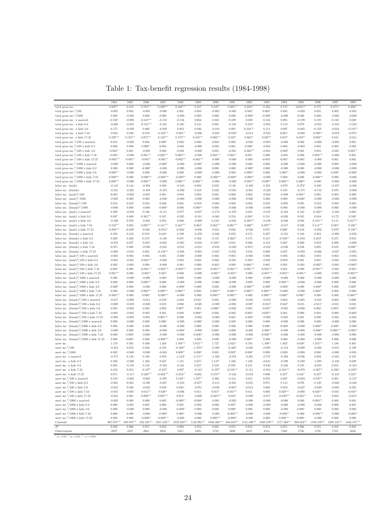| Table 1: Tax-benefit regression results (1984-1998) |  |
|-----------------------------------------------------|--|
|-----------------------------------------------------|--|

|                                                                      | 1984         | 1985        | 1986         | 1987                      | 1988          | 1989        | 1990        | 1991         | 1992          | 1993          | 1994        | 1995                  | 1996          | 1997                      | 1998        |
|----------------------------------------------------------------------|--------------|-------------|--------------|---------------------------|---------------|-------------|-------------|--------------|---------------|---------------|-------------|-----------------------|---------------|---------------------------|-------------|
| total gross inc.                                                     | $0.697**$    | 0.413       | $0.783***$   | $0.490***$                | $0.448***$    | 0.217       | $0.437*$    | $0.401**$    | $0.284**$     | 0.256         | 0.137       | $0.634***$            | $0.175\,$     | $0.275**$                 | $0.406**$   |
| total gross inc. $2/100$                                             | $-0.007$     | 0.003       | $-0.003$     | $-0.006$                  | 0.001         | 0.003       | $-0.003$    | $-0.002$     | $0.004*$      | $0.004*$      | 0.005       | $-0.002$              | 0.001         | $\rm 0.002$               | $-0.001$    |
| total gross inc. $3/1000$                                            | 0.000        | $-0.000$    | 0.000        | 0.000                     | $-0.000$      | 0.000       | 0.000       | 0.000        | $-0.000*$     | $-0.000*$     | $-0.000$    | 0.000                 | 0.000         | $-0.000$                  | $-0.000$    |
| total gross inc. x married                                           | $-0.556*$    | $-0.098$    | $-0.415***$  |                           |               | 0.064       | $-0.021$    | 0.109        | 0.039         |               | 0.091       | $-0.199$              | 0.193         | 0.150                     | 0.020       |
|                                                                      |              |             |              | $-0.158$                  | $-0.156$      |             |             |              |               | 0.124         |             |                       |               |                           |             |
| total gross inc. x kids 0-2                                          | $-0.060$     | $-0.031$    | $-0.351***$  | $-0.161$                  | 0.100         | 0.121       | 0.091       | $-0.184$     | $-0.253*$     | $-0.003$      | 0.153       | 0.079                 | $-0.053$      | $-0.102$                  | $-0.232$    |
| total gross inc. x kids 3-6                                          | 0.175        | $-0.039$    | 0.066        | $-0.029$                  | 0.063         | 0.046       | $-0.104$    | 0.091        | $0.243***$    | 0.114         | 0.097       | $-0.085$              | $-0.122*$     | $-0.042$                  | $-0.185**$  |
| total gross inc. x kids 7-16                                         | $-0.021$     | 0.036       | $-0.054*$    | $-0.102***$               | $-0.091**$    | $-0.006$    | $-0.032$    | $-0.050*$    | $-0.014$      | $-0.022$      | $0.061*$    | $-0.008$              | $-0.088**$    | $-0.019$                  | $-0.073*$   |
| total gross inc. x kids 17-25                                        | $0.220***$   | $0.116***$  | $0.075***$   | $0.132***$                | $0.170***$    | $0.105***$  | $0.066***$  | $0.047*$     | $0.063**$     | $0.067**$     | $0.057*$    | $0.059**$             | $0.092**$     | $\,0.015\,$               | $-0.011$    |
| total gross inc. $^{2}/100$ x married                                |              |             |              |                           |               |             |             |              |               |               |             |                       |               |                           |             |
|                                                                      | 0.013        | $-0.002$    | 0.004        | $0.008*$                  | 0.002         | 0.000       | 0.004       | $\rm 0.002$  | $-0.002$      | $-0.003$      | $-0.000$    | 0.002                 | $-0.000$      | $-0.002$                  | 0.001       |
| total gross inc. $2/100 \times$ kids 0-2                             | 0.000        | 0.000       | $0.006**$    | $\,0.003\,$               | $-0.001$      | $-0.000$    | $-0.001$    | $\rm 0.001$  | $0.006*$      | $-0.001$      | 0.002       | $-0.003$              | 0.001         | $\rm 0.002$               | $\rm 0.002$ |
| total gross inc. $^{2}/100$ x kids 3-6                               | $-0.004**$   | 0.001       | $-0.002$     | $\rm 0.002$               | $-0.001$      | $-0.000$    | 0.001       | $-0.001$     | $-0.004***$   | $-0.001$      | $-0.002*$   | 0.001                 | 0.001         | $-0.001$                  | $0.003**$   |
| total gross inc. $2/100 \times$ kids 7-16                            | $-0.001*$    | $-0.000$    | $0.001***$   | $0.002***$                | $0.002***$    | $-0.000$    | $0.001***$  | $0.001**$    | $0.001*$      | 0.000         | $-0.001$    | 0.000                 | $0.002***$    | $-0.000$                  | 0.001       |
| total gross inc. $^{2}/100$ x kids 17-25                             | $-0.003***$  | $-0.001**$  | $-0.001**$   | $-0.001**$                | $-0.002***$   | $-0.001***$ | $-0.000$    | $-0.000$     | 0.000         | $-0.001*$     | $-0.001$    | $-0.001$ <sup>*</sup> | $-0.000$      | 0.001                     | 0.001       |
| total gross inc. $3/1000$ x married                                  | $-0.000$     | 0.000       | $-0.000$     | $-0.000*$                 | $-0.000$      | $-0.000*$   | $-0.000$    | $-0.000$     | 0.000         | 0.000         | $-0.000$    | $-0.000$              | $-0.000$      | 0.000                     | $-0.000$    |
|                                                                      |              |             |              |                           |               |             |             |              |               |               |             |                       |               |                           |             |
| total gross inc. $3/1000$ x kids 0-2                                 | 0.000        | 0.000       | $-0.000*$    | $-0.000$                  | $-0.000$      | $-0.000$    | 0.000       | 0.000        | $-0.000*$     | 0.000         | $-0.000$    | 0.000                 | $-0.000$      | $-0.000$                  | $-0.000$    |
| total gross inc. $3/1000$ x kids 3-6                                 | $0.000***$   | $-0.000$    | 0.000        | $-0.000$                  | 0.000         | $-0.000$    | $-0.000$    | 0.000        | $0.000**$     | 0.000         | $0.000**$   | $-0.000$              | $-0.000$      | $0.000*$                  | $-0.000*$   |
| total gross inc. $3/1000$ x kids 7-16                                | $0.000***$   | 0.000       | $-0.000***$  | $-0.000***$               | $-0.000**$    | 0.000       | $-0.000***$ | $-0.000**$   | $-0.000**$    | $-0.000$      | 0.000       | 0.000                 | $-0.000***$   | 0.000                     | $-0.000$    |
| total gross inc. $3/1000$ x kids 17-25                               | $0.000***$   | $-0.000$    | $0.000***$   | $-0.000$                  | $0.000***$    | $0.000***$  | $-0.000$    | $-0.000$     | $-0.000***$   | $0.000**$     | $0.000***$  | $0.000**$             | 0.000         | $-0.000$                  | $-0.000$    |
| labor inc. (male)                                                    | $-0.110$     | 0.144       | $-0.294$     | 0.040                     | $-0.163$      | 0.002       | 0.050       | 0.148        | $-0.100$      | 0.102         | 0.079       | $-0.274*$             | 0.160         | $-0.107$                  | $-0.368$    |
| labor inc. (female)                                                  | $-0.231$     | $-0.291$    | $-0.459$     | $-0.472$                  | $-0.092$      | 0.319       | 0.222       | $-0.018$     | $-0.081$      | $-0.220$      | 0.191       | $-0.175$              | $-0.153$      | 0.070                     | $-0.002$    |
|                                                                      |              |             |              |                           |               |             |             |              |               |               |             |                       |               |                           |             |
| labor inc. $(male)^2/100$                                            | 0.003        | $-0.002$    | $-0.001$     | 0.001                     | 0.003         | 0.002       | 0.001       | 0.000        | 0.004         | $-0.003$      | $-0.000$    | $0.004**$             | 0.001         | $\,0.003\,$               | 0.009       |
| labor inc. $(male)^3/1000$                                           | $-0.000$     | 0.000       | 0.000        | $-0.000$                  | $-0.000$      | $-0.000$    | $-0.000$    | $-0.000$     | $-0.000$      | 0.000         | 0.000       | $-0.000*$             | $-0.000$      | $-0.000$                  | $-0.000$    |
| labor inc. $(\text{female})^2/100$                                   | 0.014        | 0.010       | 0.016        | 0.046                     | 0.001         | $-0.016*$   | $-0.004$    | 0.009        | 0.004         | 0.010         | $-0.005$    | 0.005                 | 0.019         | $-0.001$                  | $\rm 0.003$ |
| labor inc. $(female)^3/1000$                                         | $-0.000$     | 0.000       | $-0.000$     | $-0.000*$                 | 0.000         | $0.000**$   | 0.000       | $-0.000$     | $-0.000$      | $-0.000$      | 0.000       | $-0.000$              | $-0.000$      | 0.000                     | $-0.000$    |
| labor inc. (male) x married                                          | 0.209        | $-0.038$    | $\,0.196\,$  | $-0.111$                  | 0.077         | $-0.037$    | $-0.178$    | $-0.270$     | 0.031         | $-0.185$      | $-0.162$    | 0.163                 | $-0.325**$    | $-0.168$                  | 0.062       |
|                                                                      |              |             |              |                           |               |             |             |              |               |               |             |                       |               |                           |             |
| labor inc. (male) x kids 0-2                                         | 0.097        | 0.089       | $0.361***$   | 0.187                     | $-0.095$      | $-0.181$    | $-0.063$    | 0.234        | $0.284*$      | 0.131         | $-0.028$    | 0.045                 | 0.084         | 0.172                     | $0.340*$    |
| labor inc. (male) x kids 3-6                                         | $-0.100$     | 0.070       | $-0.002$     | 0.050                     | 0.000         | $-0.009$    | $0.150*$    | $-0.058$     | $-0.283***$   | $-0.109$      | $-0.040$    | 0.092                 | $0.185***$    | 0.115                     | $0.217***$  |
| labor inc. (male) $x$ kids $7-16$                                    | $0.102***$   | 0.004       | $0.093***$   | $0.141***$                | $0.163***$    | $0.063*$    | $0.082***$  | $0.091***$   | $0.066**$     | $0.076***$    | $-0.017$    | 0.029                 | $0.114***$    | $0.085*$                  | $0.106**$   |
| labor inc. (male) x kids 17-25                                       | $-0.093***$  | $-0.036*$   | 0.040        | $-0.054**$                | $-0.046*$     | $-0.006$    | 0.023       | $\,0.036\,$  | $-0.026$      | 0.037         | $0.066*$    | 0.034                 | $-0.002$      | 0.070                     | $0.128**$   |
| labor inc. (female) x married                                        | 0.393        | 0.432       | $0.510*$     | $0.618*$                  | 0.190         | $-0.259$    | $-0.166$    | 0.052        | $\rm 0.155$   | 0.287         | $-0.101$    | 0.188                 | 0.204         | $-0.092$                  | $-0.050$    |
|                                                                      |              |             |              |                           |               |             |             |              |               |               |             |                       |               |                           |             |
| labor inc. (female) x kids 0-2                                       | 0.209        | 0.288       | $0.372*$     | $-0.128$                  | 0.037         | 0.364       | 0.147       | $0.262**$    | 0.175         | 0.215         | $-0.580**$  | $-0.059$              | $0.253*$      | $\rm 0.275$               | 0.033       |
| labor inc. (female) x kids 3-6                                       | $-0.054$     | 0.027       | 0.019        | $-0.005$                  | $-0.065$      | $-0.016$    | $0.160**$   | 0.031        | 0.006         | 0.110         | 0.087       | 0.069                 | 0.019         | 0.009                     | $-0.098$    |
| labor inc. (female) x kids 7-16                                      | $\,0.075\,$  | 0.000       | $-0.020$     | $-0.025$                  | $-0.051$      | $-0.055$    | $-0.033$    | $-0.029$     | $-0.055*$     | $-0.052$      | $-0.036$    | 0.036                 | 0.005         | $\,0.035\,$               | $0.098**$   |
| labor inc. (female) x kids 17-25                                     | $-0.060$     | $-0.031$    | 0.001        | $-0.156***$               | $-0.028$      | $-0.003$    | $-0.037$    | $-0.021$     | 0.034         | 0.009         | 0.027       | $-0.059$              | $-0.066$      | $-0.027$                  | $-0.001$    |
| labor inc. $(male)^2/100 \times married$                             | $-0.003$     | 0.002       | 0.004        | 0.001                     | $-0.000$      | $-0.000$    | 0.002       | 0.003        | $-0.002$      | 0.006         | 0.003       | $-0.002$              | 0.003         | $\rm 0.002$               | $-0.004$    |
|                                                                      |              |             |              |                           |               |             |             |              |               |               |             |                       |               |                           |             |
| labor inc. $(male)^2/100 \times$ kids 0-2                            | $-0.001$     | $-0.001$    | $-0.004***$  | $-0.002$                  | 0.002         | 0.003       | $\rm 0.002$ | $-0.001$     | $-0.005*$     | $-0.001$      | $-0.003*$   | 0.001                 | 0.001         | $-0.001$                  | $-0.003$    |
| labor inc. $(male)^2/100 \times$ kids 3-6                            | $\,0.002\,$  | $-0.001$    | 0.000        | $-0.000$                  | 0.001         | 0.000       | $-0.001*$   | 0.000        | $0.006***$    | $\rm 0.001$   | 0.001       | $-0.001$              | $-0.002**$    | $-0.001$                  | $-0.002**$  |
| labor inc. $(male)^2/100 \times$ kids 7-16                           | $-0.001*$    | 0.000       | $-0.001***$  | $-0.002***$               | $-0.002***$   | $-0.001*$   | $-0.001***$ | $-0.001***$  | $-0.001***$   | $-0.001***$   | 0.001       | 0.000                 | $-0.001***$   | $-0.001$                  | $-0.001*$   |
| labor inc. $(male)^2/100 \times kids$ 17-25                          | $0.001***$   | 0.000       | $-0.001**$   | $0.001*$                  | 0.000         | $-0.000$    | $-0.001**$  | $-0.001**$   | 0.000         | $-0.001***$   | $-0.001**$  | $-0.001**$            | $-0.000$      | $-0.001$                  | $-0.003***$ |
| labor inc. $(male)^3/1000 \times married$                            | 0.000        | $-0.000$    | $-0.000$     | 0.000                     | 0.000         | 0.000       | $-0.000$    | $-0.000$     | 0.000         | $-0.000$      | $-0.000$    | 0.000                 | $-0.000$      | $-0.000$                  | 0.000       |
| labor inc. $(male)^3/1000 \times kids$ 0-2                           | 0.000        | 0.000       | $0.000***$   | 0.000                     | $-0.000$      | $-0.000$    | $-0.000$    | $-0.000$     | 0.000         | 0.000         | $0.000***$  | $-0.000$              | $-0.000$      | 0.000                     | 0.000       |
|                                                                      |              |             |              |                           |               |             |             |              |               |               |             |                       |               |                           |             |
| labor inc. $(male)^3/1000 \times$ kids 3-6                           | $-0.000*$    | 0.000       | $-0.000$     | 0.000                     | $-0.000*$     | 0.000       | 0.000       | $-0.000$     | $-0.000***$   | $-0.000*$     | $-0.000*$   | 0.000                 | $0.000*$      | 0.000                     | $0.000*$    |
| labor inc. $(male)^3/1000 \times$ kids 7-16                          | 0.000        | $-0.000$    | $0.000***$   | $0.000***$                | $0.000***$    | $0.000*$    | $0.000***$  | $0.000***$   | $0.000***$    | $0.000***$    | $-0.000*$   | $-0.000$              | $0.000**$     | 0.000                     | 0.000       |
| labor inc. $(male)^3/1000 \times kids$ 17-25                         | $-0.000***$  | 0.000       | $0.000*$     | $-0.000***$               | $-0.000$      | 0.000       | $0.000***$  | $0.000***$   | 0.000         | $0.000***$    | $0.000**$   | $0.000**$             | 0.000         | 0.000                     | $0.000***$  |
| labor inc. $(\text{female})^2/100 \times \text{married}$             | $-0.017$     | $-0.008$    | $-0.013$     | $-0.048*$                 | $-0.001$      | $0.016*$    | 0.005       | $-0.009$     | $-0.005$      | $-0.010$      | 0.004       | $-0.005$              | $-0.018$      | $\rm 0.002$               | 0.000       |
| labor inc. (female) $2/100 \times$ kids 0-2                          | $-0.009$     | $-0.019$    | $-0.020$     | 0.010                     | 0.000         | $-0.028$    | $-0.009$    | $-0.005$     | $-0.007$      | $-0.015*$     | $0.042*$    | 0.015                 | $-0.011*$     | $-0.011$                  | 0.010       |
|                                                                      |              |             |              |                           |               |             |             |              |               |               |             |                       |               |                           |             |
| labor inc. $(\text{female})^2/100 \times \text{kids } 3-6$           | 0.003        | $-0.002$    | 0.002        | $\,0.002\,$               | $0.007*$      | 0.001       | $-0.006**$  | $-0.002$     | 0.001         | $-0.007*$     | $-0.001$    | $-0.000$              | $0.004*$      | $0.005*$                  | $0.005*$    |
| labor inc. (female) $2/100 \times$ kids 7-16                         | $-0.001$     | $-0.001$    | 0.002        | 0.001                     | 0.003         | $0.006**$   | 0.002       | 0.002        | $0.003*$      | $0.005**$     | 0.001       | 0.000                 | 0.001         | 0.000                     | $-0.002*$   |
| labor inc. $(\text{female})^2/100 \times \text{kids} 17-25$          | $-0.000$     | $-0.002$    | $-0.001$     | $0.005***$                | 0.000         | $-0.002$    | $-0.000$    | $\rm 0.001$  | $-0.005*$     | $-0.002$      | $-0.005$    | 0.001                 | 0.000         | $-0.001$                  | $-0.001$    |
| labor inc. $(female)^3/1000 \times married$                          | 0.000        | $-0.000$    | 0.000        | $0.000*$                  | $-0.000$      | $-0.000*$   | $-0.000$    | 0.000        | 0.000         | 0.000         | $-0.000$    | 0.000                 | 0.000         | $-0.000$                  | 0.000       |
| labor inc. $(\text{female})^3/1000 \times \text{kids } 0.2$          | 0.000        | 0.000       | 0.000        | $-0.000$                  | $-0.000$      | 0.000       | 0.000       | 0.000        | 0.000         | $0.000*$      | $-0.000*$   | $-0.000$              | $0.000**$     | $0.000*$                  | $-0.000$    |
|                                                                      | $-0.000$     | 0.000       | 0.000        | $-0.000$                  | $-0.000*$     | $-0.000$    | $0.000*$    | 0.000        | $-0.000$      | $0.000**$     | $-0.000$    | $-0.000$              | $-0.000**$    | $-0.000***$               | $-0.000**$  |
| labor inc. $(\text{female})^3/1000 \times \text{kids } 3.6$          |              |             |              |                           |               |             |             |              |               |               |             |                       |               |                           |             |
| labor inc. $(\text{female})^3/1000 \times \text{kids}$ 7-16          | 0.000        | $0.000*$    | $-0.000$     | $-0.000$                  | $-0.000$      | $-0.000**$  | $-0.000$    | $-0.000$     | $-0.000$      | $-0.000***$   | $-0.000$    | $-0.000$              | $-0.000$      | $-0.000$                  | 0.000       |
| labor inc. (female) $3/1000 \times$ kids 17-25                       | 0.000        | $0.000*$    | 0.000        | $-0.000***$               | 0.000         | 0.000       | 0.000       | $-0.000$     | $0.000**$     | 0.000         | 0.000       | $-0.000$              | $-0.000$      | 0.000                     | 0.000       |
| asset inc.                                                           | 1.170        | 0.391       | 0.490        | 1.204                     | $1.788***$    | $5.831***$  | 1.727       | $2.842**$    | 0.784         | $1.390**$     | $1.402*$    | $0.649*$              | $1.101***$    | 1.188                     | 0.465       |
| asset inc. $2/100$                                                   | $-0.224$     | 0.052       | 0.036        | 0.195                     | $-0.160**$    | $-1.370**$  | $-0.308$    | $-0.462*$    | $-0.028$      | $-0.095$      | $-0.112$    | $-0.009$              | $-0.022$      | $-0.015$                  | 0.109       |
| asset inc. $3/1000$                                                  | $\,0.002\,$  | $-0.000$    | $-0.000$     | $-0.003$                  | $0.000**$     | $0.008*$    | 0.001       | $0.002*$     | $0.000*$      | 0.000         | 0.000       | $-0.000$              | 0.000         | $-0.000$                  | $-0.001$    |
| asset inc. x married                                                 | $-0.573$     | 0.136       | 0.188        | 0.076                     | $-1.124*$     | $-5.171**$  | $-1.328$    | $-2.074$     | $-0.265$      | $-0.737$      | $-0.394$    | $-0.036$              | 0.094         | $-0.445$                  | 0.347       |
|                                                                      |              |             |              |                           |               |             |             |              |               |               |             |                       |               |                           |             |
| asset inc. x kids 0-2                                                | 0.392        | $-0.200$    | 1.362        | $\,0.647\,$               | 1.415         | $2.255*$    | $1.133*$    | 1.586        | 1.126         | $-0.641$      | $-0.700$    | $-0.288$              | $-1.093$      | $-0.120$                  | 0.629       |
| asset inc. x kids 3-6                                                | $\,0.005\,$  | $-0.138$    | 0.124        | $-0.393$                  | $-0.321$      | 0.257       | 0.219       | $0.593*$     | 0.211         | $-0.043$      | $-0.248$    | 0.185                 | $-0.055$      | 0.055                     | $-0.410$    |
| asset inc. x kids 7-16                                               | 0.252        | 0.053       | $-0.187*$    | $-0.247*$                 | 0.007         | $-0.143$    | $-0.197*$   | $-0.316***$  | $-0.111$      | $-0.054$      | $-0.381***$ | $-0.070$              | $-0.267**$    | $-0.286*$                 | $-0.239**$  |
| asset inc. x kids 17-25                                              | 0.071        | $-0.117$    | $-0.220***$  | $-0.604***$               | $-0.254**$    | 0.002       | $0.278**$   | $-0.182$     | $-0.034$      | $\,0.096\,$   | $0.257*$    | $0.241*$              | $-0.257*$     | $-0.133$                  | $0.283*$    |
| asset inc. $^{2}/100$ x married                                      | 0.219        | $-0.062$    | $-0.063$     | $-0.295$                  | $0.140**$     | $1.337**$   | 0.306       | 0.412        | 0.015         | $\,0.076\,$   | 0.067       | $-0.004$              | $-0.047**$    | 0.001                     | $-0.127$    |
|                                                                      |              |             |              |                           |               |             |             |              |               |               |             |                       |               |                           |             |
| asset inc. $\frac{2}{100}$ x kids 0-2                                | $-0.065$     | 0.084       | $-0.596$     | $-0.087$                  | $-0.333$      | $-0.657*$   | $-0.113$    | $-0.881$     | $-0.055$      | 0.071         | 0.115       | 0.076                 | 0.130         | $-0.029$                  | $-0.236$    |
| asset inc. $^{2}/100 \times$ kids 3-6                                | $-0.032$     | $\,0.026\,$ | $-0.022$     | 0.039                     | $0.036*$      | $-0.051$    | $-0.036$    | $-0.065*$    | $-0.014$      | 0.000         | 0.019       | $-0.027$              | $-0.020$      | $-0.002$                  | $\,0.022\,$ |
| asset inc. <sup>2</sup> /100 x kids 7-16                             | $-0.035$     | $-0.007$    | $0.011**$    | $0.029**$                 | $-0.006$      | 0.011       | $0.017*$    | $0.035***$   | 0.011         | 0.000         | $0.029***$  | $-0.000$              | $0.028***$    | $0.018\,$                 | $0.010**$   |
| asset inc. $^{2}/100$ x kids 17-25                                   | $-0.023$     | 0.001       | $0.009***$   | $0.067***$                | $0.012*$      | $-0.009$    | $-0.025***$ | $0.023*$     | $-0.000$      | $-0.017$      | $-0.039***$ | $-0.022**$            | 0.013         | $\,0.003\,$               | $-0.015*$   |
| asset inc. $3/1000$ x married                                        | $-0.002$     | 0.000       | 0.000        | 0.003                     | $-0.000**$    | $-0.008*$   | $-0.001$    | $-0.002$     | $-0.000$      | $-0.000$      | $-0.000$    | 0.000                 | $0.000***$    | 0.000                     | 0.001       |
|                                                                      |              |             |              |                           |               |             |             |              |               |               |             |                       |               |                           |             |
| asset inc. <sup>3</sup> /1000 x kids 0-2                             | $0.000\,$    | $-0.001$    | 0.005        | 0.000                     | 0.001         | 0.004       | 0.000       | $0.007*$     | $-0.000$      | $-0.000$      | $-0.000$    | $-0.000$              | $-0.000$      | $0.000\,$                 | 0.001       |
| asset inc. $3/1000 \times$ kids 3-6                                  | 0.000        | $-0.000$    | 0.000        | $-0.000$                  | $-0.000*$     | 0.000       | 0.000       | $0.000*$     | 0.000         | 0.000         | $-0.000$    | $0.000*$              | 0.000         | 0.000                     | 0.000       |
| asset inc. $3/1000 \times$ kids 7-16                                 | 0.000        | 0.000       | $-0.000$     | $-0.000*$                 | $0.000*$      | $-0.000$    | $-0.000$    | $-0.000***$  | $-0.000$      | $-0.000$      | $-0.000**$  | 0.000                 | $-0.000***$   | $-0.000$                  | $-0.000**$  |
| asset inc. $3/1000$ x kids 17-25                                     | 0.000        | 0.000       | $-0.000**$   | $-0.000***$               | $-0.000$      | 0.000       | $0.000***$  | $-0.000**$   | $-0.000$      | 0.000         | $0.000***$  | $0.000*$              | $-0.000$      | 0.000                     | 0.000       |
| Constant                                                             | $967.073***$ | 809.937***  | $942.425***$ | $1015.432^{\ast\ast\ast}$ | $1052.049***$ | 1122.962*** | 1030.466*** | $864.683***$ | $1145.340***$ | $1040.479***$ | 1177.360*** | 980.822***            | $1190.139***$ | $1280.345^{\ast\ast\ast}$ | 1442.355*** |
| $\mathbb{R}^2$                                                       | 0.892        | 0.968       | $\rm 0.971$  | 0.959                     | 0.960         | 0.952       | 0.965       | 0.973        | 0.974         | 0.974         | 0.971       | 0.966                 | 0.971         | 0.958                     | 0.958       |
|                                                                      |              |             |              |                           |               |             |             |              |               |               |             |                       |               |                           |             |
| Observations                                                         | 2397         | 2167        | 2081         | $\,2024$                  | 1915          | 1805        | $1722\,$    | 1692         | 1635          | 1614          | 1580        | 1736                  | 1728          | 1705                      | 1626        |
| $^*$ $p$ $<$ 0.05, $^{**}$ $p$ $<$ 0.01, $^{***}$ $p$ $<$ 0.001 $\,$ |              |             |              |                           |               |             |             |              |               |               |             |                       |               |                           |             |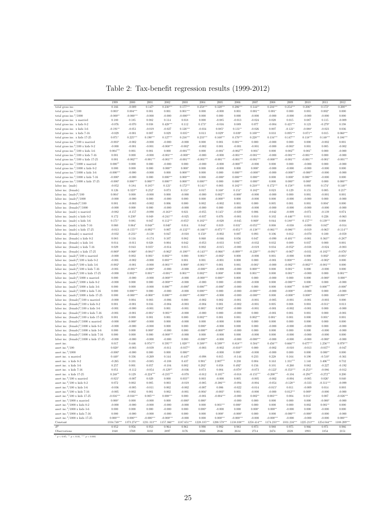|  |  | Table 2: Tax-benefit regression results (1999-2012) |  |  |  |  |
|--|--|-----------------------------------------------------|--|--|--|--|
|--|--|-----------------------------------------------------|--|--|--|--|

| $0.177***$<br>0.166<br>$-0.009$<br>$0.147*$<br>$0.230***$<br>$0.258***$<br>$0.320***$<br>$0.206***$<br>$0.144**$<br>$0.216***$<br>$0.254***$<br>$0.206**$<br>$0.172*$<br>$0.200**$<br>total gross inc.<br>total gross inc. $2/100$<br>$0.003*$<br>$0.004***$<br>0.001<br>$0.001***$<br>0.000<br>$0.001**$<br>0.000<br>$0.002*$<br>0.000<br>0.001<br>$-0.000$<br>0.001<br>$0.001*$<br>0.001<br>$-0.000**$<br>total gross inc. $3/1000$<br>$-0.000***$<br>$-0.000$<br>$-0.000$<br>$-0.000***$<br>0.000<br>0.000<br>0.000<br>$-0.000$<br>$-0.000$<br>$-0.000$<br>$-0.000$<br>$-0.000$<br>0.000<br>$-0.024$<br>0.020<br>0.087<br>total gross inc. x married<br>0.180<br>0.185<br>0.082<br>0.114<br>0.018<br>0.000<br>$-0.085$<br>$-0.013$<br>0.015<br>0.115<br>$-0.009$<br>$0.428***$<br>$0.421***$<br>total gross inc. x kids 0-2<br>$-0.076$<br>$-0.070$<br>0.038<br>0.112<br>$0.173*$<br>$-0.016$<br>0.089<br>0.077<br>$-0.004$<br>0.123<br>$-0.279*$<br>0.198<br>total gross inc. x kids 3-6<br>$-0.191**$<br>$-0.019$<br>$-0.027$<br>$0.126***$<br>$-0.034$<br>$0.085*$<br>$0.131**$<br>$-0.121*$<br>$-0.088*$<br>$-0.023$<br>$-0.051$<br>$-0.026$<br>0.007<br>0.036<br>$0.035***$<br>$0.100***$<br>$0.095***$<br>$0.071**$<br>$0.060***$<br>total gross inc. x kids 7-16<br>$-0.029$<br>$-0.001$<br>0.007<br>0.029<br>0.013<br>$0.029*$<br>$0.039*$<br>0.033<br>0.015<br>total gross inc. x kids 17-25<br>$0.071*$<br>$0.225***$<br>$0.190***$<br>$0.127***$<br>$0.216***$<br>$0.233***$<br>$0.160***$<br>$0.170***$<br>$0.228***$<br>$0.134***$<br>$0.147***$<br>$0.118***$<br>$0.148***$<br>$0.186***$<br>total gross inc. $^{2}/100$ x married<br>$-0.003*$<br>$-0.000$<br>0.000<br>0.001<br>$0.001***$<br>0.000<br>0.000<br>$-0.002$<br>$-0.000$<br>$-0.000$<br>$-0.000$<br>0.000<br>$-0.002$<br>0.001<br>total gross inc. $2/100 \times$ kids 0-2<br>$-0.000$<br>$-0.001$<br>$-0.001$<br>$-0.008***$<br>$-0.002*$<br>$-0.002$<br>0.001<br>$-0.001$<br>$-0.001$<br>$-0.000$<br>$-0.003*$<br>$\rm 0.001$<br>0.005<br>$-0.002$<br>total gross inc. $^{2}/100 \times$ kids 3-6<br>$0.004***$<br>$-0.001***$<br>0.001<br>0.001<br>0.000<br>0.000<br>$-0.001*$<br>$-0.002***$<br>$0.001*$<br>0.000<br>$0.002**$<br>$0.001*$<br>0.000<br>$-0.000$<br>total gross inc. $2/100 \times$ kids 7-16<br>0.001<br>$-0.001***$<br>$-0.000$<br>$-0.001***$<br>$-0.001***$<br>$-0.001***$<br>$-0.001***$<br>0.000<br>$-0.000$<br>$-0.000**$<br>$-0.000$<br>$-0.000$<br>0.000<br>$-0.000$<br>total gross inc. $^{2}/100$ x kids 17-25<br>$-0.002***$<br>$-0.001***$<br>$-0.001***$<br>$-0.001***$<br>$-0.001***$<br>$-0.001***$<br>$-0.001***$<br>$-0.001***$<br>$-0.000***$<br>$-0.001***$<br>$-0.001***$<br>$-0.001***$<br>0.001<br>$-0.001*$<br>total gross inc. $3/1000 \times$ married<br>$0.000**$<br>$-0.000$<br>$-0.000***$<br>0.000<br>0.000<br>$-0.000$<br>0.000<br>$-0.000$<br>$-0.000$<br>0.000<br>0.000<br>$-0.000$<br>0.000<br>$-0.000$<br>total gross inc. $3/1000$ x kids 0-2<br>0.000<br>0.000<br>$0.000**$<br>0.000<br>$-0.000$<br>0.000<br>$0.000*$<br>$-0.000$<br>0.000<br>$0.000*$<br>$-0.000$<br>$-0.000$<br>$-0.000$<br>0.000<br>total gross inc. $3/1000$ x kids 3-6<br>$-0.000***$<br>$-0.000$<br>$-0.000$<br>0.000<br>$0.000***$<br>0.000<br>0.000<br>$0.000***$<br>$-0.000**$<br>$-0.000$<br>$-0.000**$<br>$-0.000**$<br>$-0.000$<br>$-0.000$<br>total gross inc. $3/1000$ x kids 7-16<br>$-0.000*$<br>0.000<br>$0.000***$<br>$0.000***$<br>0.000<br>$-0.000*$<br>$0.000***$<br>$0.000**$<br>0.000<br>$0.000*$<br>$0.000***$<br>0.000<br>$-0.000$<br>$-0.000$<br>$0.000***$<br>$0.000***$<br>$0.000***$<br>total gross inc. $3/1000$ x kids 17-25<br>$-0.000*$<br>$0.000***$<br>$0.000***$<br>0.000<br>$0.000***$<br>$0.000**$<br>0.000<br>$0.000**$<br>$0.000*$<br>0.000<br>$0.000***$<br>$0.185**$<br>$0.182***$<br>labor inc. (male)<br>$-0.052$<br>0.184<br>$0.121*$<br>$0.172***$<br>$0.141**$<br>0.003<br>$0.210***$<br>$0.172***$<br>$0.158**$<br>0.093<br>$0.174*$<br>$0.140**$<br>0.126<br>labor inc. (female)<br>$0.323**$<br>$0.252*$<br>0.073<br>$0.151*$<br>0.017<br>$0.168*$<br>$0.151*$<br>$0.182**$<br>0.023<br>0.129<br>0.155<br>0.005<br>$0.217*$<br>$0.004*$<br>$0.002**$<br>labor inc. $(male)^2/100$<br>0.000<br>$-0.000$<br>0.000<br>$-0.000$<br>$-0.000*$<br>$-0.000$<br>$-0.000$<br>0.000<br>0.001<br>$-0.001$<br>0.001<br>$-0.000$<br>labor inc. $(male)^3/1000$<br>$-0.000$<br>0.000<br>$-0.000$<br>0.000<br>$-0.000**$<br>0.000<br>$-0.000$<br>$-0.000$<br>$-0.000$<br>0.000<br>$-0.000$<br>$-0.000$<br>0.000<br>0.000<br>labor inc. $(\text{female})^2/100$<br>0.001<br>$-0.002$<br>$\,0.006\,$<br>0.002<br>$-0.002$<br>0.005<br>$\rm 0.001$<br>0.001<br>$0.004*$<br>0.000<br>$-0.003$<br>0.000<br>0.001<br>0.000<br>labor inc. $(female)^3/1000$<br>$-0.000$<br>0.000<br>0.000<br>$-0.000$<br>$-0.000$<br>$-0.000$<br>0.000<br>$-0.000$<br>$-0.000$<br>$-0.000$<br>$-0.000$<br>$-0.000$<br>$-0.000$<br>$-0.000$<br>labor inc. (male) x married<br>$-0.082$<br>$-0.157$<br>$-0.090$<br>$-0.163**$<br>0.021<br>$-0.055$<br>$0.145*$<br>$-0.029$<br>0.006<br>$-0.042$<br>$-0.009$<br>$-0.071$<br>$-0.139$<br>0.074<br>0.172<br>$0.230*$<br>0.049<br>$-0.241***$<br>$-0.025$<br>$-0.037$<br>0.076<br>$-0.001$<br>0.010<br>0.102<br>$-0.446***$<br>0.011<br>0.226<br>$-0.063$<br>labor inc. (male) x kids 0-2<br>$0.102***$<br>$0.188***$<br>labor inc. (male) x kids 3-6<br>$0.171*$<br>0.081<br>0.047<br>$0.112***$<br>$-0.055*$<br>$-0.020$<br>$-0.045$<br>$0.069*$<br>0.044<br>$0.157***$<br>$0.139***$<br>0.008<br>0.060<br>labor inc. (male) x kids 7-16<br>$0.064*$<br>$0.048**$<br>$0.040*$<br>0.014<br>$0.044*$<br>0.019<br>$0.031*$<br>$-0.055***$<br>0.008<br>$-0.038$<br>$-0.000$<br>$0.047*$<br>$-0.014$<br>$-0.155***$<br>$-0.092***$<br>$-0.132***$<br>$-0.166***$<br>$-0.071***$<br>$-0.061***$<br>$-0.086***$<br>$-0.013$<br>0.007<br>$-0.051**$<br>$-0.138***$<br>$-0.019$<br>$-0.065*$<br>$-0.114***$<br>labor inc. (male) x kids 17-25<br>$-0.032$<br>$-0.231*$<br>0.047<br>$0.150*$<br>$-0.002$<br>$\,0.093\,$<br>$-0.070$<br>labor inc. (female) x married<br>$-0.138$<br>$-0.010$<br>0.007<br>0.106<br>0.012<br>0.100<br>$-0.059$<br>0.083<br>$-0.401***$<br>$-0.001$<br>$0.363**$<br>labor inc. (female) x kids 0-2<br>0.116<br>$-0.174$<br>0.107<br>0.082<br>0.060<br>$-0.046$<br>0.056<br>0.047<br>$-0.090$<br>$-0.287*$<br>0.014<br>$-0.011$<br>0.028<br>0.004<br>0.042<br>$-0.053$<br>$-0.033$<br>0.047<br>$-0.032$<br>0.032<br>0.089<br>0.037<br>0.000<br>0.001<br>labor inc. (female) x kids 3-6<br>labor inc. (female) x kids 7-16<br>0.029<br>0.043<br>$0.035*$<br>$-0.014$<br>0.002<br>$-0.052*$<br>$-0.038$<br>$-0.003$<br>0.015<br>$-0.015$<br>$-0.000$<br>$-0.019$<br>0.034<br>$-0.024$<br>$-0.069*$<br>$-0.068*$<br>$-0.100***$<br>$-0.143***$<br>$-0.066**$<br>$-0.099***$<br>$-0.220***$<br>$-0.091**$<br>$-0.067*$<br>$-0.031$<br>$-0.102***$<br>labor inc. (female) x kids 17-25<br>$-0.084**$<br>$-0.062*$<br>$-0.076*$<br>$0.002***$<br>labor inc. $(male)^2/100 \times married$<br>$-0.000$<br>0.002<br>$0.001*$<br>0.000<br>$0.001**$<br>$-0.002*$<br>0.000<br>$-0.000$<br>0.001<br>$-0.000$<br>0.000<br>$0.002*$<br>$-0.001*$<br>labor inc. $(male)^2/100 \times$ kids 0-2<br>$-0.001$<br>$0.003***$<br>$0.008***$<br>$-0.001$<br>$-0.002$<br>$-0.000$<br>0.001<br>0.001<br>$-0.001$<br>0.000<br>0.000<br>$-0.001$<br>$-0.002*$<br>0.000<br>labor inc. $(male)^2/100 \times$ kids 3-6<br>$-0.002*$<br>$-0.001***$<br>$-0.001***$<br>$-0.002***$<br>$-0.002***$<br>$-0.001***$<br>$-0.001$<br>$-0.000$<br>$0.000*$<br>0.001<br>0.001<br>$-0.001*$<br>$-0.000$<br>0.000<br>labor inc. $(male)^2/100 \times$ kids 7-16<br>$-0.001$<br>$-0.001**$<br>$-0.000*$<br>$-0.000$<br>$-0.000**$<br>$-0.000$<br>$0.000***$<br>$0.001**$<br>0.000<br>$-0.000$<br>$-0.000$<br>0.000<br>$-0.000$<br>0.000<br>$0.002***$<br>$0.001***$<br>$0.002***$<br>$0.001***$<br>labor inc. $(male)^2/100 \times$ kids 17-25<br>$-0.000$<br>$0.001**$<br>$-0.001**$<br>0.000<br>$0.001**$<br>$0.001***$<br>$0.000*$<br>0.000<br>$-0.000$<br>0.000<br>labor inc. $(male)^3/1000$ x married<br>0.000<br>$-0.000$<br>$-0.000$<br>$-0.000***$<br>$-0.000$<br>$-0.000***$<br>$0.000**$<br>0.000<br>0.000<br>$-0.000$<br>0.000<br>0.000<br>$-0.000*$<br>$0.000**$<br>labor inc. $(male)^3/1000 \times kids$ 0-2<br>$-0.000$<br>0.000<br>0.000<br>$-0.000***$<br>$-0.000$<br>$-0.000$<br>0.000<br>$-0.000$<br>$-0.000$<br>0.000<br>$-0.000***$<br>0.000<br>0.000<br>$-0.000$<br>0.000<br>$0.000***$<br>labor inc. $(male)^3/1000 \times$ kids 3-6<br>0.000<br>$-0.000$<br>$0.000***$<br>$-0.000*$<br>$0.000***$<br>$-0.000*$<br>$-0.000$<br>0.000<br>0.000<br>$0.000***$<br>$0.000***$<br>$-0.000*$<br>$0.000***$<br>$0.000***$<br>labor inc. $(male)^3/1000 \times$ kids 7-16<br>0.000<br>0.000<br>$-0.000$<br>$-0.000$<br>0.000<br>$-0.000$<br>$-0.000***$<br>$-0.000$<br>$-0.000**$<br>$-0.000$<br>0.000<br>$-0.000$<br>labor inc. $(male)^3/1000 \times$ kids 17-25<br>0.000<br>$-0.000***$<br>$-0.000***$<br>$-0.000***$<br>$-0.000***$<br>$-0.000**$<br>$0.000**$<br>$-0.000**$<br>$0.000***$<br>$-0.000$<br>$-0.000$<br>0.000<br>0.000<br>$-0.000***$<br>$-0.000$<br>labor inc. $(\text{female})^2/100 \times \text{married}$<br>0.004<br>0.003<br>$-0.006$<br>0.000<br>$-0.002$<br>$\rm 0.002$<br>$-0.001$<br>$-0.001$<br>$-0.005$<br>$-0.001$<br>$-0.001$<br>$-0.003$<br>0.000<br>labor inc. (female) $2/100 \times$ kids 0-2<br>0.001<br>0.016<br>$-0.004$<br>$-0.004$<br>$-0.001$<br>$\,0.003\,$<br>$-0.001$<br>$-0.003$<br>0.001<br>$-0.002$<br>0.005<br>0.008<br>$-0.011*$<br>0.013<br>labor inc. $(\text{female})^2/100 \times \text{kids } 3-6$<br>$-0.001$<br>$-0.001$<br>$0.005*$<br>$0.002*$<br>$-0.000$<br>$-0.002$<br>$-0.001$<br>$-0.000$<br>$-0.000$<br>0.001<br>$-0.001$<br>$-0.001$<br>$-0.001$<br>0.000<br>labor inc. (female) $2/100 \times$ kids 7-16<br>$-0.001$<br>$-0.001$<br>$-0.001*$<br>$0.001**$<br>$-0.000$<br>$-0.000$<br>0.000<br>$-0.000$<br>0.000<br>$-0.001$<br>0.001<br>0.001<br>0.000<br>$-0.001$<br>$0.002***$<br>labor inc. (female) $\frac{2}{100}$ x kids 17-25<br>0.001<br>0.000<br>0.001<br>$\rm 0.001$<br>0.000<br>0.001<br>0.001<br>$0.002***$<br>$0.001*$<br>0.001<br>0.000<br>$0.001*$<br>0.001<br>labor inc. $(\text{female})^3/1000 \times \text{married}$<br>$-0.000$<br>$-0.000*$<br>$-0.000$<br>0.000<br>$-0.000$<br>0.000<br>$-0.000$<br>0.000<br>0.000<br>0.000<br>0.000<br>0.000<br>0.000<br>0.000<br>labor inc. $(\text{female})^3/1000 \times \text{kids } 0.2$<br>$-0.000$<br>$-0.000$<br>$-0.000$<br>0.000<br>0.000<br>$0.000*$<br>$-0.000$<br>0.000<br>0.000<br>$-0.000$<br>$-0.000$<br>$-0.000$<br>0.000<br>$-0.000$<br>labor inc. (female) $3/1000 \times$ kids 3-6<br>0.000<br>$-0.000**$<br>$-0.000**$<br>0.000<br>0.000<br>$0.000*$<br>$-0.000$<br>0.000<br>$-0.000$<br>0.000<br>0.000<br>0.000<br>$-0.000$<br>$-0.000$<br>$-0.000***$<br>labor inc. $(\text{female})^3/1000 \times \text{kids}$ 7-16<br>0.000<br>0.000<br>0.000<br>$-0.000$<br>0.000<br>$-0.000$<br>0.000<br>0.000<br>$-0.000$<br>$-0.000$<br>0.000<br>$-0.000$<br>$-0.000$<br>labor inc. (female) $3/1000 \times$ kids 17-25<br>$-0.000$<br>0.000<br>$-0.000**$<br>$-0.000***$<br>$-0.000$<br>$-0.000$<br>$-0.000$<br>$-0.000$<br>$-0.000$<br>$-0.000$<br>$-0.000$<br>$-0.000$<br>$-0.000*$<br>$-0.000$<br>$0.974***$<br>$1.020***$<br>$0.509***$<br>$0.599***$<br>$0.818***$<br>$0.456***$<br>$0.666***$<br>$0.677***$<br>0.017<br>$0.595***$<br>$0.504**$<br>$1.256***$<br>$0.979***$<br>asset inc.<br>0.446<br>asset inc. $2/100$<br>$0.020*$<br>$-0.003$<br>$-0.039$<br>$-0.011$<br>$-0.037**$<br>$-0.003$<br>$-0.002$<br>$-0.010**$<br>0.000<br>$-0.002$<br>$-0.010$<br>$-0.013$<br>$-0.037**$<br>$-0.047$<br>asset inc. $3/1000$<br>$-0.000*$<br>$-0.000$<br>0.000<br>0.000<br>$0.000**$<br>$0.000*$<br>$-0.000$<br>0.000<br>0.000<br>$0.000**$<br>0.000<br>$-0.000$<br>$-0.000$<br>0.336<br>$-0.269$<br>$-0.447*$<br>$-0.098$<br>$\,0.015\,$<br>0.233<br>0.228<br>0.190<br>asset inc. x married<br>$0.440*$<br>0.144<br>$-0.144$<br>0.164<br>$-0.510*$<br>$-0.361$<br>asset inc. x kids 0-2<br>$-0.265$<br>$\rm 0.101$<br>$-0.085$<br>$-0.108$<br>0.437<br>$0.901*$<br>$2.007***$<br>0.230<br>0.004<br>0.163<br>$1.331***$<br>1.148<br>$3.406***$<br>0.732<br>$0.202*$<br>asset inc. x kids 3-6<br>0.257<br>0.001<br>0.057<br>$-0.104$<br>0.002<br>0.058<br>$0.492*$<br>0.156<br>0.101<br>$-0.260$<br>0.082<br>$-0.227$<br>$-0.192$<br>$-0.353***$<br>$-0.253**$<br>0.051<br>$-0.112$<br>$-0.054$<br>$-0.129**$<br>$-0.036$<br>0.073<br>0.004<br>$-0.078*$<br>$-0.073$<br>$-0.122*$<br>$-0.012$<br>asset inc. x kids 7-16<br>$-0.086$<br>asset inc. x kids 17-25<br>$0.248**$<br>0.129<br>$-0.224***$<br>$-0.235***$<br>$-0.012$<br>$0.105**$<br>$-0.018$<br>$-0.155***$<br>$-0.200***$<br>$-0.104$<br>$-0.293**$<br>$-0.272**$<br>0.200<br>$-0.070$<br>asset inc. $^{2}/100$ x married<br>$-0.021*$<br>$0.033**$<br>$\rm 0.003$<br>$-0.007$<br>0.029<br>0.000<br>$-0.000$<br>$\,0.005\,$<br>$-0.005$<br>$-0.002$<br>$-0.004$<br>$-0.005$<br>$0.026*$<br>0.040<br>asset inc. <sup>2</sup> /100 x kids 0-2<br>0.072<br>$\rm 0.002$<br>0.005<br>0.003<br>$-0.019$<br>$-0.085$<br>$-0.386***$<br>$-0.094$<br>$-0.004$<br>$-0.054$<br>$-0.128**$<br>$-0.333$<br>$-0.311***$<br>$-0.099$<br>asset inc. <sup>2</sup> /100 x kids 3-6<br>$-0.036$<br>$-0.005$<br>$-0.011$<br>$\,0.002\,$<br>$-0.002$<br>$-0.007$<br>0.006<br>$-0.022$<br>$-0.014$<br>$-0.015*$<br>0.011<br>$-0.009$<br>$\,0.014\,$<br>$\,0.003\,$<br>asset inc. <sup>2</sup> /100 x kids 7-16<br>$-0.005$<br>$-0.004*$<br>$0.012***$<br>$0.009*$<br>$\,0.002\,$<br>0.001<br>0.002<br>$-0.001$<br>$-0.003*$<br>$\rm 0.001$<br>$-0.000$<br>$-0.000$<br>$-0.000$<br>$-0.000$<br>asset inc. $^{2}/100$ x kids 17-25<br>$-0.016***$<br>$-0.016***$<br>$0.005***$<br>$0.008***$<br>$-0.004***$<br>$0.002**$<br>$0.003***$<br>$-0.026***$<br>0.000<br>$-0.001$<br>$-0.000$<br>0.004<br>$0.011*$<br>$\rm 0.007$<br>asset inc. $3/1000$ x married<br>$0.000*$<br>0.000<br>$-0.000*$<br>$0.000*$<br>0.000<br>0.000<br>0.000<br>0.000<br>$-0.000$<br>0.000<br>$-0.000$<br>$-0.000$<br>$-0.000*$<br>asset inc. <sup>3</sup> /1000 x kids 0-2<br>$-0.000$<br>$0.001***$<br>$0.001**$<br>$-0.000$<br>$-0.000$<br>$-0.000$<br>$-0.000$<br>0.000<br>$0.000*$<br>0.000<br>0.000<br>0.000<br>0.002<br>0.000<br>asset inc. $3/1000 \times$ kids 3-6<br>0.000<br>0.000<br>0.000<br>$-0.000$<br>0.000<br>$0.000*$<br>$-0.000$<br>0.000<br>$0.000*$<br>$0.000**$<br>$-0.000$<br>0.000<br>$-0.000$<br>0.000<br>asset inc. <sup>3</sup> /1000 x kids 7-16<br>0.000<br>$-0.000***$<br>0.000<br>$-0.000$<br>$-0.000$<br>$-0.000$<br>0.000<br>0.000<br>$0.000*$<br>$-0.000*$<br>0.000<br>$-0.000*$<br>$-0.000$<br>$-0.000$<br>$0.000***$<br>$-0.000***$<br>$-0.000***$<br>asset inc. $3/1000$ x kids 17-25<br>$0.000***$<br>$-0.000***$<br>$-0.000$<br>0.000<br>$0.000***$<br>$-0.000***$<br>$-0.000$<br>$-0.000$<br>$-0.000$<br>$-0.000$<br>$0.000***$<br>$1334.748^{\ast\ast\ast}$<br>$1157.366^{\ast\ast\ast}$<br>$1258.414^{***}\,$<br>$1174.233***$<br>$1225.213***$<br>1108.209***<br>Constant<br>$1373.274^{\ast\ast\ast}$<br>1231.313***<br>$1187.651***$<br>1228.335***<br>$1200.578***$<br>1138.038***<br>$1031.216***$<br>$1254.044***$<br>$\mathbb{R}^2$<br>$\rm 0.952$<br>0.956<br>0.953<br>0.964<br>0.961<br>0.990<br>0.992<br>0.983<br>0.973<br>0.980<br>0.975<br>0.966<br>0.971<br>0.986<br>Observations<br>1848<br>1769<br>3102<br>2897<br>3176<br>3026<br>2846<br>2634<br>2714<br>2474<br>2228<br>1993<br>1854<br>2151<br>$^*$ $p$ $<$ 0.05, $^{\ast\ast}$ $p$ $<$ 0.01, $^{\ast\ast\ast}$ $p$ $<$ 0.001 |      |      |      |      |      |      |      |      |      |      |      |      |      |      |
|-------------------------------------------------------------------------------------------------------------------------------------------------------------------------------------------------------------------------------------------------------------------------------------------------------------------------------------------------------------------------------------------------------------------------------------------------------------------------------------------------------------------------------------------------------------------------------------------------------------------------------------------------------------------------------------------------------------------------------------------------------------------------------------------------------------------------------------------------------------------------------------------------------------------------------------------------------------------------------------------------------------------------------------------------------------------------------------------------------------------------------------------------------------------------------------------------------------------------------------------------------------------------------------------------------------------------------------------------------------------------------------------------------------------------------------------------------------------------------------------------------------------------------------------------------------------------------------------------------------------------------------------------------------------------------------------------------------------------------------------------------------------------------------------------------------------------------------------------------------------------------------------------------------------------------------------------------------------------------------------------------------------------------------------------------------------------------------------------------------------------------------------------------------------------------------------------------------------------------------------------------------------------------------------------------------------------------------------------------------------------------------------------------------------------------------------------------------------------------------------------------------------------------------------------------------------------------------------------------------------------------------------------------------------------------------------------------------------------------------------------------------------------------------------------------------------------------------------------------------------------------------------------------------------------------------------------------------------------------------------------------------------------------------------------------------------------------------------------------------------------------------------------------------------------------------------------------------------------------------------------------------------------------------------------------------------------------------------------------------------------------------------------------------------------------------------------------------------------------------------------------------------------------------------------------------------------------------------------------------------------------------------------------------------------------------------------------------------------------------------------------------------------------------------------------------------------------------------------------------------------------------------------------------------------------------------------------------------------------------------------------------------------------------------------------------------------------------------------------------------------------------------------------------------------------------------------------------------------------------------------------------------------------------------------------------------------------------------------------------------------------------------------------------------------------------------------------------------------------------------------------------------------------------------------------------------------------------------------------------------------------------------------------------------------------------------------------------------------------------------------------------------------------------------------------------------------------------------------------------------------------------------------------------------------------------------------------------------------------------------------------------------------------------------------------------------------------------------------------------------------------------------------------------------------------------------------------------------------------------------------------------------------------------------------------------------------------------------------------------------------------------------------------------------------------------------------------------------------------------------------------------------------------------------------------------------------------------------------------------------------------------------------------------------------------------------------------------------------------------------------------------------------------------------------------------------------------------------------------------------------------------------------------------------------------------------------------------------------------------------------------------------------------------------------------------------------------------------------------------------------------------------------------------------------------------------------------------------------------------------------------------------------------------------------------------------------------------------------------------------------------------------------------------------------------------------------------------------------------------------------------------------------------------------------------------------------------------------------------------------------------------------------------------------------------------------------------------------------------------------------------------------------------------------------------------------------------------------------------------------------------------------------------------------------------------------------------------------------------------------------------------------------------------------------------------------------------------------------------------------------------------------------------------------------------------------------------------------------------------------------------------------------------------------------------------------------------------------------------------------------------------------------------------------------------------------------------------------------------------------------------------------------------------------------------------------------------------------------------------------------------------------------------------------------------------------------------------------------------------------------------------------------------------------------------------------------------------------------------------------------------------------------------------------------------------------------------------------------------------------------------------------------------------------------------------------------------------------------------------------------------------------------------------------------------------------------------------------------------------------------------------------------------------------------------------------------------------------------------------------------------------------------------------------------------------------------------------------------------------------------------------------------------------------------------------------------------------------------------------------------------------------------------------------------------------------------------------------------------------------------------------------------------------------------------------------------------------------------------------------------------------------------------------------------------------------------------------------------------------------------------------------------------------------------------------------------------------------------------------------------------------------------------------------------------------------------------------------------------------------------------------------------------------------------------------------------------------------------------------------------------------------------------------------------------------------------------------------------------------------------------------------------------------------------------------------------------------------------------------------------------------------------------------------------------------------------------------------------------------------------------------------------------------------------------------------------------------------------------------------------------------------------------------------------------------------------------------------------------------------------------------------------------------------------------------------------------------------------------------------------------------------------------------------------------------------------------------------------------------------------------------------------------------------------------------------------------------------------------------------------------------------------------------------------------------------------------------------------------------------------------------------------------------------------------------------------------------------------------------------------------------------------------------------------------------------------------------------------------------------------------------------------------------------------------------------------------------------------------------------------------------------------------------------------------------------------------------------------------------------------------------------------------------------------------------------------------------------------------------------------------------------------------------------------------------------------------------------------------------------------------------------------------------------------------------------------------------------------------------------------------------------------------------------------------------------------------------------------------------------------------------------------------------------------------------------------------------------------------------------------------------------------------------------------------------------------------------------------------------------------------------------------------------------------------------------------------------------------------------------------------------------------------------------------------------------------------------------------------------------------------------------------------------------------------------------------------------------------------------------------------------------------------------------------------------------------------------------------------------------------------------------------------------------------------------------------------------------------------------------------------------------------------------------------------------------------------------------------------------------------------------------------------------------------------------------------------------------------------------------------------------------------------------------------------------------------------------------------------------------------------------------------------------------------------------------------------------------------------------------------------------------------------------------------------------------------------------------------------------------------------------------------------------------------------------------------------------------------------------------------------------------------------------------------------------------------------------------------------------------------------------------------------------------------------------------------------------------------------------------------------------------------------------------------------------------------------------------------------------------------------------------------------------------------------------------------------------------------------------------------------------------------------------------------------------------------------------------------------------------------------------------------------------------------------------------------------------------------------------------------------------------------------------------------------------------------------------------------------------------------------------------------------------------------------------------------------------------------------------------------------------------------------------------------------------------------------------------------------------------------------------------------------------------------------------------------------------------------------------------------------------------------------------------------------------------------------------------------------------------------------------------------------------------------------------------------------------------------------------------------------------------------------------------------------------------------------------------------------------------------------------------------------------------------------------------------------------------------------------------------------------------------------------------------------------------------------------------------------------------------------------------------------------------------------------------------------------------------------------------------------------------------------------------------------------------------------------------------------------------------------------------------------------------------------------------------------------------------------------------------------------------------------------------------------------------------------------------------------------------------------------------------------------------------------------------------------------------------------------------------------------------------------------------------------------------------------------------------------------------------------------|------|------|------|------|------|------|------|------|------|------|------|------|------|------|
|                                                                                                                                                                                                                                                                                                                                                                                                                                                                                                                                                                                                                                                                                                                                                                                                                                                                                                                                                                                                                                                                                                                                                                                                                                                                                                                                                                                                                                                                                                                                                                                                                                                                                                                                                                                                                                                                                                                                                                                                                                                                                                                                                                                                                                                                                                                                                                                                                                                                                                                                                                                                                                                                                                                                                                                                                                                                                                                                                                                                                                                                                                                                                                                                                                                                                                                                                                                                                                                                                                                                                                                                                                                                                                                                                                                                                                                                                                                                                                                                                                                                                                                                                                                                                                                                                                                                                                                                                                                                                                                                                                                                                                                                                                                                                                                                                                                                                                                                                                                                                                                                                                                                                                                                                                                                                                                                                                                                                                                                                                                                                                                                                                                                                                                                                                                                                                                                                                                                                                                                                                                                                                                                                                                                                                                                                                                                                                                                                                                                                                                                                                                                                                                                                                                                                                                                                                                                                                                                                                                                                                                                                                                                                                                                                                                                                                                                                                                                                                                                                                                                                                                                                                                                                                                                                                                                                                                                                                                                                                                                                                                                                                                                                                                                                                                                                                                                                                                                                                                                                                                                                                                                                                                                                                                                                                                                                                                                                                                                                                                                                                                                                                                                                                                                                                                                                                                                                                                                                                                                                                                                                                                                                                                                                                                                                                                                                                                                                                                                                                                                                                                                                                                                                                                                                                                                                                                                                                                                                                                                                                                                                                                                                                                                                                                                                                                                                                                                                                                                                                                                                                                                                                                                                                                                                                                                                                                                                                                                                                                                                                                                                                                                                                                                                                                                                                                                                                                                                                                                                                                                                                                                                                                                                                                                                                                                                                                                                                                                                                                                                                                                                                                                                                                                                                                                                                                                                                                                                                                                                                                                                                                                                                                                                                                                                                                                                                                                                                                                                                                                                                                                                                                                                                                                                                                                                                                                                                                                                                                                                                                                                                                                                                                                                                                                                                                                                                                                                                                                                                                                                                                                                                                                                                                                                                                                                                                                                                                                                                                                                                                                                                                                                                                                                                                                                                                                                                                                                                                                                                                                                                                                                                                                                                                                                                                                                             | 1999 | 2000 | 2001 | 2002 | 2003 | 2004 | 2005 | 2006 | 2007 | 2008 | 2009 | 2010 | 2011 | 2012 |
|                                                                                                                                                                                                                                                                                                                                                                                                                                                                                                                                                                                                                                                                                                                                                                                                                                                                                                                                                                                                                                                                                                                                                                                                                                                                                                                                                                                                                                                                                                                                                                                                                                                                                                                                                                                                                                                                                                                                                                                                                                                                                                                                                                                                                                                                                                                                                                                                                                                                                                                                                                                                                                                                                                                                                                                                                                                                                                                                                                                                                                                                                                                                                                                                                                                                                                                                                                                                                                                                                                                                                                                                                                                                                                                                                                                                                                                                                                                                                                                                                                                                                                                                                                                                                                                                                                                                                                                                                                                                                                                                                                                                                                                                                                                                                                                                                                                                                                                                                                                                                                                                                                                                                                                                                                                                                                                                                                                                                                                                                                                                                                                                                                                                                                                                                                                                                                                                                                                                                                                                                                                                                                                                                                                                                                                                                                                                                                                                                                                                                                                                                                                                                                                                                                                                                                                                                                                                                                                                                                                                                                                                                                                                                                                                                                                                                                                                                                                                                                                                                                                                                                                                                                                                                                                                                                                                                                                                                                                                                                                                                                                                                                                                                                                                                                                                                                                                                                                                                                                                                                                                                                                                                                                                                                                                                                                                                                                                                                                                                                                                                                                                                                                                                                                                                                                                                                                                                                                                                                                                                                                                                                                                                                                                                                                                                                                                                                                                                                                                                                                                                                                                                                                                                                                                                                                                                                                                                                                                                                                                                                                                                                                                                                                                                                                                                                                                                                                                                                                                                                                                                                                                                                                                                                                                                                                                                                                                                                                                                                                                                                                                                                                                                                                                                                                                                                                                                                                                                                                                                                                                                                                                                                                                                                                                                                                                                                                                                                                                                                                                                                                                                                                                                                                                                                                                                                                                                                                                                                                                                                                                                                                                                                                                                                                                                                                                                                                                                                                                                                                                                                                                                                                                                                                                                                                                                                                                                                                                                                                                                                                                                                                                                                                                                                                                                                                                                                                                                                                                                                                                                                                                                                                                                                                                                                                                                                                                                                                                                                                                                                                                                                                                                                                                                                                                                                                                                                                                                                                                                                                                                                                                                                                                                                                                                                                                                             |      |      |      |      |      |      |      |      |      |      |      |      |      |      |
|                                                                                                                                                                                                                                                                                                                                                                                                                                                                                                                                                                                                                                                                                                                                                                                                                                                                                                                                                                                                                                                                                                                                                                                                                                                                                                                                                                                                                                                                                                                                                                                                                                                                                                                                                                                                                                                                                                                                                                                                                                                                                                                                                                                                                                                                                                                                                                                                                                                                                                                                                                                                                                                                                                                                                                                                                                                                                                                                                                                                                                                                                                                                                                                                                                                                                                                                                                                                                                                                                                                                                                                                                                                                                                                                                                                                                                                                                                                                                                                                                                                                                                                                                                                                                                                                                                                                                                                                                                                                                                                                                                                                                                                                                                                                                                                                                                                                                                                                                                                                                                                                                                                                                                                                                                                                                                                                                                                                                                                                                                                                                                                                                                                                                                                                                                                                                                                                                                                                                                                                                                                                                                                                                                                                                                                                                                                                                                                                                                                                                                                                                                                                                                                                                                                                                                                                                                                                                                                                                                                                                                                                                                                                                                                                                                                                                                                                                                                                                                                                                                                                                                                                                                                                                                                                                                                                                                                                                                                                                                                                                                                                                                                                                                                                                                                                                                                                                                                                                                                                                                                                                                                                                                                                                                                                                                                                                                                                                                                                                                                                                                                                                                                                                                                                                                                                                                                                                                                                                                                                                                                                                                                                                                                                                                                                                                                                                                                                                                                                                                                                                                                                                                                                                                                                                                                                                                                                                                                                                                                                                                                                                                                                                                                                                                                                                                                                                                                                                                                                                                                                                                                                                                                                                                                                                                                                                                                                                                                                                                                                                                                                                                                                                                                                                                                                                                                                                                                                                                                                                                                                                                                                                                                                                                                                                                                                                                                                                                                                                                                                                                                                                                                                                                                                                                                                                                                                                                                                                                                                                                                                                                                                                                                                                                                                                                                                                                                                                                                                                                                                                                                                                                                                                                                                                                                                                                                                                                                                                                                                                                                                                                                                                                                                                                                                                                                                                                                                                                                                                                                                                                                                                                                                                                                                                                                                                                                                                                                                                                                                                                                                                                                                                                                                                                                                                                                                                                                                                                                                                                                                                                                                                                                                                                                                                                                                                             |      |      |      |      |      |      |      |      |      |      |      |      |      |      |
|                                                                                                                                                                                                                                                                                                                                                                                                                                                                                                                                                                                                                                                                                                                                                                                                                                                                                                                                                                                                                                                                                                                                                                                                                                                                                                                                                                                                                                                                                                                                                                                                                                                                                                                                                                                                                                                                                                                                                                                                                                                                                                                                                                                                                                                                                                                                                                                                                                                                                                                                                                                                                                                                                                                                                                                                                                                                                                                                                                                                                                                                                                                                                                                                                                                                                                                                                                                                                                                                                                                                                                                                                                                                                                                                                                                                                                                                                                                                                                                                                                                                                                                                                                                                                                                                                                                                                                                                                                                                                                                                                                                                                                                                                                                                                                                                                                                                                                                                                                                                                                                                                                                                                                                                                                                                                                                                                                                                                                                                                                                                                                                                                                                                                                                                                                                                                                                                                                                                                                                                                                                                                                                                                                                                                                                                                                                                                                                                                                                                                                                                                                                                                                                                                                                                                                                                                                                                                                                                                                                                                                                                                                                                                                                                                                                                                                                                                                                                                                                                                                                                                                                                                                                                                                                                                                                                                                                                                                                                                                                                                                                                                                                                                                                                                                                                                                                                                                                                                                                                                                                                                                                                                                                                                                                                                                                                                                                                                                                                                                                                                                                                                                                                                                                                                                                                                                                                                                                                                                                                                                                                                                                                                                                                                                                                                                                                                                                                                                                                                                                                                                                                                                                                                                                                                                                                                                                                                                                                                                                                                                                                                                                                                                                                                                                                                                                                                                                                                                                                                                                                                                                                                                                                                                                                                                                                                                                                                                                                                                                                                                                                                                                                                                                                                                                                                                                                                                                                                                                                                                                                                                                                                                                                                                                                                                                                                                                                                                                                                                                                                                                                                                                                                                                                                                                                                                                                                                                                                                                                                                                                                                                                                                                                                                                                                                                                                                                                                                                                                                                                                                                                                                                                                                                                                                                                                                                                                                                                                                                                                                                                                                                                                                                                                                                                                                                                                                                                                                                                                                                                                                                                                                                                                                                                                                                                                                                                                                                                                                                                                                                                                                                                                                                                                                                                                                                                                                                                                                                                                                                                                                                                                                                                                                                                                                                                                             |      |      |      |      |      |      |      |      |      |      |      |      |      |      |
|                                                                                                                                                                                                                                                                                                                                                                                                                                                                                                                                                                                                                                                                                                                                                                                                                                                                                                                                                                                                                                                                                                                                                                                                                                                                                                                                                                                                                                                                                                                                                                                                                                                                                                                                                                                                                                                                                                                                                                                                                                                                                                                                                                                                                                                                                                                                                                                                                                                                                                                                                                                                                                                                                                                                                                                                                                                                                                                                                                                                                                                                                                                                                                                                                                                                                                                                                                                                                                                                                                                                                                                                                                                                                                                                                                                                                                                                                                                                                                                                                                                                                                                                                                                                                                                                                                                                                                                                                                                                                                                                                                                                                                                                                                                                                                                                                                                                                                                                                                                                                                                                                                                                                                                                                                                                                                                                                                                                                                                                                                                                                                                                                                                                                                                                                                                                                                                                                                                                                                                                                                                                                                                                                                                                                                                                                                                                                                                                                                                                                                                                                                                                                                                                                                                                                                                                                                                                                                                                                                                                                                                                                                                                                                                                                                                                                                                                                                                                                                                                                                                                                                                                                                                                                                                                                                                                                                                                                                                                                                                                                                                                                                                                                                                                                                                                                                                                                                                                                                                                                                                                                                                                                                                                                                                                                                                                                                                                                                                                                                                                                                                                                                                                                                                                                                                                                                                                                                                                                                                                                                                                                                                                                                                                                                                                                                                                                                                                                                                                                                                                                                                                                                                                                                                                                                                                                                                                                                                                                                                                                                                                                                                                                                                                                                                                                                                                                                                                                                                                                                                                                                                                                                                                                                                                                                                                                                                                                                                                                                                                                                                                                                                                                                                                                                                                                                                                                                                                                                                                                                                                                                                                                                                                                                                                                                                                                                                                                                                                                                                                                                                                                                                                                                                                                                                                                                                                                                                                                                                                                                                                                                                                                                                                                                                                                                                                                                                                                                                                                                                                                                                                                                                                                                                                                                                                                                                                                                                                                                                                                                                                                                                                                                                                                                                                                                                                                                                                                                                                                                                                                                                                                                                                                                                                                                                                                                                                                                                                                                                                                                                                                                                                                                                                                                                                                                                                                                                                                                                                                                                                                                                                                                                                                                                                                                                                                             |      |      |      |      |      |      |      |      |      |      |      |      |      |      |
|                                                                                                                                                                                                                                                                                                                                                                                                                                                                                                                                                                                                                                                                                                                                                                                                                                                                                                                                                                                                                                                                                                                                                                                                                                                                                                                                                                                                                                                                                                                                                                                                                                                                                                                                                                                                                                                                                                                                                                                                                                                                                                                                                                                                                                                                                                                                                                                                                                                                                                                                                                                                                                                                                                                                                                                                                                                                                                                                                                                                                                                                                                                                                                                                                                                                                                                                                                                                                                                                                                                                                                                                                                                                                                                                                                                                                                                                                                                                                                                                                                                                                                                                                                                                                                                                                                                                                                                                                                                                                                                                                                                                                                                                                                                                                                                                                                                                                                                                                                                                                                                                                                                                                                                                                                                                                                                                                                                                                                                                                                                                                                                                                                                                                                                                                                                                                                                                                                                                                                                                                                                                                                                                                                                                                                                                                                                                                                                                                                                                                                                                                                                                                                                                                                                                                                                                                                                                                                                                                                                                                                                                                                                                                                                                                                                                                                                                                                                                                                                                                                                                                                                                                                                                                                                                                                                                                                                                                                                                                                                                                                                                                                                                                                                                                                                                                                                                                                                                                                                                                                                                                                                                                                                                                                                                                                                                                                                                                                                                                                                                                                                                                                                                                                                                                                                                                                                                                                                                                                                                                                                                                                                                                                                                                                                                                                                                                                                                                                                                                                                                                                                                                                                                                                                                                                                                                                                                                                                                                                                                                                                                                                                                                                                                                                                                                                                                                                                                                                                                                                                                                                                                                                                                                                                                                                                                                                                                                                                                                                                                                                                                                                                                                                                                                                                                                                                                                                                                                                                                                                                                                                                                                                                                                                                                                                                                                                                                                                                                                                                                                                                                                                                                                                                                                                                                                                                                                                                                                                                                                                                                                                                                                                                                                                                                                                                                                                                                                                                                                                                                                                                                                                                                                                                                                                                                                                                                                                                                                                                                                                                                                                                                                                                                                                                                                                                                                                                                                                                                                                                                                                                                                                                                                                                                                                                                                                                                                                                                                                                                                                                                                                                                                                                                                                                                                                                                                                                                                                                                                                                                                                                                                                                                                                                                                                                                                             |      |      |      |      |      |      |      |      |      |      |      |      |      |      |
|                                                                                                                                                                                                                                                                                                                                                                                                                                                                                                                                                                                                                                                                                                                                                                                                                                                                                                                                                                                                                                                                                                                                                                                                                                                                                                                                                                                                                                                                                                                                                                                                                                                                                                                                                                                                                                                                                                                                                                                                                                                                                                                                                                                                                                                                                                                                                                                                                                                                                                                                                                                                                                                                                                                                                                                                                                                                                                                                                                                                                                                                                                                                                                                                                                                                                                                                                                                                                                                                                                                                                                                                                                                                                                                                                                                                                                                                                                                                                                                                                                                                                                                                                                                                                                                                                                                                                                                                                                                                                                                                                                                                                                                                                                                                                                                                                                                                                                                                                                                                                                                                                                                                                                                                                                                                                                                                                                                                                                                                                                                                                                                                                                                                                                                                                                                                                                                                                                                                                                                                                                                                                                                                                                                                                                                                                                                                                                                                                                                                                                                                                                                                                                                                                                                                                                                                                                                                                                                                                                                                                                                                                                                                                                                                                                                                                                                                                                                                                                                                                                                                                                                                                                                                                                                                                                                                                                                                                                                                                                                                                                                                                                                                                                                                                                                                                                                                                                                                                                                                                                                                                                                                                                                                                                                                                                                                                                                                                                                                                                                                                                                                                                                                                                                                                                                                                                                                                                                                                                                                                                                                                                                                                                                                                                                                                                                                                                                                                                                                                                                                                                                                                                                                                                                                                                                                                                                                                                                                                                                                                                                                                                                                                                                                                                                                                                                                                                                                                                                                                                                                                                                                                                                                                                                                                                                                                                                                                                                                                                                                                                                                                                                                                                                                                                                                                                                                                                                                                                                                                                                                                                                                                                                                                                                                                                                                                                                                                                                                                                                                                                                                                                                                                                                                                                                                                                                                                                                                                                                                                                                                                                                                                                                                                                                                                                                                                                                                                                                                                                                                                                                                                                                                                                                                                                                                                                                                                                                                                                                                                                                                                                                                                                                                                                                                                                                                                                                                                                                                                                                                                                                                                                                                                                                                                                                                                                                                                                                                                                                                                                                                                                                                                                                                                                                                                                                                                                                                                                                                                                                                                                                                                                                                                                                                                                                                                             |      |      |      |      |      |      |      |      |      |      |      |      |      |      |
|                                                                                                                                                                                                                                                                                                                                                                                                                                                                                                                                                                                                                                                                                                                                                                                                                                                                                                                                                                                                                                                                                                                                                                                                                                                                                                                                                                                                                                                                                                                                                                                                                                                                                                                                                                                                                                                                                                                                                                                                                                                                                                                                                                                                                                                                                                                                                                                                                                                                                                                                                                                                                                                                                                                                                                                                                                                                                                                                                                                                                                                                                                                                                                                                                                                                                                                                                                                                                                                                                                                                                                                                                                                                                                                                                                                                                                                                                                                                                                                                                                                                                                                                                                                                                                                                                                                                                                                                                                                                                                                                                                                                                                                                                                                                                                                                                                                                                                                                                                                                                                                                                                                                                                                                                                                                                                                                                                                                                                                                                                                                                                                                                                                                                                                                                                                                                                                                                                                                                                                                                                                                                                                                                                                                                                                                                                                                                                                                                                                                                                                                                                                                                                                                                                                                                                                                                                                                                                                                                                                                                                                                                                                                                                                                                                                                                                                                                                                                                                                                                                                                                                                                                                                                                                                                                                                                                                                                                                                                                                                                                                                                                                                                                                                                                                                                                                                                                                                                                                                                                                                                                                                                                                                                                                                                                                                                                                                                                                                                                                                                                                                                                                                                                                                                                                                                                                                                                                                                                                                                                                                                                                                                                                                                                                                                                                                                                                                                                                                                                                                                                                                                                                                                                                                                                                                                                                                                                                                                                                                                                                                                                                                                                                                                                                                                                                                                                                                                                                                                                                                                                                                                                                                                                                                                                                                                                                                                                                                                                                                                                                                                                                                                                                                                                                                                                                                                                                                                                                                                                                                                                                                                                                                                                                                                                                                                                                                                                                                                                                                                                                                                                                                                                                                                                                                                                                                                                                                                                                                                                                                                                                                                                                                                                                                                                                                                                                                                                                                                                                                                                                                                                                                                                                                                                                                                                                                                                                                                                                                                                                                                                                                                                                                                                                                                                                                                                                                                                                                                                                                                                                                                                                                                                                                                                                                                                                                                                                                                                                                                                                                                                                                                                                                                                                                                                                                                                                                                                                                                                                                                                                                                                                                                                                                                                                                                                             |      |      |      |      |      |      |      |      |      |      |      |      |      |      |
|                                                                                                                                                                                                                                                                                                                                                                                                                                                                                                                                                                                                                                                                                                                                                                                                                                                                                                                                                                                                                                                                                                                                                                                                                                                                                                                                                                                                                                                                                                                                                                                                                                                                                                                                                                                                                                                                                                                                                                                                                                                                                                                                                                                                                                                                                                                                                                                                                                                                                                                                                                                                                                                                                                                                                                                                                                                                                                                                                                                                                                                                                                                                                                                                                                                                                                                                                                                                                                                                                                                                                                                                                                                                                                                                                                                                                                                                                                                                                                                                                                                                                                                                                                                                                                                                                                                                                                                                                                                                                                                                                                                                                                                                                                                                                                                                                                                                                                                                                                                                                                                                                                                                                                                                                                                                                                                                                                                                                                                                                                                                                                                                                                                                                                                                                                                                                                                                                                                                                                                                                                                                                                                                                                                                                                                                                                                                                                                                                                                                                                                                                                                                                                                                                                                                                                                                                                                                                                                                                                                                                                                                                                                                                                                                                                                                                                                                                                                                                                                                                                                                                                                                                                                                                                                                                                                                                                                                                                                                                                                                                                                                                                                                                                                                                                                                                                                                                                                                                                                                                                                                                                                                                                                                                                                                                                                                                                                                                                                                                                                                                                                                                                                                                                                                                                                                                                                                                                                                                                                                                                                                                                                                                                                                                                                                                                                                                                                                                                                                                                                                                                                                                                                                                                                                                                                                                                                                                                                                                                                                                                                                                                                                                                                                                                                                                                                                                                                                                                                                                                                                                                                                                                                                                                                                                                                                                                                                                                                                                                                                                                                                                                                                                                                                                                                                                                                                                                                                                                                                                                                                                                                                                                                                                                                                                                                                                                                                                                                                                                                                                                                                                                                                                                                                                                                                                                                                                                                                                                                                                                                                                                                                                                                                                                                                                                                                                                                                                                                                                                                                                                                                                                                                                                                                                                                                                                                                                                                                                                                                                                                                                                                                                                                                                                                                                                                                                                                                                                                                                                                                                                                                                                                                                                                                                                                                                                                                                                                                                                                                                                                                                                                                                                                                                                                                                                                                                                                                                                                                                                                                                                                                                                                                                                                                                                                                                             |      |      |      |      |      |      |      |      |      |      |      |      |      |      |
|                                                                                                                                                                                                                                                                                                                                                                                                                                                                                                                                                                                                                                                                                                                                                                                                                                                                                                                                                                                                                                                                                                                                                                                                                                                                                                                                                                                                                                                                                                                                                                                                                                                                                                                                                                                                                                                                                                                                                                                                                                                                                                                                                                                                                                                                                                                                                                                                                                                                                                                                                                                                                                                                                                                                                                                                                                                                                                                                                                                                                                                                                                                                                                                                                                                                                                                                                                                                                                                                                                                                                                                                                                                                                                                                                                                                                                                                                                                                                                                                                                                                                                                                                                                                                                                                                                                                                                                                                                                                                                                                                                                                                                                                                                                                                                                                                                                                                                                                                                                                                                                                                                                                                                                                                                                                                                                                                                                                                                                                                                                                                                                                                                                                                                                                                                                                                                                                                                                                                                                                                                                                                                                                                                                                                                                                                                                                                                                                                                                                                                                                                                                                                                                                                                                                                                                                                                                                                                                                                                                                                                                                                                                                                                                                                                                                                                                                                                                                                                                                                                                                                                                                                                                                                                                                                                                                                                                                                                                                                                                                                                                                                                                                                                                                                                                                                                                                                                                                                                                                                                                                                                                                                                                                                                                                                                                                                                                                                                                                                                                                                                                                                                                                                                                                                                                                                                                                                                                                                                                                                                                                                                                                                                                                                                                                                                                                                                                                                                                                                                                                                                                                                                                                                                                                                                                                                                                                                                                                                                                                                                                                                                                                                                                                                                                                                                                                                                                                                                                                                                                                                                                                                                                                                                                                                                                                                                                                                                                                                                                                                                                                                                                                                                                                                                                                                                                                                                                                                                                                                                                                                                                                                                                                                                                                                                                                                                                                                                                                                                                                                                                                                                                                                                                                                                                                                                                                                                                                                                                                                                                                                                                                                                                                                                                                                                                                                                                                                                                                                                                                                                                                                                                                                                                                                                                                                                                                                                                                                                                                                                                                                                                                                                                                                                                                                                                                                                                                                                                                                                                                                                                                                                                                                                                                                                                                                                                                                                                                                                                                                                                                                                                                                                                                                                                                                                                                                                                                                                                                                                                                                                                                                                                                                                                                                                                                                             |      |      |      |      |      |      |      |      |      |      |      |      |      |      |
|                                                                                                                                                                                                                                                                                                                                                                                                                                                                                                                                                                                                                                                                                                                                                                                                                                                                                                                                                                                                                                                                                                                                                                                                                                                                                                                                                                                                                                                                                                                                                                                                                                                                                                                                                                                                                                                                                                                                                                                                                                                                                                                                                                                                                                                                                                                                                                                                                                                                                                                                                                                                                                                                                                                                                                                                                                                                                                                                                                                                                                                                                                                                                                                                                                                                                                                                                                                                                                                                                                                                                                                                                                                                                                                                                                                                                                                                                                                                                                                                                                                                                                                                                                                                                                                                                                                                                                                                                                                                                                                                                                                                                                                                                                                                                                                                                                                                                                                                                                                                                                                                                                                                                                                                                                                                                                                                                                                                                                                                                                                                                                                                                                                                                                                                                                                                                                                                                                                                                                                                                                                                                                                                                                                                                                                                                                                                                                                                                                                                                                                                                                                                                                                                                                                                                                                                                                                                                                                                                                                                                                                                                                                                                                                                                                                                                                                                                                                                                                                                                                                                                                                                                                                                                                                                                                                                                                                                                                                                                                                                                                                                                                                                                                                                                                                                                                                                                                                                                                                                                                                                                                                                                                                                                                                                                                                                                                                                                                                                                                                                                                                                                                                                                                                                                                                                                                                                                                                                                                                                                                                                                                                                                                                                                                                                                                                                                                                                                                                                                                                                                                                                                                                                                                                                                                                                                                                                                                                                                                                                                                                                                                                                                                                                                                                                                                                                                                                                                                                                                                                                                                                                                                                                                                                                                                                                                                                                                                                                                                                                                                                                                                                                                                                                                                                                                                                                                                                                                                                                                                                                                                                                                                                                                                                                                                                                                                                                                                                                                                                                                                                                                                                                                                                                                                                                                                                                                                                                                                                                                                                                                                                                                                                                                                                                                                                                                                                                                                                                                                                                                                                                                                                                                                                                                                                                                                                                                                                                                                                                                                                                                                                                                                                                                                                                                                                                                                                                                                                                                                                                                                                                                                                                                                                                                                                                                                                                                                                                                                                                                                                                                                                                                                                                                                                                                                                                                                                                                                                                                                                                                                                                                                                                                                                                                                                                                             |      |      |      |      |      |      |      |      |      |      |      |      |      |      |
|                                                                                                                                                                                                                                                                                                                                                                                                                                                                                                                                                                                                                                                                                                                                                                                                                                                                                                                                                                                                                                                                                                                                                                                                                                                                                                                                                                                                                                                                                                                                                                                                                                                                                                                                                                                                                                                                                                                                                                                                                                                                                                                                                                                                                                                                                                                                                                                                                                                                                                                                                                                                                                                                                                                                                                                                                                                                                                                                                                                                                                                                                                                                                                                                                                                                                                                                                                                                                                                                                                                                                                                                                                                                                                                                                                                                                                                                                                                                                                                                                                                                                                                                                                                                                                                                                                                                                                                                                                                                                                                                                                                                                                                                                                                                                                                                                                                                                                                                                                                                                                                                                                                                                                                                                                                                                                                                                                                                                                                                                                                                                                                                                                                                                                                                                                                                                                                                                                                                                                                                                                                                                                                                                                                                                                                                                                                                                                                                                                                                                                                                                                                                                                                                                                                                                                                                                                                                                                                                                                                                                                                                                                                                                                                                                                                                                                                                                                                                                                                                                                                                                                                                                                                                                                                                                                                                                                                                                                                                                                                                                                                                                                                                                                                                                                                                                                                                                                                                                                                                                                                                                                                                                                                                                                                                                                                                                                                                                                                                                                                                                                                                                                                                                                                                                                                                                                                                                                                                                                                                                                                                                                                                                                                                                                                                                                                                                                                                                                                                                                                                                                                                                                                                                                                                                                                                                                                                                                                                                                                                                                                                                                                                                                                                                                                                                                                                                                                                                                                                                                                                                                                                                                                                                                                                                                                                                                                                                                                                                                                                                                                                                                                                                                                                                                                                                                                                                                                                                                                                                                                                                                                                                                                                                                                                                                                                                                                                                                                                                                                                                                                                                                                                                                                                                                                                                                                                                                                                                                                                                                                                                                                                                                                                                                                                                                                                                                                                                                                                                                                                                                                                                                                                                                                                                                                                                                                                                                                                                                                                                                                                                                                                                                                                                                                                                                                                                                                                                                                                                                                                                                                                                                                                                                                                                                                                                                                                                                                                                                                                                                                                                                                                                                                                                                                                                                                                                                                                                                                                                                                                                                                                                                                                                                                                                                                                                             |      |      |      |      |      |      |      |      |      |      |      |      |      |      |
|                                                                                                                                                                                                                                                                                                                                                                                                                                                                                                                                                                                                                                                                                                                                                                                                                                                                                                                                                                                                                                                                                                                                                                                                                                                                                                                                                                                                                                                                                                                                                                                                                                                                                                                                                                                                                                                                                                                                                                                                                                                                                                                                                                                                                                                                                                                                                                                                                                                                                                                                                                                                                                                                                                                                                                                                                                                                                                                                                                                                                                                                                                                                                                                                                                                                                                                                                                                                                                                                                                                                                                                                                                                                                                                                                                                                                                                                                                                                                                                                                                                                                                                                                                                                                                                                                                                                                                                                                                                                                                                                                                                                                                                                                                                                                                                                                                                                                                                                                                                                                                                                                                                                                                                                                                                                                                                                                                                                                                                                                                                                                                                                                                                                                                                                                                                                                                                                                                                                                                                                                                                                                                                                                                                                                                                                                                                                                                                                                                                                                                                                                                                                                                                                                                                                                                                                                                                                                                                                                                                                                                                                                                                                                                                                                                                                                                                                                                                                                                                                                                                                                                                                                                                                                                                                                                                                                                                                                                                                                                                                                                                                                                                                                                                                                                                                                                                                                                                                                                                                                                                                                                                                                                                                                                                                                                                                                                                                                                                                                                                                                                                                                                                                                                                                                                                                                                                                                                                                                                                                                                                                                                                                                                                                                                                                                                                                                                                                                                                                                                                                                                                                                                                                                                                                                                                                                                                                                                                                                                                                                                                                                                                                                                                                                                                                                                                                                                                                                                                                                                                                                                                                                                                                                                                                                                                                                                                                                                                                                                                                                                                                                                                                                                                                                                                                                                                                                                                                                                                                                                                                                                                                                                                                                                                                                                                                                                                                                                                                                                                                                                                                                                                                                                                                                                                                                                                                                                                                                                                                                                                                                                                                                                                                                                                                                                                                                                                                                                                                                                                                                                                                                                                                                                                                                                                                                                                                                                                                                                                                                                                                                                                                                                                                                                                                                                                                                                                                                                                                                                                                                                                                                                                                                                                                                                                                                                                                                                                                                                                                                                                                                                                                                                                                                                                                                                                                                                                                                                                                                                                                                                                                                                                                                                                                                                                                                             |      |      |      |      |      |      |      |      |      |      |      |      |      |      |
|                                                                                                                                                                                                                                                                                                                                                                                                                                                                                                                                                                                                                                                                                                                                                                                                                                                                                                                                                                                                                                                                                                                                                                                                                                                                                                                                                                                                                                                                                                                                                                                                                                                                                                                                                                                                                                                                                                                                                                                                                                                                                                                                                                                                                                                                                                                                                                                                                                                                                                                                                                                                                                                                                                                                                                                                                                                                                                                                                                                                                                                                                                                                                                                                                                                                                                                                                                                                                                                                                                                                                                                                                                                                                                                                                                                                                                                                                                                                                                                                                                                                                                                                                                                                                                                                                                                                                                                                                                                                                                                                                                                                                                                                                                                                                                                                                                                                                                                                                                                                                                                                                                                                                                                                                                                                                                                                                                                                                                                                                                                                                                                                                                                                                                                                                                                                                                                                                                                                                                                                                                                                                                                                                                                                                                                                                                                                                                                                                                                                                                                                                                                                                                                                                                                                                                                                                                                                                                                                                                                                                                                                                                                                                                                                                                                                                                                                                                                                                                                                                                                                                                                                                                                                                                                                                                                                                                                                                                                                                                                                                                                                                                                                                                                                                                                                                                                                                                                                                                                                                                                                                                                                                                                                                                                                                                                                                                                                                                                                                                                                                                                                                                                                                                                                                                                                                                                                                                                                                                                                                                                                                                                                                                                                                                                                                                                                                                                                                                                                                                                                                                                                                                                                                                                                                                                                                                                                                                                                                                                                                                                                                                                                                                                                                                                                                                                                                                                                                                                                                                                                                                                                                                                                                                                                                                                                                                                                                                                                                                                                                                                                                                                                                                                                                                                                                                                                                                                                                                                                                                                                                                                                                                                                                                                                                                                                                                                                                                                                                                                                                                                                                                                                                                                                                                                                                                                                                                                                                                                                                                                                                                                                                                                                                                                                                                                                                                                                                                                                                                                                                                                                                                                                                                                                                                                                                                                                                                                                                                                                                                                                                                                                                                                                                                                                                                                                                                                                                                                                                                                                                                                                                                                                                                                                                                                                                                                                                                                                                                                                                                                                                                                                                                                                                                                                                                                                                                                                                                                                                                                                                                                                                                                                                                                                                                                                                             |      |      |      |      |      |      |      |      |      |      |      |      |      |      |
|                                                                                                                                                                                                                                                                                                                                                                                                                                                                                                                                                                                                                                                                                                                                                                                                                                                                                                                                                                                                                                                                                                                                                                                                                                                                                                                                                                                                                                                                                                                                                                                                                                                                                                                                                                                                                                                                                                                                                                                                                                                                                                                                                                                                                                                                                                                                                                                                                                                                                                                                                                                                                                                                                                                                                                                                                                                                                                                                                                                                                                                                                                                                                                                                                                                                                                                                                                                                                                                                                                                                                                                                                                                                                                                                                                                                                                                                                                                                                                                                                                                                                                                                                                                                                                                                                                                                                                                                                                                                                                                                                                                                                                                                                                                                                                                                                                                                                                                                                                                                                                                                                                                                                                                                                                                                                                                                                                                                                                                                                                                                                                                                                                                                                                                                                                                                                                                                                                                                                                                                                                                                                                                                                                                                                                                                                                                                                                                                                                                                                                                                                                                                                                                                                                                                                                                                                                                                                                                                                                                                                                                                                                                                                                                                                                                                                                                                                                                                                                                                                                                                                                                                                                                                                                                                                                                                                                                                                                                                                                                                                                                                                                                                                                                                                                                                                                                                                                                                                                                                                                                                                                                                                                                                                                                                                                                                                                                                                                                                                                                                                                                                                                                                                                                                                                                                                                                                                                                                                                                                                                                                                                                                                                                                                                                                                                                                                                                                                                                                                                                                                                                                                                                                                                                                                                                                                                                                                                                                                                                                                                                                                                                                                                                                                                                                                                                                                                                                                                                                                                                                                                                                                                                                                                                                                                                                                                                                                                                                                                                                                                                                                                                                                                                                                                                                                                                                                                                                                                                                                                                                                                                                                                                                                                                                                                                                                                                                                                                                                                                                                                                                                                                                                                                                                                                                                                                                                                                                                                                                                                                                                                                                                                                                                                                                                                                                                                                                                                                                                                                                                                                                                                                                                                                                                                                                                                                                                                                                                                                                                                                                                                                                                                                                                                                                                                                                                                                                                                                                                                                                                                                                                                                                                                                                                                                                                                                                                                                                                                                                                                                                                                                                                                                                                                                                                                                                                                                                                                                                                                                                                                                                                                                                                                                                                                                                                             |      |      |      |      |      |      |      |      |      |      |      |      |      |      |
|                                                                                                                                                                                                                                                                                                                                                                                                                                                                                                                                                                                                                                                                                                                                                                                                                                                                                                                                                                                                                                                                                                                                                                                                                                                                                                                                                                                                                                                                                                                                                                                                                                                                                                                                                                                                                                                                                                                                                                                                                                                                                                                                                                                                                                                                                                                                                                                                                                                                                                                                                                                                                                                                                                                                                                                                                                                                                                                                                                                                                                                                                                                                                                                                                                                                                                                                                                                                                                                                                                                                                                                                                                                                                                                                                                                                                                                                                                                                                                                                                                                                                                                                                                                                                                                                                                                                                                                                                                                                                                                                                                                                                                                                                                                                                                                                                                                                                                                                                                                                                                                                                                                                                                                                                                                                                                                                                                                                                                                                                                                                                                                                                                                                                                                                                                                                                                                                                                                                                                                                                                                                                                                                                                                                                                                                                                                                                                                                                                                                                                                                                                                                                                                                                                                                                                                                                                                                                                                                                                                                                                                                                                                                                                                                                                                                                                                                                                                                                                                                                                                                                                                                                                                                                                                                                                                                                                                                                                                                                                                                                                                                                                                                                                                                                                                                                                                                                                                                                                                                                                                                                                                                                                                                                                                                                                                                                                                                                                                                                                                                                                                                                                                                                                                                                                                                                                                                                                                                                                                                                                                                                                                                                                                                                                                                                                                                                                                                                                                                                                                                                                                                                                                                                                                                                                                                                                                                                                                                                                                                                                                                                                                                                                                                                                                                                                                                                                                                                                                                                                                                                                                                                                                                                                                                                                                                                                                                                                                                                                                                                                                                                                                                                                                                                                                                                                                                                                                                                                                                                                                                                                                                                                                                                                                                                                                                                                                                                                                                                                                                                                                                                                                                                                                                                                                                                                                                                                                                                                                                                                                                                                                                                                                                                                                                                                                                                                                                                                                                                                                                                                                                                                                                                                                                                                                                                                                                                                                                                                                                                                                                                                                                                                                                                                                                                                                                                                                                                                                                                                                                                                                                                                                                                                                                                                                                                                                                                                                                                                                                                                                                                                                                                                                                                                                                                                                                                                                                                                                                                                                                                                                                                                                                                                                                                                                                                             |      |      |      |      |      |      |      |      |      |      |      |      |      |      |
|                                                                                                                                                                                                                                                                                                                                                                                                                                                                                                                                                                                                                                                                                                                                                                                                                                                                                                                                                                                                                                                                                                                                                                                                                                                                                                                                                                                                                                                                                                                                                                                                                                                                                                                                                                                                                                                                                                                                                                                                                                                                                                                                                                                                                                                                                                                                                                                                                                                                                                                                                                                                                                                                                                                                                                                                                                                                                                                                                                                                                                                                                                                                                                                                                                                                                                                                                                                                                                                                                                                                                                                                                                                                                                                                                                                                                                                                                                                                                                                                                                                                                                                                                                                                                                                                                                                                                                                                                                                                                                                                                                                                                                                                                                                                                                                                                                                                                                                                                                                                                                                                                                                                                                                                                                                                                                                                                                                                                                                                                                                                                                                                                                                                                                                                                                                                                                                                                                                                                                                                                                                                                                                                                                                                                                                                                                                                                                                                                                                                                                                                                                                                                                                                                                                                                                                                                                                                                                                                                                                                                                                                                                                                                                                                                                                                                                                                                                                                                                                                                                                                                                                                                                                                                                                                                                                                                                                                                                                                                                                                                                                                                                                                                                                                                                                                                                                                                                                                                                                                                                                                                                                                                                                                                                                                                                                                                                                                                                                                                                                                                                                                                                                                                                                                                                                                                                                                                                                                                                                                                                                                                                                                                                                                                                                                                                                                                                                                                                                                                                                                                                                                                                                                                                                                                                                                                                                                                                                                                                                                                                                                                                                                                                                                                                                                                                                                                                                                                                                                                                                                                                                                                                                                                                                                                                                                                                                                                                                                                                                                                                                                                                                                                                                                                                                                                                                                                                                                                                                                                                                                                                                                                                                                                                                                                                                                                                                                                                                                                                                                                                                                                                                                                                                                                                                                                                                                                                                                                                                                                                                                                                                                                                                                                                                                                                                                                                                                                                                                                                                                                                                                                                                                                                                                                                                                                                                                                                                                                                                                                                                                                                                                                                                                                                                                                                                                                                                                                                                                                                                                                                                                                                                                                                                                                                                                                                                                                                                                                                                                                                                                                                                                                                                                                                                                                                                                                                                                                                                                                                                                                                                                                                                                                                                                                                                                                             |      |      |      |      |      |      |      |      |      |      |      |      |      |      |
|                                                                                                                                                                                                                                                                                                                                                                                                                                                                                                                                                                                                                                                                                                                                                                                                                                                                                                                                                                                                                                                                                                                                                                                                                                                                                                                                                                                                                                                                                                                                                                                                                                                                                                                                                                                                                                                                                                                                                                                                                                                                                                                                                                                                                                                                                                                                                                                                                                                                                                                                                                                                                                                                                                                                                                                                                                                                                                                                                                                                                                                                                                                                                                                                                                                                                                                                                                                                                                                                                                                                                                                                                                                                                                                                                                                                                                                                                                                                                                                                                                                                                                                                                                                                                                                                                                                                                                                                                                                                                                                                                                                                                                                                                                                                                                                                                                                                                                                                                                                                                                                                                                                                                                                                                                                                                                                                                                                                                                                                                                                                                                                                                                                                                                                                                                                                                                                                                                                                                                                                                                                                                                                                                                                                                                                                                                                                                                                                                                                                                                                                                                                                                                                                                                                                                                                                                                                                                                                                                                                                                                                                                                                                                                                                                                                                                                                                                                                                                                                                                                                                                                                                                                                                                                                                                                                                                                                                                                                                                                                                                                                                                                                                                                                                                                                                                                                                                                                                                                                                                                                                                                                                                                                                                                                                                                                                                                                                                                                                                                                                                                                                                                                                                                                                                                                                                                                                                                                                                                                                                                                                                                                                                                                                                                                                                                                                                                                                                                                                                                                                                                                                                                                                                                                                                                                                                                                                                                                                                                                                                                                                                                                                                                                                                                                                                                                                                                                                                                                                                                                                                                                                                                                                                                                                                                                                                                                                                                                                                                                                                                                                                                                                                                                                                                                                                                                                                                                                                                                                                                                                                                                                                                                                                                                                                                                                                                                                                                                                                                                                                                                                                                                                                                                                                                                                                                                                                                                                                                                                                                                                                                                                                                                                                                                                                                                                                                                                                                                                                                                                                                                                                                                                                                                                                                                                                                                                                                                                                                                                                                                                                                                                                                                                                                                                                                                                                                                                                                                                                                                                                                                                                                                                                                                                                                                                                                                                                                                                                                                                                                                                                                                                                                                                                                                                                                                                                                                                                                                                                                                                                                                                                                                                                                                                                                                                                             |      |      |      |      |      |      |      |      |      |      |      |      |      |      |
|                                                                                                                                                                                                                                                                                                                                                                                                                                                                                                                                                                                                                                                                                                                                                                                                                                                                                                                                                                                                                                                                                                                                                                                                                                                                                                                                                                                                                                                                                                                                                                                                                                                                                                                                                                                                                                                                                                                                                                                                                                                                                                                                                                                                                                                                                                                                                                                                                                                                                                                                                                                                                                                                                                                                                                                                                                                                                                                                                                                                                                                                                                                                                                                                                                                                                                                                                                                                                                                                                                                                                                                                                                                                                                                                                                                                                                                                                                                                                                                                                                                                                                                                                                                                                                                                                                                                                                                                                                                                                                                                                                                                                                                                                                                                                                                                                                                                                                                                                                                                                                                                                                                                                                                                                                                                                                                                                                                                                                                                                                                                                                                                                                                                                                                                                                                                                                                                                                                                                                                                                                                                                                                                                                                                                                                                                                                                                                                                                                                                                                                                                                                                                                                                                                                                                                                                                                                                                                                                                                                                                                                                                                                                                                                                                                                                                                                                                                                                                                                                                                                                                                                                                                                                                                                                                                                                                                                                                                                                                                                                                                                                                                                                                                                                                                                                                                                                                                                                                                                                                                                                                                                                                                                                                                                                                                                                                                                                                                                                                                                                                                                                                                                                                                                                                                                                                                                                                                                                                                                                                                                                                                                                                                                                                                                                                                                                                                                                                                                                                                                                                                                                                                                                                                                                                                                                                                                                                                                                                                                                                                                                                                                                                                                                                                                                                                                                                                                                                                                                                                                                                                                                                                                                                                                                                                                                                                                                                                                                                                                                                                                                                                                                                                                                                                                                                                                                                                                                                                                                                                                                                                                                                                                                                                                                                                                                                                                                                                                                                                                                                                                                                                                                                                                                                                                                                                                                                                                                                                                                                                                                                                                                                                                                                                                                                                                                                                                                                                                                                                                                                                                                                                                                                                                                                                                                                                                                                                                                                                                                                                                                                                                                                                                                                                                                                                                                                                                                                                                                                                                                                                                                                                                                                                                                                                                                                                                                                                                                                                                                                                                                                                                                                                                                                                                                                                                                                                                                                                                                                                                                                                                                                                                                                                                                                                                                                             |      |      |      |      |      |      |      |      |      |      |      |      |      |      |
|                                                                                                                                                                                                                                                                                                                                                                                                                                                                                                                                                                                                                                                                                                                                                                                                                                                                                                                                                                                                                                                                                                                                                                                                                                                                                                                                                                                                                                                                                                                                                                                                                                                                                                                                                                                                                                                                                                                                                                                                                                                                                                                                                                                                                                                                                                                                                                                                                                                                                                                                                                                                                                                                                                                                                                                                                                                                                                                                                                                                                                                                                                                                                                                                                                                                                                                                                                                                                                                                                                                                                                                                                                                                                                                                                                                                                                                                                                                                                                                                                                                                                                                                                                                                                                                                                                                                                                                                                                                                                                                                                                                                                                                                                                                                                                                                                                                                                                                                                                                                                                                                                                                                                                                                                                                                                                                                                                                                                                                                                                                                                                                                                                                                                                                                                                                                                                                                                                                                                                                                                                                                                                                                                                                                                                                                                                                                                                                                                                                                                                                                                                                                                                                                                                                                                                                                                                                                                                                                                                                                                                                                                                                                                                                                                                                                                                                                                                                                                                                                                                                                                                                                                                                                                                                                                                                                                                                                                                                                                                                                                                                                                                                                                                                                                                                                                                                                                                                                                                                                                                                                                                                                                                                                                                                                                                                                                                                                                                                                                                                                                                                                                                                                                                                                                                                                                                                                                                                                                                                                                                                                                                                                                                                                                                                                                                                                                                                                                                                                                                                                                                                                                                                                                                                                                                                                                                                                                                                                                                                                                                                                                                                                                                                                                                                                                                                                                                                                                                                                                                                                                                                                                                                                                                                                                                                                                                                                                                                                                                                                                                                                                                                                                                                                                                                                                                                                                                                                                                                                                                                                                                                                                                                                                                                                                                                                                                                                                                                                                                                                                                                                                                                                                                                                                                                                                                                                                                                                                                                                                                                                                                                                                                                                                                                                                                                                                                                                                                                                                                                                                                                                                                                                                                                                                                                                                                                                                                                                                                                                                                                                                                                                                                                                                                                                                                                                                                                                                                                                                                                                                                                                                                                                                                                                                                                                                                                                                                                                                                                                                                                                                                                                                                                                                                                                                                                                                                                                                                                                                                                                                                                                                                                                                                                                                                                                                             |      |      |      |      |      |      |      |      |      |      |      |      |      |      |
|                                                                                                                                                                                                                                                                                                                                                                                                                                                                                                                                                                                                                                                                                                                                                                                                                                                                                                                                                                                                                                                                                                                                                                                                                                                                                                                                                                                                                                                                                                                                                                                                                                                                                                                                                                                                                                                                                                                                                                                                                                                                                                                                                                                                                                                                                                                                                                                                                                                                                                                                                                                                                                                                                                                                                                                                                                                                                                                                                                                                                                                                                                                                                                                                                                                                                                                                                                                                                                                                                                                                                                                                                                                                                                                                                                                                                                                                                                                                                                                                                                                                                                                                                                                                                                                                                                                                                                                                                                                                                                                                                                                                                                                                                                                                                                                                                                                                                                                                                                                                                                                                                                                                                                                                                                                                                                                                                                                                                                                                                                                                                                                                                                                                                                                                                                                                                                                                                                                                                                                                                                                                                                                                                                                                                                                                                                                                                                                                                                                                                                                                                                                                                                                                                                                                                                                                                                                                                                                                                                                                                                                                                                                                                                                                                                                                                                                                                                                                                                                                                                                                                                                                                                                                                                                                                                                                                                                                                                                                                                                                                                                                                                                                                                                                                                                                                                                                                                                                                                                                                                                                                                                                                                                                                                                                                                                                                                                                                                                                                                                                                                                                                                                                                                                                                                                                                                                                                                                                                                                                                                                                                                                                                                                                                                                                                                                                                                                                                                                                                                                                                                                                                                                                                                                                                                                                                                                                                                                                                                                                                                                                                                                                                                                                                                                                                                                                                                                                                                                                                                                                                                                                                                                                                                                                                                                                                                                                                                                                                                                                                                                                                                                                                                                                                                                                                                                                                                                                                                                                                                                                                                                                                                                                                                                                                                                                                                                                                                                                                                                                                                                                                                                                                                                                                                                                                                                                                                                                                                                                                                                                                                                                                                                                                                                                                                                                                                                                                                                                                                                                                                                                                                                                                                                                                                                                                                                                                                                                                                                                                                                                                                                                                                                                                                                                                                                                                                                                                                                                                                                                                                                                                                                                                                                                                                                                                                                                                                                                                                                                                                                                                                                                                                                                                                                                                                                                                                                                                                                                                                                                                                                                                                                                                                                                                                                                                             |      |      |      |      |      |      |      |      |      |      |      |      |      |      |
|                                                                                                                                                                                                                                                                                                                                                                                                                                                                                                                                                                                                                                                                                                                                                                                                                                                                                                                                                                                                                                                                                                                                                                                                                                                                                                                                                                                                                                                                                                                                                                                                                                                                                                                                                                                                                                                                                                                                                                                                                                                                                                                                                                                                                                                                                                                                                                                                                                                                                                                                                                                                                                                                                                                                                                                                                                                                                                                                                                                                                                                                                                                                                                                                                                                                                                                                                                                                                                                                                                                                                                                                                                                                                                                                                                                                                                                                                                                                                                                                                                                                                                                                                                                                                                                                                                                                                                                                                                                                                                                                                                                                                                                                                                                                                                                                                                                                                                                                                                                                                                                                                                                                                                                                                                                                                                                                                                                                                                                                                                                                                                                                                                                                                                                                                                                                                                                                                                                                                                                                                                                                                                                                                                                                                                                                                                                                                                                                                                                                                                                                                                                                                                                                                                                                                                                                                                                                                                                                                                                                                                                                                                                                                                                                                                                                                                                                                                                                                                                                                                                                                                                                                                                                                                                                                                                                                                                                                                                                                                                                                                                                                                                                                                                                                                                                                                                                                                                                                                                                                                                                                                                                                                                                                                                                                                                                                                                                                                                                                                                                                                                                                                                                                                                                                                                                                                                                                                                                                                                                                                                                                                                                                                                                                                                                                                                                                                                                                                                                                                                                                                                                                                                                                                                                                                                                                                                                                                                                                                                                                                                                                                                                                                                                                                                                                                                                                                                                                                                                                                                                                                                                                                                                                                                                                                                                                                                                                                                                                                                                                                                                                                                                                                                                                                                                                                                                                                                                                                                                                                                                                                                                                                                                                                                                                                                                                                                                                                                                                                                                                                                                                                                                                                                                                                                                                                                                                                                                                                                                                                                                                                                                                                                                                                                                                                                                                                                                                                                                                                                                                                                                                                                                                                                                                                                                                                                                                                                                                                                                                                                                                                                                                                                                                                                                                                                                                                                                                                                                                                                                                                                                                                                                                                                                                                                                                                                                                                                                                                                                                                                                                                                                                                                                                                                                                                                                                                                                                                                                                                                                                                                                                                                                                                                                                                                                                             |      |      |      |      |      |      |      |      |      |      |      |      |      |      |
|                                                                                                                                                                                                                                                                                                                                                                                                                                                                                                                                                                                                                                                                                                                                                                                                                                                                                                                                                                                                                                                                                                                                                                                                                                                                                                                                                                                                                                                                                                                                                                                                                                                                                                                                                                                                                                                                                                                                                                                                                                                                                                                                                                                                                                                                                                                                                                                                                                                                                                                                                                                                                                                                                                                                                                                                                                                                                                                                                                                                                                                                                                                                                                                                                                                                                                                                                                                                                                                                                                                                                                                                                                                                                                                                                                                                                                                                                                                                                                                                                                                                                                                                                                                                                                                                                                                                                                                                                                                                                                                                                                                                                                                                                                                                                                                                                                                                                                                                                                                                                                                                                                                                                                                                                                                                                                                                                                                                                                                                                                                                                                                                                                                                                                                                                                                                                                                                                                                                                                                                                                                                                                                                                                                                                                                                                                                                                                                                                                                                                                                                                                                                                                                                                                                                                                                                                                                                                                                                                                                                                                                                                                                                                                                                                                                                                                                                                                                                                                                                                                                                                                                                                                                                                                                                                                                                                                                                                                                                                                                                                                                                                                                                                                                                                                                                                                                                                                                                                                                                                                                                                                                                                                                                                                                                                                                                                                                                                                                                                                                                                                                                                                                                                                                                                                                                                                                                                                                                                                                                                                                                                                                                                                                                                                                                                                                                                                                                                                                                                                                                                                                                                                                                                                                                                                                                                                                                                                                                                                                                                                                                                                                                                                                                                                                                                                                                                                                                                                                                                                                                                                                                                                                                                                                                                                                                                                                                                                                                                                                                                                                                                                                                                                                                                                                                                                                                                                                                                                                                                                                                                                                                                                                                                                                                                                                                                                                                                                                                                                                                                                                                                                                                                                                                                                                                                                                                                                                                                                                                                                                                                                                                                                                                                                                                                                                                                                                                                                                                                                                                                                                                                                                                                                                                                                                                                                                                                                                                                                                                                                                                                                                                                                                                                                                                                                                                                                                                                                                                                                                                                                                                                                                                                                                                                                                                                                                                                                                                                                                                                                                                                                                                                                                                                                                                                                                                                                                                                                                                                                                                                                                                                                                                                                                                                                                                                             |      |      |      |      |      |      |      |      |      |      |      |      |      |      |
|                                                                                                                                                                                                                                                                                                                                                                                                                                                                                                                                                                                                                                                                                                                                                                                                                                                                                                                                                                                                                                                                                                                                                                                                                                                                                                                                                                                                                                                                                                                                                                                                                                                                                                                                                                                                                                                                                                                                                                                                                                                                                                                                                                                                                                                                                                                                                                                                                                                                                                                                                                                                                                                                                                                                                                                                                                                                                                                                                                                                                                                                                                                                                                                                                                                                                                                                                                                                                                                                                                                                                                                                                                                                                                                                                                                                                                                                                                                                                                                                                                                                                                                                                                                                                                                                                                                                                                                                                                                                                                                                                                                                                                                                                                                                                                                                                                                                                                                                                                                                                                                                                                                                                                                                                                                                                                                                                                                                                                                                                                                                                                                                                                                                                                                                                                                                                                                                                                                                                                                                                                                                                                                                                                                                                                                                                                                                                                                                                                                                                                                                                                                                                                                                                                                                                                                                                                                                                                                                                                                                                                                                                                                                                                                                                                                                                                                                                                                                                                                                                                                                                                                                                                                                                                                                                                                                                                                                                                                                                                                                                                                                                                                                                                                                                                                                                                                                                                                                                                                                                                                                                                                                                                                                                                                                                                                                                                                                                                                                                                                                                                                                                                                                                                                                                                                                                                                                                                                                                                                                                                                                                                                                                                                                                                                                                                                                                                                                                                                                                                                                                                                                                                                                                                                                                                                                                                                                                                                                                                                                                                                                                                                                                                                                                                                                                                                                                                                                                                                                                                                                                                                                                                                                                                                                                                                                                                                                                                                                                                                                                                                                                                                                                                                                                                                                                                                                                                                                                                                                                                                                                                                                                                                                                                                                                                                                                                                                                                                                                                                                                                                                                                                                                                                                                                                                                                                                                                                                                                                                                                                                                                                                                                                                                                                                                                                                                                                                                                                                                                                                                                                                                                                                                                                                                                                                                                                                                                                                                                                                                                                                                                                                                                                                                                                                                                                                                                                                                                                                                                                                                                                                                                                                                                                                                                                                                                                                                                                                                                                                                                                                                                                                                                                                                                                                                                                                                                                                                                                                                                                                                                                                                                                                                                                                                                                                                             |      |      |      |      |      |      |      |      |      |      |      |      |      |      |
|                                                                                                                                                                                                                                                                                                                                                                                                                                                                                                                                                                                                                                                                                                                                                                                                                                                                                                                                                                                                                                                                                                                                                                                                                                                                                                                                                                                                                                                                                                                                                                                                                                                                                                                                                                                                                                                                                                                                                                                                                                                                                                                                                                                                                                                                                                                                                                                                                                                                                                                                                                                                                                                                                                                                                                                                                                                                                                                                                                                                                                                                                                                                                                                                                                                                                                                                                                                                                                                                                                                                                                                                                                                                                                                                                                                                                                                                                                                                                                                                                                                                                                                                                                                                                                                                                                                                                                                                                                                                                                                                                                                                                                                                                                                                                                                                                                                                                                                                                                                                                                                                                                                                                                                                                                                                                                                                                                                                                                                                                                                                                                                                                                                                                                                                                                                                                                                                                                                                                                                                                                                                                                                                                                                                                                                                                                                                                                                                                                                                                                                                                                                                                                                                                                                                                                                                                                                                                                                                                                                                                                                                                                                                                                                                                                                                                                                                                                                                                                                                                                                                                                                                                                                                                                                                                                                                                                                                                                                                                                                                                                                                                                                                                                                                                                                                                                                                                                                                                                                                                                                                                                                                                                                                                                                                                                                                                                                                                                                                                                                                                                                                                                                                                                                                                                                                                                                                                                                                                                                                                                                                                                                                                                                                                                                                                                                                                                                                                                                                                                                                                                                                                                                                                                                                                                                                                                                                                                                                                                                                                                                                                                                                                                                                                                                                                                                                                                                                                                                                                                                                                                                                                                                                                                                                                                                                                                                                                                                                                                                                                                                                                                                                                                                                                                                                                                                                                                                                                                                                                                                                                                                                                                                                                                                                                                                                                                                                                                                                                                                                                                                                                                                                                                                                                                                                                                                                                                                                                                                                                                                                                                                                                                                                                                                                                                                                                                                                                                                                                                                                                                                                                                                                                                                                                                                                                                                                                                                                                                                                                                                                                                                                                                                                                                                                                                                                                                                                                                                                                                                                                                                                                                                                                                                                                                                                                                                                                                                                                                                                                                                                                                                                                                                                                                                                                                                                                                                                                                                                                                                                                                                                                                                                                                                                                                                                                             |      |      |      |      |      |      |      |      |      |      |      |      |      |      |
|                                                                                                                                                                                                                                                                                                                                                                                                                                                                                                                                                                                                                                                                                                                                                                                                                                                                                                                                                                                                                                                                                                                                                                                                                                                                                                                                                                                                                                                                                                                                                                                                                                                                                                                                                                                                                                                                                                                                                                                                                                                                                                                                                                                                                                                                                                                                                                                                                                                                                                                                                                                                                                                                                                                                                                                                                                                                                                                                                                                                                                                                                                                                                                                                                                                                                                                                                                                                                                                                                                                                                                                                                                                                                                                                                                                                                                                                                                                                                                                                                                                                                                                                                                                                                                                                                                                                                                                                                                                                                                                                                                                                                                                                                                                                                                                                                                                                                                                                                                                                                                                                                                                                                                                                                                                                                                                                                                                                                                                                                                                                                                                                                                                                                                                                                                                                                                                                                                                                                                                                                                                                                                                                                                                                                                                                                                                                                                                                                                                                                                                                                                                                                                                                                                                                                                                                                                                                                                                                                                                                                                                                                                                                                                                                                                                                                                                                                                                                                                                                                                                                                                                                                                                                                                                                                                                                                                                                                                                                                                                                                                                                                                                                                                                                                                                                                                                                                                                                                                                                                                                                                                                                                                                                                                                                                                                                                                                                                                                                                                                                                                                                                                                                                                                                                                                                                                                                                                                                                                                                                                                                                                                                                                                                                                                                                                                                                                                                                                                                                                                                                                                                                                                                                                                                                                                                                                                                                                                                                                                                                                                                                                                                                                                                                                                                                                                                                                                                                                                                                                                                                                                                                                                                                                                                                                                                                                                                                                                                                                                                                                                                                                                                                                                                                                                                                                                                                                                                                                                                                                                                                                                                                                                                                                                                                                                                                                                                                                                                                                                                                                                                                                                                                                                                                                                                                                                                                                                                                                                                                                                                                                                                                                                                                                                                                                                                                                                                                                                                                                                                                                                                                                                                                                                                                                                                                                                                                                                                                                                                                                                                                                                                                                                                                                                                                                                                                                                                                                                                                                                                                                                                                                                                                                                                                                                                                                                                                                                                                                                                                                                                                                                                                                                                                                                                                                                                                                                                                                                                                                                                                                                                                                                                                                                                                                                                                             |      |      |      |      |      |      |      |      |      |      |      |      |      |      |
|                                                                                                                                                                                                                                                                                                                                                                                                                                                                                                                                                                                                                                                                                                                                                                                                                                                                                                                                                                                                                                                                                                                                                                                                                                                                                                                                                                                                                                                                                                                                                                                                                                                                                                                                                                                                                                                                                                                                                                                                                                                                                                                                                                                                                                                                                                                                                                                                                                                                                                                                                                                                                                                                                                                                                                                                                                                                                                                                                                                                                                                                                                                                                                                                                                                                                                                                                                                                                                                                                                                                                                                                                                                                                                                                                                                                                                                                                                                                                                                                                                                                                                                                                                                                                                                                                                                                                                                                                                                                                                                                                                                                                                                                                                                                                                                                                                                                                                                                                                                                                                                                                                                                                                                                                                                                                                                                                                                                                                                                                                                                                                                                                                                                                                                                                                                                                                                                                                                                                                                                                                                                                                                                                                                                                                                                                                                                                                                                                                                                                                                                                                                                                                                                                                                                                                                                                                                                                                                                                                                                                                                                                                                                                                                                                                                                                                                                                                                                                                                                                                                                                                                                                                                                                                                                                                                                                                                                                                                                                                                                                                                                                                                                                                                                                                                                                                                                                                                                                                                                                                                                                                                                                                                                                                                                                                                                                                                                                                                                                                                                                                                                                                                                                                                                                                                                                                                                                                                                                                                                                                                                                                                                                                                                                                                                                                                                                                                                                                                                                                                                                                                                                                                                                                                                                                                                                                                                                                                                                                                                                                                                                                                                                                                                                                                                                                                                                                                                                                                                                                                                                                                                                                                                                                                                                                                                                                                                                                                                                                                                                                                                                                                                                                                                                                                                                                                                                                                                                                                                                                                                                                                                                                                                                                                                                                                                                                                                                                                                                                                                                                                                                                                                                                                                                                                                                                                                                                                                                                                                                                                                                                                                                                                                                                                                                                                                                                                                                                                                                                                                                                                                                                                                                                                                                                                                                                                                                                                                                                                                                                                                                                                                                                                                                                                                                                                                                                                                                                                                                                                                                                                                                                                                                                                                                                                                                                                                                                                                                                                                                                                                                                                                                                                                                                                                                                                                                                                                                                                                                                                                                                                                                                                                                                                                                                                                                             |      |      |      |      |      |      |      |      |      |      |      |      |      |      |
|                                                                                                                                                                                                                                                                                                                                                                                                                                                                                                                                                                                                                                                                                                                                                                                                                                                                                                                                                                                                                                                                                                                                                                                                                                                                                                                                                                                                                                                                                                                                                                                                                                                                                                                                                                                                                                                                                                                                                                                                                                                                                                                                                                                                                                                                                                                                                                                                                                                                                                                                                                                                                                                                                                                                                                                                                                                                                                                                                                                                                                                                                                                                                                                                                                                                                                                                                                                                                                                                                                                                                                                                                                                                                                                                                                                                                                                                                                                                                                                                                                                                                                                                                                                                                                                                                                                                                                                                                                                                                                                                                                                                                                                                                                                                                                                                                                                                                                                                                                                                                                                                                                                                                                                                                                                                                                                                                                                                                                                                                                                                                                                                                                                                                                                                                                                                                                                                                                                                                                                                                                                                                                                                                                                                                                                                                                                                                                                                                                                                                                                                                                                                                                                                                                                                                                                                                                                                                                                                                                                                                                                                                                                                                                                                                                                                                                                                                                                                                                                                                                                                                                                                                                                                                                                                                                                                                                                                                                                                                                                                                                                                                                                                                                                                                                                                                                                                                                                                                                                                                                                                                                                                                                                                                                                                                                                                                                                                                                                                                                                                                                                                                                                                                                                                                                                                                                                                                                                                                                                                                                                                                                                                                                                                                                                                                                                                                                                                                                                                                                                                                                                                                                                                                                                                                                                                                                                                                                                                                                                                                                                                                                                                                                                                                                                                                                                                                                                                                                                                                                                                                                                                                                                                                                                                                                                                                                                                                                                                                                                                                                                                                                                                                                                                                                                                                                                                                                                                                                                                                                                                                                                                                                                                                                                                                                                                                                                                                                                                                                                                                                                                                                                                                                                                                                                                                                                                                                                                                                                                                                                                                                                                                                                                                                                                                                                                                                                                                                                                                                                                                                                                                                                                                                                                                                                                                                                                                                                                                                                                                                                                                                                                                                                                                                                                                                                                                                                                                                                                                                                                                                                                                                                                                                                                                                                                                                                                                                                                                                                                                                                                                                                                                                                                                                                                                                                                                                                                                                                                                                                                                                                                                                                                                                                                                                                                                             |      |      |      |      |      |      |      |      |      |      |      |      |      |      |
|                                                                                                                                                                                                                                                                                                                                                                                                                                                                                                                                                                                                                                                                                                                                                                                                                                                                                                                                                                                                                                                                                                                                                                                                                                                                                                                                                                                                                                                                                                                                                                                                                                                                                                                                                                                                                                                                                                                                                                                                                                                                                                                                                                                                                                                                                                                                                                                                                                                                                                                                                                                                                                                                                                                                                                                                                                                                                                                                                                                                                                                                                                                                                                                                                                                                                                                                                                                                                                                                                                                                                                                                                                                                                                                                                                                                                                                                                                                                                                                                                                                                                                                                                                                                                                                                                                                                                                                                                                                                                                                                                                                                                                                                                                                                                                                                                                                                                                                                                                                                                                                                                                                                                                                                                                                                                                                                                                                                                                                                                                                                                                                                                                                                                                                                                                                                                                                                                                                                                                                                                                                                                                                                                                                                                                                                                                                                                                                                                                                                                                                                                                                                                                                                                                                                                                                                                                                                                                                                                                                                                                                                                                                                                                                                                                                                                                                                                                                                                                                                                                                                                                                                                                                                                                                                                                                                                                                                                                                                                                                                                                                                                                                                                                                                                                                                                                                                                                                                                                                                                                                                                                                                                                                                                                                                                                                                                                                                                                                                                                                                                                                                                                                                                                                                                                                                                                                                                                                                                                                                                                                                                                                                                                                                                                                                                                                                                                                                                                                                                                                                                                                                                                                                                                                                                                                                                                                                                                                                                                                                                                                                                                                                                                                                                                                                                                                                                                                                                                                                                                                                                                                                                                                                                                                                                                                                                                                                                                                                                                                                                                                                                                                                                                                                                                                                                                                                                                                                                                                                                                                                                                                                                                                                                                                                                                                                                                                                                                                                                                                                                                                                                                                                                                                                                                                                                                                                                                                                                                                                                                                                                                                                                                                                                                                                                                                                                                                                                                                                                                                                                                                                                                                                                                                                                                                                                                                                                                                                                                                                                                                                                                                                                                                                                                                                                                                                                                                                                                                                                                                                                                                                                                                                                                                                                                                                                                                                                                                                                                                                                                                                                                                                                                                                                                                                                                                                                                                                                                                                                                                                                                                                                                                                                                                                                                                                                             |      |      |      |      |      |      |      |      |      |      |      |      |      |      |
|                                                                                                                                                                                                                                                                                                                                                                                                                                                                                                                                                                                                                                                                                                                                                                                                                                                                                                                                                                                                                                                                                                                                                                                                                                                                                                                                                                                                                                                                                                                                                                                                                                                                                                                                                                                                                                                                                                                                                                                                                                                                                                                                                                                                                                                                                                                                                                                                                                                                                                                                                                                                                                                                                                                                                                                                                                                                                                                                                                                                                                                                                                                                                                                                                                                                                                                                                                                                                                                                                                                                                                                                                                                                                                                                                                                                                                                                                                                                                                                                                                                                                                                                                                                                                                                                                                                                                                                                                                                                                                                                                                                                                                                                                                                                                                                                                                                                                                                                                                                                                                                                                                                                                                                                                                                                                                                                                                                                                                                                                                                                                                                                                                                                                                                                                                                                                                                                                                                                                                                                                                                                                                                                                                                                                                                                                                                                                                                                                                                                                                                                                                                                                                                                                                                                                                                                                                                                                                                                                                                                                                                                                                                                                                                                                                                                                                                                                                                                                                                                                                                                                                                                                                                                                                                                                                                                                                                                                                                                                                                                                                                                                                                                                                                                                                                                                                                                                                                                                                                                                                                                                                                                                                                                                                                                                                                                                                                                                                                                                                                                                                                                                                                                                                                                                                                                                                                                                                                                                                                                                                                                                                                                                                                                                                                                                                                                                                                                                                                                                                                                                                                                                                                                                                                                                                                                                                                                                                                                                                                                                                                                                                                                                                                                                                                                                                                                                                                                                                                                                                                                                                                                                                                                                                                                                                                                                                                                                                                                                                                                                                                                                                                                                                                                                                                                                                                                                                                                                                                                                                                                                                                                                                                                                                                                                                                                                                                                                                                                                                                                                                                                                                                                                                                                                                                                                                                                                                                                                                                                                                                                                                                                                                                                                                                                                                                                                                                                                                                                                                                                                                                                                                                                                                                                                                                                                                                                                                                                                                                                                                                                                                                                                                                                                                                                                                                                                                                                                                                                                                                                                                                                                                                                                                                                                                                                                                                                                                                                                                                                                                                                                                                                                                                                                                                                                                                                                                                                                                                                                                                                                                                                                                                                                                                                                                                                                             |      |      |      |      |      |      |      |      |      |      |      |      |      |      |
|                                                                                                                                                                                                                                                                                                                                                                                                                                                                                                                                                                                                                                                                                                                                                                                                                                                                                                                                                                                                                                                                                                                                                                                                                                                                                                                                                                                                                                                                                                                                                                                                                                                                                                                                                                                                                                                                                                                                                                                                                                                                                                                                                                                                                                                                                                                                                                                                                                                                                                                                                                                                                                                                                                                                                                                                                                                                                                                                                                                                                                                                                                                                                                                                                                                                                                                                                                                                                                                                                                                                                                                                                                                                                                                                                                                                                                                                                                                                                                                                                                                                                                                                                                                                                                                                                                                                                                                                                                                                                                                                                                                                                                                                                                                                                                                                                                                                                                                                                                                                                                                                                                                                                                                                                                                                                                                                                                                                                                                                                                                                                                                                                                                                                                                                                                                                                                                                                                                                                                                                                                                                                                                                                                                                                                                                                                                                                                                                                                                                                                                                                                                                                                                                                                                                                                                                                                                                                                                                                                                                                                                                                                                                                                                                                                                                                                                                                                                                                                                                                                                                                                                                                                                                                                                                                                                                                                                                                                                                                                                                                                                                                                                                                                                                                                                                                                                                                                                                                                                                                                                                                                                                                                                                                                                                                                                                                                                                                                                                                                                                                                                                                                                                                                                                                                                                                                                                                                                                                                                                                                                                                                                                                                                                                                                                                                                                                                                                                                                                                                                                                                                                                                                                                                                                                                                                                                                                                                                                                                                                                                                                                                                                                                                                                                                                                                                                                                                                                                                                                                                                                                                                                                                                                                                                                                                                                                                                                                                                                                                                                                                                                                                                                                                                                                                                                                                                                                                                                                                                                                                                                                                                                                                                                                                                                                                                                                                                                                                                                                                                                                                                                                                                                                                                                                                                                                                                                                                                                                                                                                                                                                                                                                                                                                                                                                                                                                                                                                                                                                                                                                                                                                                                                                                                                                                                                                                                                                                                                                                                                                                                                                                                                                                                                                                                                                                                                                                                                                                                                                                                                                                                                                                                                                                                                                                                                                                                                                                                                                                                                                                                                                                                                                                                                                                                                                                                                                                                                                                                                                                                                                                                                                                                                                                                                                                                                             |      |      |      |      |      |      |      |      |      |      |      |      |      |      |
|                                                                                                                                                                                                                                                                                                                                                                                                                                                                                                                                                                                                                                                                                                                                                                                                                                                                                                                                                                                                                                                                                                                                                                                                                                                                                                                                                                                                                                                                                                                                                                                                                                                                                                                                                                                                                                                                                                                                                                                                                                                                                                                                                                                                                                                                                                                                                                                                                                                                                                                                                                                                                                                                                                                                                                                                                                                                                                                                                                                                                                                                                                                                                                                                                                                                                                                                                                                                                                                                                                                                                                                                                                                                                                                                                                                                                                                                                                                                                                                                                                                                                                                                                                                                                                                                                                                                                                                                                                                                                                                                                                                                                                                                                                                                                                                                                                                                                                                                                                                                                                                                                                                                                                                                                                                                                                                                                                                                                                                                                                                                                                                                                                                                                                                                                                                                                                                                                                                                                                                                                                                                                                                                                                                                                                                                                                                                                                                                                                                                                                                                                                                                                                                                                                                                                                                                                                                                                                                                                                                                                                                                                                                                                                                                                                                                                                                                                                                                                                                                                                                                                                                                                                                                                                                                                                                                                                                                                                                                                                                                                                                                                                                                                                                                                                                                                                                                                                                                                                                                                                                                                                                                                                                                                                                                                                                                                                                                                                                                                                                                                                                                                                                                                                                                                                                                                                                                                                                                                                                                                                                                                                                                                                                                                                                                                                                                                                                                                                                                                                                                                                                                                                                                                                                                                                                                                                                                                                                                                                                                                                                                                                                                                                                                                                                                                                                                                                                                                                                                                                                                                                                                                                                                                                                                                                                                                                                                                                                                                                                                                                                                                                                                                                                                                                                                                                                                                                                                                                                                                                                                                                                                                                                                                                                                                                                                                                                                                                                                                                                                                                                                                                                                                                                                                                                                                                                                                                                                                                                                                                                                                                                                                                                                                                                                                                                                                                                                                                                                                                                                                                                                                                                                                                                                                                                                                                                                                                                                                                                                                                                                                                                                                                                                                                                                                                                                                                                                                                                                                                                                                                                                                                                                                                                                                                                                                                                                                                                                                                                                                                                                                                                                                                                                                                                                                                                                                                                                                                                                                                                                                                                                                                                                                                                                                                                                                             |      |      |      |      |      |      |      |      |      |      |      |      |      |      |
|                                                                                                                                                                                                                                                                                                                                                                                                                                                                                                                                                                                                                                                                                                                                                                                                                                                                                                                                                                                                                                                                                                                                                                                                                                                                                                                                                                                                                                                                                                                                                                                                                                                                                                                                                                                                                                                                                                                                                                                                                                                                                                                                                                                                                                                                                                                                                                                                                                                                                                                                                                                                                                                                                                                                                                                                                                                                                                                                                                                                                                                                                                                                                                                                                                                                                                                                                                                                                                                                                                                                                                                                                                                                                                                                                                                                                                                                                                                                                                                                                                                                                                                                                                                                                                                                                                                                                                                                                                                                                                                                                                                                                                                                                                                                                                                                                                                                                                                                                                                                                                                                                                                                                                                                                                                                                                                                                                                                                                                                                                                                                                                                                                                                                                                                                                                                                                                                                                                                                                                                                                                                                                                                                                                                                                                                                                                                                                                                                                                                                                                                                                                                                                                                                                                                                                                                                                                                                                                                                                                                                                                                                                                                                                                                                                                                                                                                                                                                                                                                                                                                                                                                                                                                                                                                                                                                                                                                                                                                                                                                                                                                                                                                                                                                                                                                                                                                                                                                                                                                                                                                                                                                                                                                                                                                                                                                                                                                                                                                                                                                                                                                                                                                                                                                                                                                                                                                                                                                                                                                                                                                                                                                                                                                                                                                                                                                                                                                                                                                                                                                                                                                                                                                                                                                                                                                                                                                                                                                                                                                                                                                                                                                                                                                                                                                                                                                                                                                                                                                                                                                                                                                                                                                                                                                                                                                                                                                                                                                                                                                                                                                                                                                                                                                                                                                                                                                                                                                                                                                                                                                                                                                                                                                                                                                                                                                                                                                                                                                                                                                                                                                                                                                                                                                                                                                                                                                                                                                                                                                                                                                                                                                                                                                                                                                                                                                                                                                                                                                                                                                                                                                                                                                                                                                                                                                                                                                                                                                                                                                                                                                                                                                                                                                                                                                                                                                                                                                                                                                                                                                                                                                                                                                                                                                                                                                                                                                                                                                                                                                                                                                                                                                                                                                                                                                                                                                                                                                                                                                                                                                                                                                                                                                                                                                                                                                                             |      |      |      |      |      |      |      |      |      |      |      |      |      |      |
|                                                                                                                                                                                                                                                                                                                                                                                                                                                                                                                                                                                                                                                                                                                                                                                                                                                                                                                                                                                                                                                                                                                                                                                                                                                                                                                                                                                                                                                                                                                                                                                                                                                                                                                                                                                                                                                                                                                                                                                                                                                                                                                                                                                                                                                                                                                                                                                                                                                                                                                                                                                                                                                                                                                                                                                                                                                                                                                                                                                                                                                                                                                                                                                                                                                                                                                                                                                                                                                                                                                                                                                                                                                                                                                                                                                                                                                                                                                                                                                                                                                                                                                                                                                                                                                                                                                                                                                                                                                                                                                                                                                                                                                                                                                                                                                                                                                                                                                                                                                                                                                                                                                                                                                                                                                                                                                                                                                                                                                                                                                                                                                                                                                                                                                                                                                                                                                                                                                                                                                                                                                                                                                                                                                                                                                                                                                                                                                                                                                                                                                                                                                                                                                                                                                                                                                                                                                                                                                                                                                                                                                                                                                                                                                                                                                                                                                                                                                                                                                                                                                                                                                                                                                                                                                                                                                                                                                                                                                                                                                                                                                                                                                                                                                                                                                                                                                                                                                                                                                                                                                                                                                                                                                                                                                                                                                                                                                                                                                                                                                                                                                                                                                                                                                                                                                                                                                                                                                                                                                                                                                                                                                                                                                                                                                                                                                                                                                                                                                                                                                                                                                                                                                                                                                                                                                                                                                                                                                                                                                                                                                                                                                                                                                                                                                                                                                                                                                                                                                                                                                                                                                                                                                                                                                                                                                                                                                                                                                                                                                                                                                                                                                                                                                                                                                                                                                                                                                                                                                                                                                                                                                                                                                                                                                                                                                                                                                                                                                                                                                                                                                                                                                                                                                                                                                                                                                                                                                                                                                                                                                                                                                                                                                                                                                                                                                                                                                                                                                                                                                                                                                                                                                                                                                                                                                                                                                                                                                                                                                                                                                                                                                                                                                                                                                                                                                                                                                                                                                                                                                                                                                                                                                                                                                                                                                                                                                                                                                                                                                                                                                                                                                                                                                                                                                                                                                                                                                                                                                                                                                                                                                                                                                                                                                                                                                                                             |      |      |      |      |      |      |      |      |      |      |      |      |      |      |
|                                                                                                                                                                                                                                                                                                                                                                                                                                                                                                                                                                                                                                                                                                                                                                                                                                                                                                                                                                                                                                                                                                                                                                                                                                                                                                                                                                                                                                                                                                                                                                                                                                                                                                                                                                                                                                                                                                                                                                                                                                                                                                                                                                                                                                                                                                                                                                                                                                                                                                                                                                                                                                                                                                                                                                                                                                                                                                                                                                                                                                                                                                                                                                                                                                                                                                                                                                                                                                                                                                                                                                                                                                                                                                                                                                                                                                                                                                                                                                                                                                                                                                                                                                                                                                                                                                                                                                                                                                                                                                                                                                                                                                                                                                                                                                                                                                                                                                                                                                                                                                                                                                                                                                                                                                                                                                                                                                                                                                                                                                                                                                                                                                                                                                                                                                                                                                                                                                                                                                                                                                                                                                                                                                                                                                                                                                                                                                                                                                                                                                                                                                                                                                                                                                                                                                                                                                                                                                                                                                                                                                                                                                                                                                                                                                                                                                                                                                                                                                                                                                                                                                                                                                                                                                                                                                                                                                                                                                                                                                                                                                                                                                                                                                                                                                                                                                                                                                                                                                                                                                                                                                                                                                                                                                                                                                                                                                                                                                                                                                                                                                                                                                                                                                                                                                                                                                                                                                                                                                                                                                                                                                                                                                                                                                                                                                                                                                                                                                                                                                                                                                                                                                                                                                                                                                                                                                                                                                                                                                                                                                                                                                                                                                                                                                                                                                                                                                                                                                                                                                                                                                                                                                                                                                                                                                                                                                                                                                                                                                                                                                                                                                                                                                                                                                                                                                                                                                                                                                                                                                                                                                                                                                                                                                                                                                                                                                                                                                                                                                                                                                                                                                                                                                                                                                                                                                                                                                                                                                                                                                                                                                                                                                                                                                                                                                                                                                                                                                                                                                                                                                                                                                                                                                                                                                                                                                                                                                                                                                                                                                                                                                                                                                                                                                                                                                                                                                                                                                                                                                                                                                                                                                                                                                                                                                                                                                                                                                                                                                                                                                                                                                                                                                                                                                                                                                                                                                                                                                                                                                                                                                                                                                                                                                                                                                                                                             |      |      |      |      |      |      |      |      |      |      |      |      |      |      |
|                                                                                                                                                                                                                                                                                                                                                                                                                                                                                                                                                                                                                                                                                                                                                                                                                                                                                                                                                                                                                                                                                                                                                                                                                                                                                                                                                                                                                                                                                                                                                                                                                                                                                                                                                                                                                                                                                                                                                                                                                                                                                                                                                                                                                                                                                                                                                                                                                                                                                                                                                                                                                                                                                                                                                                                                                                                                                                                                                                                                                                                                                                                                                                                                                                                                                                                                                                                                                                                                                                                                                                                                                                                                                                                                                                                                                                                                                                                                                                                                                                                                                                                                                                                                                                                                                                                                                                                                                                                                                                                                                                                                                                                                                                                                                                                                                                                                                                                                                                                                                                                                                                                                                                                                                                                                                                                                                                                                                                                                                                                                                                                                                                                                                                                                                                                                                                                                                                                                                                                                                                                                                                                                                                                                                                                                                                                                                                                                                                                                                                                                                                                                                                                                                                                                                                                                                                                                                                                                                                                                                                                                                                                                                                                                                                                                                                                                                                                                                                                                                                                                                                                                                                                                                                                                                                                                                                                                                                                                                                                                                                                                                                                                                                                                                                                                                                                                                                                                                                                                                                                                                                                                                                                                                                                                                                                                                                                                                                                                                                                                                                                                                                                                                                                                                                                                                                                                                                                                                                                                                                                                                                                                                                                                                                                                                                                                                                                                                                                                                                                                                                                                                                                                                                                                                                                                                                                                                                                                                                                                                                                                                                                                                                                                                                                                                                                                                                                                                                                                                                                                                                                                                                                                                                                                                                                                                                                                                                                                                                                                                                                                                                                                                                                                                                                                                                                                                                                                                                                                                                                                                                                                                                                                                                                                                                                                                                                                                                                                                                                                                                                                                                                                                                                                                                                                                                                                                                                                                                                                                                                                                                                                                                                                                                                                                                                                                                                                                                                                                                                                                                                                                                                                                                                                                                                                                                                                                                                                                                                                                                                                                                                                                                                                                                                                                                                                                                                                                                                                                                                                                                                                                                                                                                                                                                                                                                                                                                                                                                                                                                                                                                                                                                                                                                                                                                                                                                                                                                                                                                                                                                                                                                                                                                                                                                                                                             |      |      |      |      |      |      |      |      |      |      |      |      |      |      |
|                                                                                                                                                                                                                                                                                                                                                                                                                                                                                                                                                                                                                                                                                                                                                                                                                                                                                                                                                                                                                                                                                                                                                                                                                                                                                                                                                                                                                                                                                                                                                                                                                                                                                                                                                                                                                                                                                                                                                                                                                                                                                                                                                                                                                                                                                                                                                                                                                                                                                                                                                                                                                                                                                                                                                                                                                                                                                                                                                                                                                                                                                                                                                                                                                                                                                                                                                                                                                                                                                                                                                                                                                                                                                                                                                                                                                                                                                                                                                                                                                                                                                                                                                                                                                                                                                                                                                                                                                                                                                                                                                                                                                                                                                                                                                                                                                                                                                                                                                                                                                                                                                                                                                                                                                                                                                                                                                                                                                                                                                                                                                                                                                                                                                                                                                                                                                                                                                                                                                                                                                                                                                                                                                                                                                                                                                                                                                                                                                                                                                                                                                                                                                                                                                                                                                                                                                                                                                                                                                                                                                                                                                                                                                                                                                                                                                                                                                                                                                                                                                                                                                                                                                                                                                                                                                                                                                                                                                                                                                                                                                                                                                                                                                                                                                                                                                                                                                                                                                                                                                                                                                                                                                                                                                                                                                                                                                                                                                                                                                                                                                                                                                                                                                                                                                                                                                                                                                                                                                                                                                                                                                                                                                                                                                                                                                                                                                                                                                                                                                                                                                                                                                                                                                                                                                                                                                                                                                                                                                                                                                                                                                                                                                                                                                                                                                                                                                                                                                                                                                                                                                                                                                                                                                                                                                                                                                                                                                                                                                                                                                                                                                                                                                                                                                                                                                                                                                                                                                                                                                                                                                                                                                                                                                                                                                                                                                                                                                                                                                                                                                                                                                                                                                                                                                                                                                                                                                                                                                                                                                                                                                                                                                                                                                                                                                                                                                                                                                                                                                                                                                                                                                                                                                                                                                                                                                                                                                                                                                                                                                                                                                                                                                                                                                                                                                                                                                                                                                                                                                                                                                                                                                                                                                                                                                                                                                                                                                                                                                                                                                                                                                                                                                                                                                                                                                                                                                                                                                                                                                                                                                                                                                                                                                                                                                                                                                             |      |      |      |      |      |      |      |      |      |      |      |      |      |      |
|                                                                                                                                                                                                                                                                                                                                                                                                                                                                                                                                                                                                                                                                                                                                                                                                                                                                                                                                                                                                                                                                                                                                                                                                                                                                                                                                                                                                                                                                                                                                                                                                                                                                                                                                                                                                                                                                                                                                                                                                                                                                                                                                                                                                                                                                                                                                                                                                                                                                                                                                                                                                                                                                                                                                                                                                                                                                                                                                                                                                                                                                                                                                                                                                                                                                                                                                                                                                                                                                                                                                                                                                                                                                                                                                                                                                                                                                                                                                                                                                                                                                                                                                                                                                                                                                                                                                                                                                                                                                                                                                                                                                                                                                                                                                                                                                                                                                                                                                                                                                                                                                                                                                                                                                                                                                                                                                                                                                                                                                                                                                                                                                                                                                                                                                                                                                                                                                                                                                                                                                                                                                                                                                                                                                                                                                                                                                                                                                                                                                                                                                                                                                                                                                                                                                                                                                                                                                                                                                                                                                                                                                                                                                                                                                                                                                                                                                                                                                                                                                                                                                                                                                                                                                                                                                                                                                                                                                                                                                                                                                                                                                                                                                                                                                                                                                                                                                                                                                                                                                                                                                                                                                                                                                                                                                                                                                                                                                                                                                                                                                                                                                                                                                                                                                                                                                                                                                                                                                                                                                                                                                                                                                                                                                                                                                                                                                                                                                                                                                                                                                                                                                                                                                                                                                                                                                                                                                                                                                                                                                                                                                                                                                                                                                                                                                                                                                                                                                                                                                                                                                                                                                                                                                                                                                                                                                                                                                                                                                                                                                                                                                                                                                                                                                                                                                                                                                                                                                                                                                                                                                                                                                                                                                                                                                                                                                                                                                                                                                                                                                                                                                                                                                                                                                                                                                                                                                                                                                                                                                                                                                                                                                                                                                                                                                                                                                                                                                                                                                                                                                                                                                                                                                                                                                                                                                                                                                                                                                                                                                                                                                                                                                                                                                                                                                                                                                                                                                                                                                                                                                                                                                                                                                                                                                                                                                                                                                                                                                                                                                                                                                                                                                                                                                                                                                                                                                                                                                                                                                                                                                                                                                                                                                                                                                                                                                                             |      |      |      |      |      |      |      |      |      |      |      |      |      |      |
|                                                                                                                                                                                                                                                                                                                                                                                                                                                                                                                                                                                                                                                                                                                                                                                                                                                                                                                                                                                                                                                                                                                                                                                                                                                                                                                                                                                                                                                                                                                                                                                                                                                                                                                                                                                                                                                                                                                                                                                                                                                                                                                                                                                                                                                                                                                                                                                                                                                                                                                                                                                                                                                                                                                                                                                                                                                                                                                                                                                                                                                                                                                                                                                                                                                                                                                                                                                                                                                                                                                                                                                                                                                                                                                                                                                                                                                                                                                                                                                                                                                                                                                                                                                                                                                                                                                                                                                                                                                                                                                                                                                                                                                                                                                                                                                                                                                                                                                                                                                                                                                                                                                                                                                                                                                                                                                                                                                                                                                                                                                                                                                                                                                                                                                                                                                                                                                                                                                                                                                                                                                                                                                                                                                                                                                                                                                                                                                                                                                                                                                                                                                                                                                                                                                                                                                                                                                                                                                                                                                                                                                                                                                                                                                                                                                                                                                                                                                                                                                                                                                                                                                                                                                                                                                                                                                                                                                                                                                                                                                                                                                                                                                                                                                                                                                                                                                                                                                                                                                                                                                                                                                                                                                                                                                                                                                                                                                                                                                                                                                                                                                                                                                                                                                                                                                                                                                                                                                                                                                                                                                                                                                                                                                                                                                                                                                                                                                                                                                                                                                                                                                                                                                                                                                                                                                                                                                                                                                                                                                                                                                                                                                                                                                                                                                                                                                                                                                                                                                                                                                                                                                                                                                                                                                                                                                                                                                                                                                                                                                                                                                                                                                                                                                                                                                                                                                                                                                                                                                                                                                                                                                                                                                                                                                                                                                                                                                                                                                                                                                                                                                                                                                                                                                                                                                                                                                                                                                                                                                                                                                                                                                                                                                                                                                                                                                                                                                                                                                                                                                                                                                                                                                                                                                                                                                                                                                                                                                                                                                                                                                                                                                                                                                                                                                                                                                                                                                                                                                                                                                                                                                                                                                                                                                                                                                                                                                                                                                                                                                                                                                                                                                                                                                                                                                                                                                                                                                                                                                                                                                                                                                                                                                                                                                                                                                                                             |      |      |      |      |      |      |      |      |      |      |      |      |      |      |
|                                                                                                                                                                                                                                                                                                                                                                                                                                                                                                                                                                                                                                                                                                                                                                                                                                                                                                                                                                                                                                                                                                                                                                                                                                                                                                                                                                                                                                                                                                                                                                                                                                                                                                                                                                                                                                                                                                                                                                                                                                                                                                                                                                                                                                                                                                                                                                                                                                                                                                                                                                                                                                                                                                                                                                                                                                                                                                                                                                                                                                                                                                                                                                                                                                                                                                                                                                                                                                                                                                                                                                                                                                                                                                                                                                                                                                                                                                                                                                                                                                                                                                                                                                                                                                                                                                                                                                                                                                                                                                                                                                                                                                                                                                                                                                                                                                                                                                                                                                                                                                                                                                                                                                                                                                                                                                                                                                                                                                                                                                                                                                                                                                                                                                                                                                                                                                                                                                                                                                                                                                                                                                                                                                                                                                                                                                                                                                                                                                                                                                                                                                                                                                                                                                                                                                                                                                                                                                                                                                                                                                                                                                                                                                                                                                                                                                                                                                                                                                                                                                                                                                                                                                                                                                                                                                                                                                                                                                                                                                                                                                                                                                                                                                                                                                                                                                                                                                                                                                                                                                                                                                                                                                                                                                                                                                                                                                                                                                                                                                                                                                                                                                                                                                                                                                                                                                                                                                                                                                                                                                                                                                                                                                                                                                                                                                                                                                                                                                                                                                                                                                                                                                                                                                                                                                                                                                                                                                                                                                                                                                                                                                                                                                                                                                                                                                                                                                                                                                                                                                                                                                                                                                                                                                                                                                                                                                                                                                                                                                                                                                                                                                                                                                                                                                                                                                                                                                                                                                                                                                                                                                                                                                                                                                                                                                                                                                                                                                                                                                                                                                                                                                                                                                                                                                                                                                                                                                                                                                                                                                                                                                                                                                                                                                                                                                                                                                                                                                                                                                                                                                                                                                                                                                                                                                                                                                                                                                                                                                                                                                                                                                                                                                                                                                                                                                                                                                                                                                                                                                                                                                                                                                                                                                                                                                                                                                                                                                                                                                                                                                                                                                                                                                                                                                                                                                                                                                                                                                                                                                                                                                                                                                                                                                                                                                                                                             |      |      |      |      |      |      |      |      |      |      |      |      |      |      |
|                                                                                                                                                                                                                                                                                                                                                                                                                                                                                                                                                                                                                                                                                                                                                                                                                                                                                                                                                                                                                                                                                                                                                                                                                                                                                                                                                                                                                                                                                                                                                                                                                                                                                                                                                                                                                                                                                                                                                                                                                                                                                                                                                                                                                                                                                                                                                                                                                                                                                                                                                                                                                                                                                                                                                                                                                                                                                                                                                                                                                                                                                                                                                                                                                                                                                                                                                                                                                                                                                                                                                                                                                                                                                                                                                                                                                                                                                                                                                                                                                                                                                                                                                                                                                                                                                                                                                                                                                                                                                                                                                                                                                                                                                                                                                                                                                                                                                                                                                                                                                                                                                                                                                                                                                                                                                                                                                                                                                                                                                                                                                                                                                                                                                                                                                                                                                                                                                                                                                                                                                                                                                                                                                                                                                                                                                                                                                                                                                                                                                                                                                                                                                                                                                                                                                                                                                                                                                                                                                                                                                                                                                                                                                                                                                                                                                                                                                                                                                                                                                                                                                                                                                                                                                                                                                                                                                                                                                                                                                                                                                                                                                                                                                                                                                                                                                                                                                                                                                                                                                                                                                                                                                                                                                                                                                                                                                                                                                                                                                                                                                                                                                                                                                                                                                                                                                                                                                                                                                                                                                                                                                                                                                                                                                                                                                                                                                                                                                                                                                                                                                                                                                                                                                                                                                                                                                                                                                                                                                                                                                                                                                                                                                                                                                                                                                                                                                                                                                                                                                                                                                                                                                                                                                                                                                                                                                                                                                                                                                                                                                                                                                                                                                                                                                                                                                                                                                                                                                                                                                                                                                                                                                                                                                                                                                                                                                                                                                                                                                                                                                                                                                                                                                                                                                                                                                                                                                                                                                                                                                                                                                                                                                                                                                                                                                                                                                                                                                                                                                                                                                                                                                                                                                                                                                                                                                                                                                                                                                                                                                                                                                                                                                                                                                                                                                                                                                                                                                                                                                                                                                                                                                                                                                                                                                                                                                                                                                                                                                                                                                                                                                                                                                                                                                                                                                                                                                                                                                                                                                                                                                                                                                                                                                                                                                                                                                             |      |      |      |      |      |      |      |      |      |      |      |      |      |      |
|                                                                                                                                                                                                                                                                                                                                                                                                                                                                                                                                                                                                                                                                                                                                                                                                                                                                                                                                                                                                                                                                                                                                                                                                                                                                                                                                                                                                                                                                                                                                                                                                                                                                                                                                                                                                                                                                                                                                                                                                                                                                                                                                                                                                                                                                                                                                                                                                                                                                                                                                                                                                                                                                                                                                                                                                                                                                                                                                                                                                                                                                                                                                                                                                                                                                                                                                                                                                                                                                                                                                                                                                                                                                                                                                                                                                                                                                                                                                                                                                                                                                                                                                                                                                                                                                                                                                                                                                                                                                                                                                                                                                                                                                                                                                                                                                                                                                                                                                                                                                                                                                                                                                                                                                                                                                                                                                                                                                                                                                                                                                                                                                                                                                                                                                                                                                                                                                                                                                                                                                                                                                                                                                                                                                                                                                                                                                                                                                                                                                                                                                                                                                                                                                                                                                                                                                                                                                                                                                                                                                                                                                                                                                                                                                                                                                                                                                                                                                                                                                                                                                                                                                                                                                                                                                                                                                                                                                                                                                                                                                                                                                                                                                                                                                                                                                                                                                                                                                                                                                                                                                                                                                                                                                                                                                                                                                                                                                                                                                                                                                                                                                                                                                                                                                                                                                                                                                                                                                                                                                                                                                                                                                                                                                                                                                                                                                                                                                                                                                                                                                                                                                                                                                                                                                                                                                                                                                                                                                                                                                                                                                                                                                                                                                                                                                                                                                                                                                                                                                                                                                                                                                                                                                                                                                                                                                                                                                                                                                                                                                                                                                                                                                                                                                                                                                                                                                                                                                                                                                                                                                                                                                                                                                                                                                                                                                                                                                                                                                                                                                                                                                                                                                                                                                                                                                                                                                                                                                                                                                                                                                                                                                                                                                                                                                                                                                                                                                                                                                                                                                                                                                                                                                                                                                                                                                                                                                                                                                                                                                                                                                                                                                                                                                                                                                                                                                                                                                                                                                                                                                                                                                                                                                                                                                                                                                                                                                                                                                                                                                                                                                                                                                                                                                                                                                                                                                                                                                                                                                                                                                                                                                                                                                                                                                                                                                                             |      |      |      |      |      |      |      |      |      |      |      |      |      |      |
|                                                                                                                                                                                                                                                                                                                                                                                                                                                                                                                                                                                                                                                                                                                                                                                                                                                                                                                                                                                                                                                                                                                                                                                                                                                                                                                                                                                                                                                                                                                                                                                                                                                                                                                                                                                                                                                                                                                                                                                                                                                                                                                                                                                                                                                                                                                                                                                                                                                                                                                                                                                                                                                                                                                                                                                                                                                                                                                                                                                                                                                                                                                                                                                                                                                                                                                                                                                                                                                                                                                                                                                                                                                                                                                                                                                                                                                                                                                                                                                                                                                                                                                                                                                                                                                                                                                                                                                                                                                                                                                                                                                                                                                                                                                                                                                                                                                                                                                                                                                                                                                                                                                                                                                                                                                                                                                                                                                                                                                                                                                                                                                                                                                                                                                                                                                                                                                                                                                                                                                                                                                                                                                                                                                                                                                                                                                                                                                                                                                                                                                                                                                                                                                                                                                                                                                                                                                                                                                                                                                                                                                                                                                                                                                                                                                                                                                                                                                                                                                                                                                                                                                                                                                                                                                                                                                                                                                                                                                                                                                                                                                                                                                                                                                                                                                                                                                                                                                                                                                                                                                                                                                                                                                                                                                                                                                                                                                                                                                                                                                                                                                                                                                                                                                                                                                                                                                                                                                                                                                                                                                                                                                                                                                                                                                                                                                                                                                                                                                                                                                                                                                                                                                                                                                                                                                                                                                                                                                                                                                                                                                                                                                                                                                                                                                                                                                                                                                                                                                                                                                                                                                                                                                                                                                                                                                                                                                                                                                                                                                                                                                                                                                                                                                                                                                                                                                                                                                                                                                                                                                                                                                                                                                                                                                                                                                                                                                                                                                                                                                                                                                                                                                                                                                                                                                                                                                                                                                                                                                                                                                                                                                                                                                                                                                                                                                                                                                                                                                                                                                                                                                                                                                                                                                                                                                                                                                                                                                                                                                                                                                                                                                                                                                                                                                                                                                                                                                                                                                                                                                                                                                                                                                                                                                                                                                                                                                                                                                                                                                                                                                                                                                                                                                                                                                                                                                                                                                                                                                                                                                                                                                                                                                                                                                                                                                                                             |      |      |      |      |      |      |      |      |      |      |      |      |      |      |
|                                                                                                                                                                                                                                                                                                                                                                                                                                                                                                                                                                                                                                                                                                                                                                                                                                                                                                                                                                                                                                                                                                                                                                                                                                                                                                                                                                                                                                                                                                                                                                                                                                                                                                                                                                                                                                                                                                                                                                                                                                                                                                                                                                                                                                                                                                                                                                                                                                                                                                                                                                                                                                                                                                                                                                                                                                                                                                                                                                                                                                                                                                                                                                                                                                                                                                                                                                                                                                                                                                                                                                                                                                                                                                                                                                                                                                                                                                                                                                                                                                                                                                                                                                                                                                                                                                                                                                                                                                                                                                                                                                                                                                                                                                                                                                                                                                                                                                                                                                                                                                                                                                                                                                                                                                                                                                                                                                                                                                                                                                                                                                                                                                                                                                                                                                                                                                                                                                                                                                                                                                                                                                                                                                                                                                                                                                                                                                                                                                                                                                                                                                                                                                                                                                                                                                                                                                                                                                                                                                                                                                                                                                                                                                                                                                                                                                                                                                                                                                                                                                                                                                                                                                                                                                                                                                                                                                                                                                                                                                                                                                                                                                                                                                                                                                                                                                                                                                                                                                                                                                                                                                                                                                                                                                                                                                                                                                                                                                                                                                                                                                                                                                                                                                                                                                                                                                                                                                                                                                                                                                                                                                                                                                                                                                                                                                                                                                                                                                                                                                                                                                                                                                                                                                                                                                                                                                                                                                                                                                                                                                                                                                                                                                                                                                                                                                                                                                                                                                                                                                                                                                                                                                                                                                                                                                                                                                                                                                                                                                                                                                                                                                                                                                                                                                                                                                                                                                                                                                                                                                                                                                                                                                                                                                                                                                                                                                                                                                                                                                                                                                                                                                                                                                                                                                                                                                                                                                                                                                                                                                                                                                                                                                                                                                                                                                                                                                                                                                                                                                                                                                                                                                                                                                                                                                                                                                                                                                                                                                                                                                                                                                                                                                                                                                                                                                                                                                                                                                                                                                                                                                                                                                                                                                                                                                                                                                                                                                                                                                                                                                                                                                                                                                                                                                                                                                                                                                                                                                                                                                                                                                                                                                                                                                                                                                                                                             |      |      |      |      |      |      |      |      |      |      |      |      |      |      |
|                                                                                                                                                                                                                                                                                                                                                                                                                                                                                                                                                                                                                                                                                                                                                                                                                                                                                                                                                                                                                                                                                                                                                                                                                                                                                                                                                                                                                                                                                                                                                                                                                                                                                                                                                                                                                                                                                                                                                                                                                                                                                                                                                                                                                                                                                                                                                                                                                                                                                                                                                                                                                                                                                                                                                                                                                                                                                                                                                                                                                                                                                                                                                                                                                                                                                                                                                                                                                                                                                                                                                                                                                                                                                                                                                                                                                                                                                                                                                                                                                                                                                                                                                                                                                                                                                                                                                                                                                                                                                                                                                                                                                                                                                                                                                                                                                                                                                                                                                                                                                                                                                                                                                                                                                                                                                                                                                                                                                                                                                                                                                                                                                                                                                                                                                                                                                                                                                                                                                                                                                                                                                                                                                                                                                                                                                                                                                                                                                                                                                                                                                                                                                                                                                                                                                                                                                                                                                                                                                                                                                                                                                                                                                                                                                                                                                                                                                                                                                                                                                                                                                                                                                                                                                                                                                                                                                                                                                                                                                                                                                                                                                                                                                                                                                                                                                                                                                                                                                                                                                                                                                                                                                                                                                                                                                                                                                                                                                                                                                                                                                                                                                                                                                                                                                                                                                                                                                                                                                                                                                                                                                                                                                                                                                                                                                                                                                                                                                                                                                                                                                                                                                                                                                                                                                                                                                                                                                                                                                                                                                                                                                                                                                                                                                                                                                                                                                                                                                                                                                                                                                                                                                                                                                                                                                                                                                                                                                                                                                                                                                                                                                                                                                                                                                                                                                                                                                                                                                                                                                                                                                                                                                                                                                                                                                                                                                                                                                                                                                                                                                                                                                                                                                                                                                                                                                                                                                                                                                                                                                                                                                                                                                                                                                                                                                                                                                                                                                                                                                                                                                                                                                                                                                                                                                                                                                                                                                                                                                                                                                                                                                                                                                                                                                                                                                                                                                                                                                                                                                                                                                                                                                                                                                                                                                                                                                                                                                                                                                                                                                                                                                                                                                                                                                                                                                                                                                                                                                                                                                                                                                                                                                                                                                                                                                                                                                             |      |      |      |      |      |      |      |      |      |      |      |      |      |      |
|                                                                                                                                                                                                                                                                                                                                                                                                                                                                                                                                                                                                                                                                                                                                                                                                                                                                                                                                                                                                                                                                                                                                                                                                                                                                                                                                                                                                                                                                                                                                                                                                                                                                                                                                                                                                                                                                                                                                                                                                                                                                                                                                                                                                                                                                                                                                                                                                                                                                                                                                                                                                                                                                                                                                                                                                                                                                                                                                                                                                                                                                                                                                                                                                                                                                                                                                                                                                                                                                                                                                                                                                                                                                                                                                                                                                                                                                                                                                                                                                                                                                                                                                                                                                                                                                                                                                                                                                                                                                                                                                                                                                                                                                                                                                                                                                                                                                                                                                                                                                                                                                                                                                                                                                                                                                                                                                                                                                                                                                                                                                                                                                                                                                                                                                                                                                                                                                                                                                                                                                                                                                                                                                                                                                                                                                                                                                                                                                                                                                                                                                                                                                                                                                                                                                                                                                                                                                                                                                                                                                                                                                                                                                                                                                                                                                                                                                                                                                                                                                                                                                                                                                                                                                                                                                                                                                                                                                                                                                                                                                                                                                                                                                                                                                                                                                                                                                                                                                                                                                                                                                                                                                                                                                                                                                                                                                                                                                                                                                                                                                                                                                                                                                                                                                                                                                                                                                                                                                                                                                                                                                                                                                                                                                                                                                                                                                                                                                                                                                                                                                                                                                                                                                                                                                                                                                                                                                                                                                                                                                                                                                                                                                                                                                                                                                                                                                                                                                                                                                                                                                                                                                                                                                                                                                                                                                                                                                                                                                                                                                                                                                                                                                                                                                                                                                                                                                                                                                                                                                                                                                                                                                                                                                                                                                                                                                                                                                                                                                                                                                                                                                                                                                                                                                                                                                                                                                                                                                                                                                                                                                                                                                                                                                                                                                                                                                                                                                                                                                                                                                                                                                                                                                                                                                                                                                                                                                                                                                                                                                                                                                                                                                                                                                                                                                                                                                                                                                                                                                                                                                                                                                                                                                                                                                                                                                                                                                                                                                                                                                                                                                                                                                                                                                                                                                                                                                                                                                                                                                                                                                                                                                                                                                                                                                                                                                                             |      |      |      |      |      |      |      |      |      |      |      |      |      |      |
|                                                                                                                                                                                                                                                                                                                                                                                                                                                                                                                                                                                                                                                                                                                                                                                                                                                                                                                                                                                                                                                                                                                                                                                                                                                                                                                                                                                                                                                                                                                                                                                                                                                                                                                                                                                                                                                                                                                                                                                                                                                                                                                                                                                                                                                                                                                                                                                                                                                                                                                                                                                                                                                                                                                                                                                                                                                                                                                                                                                                                                                                                                                                                                                                                                                                                                                                                                                                                                                                                                                                                                                                                                                                                                                                                                                                                                                                                                                                                                                                                                                                                                                                                                                                                                                                                                                                                                                                                                                                                                                                                                                                                                                                                                                                                                                                                                                                                                                                                                                                                                                                                                                                                                                                                                                                                                                                                                                                                                                                                                                                                                                                                                                                                                                                                                                                                                                                                                                                                                                                                                                                                                                                                                                                                                                                                                                                                                                                                                                                                                                                                                                                                                                                                                                                                                                                                                                                                                                                                                                                                                                                                                                                                                                                                                                                                                                                                                                                                                                                                                                                                                                                                                                                                                                                                                                                                                                                                                                                                                                                                                                                                                                                                                                                                                                                                                                                                                                                                                                                                                                                                                                                                                                                                                                                                                                                                                                                                                                                                                                                                                                                                                                                                                                                                                                                                                                                                                                                                                                                                                                                                                                                                                                                                                                                                                                                                                                                                                                                                                                                                                                                                                                                                                                                                                                                                                                                                                                                                                                                                                                                                                                                                                                                                                                                                                                                                                                                                                                                                                                                                                                                                                                                                                                                                                                                                                                                                                                                                                                                                                                                                                                                                                                                                                                                                                                                                                                                                                                                                                                                                                                                                                                                                                                                                                                                                                                                                                                                                                                                                                                                                                                                                                                                                                                                                                                                                                                                                                                                                                                                                                                                                                                                                                                                                                                                                                                                                                                                                                                                                                                                                                                                                                                                                                                                                                                                                                                                                                                                                                                                                                                                                                                                                                                                                                                                                                                                                                                                                                                                                                                                                                                                                                                                                                                                                                                                                                                                                                                                                                                                                                                                                                                                                                                                                                                                                                                                                                                                                                                                                                                                                                                                                                                                                                                                                             |      |      |      |      |      |      |      |      |      |      |      |      |      |      |
|                                                                                                                                                                                                                                                                                                                                                                                                                                                                                                                                                                                                                                                                                                                                                                                                                                                                                                                                                                                                                                                                                                                                                                                                                                                                                                                                                                                                                                                                                                                                                                                                                                                                                                                                                                                                                                                                                                                                                                                                                                                                                                                                                                                                                                                                                                                                                                                                                                                                                                                                                                                                                                                                                                                                                                                                                                                                                                                                                                                                                                                                                                                                                                                                                                                                                                                                                                                                                                                                                                                                                                                                                                                                                                                                                                                                                                                                                                                                                                                                                                                                                                                                                                                                                                                                                                                                                                                                                                                                                                                                                                                                                                                                                                                                                                                                                                                                                                                                                                                                                                                                                                                                                                                                                                                                                                                                                                                                                                                                                                                                                                                                                                                                                                                                                                                                                                                                                                                                                                                                                                                                                                                                                                                                                                                                                                                                                                                                                                                                                                                                                                                                                                                                                                                                                                                                                                                                                                                                                                                                                                                                                                                                                                                                                                                                                                                                                                                                                                                                                                                                                                                                                                                                                                                                                                                                                                                                                                                                                                                                                                                                                                                                                                                                                                                                                                                                                                                                                                                                                                                                                                                                                                                                                                                                                                                                                                                                                                                                                                                                                                                                                                                                                                                                                                                                                                                                                                                                                                                                                                                                                                                                                                                                                                                                                                                                                                                                                                                                                                                                                                                                                                                                                                                                                                                                                                                                                                                                                                                                                                                                                                                                                                                                                                                                                                                                                                                                                                                                                                                                                                                                                                                                                                                                                                                                                                                                                                                                                                                                                                                                                                                                                                                                                                                                                                                                                                                                                                                                                                                                                                                                                                                                                                                                                                                                                                                                                                                                                                                                                                                                                                                                                                                                                                                                                                                                                                                                                                                                                                                                                                                                                                                                                                                                                                                                                                                                                                                                                                                                                                                                                                                                                                                                                                                                                                                                                                                                                                                                                                                                                                                                                                                                                                                                                                                                                                                                                                                                                                                                                                                                                                                                                                                                                                                                                                                                                                                                                                                                                                                                                                                                                                                                                                                                                                                                                                                                                                                                                                                                                                                                                                                                                                                                                                                                                             |      |      |      |      |      |      |      |      |      |      |      |      |      |      |
|                                                                                                                                                                                                                                                                                                                                                                                                                                                                                                                                                                                                                                                                                                                                                                                                                                                                                                                                                                                                                                                                                                                                                                                                                                                                                                                                                                                                                                                                                                                                                                                                                                                                                                                                                                                                                                                                                                                                                                                                                                                                                                                                                                                                                                                                                                                                                                                                                                                                                                                                                                                                                                                                                                                                                                                                                                                                                                                                                                                                                                                                                                                                                                                                                                                                                                                                                                                                                                                                                                                                                                                                                                                                                                                                                                                                                                                                                                                                                                                                                                                                                                                                                                                                                                                                                                                                                                                                                                                                                                                                                                                                                                                                                                                                                                                                                                                                                                                                                                                                                                                                                                                                                                                                                                                                                                                                                                                                                                                                                                                                                                                                                                                                                                                                                                                                                                                                                                                                                                                                                                                                                                                                                                                                                                                                                                                                                                                                                                                                                                                                                                                                                                                                                                                                                                                                                                                                                                                                                                                                                                                                                                                                                                                                                                                                                                                                                                                                                                                                                                                                                                                                                                                                                                                                                                                                                                                                                                                                                                                                                                                                                                                                                                                                                                                                                                                                                                                                                                                                                                                                                                                                                                                                                                                                                                                                                                                                                                                                                                                                                                                                                                                                                                                                                                                                                                                                                                                                                                                                                                                                                                                                                                                                                                                                                                                                                                                                                                                                                                                                                                                                                                                                                                                                                                                                                                                                                                                                                                                                                                                                                                                                                                                                                                                                                                                                                                                                                                                                                                                                                                                                                                                                                                                                                                                                                                                                                                                                                                                                                                                                                                                                                                                                                                                                                                                                                                                                                                                                                                                                                                                                                                                                                                                                                                                                                                                                                                                                                                                                                                                                                                                                                                                                                                                                                                                                                                                                                                                                                                                                                                                                                                                                                                                                                                                                                                                                                                                                                                                                                                                                                                                                                                                                                                                                                                                                                                                                                                                                                                                                                                                                                                                                                                                                                                                                                                                                                                                                                                                                                                                                                                                                                                                                                                                                                                                                                                                                                                                                                                                                                                                                                                                                                                                                                                                                                                                                                                                                                                                                                                                                                                                                                                                                                                                                                             |      |      |      |      |      |      |      |      |      |      |      |      |      |      |
|                                                                                                                                                                                                                                                                                                                                                                                                                                                                                                                                                                                                                                                                                                                                                                                                                                                                                                                                                                                                                                                                                                                                                                                                                                                                                                                                                                                                                                                                                                                                                                                                                                                                                                                                                                                                                                                                                                                                                                                                                                                                                                                                                                                                                                                                                                                                                                                                                                                                                                                                                                                                                                                                                                                                                                                                                                                                                                                                                                                                                                                                                                                                                                                                                                                                                                                                                                                                                                                                                                                                                                                                                                                                                                                                                                                                                                                                                                                                                                                                                                                                                                                                                                                                                                                                                                                                                                                                                                                                                                                                                                                                                                                                                                                                                                                                                                                                                                                                                                                                                                                                                                                                                                                                                                                                                                                                                                                                                                                                                                                                                                                                                                                                                                                                                                                                                                                                                                                                                                                                                                                                                                                                                                                                                                                                                                                                                                                                                                                                                                                                                                                                                                                                                                                                                                                                                                                                                                                                                                                                                                                                                                                                                                                                                                                                                                                                                                                                                                                                                                                                                                                                                                                                                                                                                                                                                                                                                                                                                                                                                                                                                                                                                                                                                                                                                                                                                                                                                                                                                                                                                                                                                                                                                                                                                                                                                                                                                                                                                                                                                                                                                                                                                                                                                                                                                                                                                                                                                                                                                                                                                                                                                                                                                                                                                                                                                                                                                                                                                                                                                                                                                                                                                                                                                                                                                                                                                                                                                                                                                                                                                                                                                                                                                                                                                                                                                                                                                                                                                                                                                                                                                                                                                                                                                                                                                                                                                                                                                                                                                                                                                                                                                                                                                                                                                                                                                                                                                                                                                                                                                                                                                                                                                                                                                                                                                                                                                                                                                                                                                                                                                                                                                                                                                                                                                                                                                                                                                                                                                                                                                                                                                                                                                                                                                                                                                                                                                                                                                                                                                                                                                                                                                                                                                                                                                                                                                                                                                                                                                                                                                                                                                                                                                                                                                                                                                                                                                                                                                                                                                                                                                                                                                                                                                                                                                                                                                                                                                                                                                                                                                                                                                                                                                                                                                                                                                                                                                                                                                                                                                                                                                                                                                                                                                                                                                             |      |      |      |      |      |      |      |      |      |      |      |      |      |      |
|                                                                                                                                                                                                                                                                                                                                                                                                                                                                                                                                                                                                                                                                                                                                                                                                                                                                                                                                                                                                                                                                                                                                                                                                                                                                                                                                                                                                                                                                                                                                                                                                                                                                                                                                                                                                                                                                                                                                                                                                                                                                                                                                                                                                                                                                                                                                                                                                                                                                                                                                                                                                                                                                                                                                                                                                                                                                                                                                                                                                                                                                                                                                                                                                                                                                                                                                                                                                                                                                                                                                                                                                                                                                                                                                                                                                                                                                                                                                                                                                                                                                                                                                                                                                                                                                                                                                                                                                                                                                                                                                                                                                                                                                                                                                                                                                                                                                                                                                                                                                                                                                                                                                                                                                                                                                                                                                                                                                                                                                                                                                                                                                                                                                                                                                                                                                                                                                                                                                                                                                                                                                                                                                                                                                                                                                                                                                                                                                                                                                                                                                                                                                                                                                                                                                                                                                                                                                                                                                                                                                                                                                                                                                                                                                                                                                                                                                                                                                                                                                                                                                                                                                                                                                                                                                                                                                                                                                                                                                                                                                                                                                                                                                                                                                                                                                                                                                                                                                                                                                                                                                                                                                                                                                                                                                                                                                                                                                                                                                                                                                                                                                                                                                                                                                                                                                                                                                                                                                                                                                                                                                                                                                                                                                                                                                                                                                                                                                                                                                                                                                                                                                                                                                                                                                                                                                                                                                                                                                                                                                                                                                                                                                                                                                                                                                                                                                                                                                                                                                                                                                                                                                                                                                                                                                                                                                                                                                                                                                                                                                                                                                                                                                                                                                                                                                                                                                                                                                                                                                                                                                                                                                                                                                                                                                                                                                                                                                                                                                                                                                                                                                                                                                                                                                                                                                                                                                                                                                                                                                                                                                                                                                                                                                                                                                                                                                                                                                                                                                                                                                                                                                                                                                                                                                                                                                                                                                                                                                                                                                                                                                                                                                                                                                                                                                                                                                                                                                                                                                                                                                                                                                                                                                                                                                                                                                                                                                                                                                                                                                                                                                                                                                                                                                                                                                                                                                                                                                                                                                                                                                                                                                                                                                                                                                                                                                                             |      |      |      |      |      |      |      |      |      |      |      |      |      |      |
|                                                                                                                                                                                                                                                                                                                                                                                                                                                                                                                                                                                                                                                                                                                                                                                                                                                                                                                                                                                                                                                                                                                                                                                                                                                                                                                                                                                                                                                                                                                                                                                                                                                                                                                                                                                                                                                                                                                                                                                                                                                                                                                                                                                                                                                                                                                                                                                                                                                                                                                                                                                                                                                                                                                                                                                                                                                                                                                                                                                                                                                                                                                                                                                                                                                                                                                                                                                                                                                                                                                                                                                                                                                                                                                                                                                                                                                                                                                                                                                                                                                                                                                                                                                                                                                                                                                                                                                                                                                                                                                                                                                                                                                                                                                                                                                                                                                                                                                                                                                                                                                                                                                                                                                                                                                                                                                                                                                                                                                                                                                                                                                                                                                                                                                                                                                                                                                                                                                                                                                                                                                                                                                                                                                                                                                                                                                                                                                                                                                                                                                                                                                                                                                                                                                                                                                                                                                                                                                                                                                                                                                                                                                                                                                                                                                                                                                                                                                                                                                                                                                                                                                                                                                                                                                                                                                                                                                                                                                                                                                                                                                                                                                                                                                                                                                                                                                                                                                                                                                                                                                                                                                                                                                                                                                                                                                                                                                                                                                                                                                                                                                                                                                                                                                                                                                                                                                                                                                                                                                                                                                                                                                                                                                                                                                                                                                                                                                                                                                                                                                                                                                                                                                                                                                                                                                                                                                                                                                                                                                                                                                                                                                                                                                                                                                                                                                                                                                                                                                                                                                                                                                                                                                                                                                                                                                                                                                                                                                                                                                                                                                                                                                                                                                                                                                                                                                                                                                                                                                                                                                                                                                                                                                                                                                                                                                                                                                                                                                                                                                                                                                                                                                                                                                                                                                                                                                                                                                                                                                                                                                                                                                                                                                                                                                                                                                                                                                                                                                                                                                                                                                                                                                                                                                                                                                                                                                                                                                                                                                                                                                                                                                                                                                                                                                                                                                                                                                                                                                                                                                                                                                                                                                                                                                                                                                                                                                                                                                                                                                                                                                                                                                                                                                                                                                                                                                                                                                                                                                                                                                                                                                                                                                                                                                                                                                                                             |      |      |      |      |      |      |      |      |      |      |      |      |      |      |
|                                                                                                                                                                                                                                                                                                                                                                                                                                                                                                                                                                                                                                                                                                                                                                                                                                                                                                                                                                                                                                                                                                                                                                                                                                                                                                                                                                                                                                                                                                                                                                                                                                                                                                                                                                                                                                                                                                                                                                                                                                                                                                                                                                                                                                                                                                                                                                                                                                                                                                                                                                                                                                                                                                                                                                                                                                                                                                                                                                                                                                                                                                                                                                                                                                                                                                                                                                                                                                                                                                                                                                                                                                                                                                                                                                                                                                                                                                                                                                                                                                                                                                                                                                                                                                                                                                                                                                                                                                                                                                                                                                                                                                                                                                                                                                                                                                                                                                                                                                                                                                                                                                                                                                                                                                                                                                                                                                                                                                                                                                                                                                                                                                                                                                                                                                                                                                                                                                                                                                                                                                                                                                                                                                                                                                                                                                                                                                                                                                                                                                                                                                                                                                                                                                                                                                                                                                                                                                                                                                                                                                                                                                                                                                                                                                                                                                                                                                                                                                                                                                                                                                                                                                                                                                                                                                                                                                                                                                                                                                                                                                                                                                                                                                                                                                                                                                                                                                                                                                                                                                                                                                                                                                                                                                                                                                                                                                                                                                                                                                                                                                                                                                                                                                                                                                                                                                                                                                                                                                                                                                                                                                                                                                                                                                                                                                                                                                                                                                                                                                                                                                                                                                                                                                                                                                                                                                                                                                                                                                                                                                                                                                                                                                                                                                                                                                                                                                                                                                                                                                                                                                                                                                                                                                                                                                                                                                                                                                                                                                                                                                                                                                                                                                                                                                                                                                                                                                                                                                                                                                                                                                                                                                                                                                                                                                                                                                                                                                                                                                                                                                                                                                                                                                                                                                                                                                                                                                                                                                                                                                                                                                                                                                                                                                                                                                                                                                                                                                                                                                                                                                                                                                                                                                                                                                                                                                                                                                                                                                                                                                                                                                                                                                                                                                                                                                                                                                                                                                                                                                                                                                                                                                                                                                                                                                                                                                                                                                                                                                                                                                                                                                                                                                                                                                                                                                                                                                                                                                                                                                                                                                                                                                                                                                                                                                                                                             |      |      |      |      |      |      |      |      |      |      |      |      |      |      |
|                                                                                                                                                                                                                                                                                                                                                                                                                                                                                                                                                                                                                                                                                                                                                                                                                                                                                                                                                                                                                                                                                                                                                                                                                                                                                                                                                                                                                                                                                                                                                                                                                                                                                                                                                                                                                                                                                                                                                                                                                                                                                                                                                                                                                                                                                                                                                                                                                                                                                                                                                                                                                                                                                                                                                                                                                                                                                                                                                                                                                                                                                                                                                                                                                                                                                                                                                                                                                                                                                                                                                                                                                                                                                                                                                                                                                                                                                                                                                                                                                                                                                                                                                                                                                                                                                                                                                                                                                                                                                                                                                                                                                                                                                                                                                                                                                                                                                                                                                                                                                                                                                                                                                                                                                                                                                                                                                                                                                                                                                                                                                                                                                                                                                                                                                                                                                                                                                                                                                                                                                                                                                                                                                                                                                                                                                                                                                                                                                                                                                                                                                                                                                                                                                                                                                                                                                                                                                                                                                                                                                                                                                                                                                                                                                                                                                                                                                                                                                                                                                                                                                                                                                                                                                                                                                                                                                                                                                                                                                                                                                                                                                                                                                                                                                                                                                                                                                                                                                                                                                                                                                                                                                                                                                                                                                                                                                                                                                                                                                                                                                                                                                                                                                                                                                                                                                                                                                                                                                                                                                                                                                                                                                                                                                                                                                                                                                                                                                                                                                                                                                                                                                                                                                                                                                                                                                                                                                                                                                                                                                                                                                                                                                                                                                                                                                                                                                                                                                                                                                                                                                                                                                                                                                                                                                                                                                                                                                                                                                                                                                                                                                                                                                                                                                                                                                                                                                                                                                                                                                                                                                                                                                                                                                                                                                                                                                                                                                                                                                                                                                                                                                                                                                                                                                                                                                                                                                                                                                                                                                                                                                                                                                                                                                                                                                                                                                                                                                                                                                                                                                                                                                                                                                                                                                                                                                                                                                                                                                                                                                                                                                                                                                                                                                                                                                                                                                                                                                                                                                                                                                                                                                                                                                                                                                                                                                                                                                                                                                                                                                                                                                                                                                                                                                                                                                                                                                                                                                                                                                                                                                                                                                                                                                                                                                                                                                             |      |      |      |      |      |      |      |      |      |      |      |      |      |      |
|                                                                                                                                                                                                                                                                                                                                                                                                                                                                                                                                                                                                                                                                                                                                                                                                                                                                                                                                                                                                                                                                                                                                                                                                                                                                                                                                                                                                                                                                                                                                                                                                                                                                                                                                                                                                                                                                                                                                                                                                                                                                                                                                                                                                                                                                                                                                                                                                                                                                                                                                                                                                                                                                                                                                                                                                                                                                                                                                                                                                                                                                                                                                                                                                                                                                                                                                                                                                                                                                                                                                                                                                                                                                                                                                                                                                                                                                                                                                                                                                                                                                                                                                                                                                                                                                                                                                                                                                                                                                                                                                                                                                                                                                                                                                                                                                                                                                                                                                                                                                                                                                                                                                                                                                                                                                                                                                                                                                                                                                                                                                                                                                                                                                                                                                                                                                                                                                                                                                                                                                                                                                                                                                                                                                                                                                                                                                                                                                                                                                                                                                                                                                                                                                                                                                                                                                                                                                                                                                                                                                                                                                                                                                                                                                                                                                                                                                                                                                                                                                                                                                                                                                                                                                                                                                                                                                                                                                                                                                                                                                                                                                                                                                                                                                                                                                                                                                                                                                                                                                                                                                                                                                                                                                                                                                                                                                                                                                                                                                                                                                                                                                                                                                                                                                                                                                                                                                                                                                                                                                                                                                                                                                                                                                                                                                                                                                                                                                                                                                                                                                                                                                                                                                                                                                                                                                                                                                                                                                                                                                                                                                                                                                                                                                                                                                                                                                                                                                                                                                                                                                                                                                                                                                                                                                                                                                                                                                                                                                                                                                                                                                                                                                                                                                                                                                                                                                                                                                                                                                                                                                                                                                                                                                                                                                                                                                                                                                                                                                                                                                                                                                                                                                                                                                                                                                                                                                                                                                                                                                                                                                                                                                                                                                                                                                                                                                                                                                                                                                                                                                                                                                                                                                                                                                                                                                                                                                                                                                                                                                                                                                                                                                                                                                                                                                                                                                                                                                                                                                                                                                                                                                                                                                                                                                                                                                                                                                                                                                                                                                                                                                                                                                                                                                                                                                                                                                                                                                                                                                                                                                                                                                                                                                                                                                                                                                                             |      |      |      |      |      |      |      |      |      |      |      |      |      |      |
|                                                                                                                                                                                                                                                                                                                                                                                                                                                                                                                                                                                                                                                                                                                                                                                                                                                                                                                                                                                                                                                                                                                                                                                                                                                                                                                                                                                                                                                                                                                                                                                                                                                                                                                                                                                                                                                                                                                                                                                                                                                                                                                                                                                                                                                                                                                                                                                                                                                                                                                                                                                                                                                                                                                                                                                                                                                                                                                                                                                                                                                                                                                                                                                                                                                                                                                                                                                                                                                                                                                                                                                                                                                                                                                                                                                                                                                                                                                                                                                                                                                                                                                                                                                                                                                                                                                                                                                                                                                                                                                                                                                                                                                                                                                                                                                                                                                                                                                                                                                                                                                                                                                                                                                                                                                                                                                                                                                                                                                                                                                                                                                                                                                                                                                                                                                                                                                                                                                                                                                                                                                                                                                                                                                                                                                                                                                                                                                                                                                                                                                                                                                                                                                                                                                                                                                                                                                                                                                                                                                                                                                                                                                                                                                                                                                                                                                                                                                                                                                                                                                                                                                                                                                                                                                                                                                                                                                                                                                                                                                                                                                                                                                                                                                                                                                                                                                                                                                                                                                                                                                                                                                                                                                                                                                                                                                                                                                                                                                                                                                                                                                                                                                                                                                                                                                                                                                                                                                                                                                                                                                                                                                                                                                                                                                                                                                                                                                                                                                                                                                                                                                                                                                                                                                                                                                                                                                                                                                                                                                                                                                                                                                                                                                                                                                                                                                                                                                                                                                                                                                                                                                                                                                                                                                                                                                                                                                                                                                                                                                                                                                                                                                                                                                                                                                                                                                                                                                                                                                                                                                                                                                                                                                                                                                                                                                                                                                                                                                                                                                                                                                                                                                                                                                                                                                                                                                                                                                                                                                                                                                                                                                                                                                                                                                                                                                                                                                                                                                                                                                                                                                                                                                                                                                                                                                                                                                                                                                                                                                                                                                                                                                                                                                                                                                                                                                                                                                                                                                                                                                                                                                                                                                                                                                                                                                                                                                                                                                                                                                                                                                                                                                                                                                                                                                                                                                                                                                                                                                                                                                                                                                                                                                                                                                                                                                                                             |      |      |      |      |      |      |      |      |      |      |      |      |      |      |
|                                                                                                                                                                                                                                                                                                                                                                                                                                                                                                                                                                                                                                                                                                                                                                                                                                                                                                                                                                                                                                                                                                                                                                                                                                                                                                                                                                                                                                                                                                                                                                                                                                                                                                                                                                                                                                                                                                                                                                                                                                                                                                                                                                                                                                                                                                                                                                                                                                                                                                                                                                                                                                                                                                                                                                                                                                                                                                                                                                                                                                                                                                                                                                                                                                                                                                                                                                                                                                                                                                                                                                                                                                                                                                                                                                                                                                                                                                                                                                                                                                                                                                                                                                                                                                                                                                                                                                                                                                                                                                                                                                                                                                                                                                                                                                                                                                                                                                                                                                                                                                                                                                                                                                                                                                                                                                                                                                                                                                                                                                                                                                                                                                                                                                                                                                                                                                                                                                                                                                                                                                                                                                                                                                                                                                                                                                                                                                                                                                                                                                                                                                                                                                                                                                                                                                                                                                                                                                                                                                                                                                                                                                                                                                                                                                                                                                                                                                                                                                                                                                                                                                                                                                                                                                                                                                                                                                                                                                                                                                                                                                                                                                                                                                                                                                                                                                                                                                                                                                                                                                                                                                                                                                                                                                                                                                                                                                                                                                                                                                                                                                                                                                                                                                                                                                                                                                                                                                                                                                                                                                                                                                                                                                                                                                                                                                                                                                                                                                                                                                                                                                                                                                                                                                                                                                                                                                                                                                                                                                                                                                                                                                                                                                                                                                                                                                                                                                                                                                                                                                                                                                                                                                                                                                                                                                                                                                                                                                                                                                                                                                                                                                                                                                                                                                                                                                                                                                                                                                                                                                                                                                                                                                                                                                                                                                                                                                                                                                                                                                                                                                                                                                                                                                                                                                                                                                                                                                                                                                                                                                                                                                                                                                                                                                                                                                                                                                                                                                                                                                                                                                                                                                                                                                                                                                                                                                                                                                                                                                                                                                                                                                                                                                                                                                                                                                                                                                                                                                                                                                                                                                                                                                                                                                                                                                                                                                                                                                                                                                                                                                                                                                                                                                                                                                                                                                                                                                                                                                                                                                                                                                                                                                                                                                                                                                                                                             |      |      |      |      |      |      |      |      |      |      |      |      |      |      |
|                                                                                                                                                                                                                                                                                                                                                                                                                                                                                                                                                                                                                                                                                                                                                                                                                                                                                                                                                                                                                                                                                                                                                                                                                                                                                                                                                                                                                                                                                                                                                                                                                                                                                                                                                                                                                                                                                                                                                                                                                                                                                                                                                                                                                                                                                                                                                                                                                                                                                                                                                                                                                                                                                                                                                                                                                                                                                                                                                                                                                                                                                                                                                                                                                                                                                                                                                                                                                                                                                                                                                                                                                                                                                                                                                                                                                                                                                                                                                                                                                                                                                                                                                                                                                                                                                                                                                                                                                                                                                                                                                                                                                                                                                                                                                                                                                                                                                                                                                                                                                                                                                                                                                                                                                                                                                                                                                                                                                                                                                                                                                                                                                                                                                                                                                                                                                                                                                                                                                                                                                                                                                                                                                                                                                                                                                                                                                                                                                                                                                                                                                                                                                                                                                                                                                                                                                                                                                                                                                                                                                                                                                                                                                                                                                                                                                                                                                                                                                                                                                                                                                                                                                                                                                                                                                                                                                                                                                                                                                                                                                                                                                                                                                                                                                                                                                                                                                                                                                                                                                                                                                                                                                                                                                                                                                                                                                                                                                                                                                                                                                                                                                                                                                                                                                                                                                                                                                                                                                                                                                                                                                                                                                                                                                                                                                                                                                                                                                                                                                                                                                                                                                                                                                                                                                                                                                                                                                                                                                                                                                                                                                                                                                                                                                                                                                                                                                                                                                                                                                                                                                                                                                                                                                                                                                                                                                                                                                                                                                                                                                                                                                                                                                                                                                                                                                                                                                                                                                                                                                                                                                                                                                                                                                                                                                                                                                                                                                                                                                                                                                                                                                                                                                                                                                                                                                                                                                                                                                                                                                                                                                                                                                                                                                                                                                                                                                                                                                                                                                                                                                                                                                                                                                                                                                                                                                                                                                                                                                                                                                                                                                                                                                                                                                                                                                                                                                                                                                                                                                                                                                                                                                                                                                                                                                                                                                                                                                                                                                                                                                                                                                                                                                                                                                                                                                                                                                                                                                                                                                                                                                                                                                                                                                                                                                                                                                             |      |      |      |      |      |      |      |      |      |      |      |      |      |      |
|                                                                                                                                                                                                                                                                                                                                                                                                                                                                                                                                                                                                                                                                                                                                                                                                                                                                                                                                                                                                                                                                                                                                                                                                                                                                                                                                                                                                                                                                                                                                                                                                                                                                                                                                                                                                                                                                                                                                                                                                                                                                                                                                                                                                                                                                                                                                                                                                                                                                                                                                                                                                                                                                                                                                                                                                                                                                                                                                                                                                                                                                                                                                                                                                                                                                                                                                                                                                                                                                                                                                                                                                                                                                                                                                                                                                                                                                                                                                                                                                                                                                                                                                                                                                                                                                                                                                                                                                                                                                                                                                                                                                                                                                                                                                                                                                                                                                                                                                                                                                                                                                                                                                                                                                                                                                                                                                                                                                                                                                                                                                                                                                                                                                                                                                                                                                                                                                                                                                                                                                                                                                                                                                                                                                                                                                                                                                                                                                                                                                                                                                                                                                                                                                                                                                                                                                                                                                                                                                                                                                                                                                                                                                                                                                                                                                                                                                                                                                                                                                                                                                                                                                                                                                                                                                                                                                                                                                                                                                                                                                                                                                                                                                                                                                                                                                                                                                                                                                                                                                                                                                                                                                                                                                                                                                                                                                                                                                                                                                                                                                                                                                                                                                                                                                                                                                                                                                                                                                                                                                                                                                                                                                                                                                                                                                                                                                                                                                                                                                                                                                                                                                                                                                                                                                                                                                                                                                                                                                                                                                                                                                                                                                                                                                                                                                                                                                                                                                                                                                                                                                                                                                                                                                                                                                                                                                                                                                                                                                                                                                                                                                                                                                                                                                                                                                                                                                                                                                                                                                                                                                                                                                                                                                                                                                                                                                                                                                                                                                                                                                                                                                                                                                                                                                                                                                                                                                                                                                                                                                                                                                                                                                                                                                                                                                                                                                                                                                                                                                                                                                                                                                                                                                                                                                                                                                                                                                                                                                                                                                                                                                                                                                                                                                                                                                                                                                                                                                                                                                                                                                                                                                                                                                                                                                                                                                                                                                                                                                                                                                                                                                                                                                                                                                                                                                                                                                                                                                                                                                                                                                                                                                                                                                                                                                                                                                                             |      |      |      |      |      |      |      |      |      |      |      |      |      |      |
|                                                                                                                                                                                                                                                                                                                                                                                                                                                                                                                                                                                                                                                                                                                                                                                                                                                                                                                                                                                                                                                                                                                                                                                                                                                                                                                                                                                                                                                                                                                                                                                                                                                                                                                                                                                                                                                                                                                                                                                                                                                                                                                                                                                                                                                                                                                                                                                                                                                                                                                                                                                                                                                                                                                                                                                                                                                                                                                                                                                                                                                                                                                                                                                                                                                                                                                                                                                                                                                                                                                                                                                                                                                                                                                                                                                                                                                                                                                                                                                                                                                                                                                                                                                                                                                                                                                                                                                                                                                                                                                                                                                                                                                                                                                                                                                                                                                                                                                                                                                                                                                                                                                                                                                                                                                                                                                                                                                                                                                                                                                                                                                                                                                                                                                                                                                                                                                                                                                                                                                                                                                                                                                                                                                                                                                                                                                                                                                                                                                                                                                                                                                                                                                                                                                                                                                                                                                                                                                                                                                                                                                                                                                                                                                                                                                                                                                                                                                                                                                                                                                                                                                                                                                                                                                                                                                                                                                                                                                                                                                                                                                                                                                                                                                                                                                                                                                                                                                                                                                                                                                                                                                                                                                                                                                                                                                                                                                                                                                                                                                                                                                                                                                                                                                                                                                                                                                                                                                                                                                                                                                                                                                                                                                                                                                                                                                                                                                                                                                                                                                                                                                                                                                                                                                                                                                                                                                                                                                                                                                                                                                                                                                                                                                                                                                                                                                                                                                                                                                                                                                                                                                                                                                                                                                                                                                                                                                                                                                                                                                                                                                                                                                                                                                                                                                                                                                                                                                                                                                                                                                                                                                                                                                                                                                                                                                                                                                                                                                                                                                                                                                                                                                                                                                                                                                                                                                                                                                                                                                                                                                                                                                                                                                                                                                                                                                                                                                                                                                                                                                                                                                                                                                                                                                                                                                                                                                                                                                                                                                                                                                                                                                                                                                                                                                                                                                                                                                                                                                                                                                                                                                                                                                                                                                                                                                                                                                                                                                                                                                                                                                                                                                                                                                                                                                                                                                                                                                                                                                                                                                                                                                                                                                                                                                                                                                                                             |      |      |      |      |      |      |      |      |      |      |      |      |      |      |
|                                                                                                                                                                                                                                                                                                                                                                                                                                                                                                                                                                                                                                                                                                                                                                                                                                                                                                                                                                                                                                                                                                                                                                                                                                                                                                                                                                                                                                                                                                                                                                                                                                                                                                                                                                                                                                                                                                                                                                                                                                                                                                                                                                                                                                                                                                                                                                                                                                                                                                                                                                                                                                                                                                                                                                                                                                                                                                                                                                                                                                                                                                                                                                                                                                                                                                                                                                                                                                                                                                                                                                                                                                                                                                                                                                                                                                                                                                                                                                                                                                                                                                                                                                                                                                                                                                                                                                                                                                                                                                                                                                                                                                                                                                                                                                                                                                                                                                                                                                                                                                                                                                                                                                                                                                                                                                                                                                                                                                                                                                                                                                                                                                                                                                                                                                                                                                                                                                                                                                                                                                                                                                                                                                                                                                                                                                                                                                                                                                                                                                                                                                                                                                                                                                                                                                                                                                                                                                                                                                                                                                                                                                                                                                                                                                                                                                                                                                                                                                                                                                                                                                                                                                                                                                                                                                                                                                                                                                                                                                                                                                                                                                                                                                                                                                                                                                                                                                                                                                                                                                                                                                                                                                                                                                                                                                                                                                                                                                                                                                                                                                                                                                                                                                                                                                                                                                                                                                                                                                                                                                                                                                                                                                                                                                                                                                                                                                                                                                                                                                                                                                                                                                                                                                                                                                                                                                                                                                                                                                                                                                                                                                                                                                                                                                                                                                                                                                                                                                                                                                                                                                                                                                                                                                                                                                                                                                                                                                                                                                                                                                                                                                                                                                                                                                                                                                                                                                                                                                                                                                                                                                                                                                                                                                                                                                                                                                                                                                                                                                                                                                                                                                                                                                                                                                                                                                                                                                                                                                                                                                                                                                                                                                                                                                                                                                                                                                                                                                                                                                                                                                                                                                                                                                                                                                                                                                                                                                                                                                                                                                                                                                                                                                                                                                                                                                                                                                                                                                                                                                                                                                                                                                                                                                                                                                                                                                                                                                                                                                                                                                                                                                                                                                                                                                                                                                                                                                                                                                                                                                                                                                                                                                                                                                                                                                                                                             |      |      |      |      |      |      |      |      |      |      |      |      |      |      |
|                                                                                                                                                                                                                                                                                                                                                                                                                                                                                                                                                                                                                                                                                                                                                                                                                                                                                                                                                                                                                                                                                                                                                                                                                                                                                                                                                                                                                                                                                                                                                                                                                                                                                                                                                                                                                                                                                                                                                                                                                                                                                                                                                                                                                                                                                                                                                                                                                                                                                                                                                                                                                                                                                                                                                                                                                                                                                                                                                                                                                                                                                                                                                                                                                                                                                                                                                                                                                                                                                                                                                                                                                                                                                                                                                                                                                                                                                                                                                                                                                                                                                                                                                                                                                                                                                                                                                                                                                                                                                                                                                                                                                                                                                                                                                                                                                                                                                                                                                                                                                                                                                                                                                                                                                                                                                                                                                                                                                                                                                                                                                                                                                                                                                                                                                                                                                                                                                                                                                                                                                                                                                                                                                                                                                                                                                                                                                                                                                                                                                                                                                                                                                                                                                                                                                                                                                                                                                                                                                                                                                                                                                                                                                                                                                                                                                                                                                                                                                                                                                                                                                                                                                                                                                                                                                                                                                                                                                                                                                                                                                                                                                                                                                                                                                                                                                                                                                                                                                                                                                                                                                                                                                                                                                                                                                                                                                                                                                                                                                                                                                                                                                                                                                                                                                                                                                                                                                                                                                                                                                                                                                                                                                                                                                                                                                                                                                                                                                                                                                                                                                                                                                                                                                                                                                                                                                                                                                                                                                                                                                                                                                                                                                                                                                                                                                                                                                                                                                                                                                                                                                                                                                                                                                                                                                                                                                                                                                                                                                                                                                                                                                                                                                                                                                                                                                                                                                                                                                                                                                                                                                                                                                                                                                                                                                                                                                                                                                                                                                                                                                                                                                                                                                                                                                                                                                                                                                                                                                                                                                                                                                                                                                                                                                                                                                                                                                                                                                                                                                                                                                                                                                                                                                                                                                                                                                                                                                                                                                                                                                                                                                                                                                                                                                                                                                                                                                                                                                                                                                                                                                                                                                                                                                                                                                                                                                                                                                                                                                                                                                                                                                                                                                                                                                                                                                                                                                                                                                                                                                                                                                                                                                                                                                                                                                                                                                             |      |      |      |      |      |      |      |      |      |      |      |      |      |      |
|                                                                                                                                                                                                                                                                                                                                                                                                                                                                                                                                                                                                                                                                                                                                                                                                                                                                                                                                                                                                                                                                                                                                                                                                                                                                                                                                                                                                                                                                                                                                                                                                                                                                                                                                                                                                                                                                                                                                                                                                                                                                                                                                                                                                                                                                                                                                                                                                                                                                                                                                                                                                                                                                                                                                                                                                                                                                                                                                                                                                                                                                                                                                                                                                                                                                                                                                                                                                                                                                                                                                                                                                                                                                                                                                                                                                                                                                                                                                                                                                                                                                                                                                                                                                                                                                                                                                                                                                                                                                                                                                                                                                                                                                                                                                                                                                                                                                                                                                                                                                                                                                                                                                                                                                                                                                                                                                                                                                                                                                                                                                                                                                                                                                                                                                                                                                                                                                                                                                                                                                                                                                                                                                                                                                                                                                                                                                                                                                                                                                                                                                                                                                                                                                                                                                                                                                                                                                                                                                                                                                                                                                                                                                                                                                                                                                                                                                                                                                                                                                                                                                                                                                                                                                                                                                                                                                                                                                                                                                                                                                                                                                                                                                                                                                                                                                                                                                                                                                                                                                                                                                                                                                                                                                                                                                                                                                                                                                                                                                                                                                                                                                                                                                                                                                                                                                                                                                                                                                                                                                                                                                                                                                                                                                                                                                                                                                                                                                                                                                                                                                                                                                                                                                                                                                                                                                                                                                                                                                                                                                                                                                                                                                                                                                                                                                                                                                                                                                                                                                                                                                                                                                                                                                                                                                                                                                                                                                                                                                                                                                                                                                                                                                                                                                                                                                                                                                                                                                                                                                                                                                                                                                                                                                                                                                                                                                                                                                                                                                                                                                                                                                                                                                                                                                                                                                                                                                                                                                                                                                                                                                                                                                                                                                                                                                                                                                                                                                                                                                                                                                                                                                                                                                                                                                                                                                                                                                                                                                                                                                                                                                                                                                                                                                                                                                                                                                                                                                                                                                                                                                                                                                                                                                                                                                                                                                                                                                                                                                                                                                                                                                                                                                                                                                                                                                                                                                                                                                                                                                                                                                                                                                                                                                                                                                                                                                                             |      |      |      |      |      |      |      |      |      |      |      |      |      |      |
|                                                                                                                                                                                                                                                                                                                                                                                                                                                                                                                                                                                                                                                                                                                                                                                                                                                                                                                                                                                                                                                                                                                                                                                                                                                                                                                                                                                                                                                                                                                                                                                                                                                                                                                                                                                                                                                                                                                                                                                                                                                                                                                                                                                                                                                                                                                                                                                                                                                                                                                                                                                                                                                                                                                                                                                                                                                                                                                                                                                                                                                                                                                                                                                                                                                                                                                                                                                                                                                                                                                                                                                                                                                                                                                                                                                                                                                                                                                                                                                                                                                                                                                                                                                                                                                                                                                                                                                                                                                                                                                                                                                                                                                                                                                                                                                                                                                                                                                                                                                                                                                                                                                                                                                                                                                                                                                                                                                                                                                                                                                                                                                                                                                                                                                                                                                                                                                                                                                                                                                                                                                                                                                                                                                                                                                                                                                                                                                                                                                                                                                                                                                                                                                                                                                                                                                                                                                                                                                                                                                                                                                                                                                                                                                                                                                                                                                                                                                                                                                                                                                                                                                                                                                                                                                                                                                                                                                                                                                                                                                                                                                                                                                                                                                                                                                                                                                                                                                                                                                                                                                                                                                                                                                                                                                                                                                                                                                                                                                                                                                                                                                                                                                                                                                                                                                                                                                                                                                                                                                                                                                                                                                                                                                                                                                                                                                                                                                                                                                                                                                                                                                                                                                                                                                                                                                                                                                                                                                                                                                                                                                                                                                                                                                                                                                                                                                                                                                                                                                                                                                                                                                                                                                                                                                                                                                                                                                                                                                                                                                                                                                                                                                                                                                                                                                                                                                                                                                                                                                                                                                                                                                                                                                                                                                                                                                                                                                                                                                                                                                                                                                                                                                                                                                                                                                                                                                                                                                                                                                                                                                                                                                                                                                                                                                                                                                                                                                                                                                                                                                                                                                                                                                                                                                                                                                                                                                                                                                                                                                                                                                                                                                                                                                                                                                                                                                                                                                                                                                                                                                                                                                                                                                                                                                                                                                                                                                                                                                                                                                                                                                                                                                                                                                                                                                                                                                                                                                                                                                                                                                                                                                                                                                                                                                                                                                                                             |      |      |      |      |      |      |      |      |      |      |      |      |      |      |
|                                                                                                                                                                                                                                                                                                                                                                                                                                                                                                                                                                                                                                                                                                                                                                                                                                                                                                                                                                                                                                                                                                                                                                                                                                                                                                                                                                                                                                                                                                                                                                                                                                                                                                                                                                                                                                                                                                                                                                                                                                                                                                                                                                                                                                                                                                                                                                                                                                                                                                                                                                                                                                                                                                                                                                                                                                                                                                                                                                                                                                                                                                                                                                                                                                                                                                                                                                                                                                                                                                                                                                                                                                                                                                                                                                                                                                                                                                                                                                                                                                                                                                                                                                                                                                                                                                                                                                                                                                                                                                                                                                                                                                                                                                                                                                                                                                                                                                                                                                                                                                                                                                                                                                                                                                                                                                                                                                                                                                                                                                                                                                                                                                                                                                                                                                                                                                                                                                                                                                                                                                                                                                                                                                                                                                                                                                                                                                                                                                                                                                                                                                                                                                                                                                                                                                                                                                                                                                                                                                                                                                                                                                                                                                                                                                                                                                                                                                                                                                                                                                                                                                                                                                                                                                                                                                                                                                                                                                                                                                                                                                                                                                                                                                                                                                                                                                                                                                                                                                                                                                                                                                                                                                                                                                                                                                                                                                                                                                                                                                                                                                                                                                                                                                                                                                                                                                                                                                                                                                                                                                                                                                                                                                                                                                                                                                                                                                                                                                                                                                                                                                                                                                                                                                                                                                                                                                                                                                                                                                                                                                                                                                                                                                                                                                                                                                                                                                                                                                                                                                                                                                                                                                                                                                                                                                                                                                                                                                                                                                                                                                                                                                                                                                                                                                                                                                                                                                                                                                                                                                                                                                                                                                                                                                                                                                                                                                                                                                                                                                                                                                                                                                                                                                                                                                                                                                                                                                                                                                                                                                                                                                                                                                                                                                                                                                                                                                                                                                                                                                                                                                                                                                                                                                                                                                                                                                                                                                                                                                                                                                                                                                                                                                                                                                                                                                                                                                                                                                                                                                                                                                                                                                                                                                                                                                                                                                                                                                                                                                                                                                                                                                                                                                                                                                                                                                                                                                                                                                                                                                                                                                                                                                                                                                                                                                                                                             |      |      |      |      |      |      |      |      |      |      |      |      |      |      |
|                                                                                                                                                                                                                                                                                                                                                                                                                                                                                                                                                                                                                                                                                                                                                                                                                                                                                                                                                                                                                                                                                                                                                                                                                                                                                                                                                                                                                                                                                                                                                                                                                                                                                                                                                                                                                                                                                                                                                                                                                                                                                                                                                                                                                                                                                                                                                                                                                                                                                                                                                                                                                                                                                                                                                                                                                                                                                                                                                                                                                                                                                                                                                                                                                                                                                                                                                                                                                                                                                                                                                                                                                                                                                                                                                                                                                                                                                                                                                                                                                                                                                                                                                                                                                                                                                                                                                                                                                                                                                                                                                                                                                                                                                                                                                                                                                                                                                                                                                                                                                                                                                                                                                                                                                                                                                                                                                                                                                                                                                                                                                                                                                                                                                                                                                                                                                                                                                                                                                                                                                                                                                                                                                                                                                                                                                                                                                                                                                                                                                                                                                                                                                                                                                                                                                                                                                                                                                                                                                                                                                                                                                                                                                                                                                                                                                                                                                                                                                                                                                                                                                                                                                                                                                                                                                                                                                                                                                                                                                                                                                                                                                                                                                                                                                                                                                                                                                                                                                                                                                                                                                                                                                                                                                                                                                                                                                                                                                                                                                                                                                                                                                                                                                                                                                                                                                                                                                                                                                                                                                                                                                                                                                                                                                                                                                                                                                                                                                                                                                                                                                                                                                                                                                                                                                                                                                                                                                                                                                                                                                                                                                                                                                                                                                                                                                                                                                                                                                                                                                                                                                                                                                                                                                                                                                                                                                                                                                                                                                                                                                                                                                                                                                                                                                                                                                                                                                                                                                                                                                                                                                                                                                                                                                                                                                                                                                                                                                                                                                                                                                                                                                                                                                                                                                                                                                                                                                                                                                                                                                                                                                                                                                                                                                                                                                                                                                                                                                                                                                                                                                                                                                                                                                                                                                                                                                                                                                                                                                                                                                                                                                                                                                                                                                                                                                                                                                                                                                                                                                                                                                                                                                                                                                                                                                                                                                                                                                                                                                                                                                                                                                                                                                                                                                                                                                                                                                                                                                                                                                                                                                                                                                                                                                                                                                                                                                             |      |      |      |      |      |      |      |      |      |      |      |      |      |      |
|                                                                                                                                                                                                                                                                                                                                                                                                                                                                                                                                                                                                                                                                                                                                                                                                                                                                                                                                                                                                                                                                                                                                                                                                                                                                                                                                                                                                                                                                                                                                                                                                                                                                                                                                                                                                                                                                                                                                                                                                                                                                                                                                                                                                                                                                                                                                                                                                                                                                                                                                                                                                                                                                                                                                                                                                                                                                                                                                                                                                                                                                                                                                                                                                                                                                                                                                                                                                                                                                                                                                                                                                                                                                                                                                                                                                                                                                                                                                                                                                                                                                                                                                                                                                                                                                                                                                                                                                                                                                                                                                                                                                                                                                                                                                                                                                                                                                                                                                                                                                                                                                                                                                                                                                                                                                                                                                                                                                                                                                                                                                                                                                                                                                                                                                                                                                                                                                                                                                                                                                                                                                                                                                                                                                                                                                                                                                                                                                                                                                                                                                                                                                                                                                                                                                                                                                                                                                                                                                                                                                                                                                                                                                                                                                                                                                                                                                                                                                                                                                                                                                                                                                                                                                                                                                                                                                                                                                                                                                                                                                                                                                                                                                                                                                                                                                                                                                                                                                                                                                                                                                                                                                                                                                                                                                                                                                                                                                                                                                                                                                                                                                                                                                                                                                                                                                                                                                                                                                                                                                                                                                                                                                                                                                                                                                                                                                                                                                                                                                                                                                                                                                                                                                                                                                                                                                                                                                                                                                                                                                                                                                                                                                                                                                                                                                                                                                                                                                                                                                                                                                                                                                                                                                                                                                                                                                                                                                                                                                                                                                                                                                                                                                                                                                                                                                                                                                                                                                                                                                                                                                                                                                                                                                                                                                                                                                                                                                                                                                                                                                                                                                                                                                                                                                                                                                                                                                                                                                                                                                                                                                                                                                                                                                                                                                                                                                                                                                                                                                                                                                                                                                                                                                                                                                                                                                                                                                                                                                                                                                                                                                                                                                                                                                                                                                                                                                                                                                                                                                                                                                                                                                                                                                                                                                                                                                                                                                                                                                                                                                                                                                                                                                                                                                                                                                                                                                                                                                                                                                                                                                                                                                                                                                                                                                                                                                                             |      |      |      |      |      |      |      |      |      |      |      |      |      |      |
|                                                                                                                                                                                                                                                                                                                                                                                                                                                                                                                                                                                                                                                                                                                                                                                                                                                                                                                                                                                                                                                                                                                                                                                                                                                                                                                                                                                                                                                                                                                                                                                                                                                                                                                                                                                                                                                                                                                                                                                                                                                                                                                                                                                                                                                                                                                                                                                                                                                                                                                                                                                                                                                                                                                                                                                                                                                                                                                                                                                                                                                                                                                                                                                                                                                                                                                                                                                                                                                                                                                                                                                                                                                                                                                                                                                                                                                                                                                                                                                                                                                                                                                                                                                                                                                                                                                                                                                                                                                                                                                                                                                                                                                                                                                                                                                                                                                                                                                                                                                                                                                                                                                                                                                                                                                                                                                                                                                                                                                                                                                                                                                                                                                                                                                                                                                                                                                                                                                                                                                                                                                                                                                                                                                                                                                                                                                                                                                                                                                                                                                                                                                                                                                                                                                                                                                                                                                                                                                                                                                                                                                                                                                                                                                                                                                                                                                                                                                                                                                                                                                                                                                                                                                                                                                                                                                                                                                                                                                                                                                                                                                                                                                                                                                                                                                                                                                                                                                                                                                                                                                                                                                                                                                                                                                                                                                                                                                                                                                                                                                                                                                                                                                                                                                                                                                                                                                                                                                                                                                                                                                                                                                                                                                                                                                                                                                                                                                                                                                                                                                                                                                                                                                                                                                                                                                                                                                                                                                                                                                                                                                                                                                                                                                                                                                                                                                                                                                                                                                                                                                                                                                                                                                                                                                                                                                                                                                                                                                                                                                                                                                                                                                                                                                                                                                                                                                                                                                                                                                                                                                                                                                                                                                                                                                                                                                                                                                                                                                                                                                                                                                                                                                                                                                                                                                                                                                                                                                                                                                                                                                                                                                                                                                                                                                                                                                                                                                                                                                                                                                                                                                                                                                                                                                                                                                                                                                                                                                                                                                                                                                                                                                                                                                                                                                                                                                                                                                                                                                                                                                                                                                                                                                                                                                                                                                                                                                                                                                                                                                                                                                                                                                                                                                                                                                                                                                                                                                                                                                                                                                                                                                                                                                                                                                                                                                                                             |      |      |      |      |      |      |      |      |      |      |      |      |      |      |
|                                                                                                                                                                                                                                                                                                                                                                                                                                                                                                                                                                                                                                                                                                                                                                                                                                                                                                                                                                                                                                                                                                                                                                                                                                                                                                                                                                                                                                                                                                                                                                                                                                                                                                                                                                                                                                                                                                                                                                                                                                                                                                                                                                                                                                                                                                                                                                                                                                                                                                                                                                                                                                                                                                                                                                                                                                                                                                                                                                                                                                                                                                                                                                                                                                                                                                                                                                                                                                                                                                                                                                                                                                                                                                                                                                                                                                                                                                                                                                                                                                                                                                                                                                                                                                                                                                                                                                                                                                                                                                                                                                                                                                                                                                                                                                                                                                                                                                                                                                                                                                                                                                                                                                                                                                                                                                                                                                                                                                                                                                                                                                                                                                                                                                                                                                                                                                                                                                                                                                                                                                                                                                                                                                                                                                                                                                                                                                                                                                                                                                                                                                                                                                                                                                                                                                                                                                                                                                                                                                                                                                                                                                                                                                                                                                                                                                                                                                                                                                                                                                                                                                                                                                                                                                                                                                                                                                                                                                                                                                                                                                                                                                                                                                                                                                                                                                                                                                                                                                                                                                                                                                                                                                                                                                                                                                                                                                                                                                                                                                                                                                                                                                                                                                                                                                                                                                                                                                                                                                                                                                                                                                                                                                                                                                                                                                                                                                                                                                                                                                                                                                                                                                                                                                                                                                                                                                                                                                                                                                                                                                                                                                                                                                                                                                                                                                                                                                                                                                                                                                                                                                                                                                                                                                                                                                                                                                                                                                                                                                                                                                                                                                                                                                                                                                                                                                                                                                                                                                                                                                                                                                                                                                                                                                                                                                                                                                                                                                                                                                                                                                                                                                                                                                                                                                                                                                                                                                                                                                                                                                                                                                                                                                                                                                                                                                                                                                                                                                                                                                                                                                                                                                                                                                                                                                                                                                                                                                                                                                                                                                                                                                                                                                                                                                                                                                                                                                                                                                                                                                                                                                                                                                                                                                                                                                                                                                                                                                                                                                                                                                                                                                                                                                                                                                                                                                                                                                                                                                                                                                                                                                                                                                                                                                                                                                                                                             |      |      |      |      |      |      |      |      |      |      |      |      |      |      |
|                                                                                                                                                                                                                                                                                                                                                                                                                                                                                                                                                                                                                                                                                                                                                                                                                                                                                                                                                                                                                                                                                                                                                                                                                                                                                                                                                                                                                                                                                                                                                                                                                                                                                                                                                                                                                                                                                                                                                                                                                                                                                                                                                                                                                                                                                                                                                                                                                                                                                                                                                                                                                                                                                                                                                                                                                                                                                                                                                                                                                                                                                                                                                                                                                                                                                                                                                                                                                                                                                                                                                                                                                                                                                                                                                                                                                                                                                                                                                                                                                                                                                                                                                                                                                                                                                                                                                                                                                                                                                                                                                                                                                                                                                                                                                                                                                                                                                                                                                                                                                                                                                                                                                                                                                                                                                                                                                                                                                                                                                                                                                                                                                                                                                                                                                                                                                                                                                                                                                                                                                                                                                                                                                                                                                                                                                                                                                                                                                                                                                                                                                                                                                                                                                                                                                                                                                                                                                                                                                                                                                                                                                                                                                                                                                                                                                                                                                                                                                                                                                                                                                                                                                                                                                                                                                                                                                                                                                                                                                                                                                                                                                                                                                                                                                                                                                                                                                                                                                                                                                                                                                                                                                                                                                                                                                                                                                                                                                                                                                                                                                                                                                                                                                                                                                                                                                                                                                                                                                                                                                                                                                                                                                                                                                                                                                                                                                                                                                                                                                                                                                                                                                                                                                                                                                                                                                                                                                                                                                                                                                                                                                                                                                                                                                                                                                                                                                                                                                                                                                                                                                                                                                                                                                                                                                                                                                                                                                                                                                                                                                                                                                                                                                                                                                                                                                                                                                                                                                                                                                                                                                                                                                                                                                                                                                                                                                                                                                                                                                                                                                                                                                                                                                                                                                                                                                                                                                                                                                                                                                                                                                                                                                                                                                                                                                                                                                                                                                                                                                                                                                                                                                                                                                                                                                                                                                                                                                                                                                                                                                                                                                                                                                                                                                                                                                                                                                                                                                                                                                                                                                                                                                                                                                                                                                                                                                                                                                                                                                                                                                                                                                                                                                                                                                                                                                                                                                                                                                                                                                                                                                                                                                                                                                                                                                                                                                             |      |      |      |      |      |      |      |      |      |      |      |      |      |      |
|                                                                                                                                                                                                                                                                                                                                                                                                                                                                                                                                                                                                                                                                                                                                                                                                                                                                                                                                                                                                                                                                                                                                                                                                                                                                                                                                                                                                                                                                                                                                                                                                                                                                                                                                                                                                                                                                                                                                                                                                                                                                                                                                                                                                                                                                                                                                                                                                                                                                                                                                                                                                                                                                                                                                                                                                                                                                                                                                                                                                                                                                                                                                                                                                                                                                                                                                                                                                                                                                                                                                                                                                                                                                                                                                                                                                                                                                                                                                                                                                                                                                                                                                                                                                                                                                                                                                                                                                                                                                                                                                                                                                                                                                                                                                                                                                                                                                                                                                                                                                                                                                                                                                                                                                                                                                                                                                                                                                                                                                                                                                                                                                                                                                                                                                                                                                                                                                                                                                                                                                                                                                                                                                                                                                                                                                                                                                                                                                                                                                                                                                                                                                                                                                                                                                                                                                                                                                                                                                                                                                                                                                                                                                                                                                                                                                                                                                                                                                                                                                                                                                                                                                                                                                                                                                                                                                                                                                                                                                                                                                                                                                                                                                                                                                                                                                                                                                                                                                                                                                                                                                                                                                                                                                                                                                                                                                                                                                                                                                                                                                                                                                                                                                                                                                                                                                                                                                                                                                                                                                                                                                                                                                                                                                                                                                                                                                                                                                                                                                                                                                                                                                                                                                                                                                                                                                                                                                                                                                                                                                                                                                                                                                                                                                                                                                                                                                                                                                                                                                                                                                                                                                                                                                                                                                                                                                                                                                                                                                                                                                                                                                                                                                                                                                                                                                                                                                                                                                                                                                                                                                                                                                                                                                                                                                                                                                                                                                                                                                                                                                                                                                                                                                                                                                                                                                                                                                                                                                                                                                                                                                                                                                                                                                                                                                                                                                                                                                                                                                                                                                                                                                                                                                                                                                                                                                                                                                                                                                                                                                                                                                                                                                                                                                                                                                                                                                                                                                                                                                                                                                                                                                                                                                                                                                                                                                                                                                                                                                                                                                                                                                                                                                                                                                                                                                                                                                                                                                                                                                                                                                                                                                                                                                                                                                                                                                                             |      |      |      |      |      |      |      |      |      |      |      |      |      |      |
|                                                                                                                                                                                                                                                                                                                                                                                                                                                                                                                                                                                                                                                                                                                                                                                                                                                                                                                                                                                                                                                                                                                                                                                                                                                                                                                                                                                                                                                                                                                                                                                                                                                                                                                                                                                                                                                                                                                                                                                                                                                                                                                                                                                                                                                                                                                                                                                                                                                                                                                                                                                                                                                                                                                                                                                                                                                                                                                                                                                                                                                                                                                                                                                                                                                                                                                                                                                                                                                                                                                                                                                                                                                                                                                                                                                                                                                                                                                                                                                                                                                                                                                                                                                                                                                                                                                                                                                                                                                                                                                                                                                                                                                                                                                                                                                                                                                                                                                                                                                                                                                                                                                                                                                                                                                                                                                                                                                                                                                                                                                                                                                                                                                                                                                                                                                                                                                                                                                                                                                                                                                                                                                                                                                                                                                                                                                                                                                                                                                                                                                                                                                                                                                                                                                                                                                                                                                                                                                                                                                                                                                                                                                                                                                                                                                                                                                                                                                                                                                                                                                                                                                                                                                                                                                                                                                                                                                                                                                                                                                                                                                                                                                                                                                                                                                                                                                                                                                                                                                                                                                                                                                                                                                                                                                                                                                                                                                                                                                                                                                                                                                                                                                                                                                                                                                                                                                                                                                                                                                                                                                                                                                                                                                                                                                                                                                                                                                                                                                                                                                                                                                                                                                                                                                                                                                                                                                                                                                                                                                                                                                                                                                                                                                                                                                                                                                                                                                                                                                                                                                                                                                                                                                                                                                                                                                                                                                                                                                                                                                                                                                                                                                                                                                                                                                                                                                                                                                                                                                                                                                                                                                                                                                                                                                                                                                                                                                                                                                                                                                                                                                                                                                                                                                                                                                                                                                                                                                                                                                                                                                                                                                                                                                                                                                                                                                                                                                                                                                                                                                                                                                                                                                                                                                                                                                                                                                                                                                                                                                                                                                                                                                                                                                                                                                                                                                                                                                                                                                                                                                                                                                                                                                                                                                                                                                                                                                                                                                                                                                                                                                                                                                                                                                                                                                                                                                                                                                                                                                                                                                                                                                                                                                                                                                                                                                                                             |      |      |      |      |      |      |      |      |      |      |      |      |      |      |
|                                                                                                                                                                                                                                                                                                                                                                                                                                                                                                                                                                                                                                                                                                                                                                                                                                                                                                                                                                                                                                                                                                                                                                                                                                                                                                                                                                                                                                                                                                                                                                                                                                                                                                                                                                                                                                                                                                                                                                                                                                                                                                                                                                                                                                                                                                                                                                                                                                                                                                                                                                                                                                                                                                                                                                                                                                                                                                                                                                                                                                                                                                                                                                                                                                                                                                                                                                                                                                                                                                                                                                                                                                                                                                                                                                                                                                                                                                                                                                                                                                                                                                                                                                                                                                                                                                                                                                                                                                                                                                                                                                                                                                                                                                                                                                                                                                                                                                                                                                                                                                                                                                                                                                                                                                                                                                                                                                                                                                                                                                                                                                                                                                                                                                                                                                                                                                                                                                                                                                                                                                                                                                                                                                                                                                                                                                                                                                                                                                                                                                                                                                                                                                                                                                                                                                                                                                                                                                                                                                                                                                                                                                                                                                                                                                                                                                                                                                                                                                                                                                                                                                                                                                                                                                                                                                                                                                                                                                                                                                                                                                                                                                                                                                                                                                                                                                                                                                                                                                                                                                                                                                                                                                                                                                                                                                                                                                                                                                                                                                                                                                                                                                                                                                                                                                                                                                                                                                                                                                                                                                                                                                                                                                                                                                                                                                                                                                                                                                                                                                                                                                                                                                                                                                                                                                                                                                                                                                                                                                                                                                                                                                                                                                                                                                                                                                                                                                                                                                                                                                                                                                                                                                                                                                                                                                                                                                                                                                                                                                                                                                                                                                                                                                                                                                                                                                                                                                                                                                                                                                                                                                                                                                                                                                                                                                                                                                                                                                                                                                                                                                                                                                                                                                                                                                                                                                                                                                                                                                                                                                                                                                                                                                                                                                                                                                                                                                                                                                                                                                                                                                                                                                                                                                                                                                                                                                                                                                                                                                                                                                                                                                                                                                                                                                                                                                                                                                                                                                                                                                                                                                                                                                                                                                                                                                                                                                                                                                                                                                                                                                                                                                                                                                                                                                                                                                                                                                                                                                                                                                                                                                                                                                                                                                                                                                                                                             |      |      |      |      |      |      |      |      |      |      |      |      |      |      |
|                                                                                                                                                                                                                                                                                                                                                                                                                                                                                                                                                                                                                                                                                                                                                                                                                                                                                                                                                                                                                                                                                                                                                                                                                                                                                                                                                                                                                                                                                                                                                                                                                                                                                                                                                                                                                                                                                                                                                                                                                                                                                                                                                                                                                                                                                                                                                                                                                                                                                                                                                                                                                                                                                                                                                                                                                                                                                                                                                                                                                                                                                                                                                                                                                                                                                                                                                                                                                                                                                                                                                                                                                                                                                                                                                                                                                                                                                                                                                                                                                                                                                                                                                                                                                                                                                                                                                                                                                                                                                                                                                                                                                                                                                                                                                                                                                                                                                                                                                                                                                                                                                                                                                                                                                                                                                                                                                                                                                                                                                                                                                                                                                                                                                                                                                                                                                                                                                                                                                                                                                                                                                                                                                                                                                                                                                                                                                                                                                                                                                                                                                                                                                                                                                                                                                                                                                                                                                                                                                                                                                                                                                                                                                                                                                                                                                                                                                                                                                                                                                                                                                                                                                                                                                                                                                                                                                                                                                                                                                                                                                                                                                                                                                                                                                                                                                                                                                                                                                                                                                                                                                                                                                                                                                                                                                                                                                                                                                                                                                                                                                                                                                                                                                                                                                                                                                                                                                                                                                                                                                                                                                                                                                                                                                                                                                                                                                                                                                                                                                                                                                                                                                                                                                                                                                                                                                                                                                                                                                                                                                                                                                                                                                                                                                                                                                                                                                                                                                                                                                                                                                                                                                                                                                                                                                                                                                                                                                                                                                                                                                                                                                                                                                                                                                                                                                                                                                                                                                                                                                                                                                                                                                                                                                                                                                                                                                                                                                                                                                                                                                                                                                                                                                                                                                                                                                                                                                                                                                                                                                                                                                                                                                                                                                                                                                                                                                                                                                                                                                                                                                                                                                                                                                                                                                                                                                                                                                                                                                                                                                                                                                                                                                                                                                                                                                                                                                                                                                                                                                                                                                                                                                                                                                                                                                                                                                                                                                                                                                                                                                                                                                                                                                                                                                                                                                                                                                                                                                                                                                                                                                                                                                                                                                                                                                                                                                             |      |      |      |      |      |      |      |      |      |      |      |      |      |      |
|                                                                                                                                                                                                                                                                                                                                                                                                                                                                                                                                                                                                                                                                                                                                                                                                                                                                                                                                                                                                                                                                                                                                                                                                                                                                                                                                                                                                                                                                                                                                                                                                                                                                                                                                                                                                                                                                                                                                                                                                                                                                                                                                                                                                                                                                                                                                                                                                                                                                                                                                                                                                                                                                                                                                                                                                                                                                                                                                                                                                                                                                                                                                                                                                                                                                                                                                                                                                                                                                                                                                                                                                                                                                                                                                                                                                                                                                                                                                                                                                                                                                                                                                                                                                                                                                                                                                                                                                                                                                                                                                                                                                                                                                                                                                                                                                                                                                                                                                                                                                                                                                                                                                                                                                                                                                                                                                                                                                                                                                                                                                                                                                                                                                                                                                                                                                                                                                                                                                                                                                                                                                                                                                                                                                                                                                                                                                                                                                                                                                                                                                                                                                                                                                                                                                                                                                                                                                                                                                                                                                                                                                                                                                                                                                                                                                                                                                                                                                                                                                                                                                                                                                                                                                                                                                                                                                                                                                                                                                                                                                                                                                                                                                                                                                                                                                                                                                                                                                                                                                                                                                                                                                                                                                                                                                                                                                                                                                                                                                                                                                                                                                                                                                                                                                                                                                                                                                                                                                                                                                                                                                                                                                                                                                                                                                                                                                                                                                                                                                                                                                                                                                                                                                                                                                                                                                                                                                                                                                                                                                                                                                                                                                                                                                                                                                                                                                                                                                                                                                                                                                                                                                                                                                                                                                                                                                                                                                                                                                                                                                                                                                                                                                                                                                                                                                                                                                                                                                                                                                                                                                                                                                                                                                                                                                                                                                                                                                                                                                                                                                                                                                                                                                                                                                                                                                                                                                                                                                                                                                                                                                                                                                                                                                                                                                                                                                                                                                                                                                                                                                                                                                                                                                                                                                                                                                                                                                                                                                                                                                                                                                                                                                                                                                                                                                                                                                                                                                                                                                                                                                                                                                                                                                                                                                                                                                                                                                                                                                                                                                                                                                                                                                                                                                                                                                                                                                                                                                                                                                                                                                                                                                                                                                                                                                                                                                                             |      |      |      |      |      |      |      |      |      |      |      |      |      |      |
|                                                                                                                                                                                                                                                                                                                                                                                                                                                                                                                                                                                                                                                                                                                                                                                                                                                                                                                                                                                                                                                                                                                                                                                                                                                                                                                                                                                                                                                                                                                                                                                                                                                                                                                                                                                                                                                                                                                                                                                                                                                                                                                                                                                                                                                                                                                                                                                                                                                                                                                                                                                                                                                                                                                                                                                                                                                                                                                                                                                                                                                                                                                                                                                                                                                                                                                                                                                                                                                                                                                                                                                                                                                                                                                                                                                                                                                                                                                                                                                                                                                                                                                                                                                                                                                                                                                                                                                                                                                                                                                                                                                                                                                                                                                                                                                                                                                                                                                                                                                                                                                                                                                                                                                                                                                                                                                                                                                                                                                                                                                                                                                                                                                                                                                                                                                                                                                                                                                                                                                                                                                                                                                                                                                                                                                                                                                                                                                                                                                                                                                                                                                                                                                                                                                                                                                                                                                                                                                                                                                                                                                                                                                                                                                                                                                                                                                                                                                                                                                                                                                                                                                                                                                                                                                                                                                                                                                                                                                                                                                                                                                                                                                                                                                                                                                                                                                                                                                                                                                                                                                                                                                                                                                                                                                                                                                                                                                                                                                                                                                                                                                                                                                                                                                                                                                                                                                                                                                                                                                                                                                                                                                                                                                                                                                                                                                                                                                                                                                                                                                                                                                                                                                                                                                                                                                                                                                                                                                                                                                                                                                                                                                                                                                                                                                                                                                                                                                                                                                                                                                                                                                                                                                                                                                                                                                                                                                                                                                                                                                                                                                                                                                                                                                                                                                                                                                                                                                                                                                                                                                                                                                                                                                                                                                                                                                                                                                                                                                                                                                                                                                                                                                                                                                                                                                                                                                                                                                                                                                                                                                                                                                                                                                                                                                                                                                                                                                                                                                                                                                                                                                                                                                                                                                                                                                                                                                                                                                                                                                                                                                                                                                                                                                                                                                                                                                                                                                                                                                                                                                                                                                                                                                                                                                                                                                                                                                                                                                                                                                                                                                                                                                                                                                                                                                                                                                                                                                                                                                                                                                                                                                                                                                                                                                                                                                                                             |      |      |      |      |      |      |      |      |      |      |      |      |      |      |
|                                                                                                                                                                                                                                                                                                                                                                                                                                                                                                                                                                                                                                                                                                                                                                                                                                                                                                                                                                                                                                                                                                                                                                                                                                                                                                                                                                                                                                                                                                                                                                                                                                                                                                                                                                                                                                                                                                                                                                                                                                                                                                                                                                                                                                                                                                                                                                                                                                                                                                                                                                                                                                                                                                                                                                                                                                                                                                                                                                                                                                                                                                                                                                                                                                                                                                                                                                                                                                                                                                                                                                                                                                                                                                                                                                                                                                                                                                                                                                                                                                                                                                                                                                                                                                                                                                                                                                                                                                                                                                                                                                                                                                                                                                                                                                                                                                                                                                                                                                                                                                                                                                                                                                                                                                                                                                                                                                                                                                                                                                                                                                                                                                                                                                                                                                                                                                                                                                                                                                                                                                                                                                                                                                                                                                                                                                                                                                                                                                                                                                                                                                                                                                                                                                                                                                                                                                                                                                                                                                                                                                                                                                                                                                                                                                                                                                                                                                                                                                                                                                                                                                                                                                                                                                                                                                                                                                                                                                                                                                                                                                                                                                                                                                                                                                                                                                                                                                                                                                                                                                                                                                                                                                                                                                                                                                                                                                                                                                                                                                                                                                                                                                                                                                                                                                                                                                                                                                                                                                                                                                                                                                                                                                                                                                                                                                                                                                                                                                                                                                                                                                                                                                                                                                                                                                                                                                                                                                                                                                                                                                                                                                                                                                                                                                                                                                                                                                                                                                                                                                                                                                                                                                                                                                                                                                                                                                                                                                                                                                                                                                                                                                                                                                                                                                                                                                                                                                                                                                                                                                                                                                                                                                                                                                                                                                                                                                                                                                                                                                                                                                                                                                                                                                                                                                                                                                                                                                                                                                                                                                                                                                                                                                                                                                                                                                                                                                                                                                                                                                                                                                                                                                                                                                                                                                                                                                                                                                                                                                                                                                                                                                                                                                                                                                                                                                                                                                                                                                                                                                                                                                                                                                                                                                                                                                                                                                                                                                                                                                                                                                                                                                                                                                                                                                                                                                                                                                                                                                                                                                                                                                                                                                                                                                                                                                                                                             |      |      |      |      |      |      |      |      |      |      |      |      |      |      |
|                                                                                                                                                                                                                                                                                                                                                                                                                                                                                                                                                                                                                                                                                                                                                                                                                                                                                                                                                                                                                                                                                                                                                                                                                                                                                                                                                                                                                                                                                                                                                                                                                                                                                                                                                                                                                                                                                                                                                                                                                                                                                                                                                                                                                                                                                                                                                                                                                                                                                                                                                                                                                                                                                                                                                                                                                                                                                                                                                                                                                                                                                                                                                                                                                                                                                                                                                                                                                                                                                                                                                                                                                                                                                                                                                                                                                                                                                                                                                                                                                                                                                                                                                                                                                                                                                                                                                                                                                                                                                                                                                                                                                                                                                                                                                                                                                                                                                                                                                                                                                                                                                                                                                                                                                                                                                                                                                                                                                                                                                                                                                                                                                                                                                                                                                                                                                                                                                                                                                                                                                                                                                                                                                                                                                                                                                                                                                                                                                                                                                                                                                                                                                                                                                                                                                                                                                                                                                                                                                                                                                                                                                                                                                                                                                                                                                                                                                                                                                                                                                                                                                                                                                                                                                                                                                                                                                                                                                                                                                                                                                                                                                                                                                                                                                                                                                                                                                                                                                                                                                                                                                                                                                                                                                                                                                                                                                                                                                                                                                                                                                                                                                                                                                                                                                                                                                                                                                                                                                                                                                                                                                                                                                                                                                                                                                                                                                                                                                                                                                                                                                                                                                                                                                                                                                                                                                                                                                                                                                                                                                                                                                                                                                                                                                                                                                                                                                                                                                                                                                                                                                                                                                                                                                                                                                                                                                                                                                                                                                                                                                                                                                                                                                                                                                                                                                                                                                                                                                                                                                                                                                                                                                                                                                                                                                                                                                                                                                                                                                                                                                                                                                                                                                                                                                                                                                                                                                                                                                                                                                                                                                                                                                                                                                                                                                                                                                                                                                                                                                                                                                                                                                                                                                                                                                                                                                                                                                                                                                                                                                                                                                                                                                                                                                                                                                                                                                                                                                                                                                                                                                                                                                                                                                                                                                                                                                                                                                                                                                                                                                                                                                                                                                                                                                                                                                                                                                                                                                                                                                                                                                                                                                                                                                                                                                                                                                             |      |      |      |      |      |      |      |      |      |      |      |      |      |      |
|                                                                                                                                                                                                                                                                                                                                                                                                                                                                                                                                                                                                                                                                                                                                                                                                                                                                                                                                                                                                                                                                                                                                                                                                                                                                                                                                                                                                                                                                                                                                                                                                                                                                                                                                                                                                                                                                                                                                                                                                                                                                                                                                                                                                                                                                                                                                                                                                                                                                                                                                                                                                                                                                                                                                                                                                                                                                                                                                                                                                                                                                                                                                                                                                                                                                                                                                                                                                                                                                                                                                                                                                                                                                                                                                                                                                                                                                                                                                                                                                                                                                                                                                                                                                                                                                                                                                                                                                                                                                                                                                                                                                                                                                                                                                                                                                                                                                                                                                                                                                                                                                                                                                                                                                                                                                                                                                                                                                                                                                                                                                                                                                                                                                                                                                                                                                                                                                                                                                                                                                                                                                                                                                                                                                                                                                                                                                                                                                                                                                                                                                                                                                                                                                                                                                                                                                                                                                                                                                                                                                                                                                                                                                                                                                                                                                                                                                                                                                                                                                                                                                                                                                                                                                                                                                                                                                                                                                                                                                                                                                                                                                                                                                                                                                                                                                                                                                                                                                                                                                                                                                                                                                                                                                                                                                                                                                                                                                                                                                                                                                                                                                                                                                                                                                                                                                                                                                                                                                                                                                                                                                                                                                                                                                                                                                                                                                                                                                                                                                                                                                                                                                                                                                                                                                                                                                                                                                                                                                                                                                                                                                                                                                                                                                                                                                                                                                                                                                                                                                                                                                                                                                                                                                                                                                                                                                                                                                                                                                                                                                                                                                                                                                                                                                                                                                                                                                                                                                                                                                                                                                                                                                                                                                                                                                                                                                                                                                                                                                                                                                                                                                                                                                                                                                                                                                                                                                                                                                                                                                                                                                                                                                                                                                                                                                                                                                                                                                                                                                                                                                                                                                                                                                                                                                                                                                                                                                                                                                                                                                                                                                                                                                                                                                                                                                                                                                                                                                                                                                                                                                                                                                                                                                                                                                                                                                                                                                                                                                                                                                                                                                                                                                                                                                                                                                                                                                                                                                                                                                                                                                                                                                                                                                                                                                                                                                                             |      |      |      |      |      |      |      |      |      |      |      |      |      |      |
|                                                                                                                                                                                                                                                                                                                                                                                                                                                                                                                                                                                                                                                                                                                                                                                                                                                                                                                                                                                                                                                                                                                                                                                                                                                                                                                                                                                                                                                                                                                                                                                                                                                                                                                                                                                                                                                                                                                                                                                                                                                                                                                                                                                                                                                                                                                                                                                                                                                                                                                                                                                                                                                                                                                                                                                                                                                                                                                                                                                                                                                                                                                                                                                                                                                                                                                                                                                                                                                                                                                                                                                                                                                                                                                                                                                                                                                                                                                                                                                                                                                                                                                                                                                                                                                                                                                                                                                                                                                                                                                                                                                                                                                                                                                                                                                                                                                                                                                                                                                                                                                                                                                                                                                                                                                                                                                                                                                                                                                                                                                                                                                                                                                                                                                                                                                                                                                                                                                                                                                                                                                                                                                                                                                                                                                                                                                                                                                                                                                                                                                                                                                                                                                                                                                                                                                                                                                                                                                                                                                                                                                                                                                                                                                                                                                                                                                                                                                                                                                                                                                                                                                                                                                                                                                                                                                                                                                                                                                                                                                                                                                                                                                                                                                                                                                                                                                                                                                                                                                                                                                                                                                                                                                                                                                                                                                                                                                                                                                                                                                                                                                                                                                                                                                                                                                                                                                                                                                                                                                                                                                                                                                                                                                                                                                                                                                                                                                                                                                                                                                                                                                                                                                                                                                                                                                                                                                                                                                                                                                                                                                                                                                                                                                                                                                                                                                                                                                                                                                                                                                                                                                                                                                                                                                                                                                                                                                                                                                                                                                                                                                                                                                                                                                                                                                                                                                                                                                                                                                                                                                                                                                                                                                                                                                                                                                                                                                                                                                                                                                                                                                                                                                                                                                                                                                                                                                                                                                                                                                                                                                                                                                                                                                                                                                                                                                                                                                                                                                                                                                                                                                                                                                                                                                                                                                                                                                                                                                                                                                                                                                                                                                                                                                                                                                                                                                                                                                                                                                                                                                                                                                                                                                                                                                                                                                                                                                                                                                                                                                                                                                                                                                                                                                                                                                                                                                                                                                                                                                                                                                                                                                                                                                                                                                                                                                                                             |      |      |      |      |      |      |      |      |      |      |      |      |      |      |
|                                                                                                                                                                                                                                                                                                                                                                                                                                                                                                                                                                                                                                                                                                                                                                                                                                                                                                                                                                                                                                                                                                                                                                                                                                                                                                                                                                                                                                                                                                                                                                                                                                                                                                                                                                                                                                                                                                                                                                                                                                                                                                                                                                                                                                                                                                                                                                                                                                                                                                                                                                                                                                                                                                                                                                                                                                                                                                                                                                                                                                                                                                                                                                                                                                                                                                                                                                                                                                                                                                                                                                                                                                                                                                                                                                                                                                                                                                                                                                                                                                                                                                                                                                                                                                                                                                                                                                                                                                                                                                                                                                                                                                                                                                                                                                                                                                                                                                                                                                                                                                                                                                                                                                                                                                                                                                                                                                                                                                                                                                                                                                                                                                                                                                                                                                                                                                                                                                                                                                                                                                                                                                                                                                                                                                                                                                                                                                                                                                                                                                                                                                                                                                                                                                                                                                                                                                                                                                                                                                                                                                                                                                                                                                                                                                                                                                                                                                                                                                                                                                                                                                                                                                                                                                                                                                                                                                                                                                                                                                                                                                                                                                                                                                                                                                                                                                                                                                                                                                                                                                                                                                                                                                                                                                                                                                                                                                                                                                                                                                                                                                                                                                                                                                                                                                                                                                                                                                                                                                                                                                                                                                                                                                                                                                                                                                                                                                                                                                                                                                                                                                                                                                                                                                                                                                                                                                                                                                                                                                                                                                                                                                                                                                                                                                                                                                                                                                                                                                                                                                                                                                                                                                                                                                                                                                                                                                                                                                                                                                                                                                                                                                                                                                                                                                                                                                                                                                                                                                                                                                                                                                                                                                                                                                                                                                                                                                                                                                                                                                                                                                                                                                                                                                                                                                                                                                                                                                                                                                                                                                                                                                                                                                                                                                                                                                                                                                                                                                                                                                                                                                                                                                                                                                                                                                                                                                                                                                                                                                                                                                                                                                                                                                                                                                                                                                                                                                                                                                                                                                                                                                                                                                                                                                                                                                                                                                                                                                                                                                                                                                                                                                                                                                                                                                                                                                                                                                                                                                                                                                                                                                                                                                                                                                                                                                                                                             |      |      |      |      |      |      |      |      |      |      |      |      |      |      |
|                                                                                                                                                                                                                                                                                                                                                                                                                                                                                                                                                                                                                                                                                                                                                                                                                                                                                                                                                                                                                                                                                                                                                                                                                                                                                                                                                                                                                                                                                                                                                                                                                                                                                                                                                                                                                                                                                                                                                                                                                                                                                                                                                                                                                                                                                                                                                                                                                                                                                                                                                                                                                                                                                                                                                                                                                                                                                                                                                                                                                                                                                                                                                                                                                                                                                                                                                                                                                                                                                                                                                                                                                                                                                                                                                                                                                                                                                                                                                                                                                                                                                                                                                                                                                                                                                                                                                                                                                                                                                                                                                                                                                                                                                                                                                                                                                                                                                                                                                                                                                                                                                                                                                                                                                                                                                                                                                                                                                                                                                                                                                                                                                                                                                                                                                                                                                                                                                                                                                                                                                                                                                                                                                                                                                                                                                                                                                                                                                                                                                                                                                                                                                                                                                                                                                                                                                                                                                                                                                                                                                                                                                                                                                                                                                                                                                                                                                                                                                                                                                                                                                                                                                                                                                                                                                                                                                                                                                                                                                                                                                                                                                                                                                                                                                                                                                                                                                                                                                                                                                                                                                                                                                                                                                                                                                                                                                                                                                                                                                                                                                                                                                                                                                                                                                                                                                                                                                                                                                                                                                                                                                                                                                                                                                                                                                                                                                                                                                                                                                                                                                                                                                                                                                                                                                                                                                                                                                                                                                                                                                                                                                                                                                                                                                                                                                                                                                                                                                                                                                                                                                                                                                                                                                                                                                                                                                                                                                                                                                                                                                                                                                                                                                                                                                                                                                                                                                                                                                                                                                                                                                                                                                                                                                                                                                                                                                                                                                                                                                                                                                                                                                                                                                                                                                                                                                                                                                                                                                                                                                                                                                                                                                                                                                                                                                                                                                                                                                                                                                                                                                                                                                                                                                                                                                                                                                                                                                                                                                                                                                                                                                                                                                                                                                                                                                                                                                                                                                                                                                                                                                                                                                                                                                                                                                                                                                                                                                                                                                                                                                                                                                                                                                                                                                                                                                                                                                                                                                                                                                                                                                                                                                                                                                                                                                                                                                             |      |      |      |      |      |      |      |      |      |      |      |      |      |      |
|                                                                                                                                                                                                                                                                                                                                                                                                                                                                                                                                                                                                                                                                                                                                                                                                                                                                                                                                                                                                                                                                                                                                                                                                                                                                                                                                                                                                                                                                                                                                                                                                                                                                                                                                                                                                                                                                                                                                                                                                                                                                                                                                                                                                                                                                                                                                                                                                                                                                                                                                                                                                                                                                                                                                                                                                                                                                                                                                                                                                                                                                                                                                                                                                                                                                                                                                                                                                                                                                                                                                                                                                                                                                                                                                                                                                                                                                                                                                                                                                                                                                                                                                                                                                                                                                                                                                                                                                                                                                                                                                                                                                                                                                                                                                                                                                                                                                                                                                                                                                                                                                                                                                                                                                                                                                                                                                                                                                                                                                                                                                                                                                                                                                                                                                                                                                                                                                                                                                                                                                                                                                                                                                                                                                                                                                                                                                                                                                                                                                                                                                                                                                                                                                                                                                                                                                                                                                                                                                                                                                                                                                                                                                                                                                                                                                                                                                                                                                                                                                                                                                                                                                                                                                                                                                                                                                                                                                                                                                                                                                                                                                                                                                                                                                                                                                                                                                                                                                                                                                                                                                                                                                                                                                                                                                                                                                                                                                                                                                                                                                                                                                                                                                                                                                                                                                                                                                                                                                                                                                                                                                                                                                                                                                                                                                                                                                                                                                                                                                                                                                                                                                                                                                                                                                                                                                                                                                                                                                                                                                                                                                                                                                                                                                                                                                                                                                                                                                                                                                                                                                                                                                                                                                                                                                                                                                                                                                                                                                                                                                                                                                                                                                                                                                                                                                                                                                                                                                                                                                                                                                                                                                                                                                                                                                                                                                                                                                                                                                                                                                                                                                                                                                                                                                                                                                                                                                                                                                                                                                                                                                                                                                                                                                                                                                                                                                                                                                                                                                                                                                                                                                                                                                                                                                                                                                                                                                                                                                                                                                                                                                                                                                                                                                                                                                                                                                                                                                                                                                                                                                                                                                                                                                                                                                                                                                                                                                                                                                                                                                                                                                                                                                                                                                                                                                                                                                                                                                                                                                                                                                                                                                                                                                                                                                                                                                                             |      |      |      |      |      |      |      |      |      |      |      |      |      |      |
|                                                                                                                                                                                                                                                                                                                                                                                                                                                                                                                                                                                                                                                                                                                                                                                                                                                                                                                                                                                                                                                                                                                                                                                                                                                                                                                                                                                                                                                                                                                                                                                                                                                                                                                                                                                                                                                                                                                                                                                                                                                                                                                                                                                                                                                                                                                                                                                                                                                                                                                                                                                                                                                                                                                                                                                                                                                                                                                                                                                                                                                                                                                                                                                                                                                                                                                                                                                                                                                                                                                                                                                                                                                                                                                                                                                                                                                                                                                                                                                                                                                                                                                                                                                                                                                                                                                                                                                                                                                                                                                                                                                                                                                                                                                                                                                                                                                                                                                                                                                                                                                                                                                                                                                                                                                                                                                                                                                                                                                                                                                                                                                                                                                                                                                                                                                                                                                                                                                                                                                                                                                                                                                                                                                                                                                                                                                                                                                                                                                                                                                                                                                                                                                                                                                                                                                                                                                                                                                                                                                                                                                                                                                                                                                                                                                                                                                                                                                                                                                                                                                                                                                                                                                                                                                                                                                                                                                                                                                                                                                                                                                                                                                                                                                                                                                                                                                                                                                                                                                                                                                                                                                                                                                                                                                                                                                                                                                                                                                                                                                                                                                                                                                                                                                                                                                                                                                                                                                                                                                                                                                                                                                                                                                                                                                                                                                                                                                                                                                                                                                                                                                                                                                                                                                                                                                                                                                                                                                                                                                                                                                                                                                                                                                                                                                                                                                                                                                                                                                                                                                                                                                                                                                                                                                                                                                                                                                                                                                                                                                                                                                                                                                                                                                                                                                                                                                                                                                                                                                                                                                                                                                                                                                                                                                                                                                                                                                                                                                                                                                                                                                                                                                                                                                                                                                                                                                                                                                                                                                                                                                                                                                                                                                                                                                                                                                                                                                                                                                                                                                                                                                                                                                                                                                                                                                                                                                                                                                                                                                                                                                                                                                                                                                                                                                                                                                                                                                                                                                                                                                                                                                                                                                                                                                                                                                                                                                                                                                                                                                                                                                                                                                                                                                                                                                                                                                                                                                                                                                                                                                                                                                                                                                                                                                                                                                                                             |      |      |      |      |      |      |      |      |      |      |      |      |      |      |
|                                                                                                                                                                                                                                                                                                                                                                                                                                                                                                                                                                                                                                                                                                                                                                                                                                                                                                                                                                                                                                                                                                                                                                                                                                                                                                                                                                                                                                                                                                                                                                                                                                                                                                                                                                                                                                                                                                                                                                                                                                                                                                                                                                                                                                                                                                                                                                                                                                                                                                                                                                                                                                                                                                                                                                                                                                                                                                                                                                                                                                                                                                                                                                                                                                                                                                                                                                                                                                                                                                                                                                                                                                                                                                                                                                                                                                                                                                                                                                                                                                                                                                                                                                                                                                                                                                                                                                                                                                                                                                                                                                                                                                                                                                                                                                                                                                                                                                                                                                                                                                                                                                                                                                                                                                                                                                                                                                                                                                                                                                                                                                                                                                                                                                                                                                                                                                                                                                                                                                                                                                                                                                                                                                                                                                                                                                                                                                                                                                                                                                                                                                                                                                                                                                                                                                                                                                                                                                                                                                                                                                                                                                                                                                                                                                                                                                                                                                                                                                                                                                                                                                                                                                                                                                                                                                                                                                                                                                                                                                                                                                                                                                                                                                                                                                                                                                                                                                                                                                                                                                                                                                                                                                                                                                                                                                                                                                                                                                                                                                                                                                                                                                                                                                                                                                                                                                                                                                                                                                                                                                                                                                                                                                                                                                                                                                                                                                                                                                                                                                                                                                                                                                                                                                                                                                                                                                                                                                                                                                                                                                                                                                                                                                                                                                                                                                                                                                                                                                                                                                                                                                                                                                                                                                                                                                                                                                                                                                                                                                                                                                                                                                                                                                                                                                                                                                                                                                                                                                                                                                                                                                                                                                                                                                                                                                                                                                                                                                                                                                                                                                                                                                                                                                                                                                                                                                                                                                                                                                                                                                                                                                                                                                                                                                                                                                                                                                                                                                                                                                                                                                                                                                                                                                                                                                                                                                                                                                                                                                                                                                                                                                                                                                                                                                                                                                                                                                                                                                                                                                                                                                                                                                                                                                                                                                                                                                                                                                                                                                                                                                                                                                                                                                                                                                                                                                                                                                                                                                                                                                                                                                                                                                                                                                                                                                                                                             |      |      |      |      |      |      |      |      |      |      |      |      |      |      |
|                                                                                                                                                                                                                                                                                                                                                                                                                                                                                                                                                                                                                                                                                                                                                                                                                                                                                                                                                                                                                                                                                                                                                                                                                                                                                                                                                                                                                                                                                                                                                                                                                                                                                                                                                                                                                                                                                                                                                                                                                                                                                                                                                                                                                                                                                                                                                                                                                                                                                                                                                                                                                                                                                                                                                                                                                                                                                                                                                                                                                                                                                                                                                                                                                                                                                                                                                                                                                                                                                                                                                                                                                                                                                                                                                                                                                                                                                                                                                                                                                                                                                                                                                                                                                                                                                                                                                                                                                                                                                                                                                                                                                                                                                                                                                                                                                                                                                                                                                                                                                                                                                                                                                                                                                                                                                                                                                                                                                                                                                                                                                                                                                                                                                                                                                                                                                                                                                                                                                                                                                                                                                                                                                                                                                                                                                                                                                                                                                                                                                                                                                                                                                                                                                                                                                                                                                                                                                                                                                                                                                                                                                                                                                                                                                                                                                                                                                                                                                                                                                                                                                                                                                                                                                                                                                                                                                                                                                                                                                                                                                                                                                                                                                                                                                                                                                                                                                                                                                                                                                                                                                                                                                                                                                                                                                                                                                                                                                                                                                                                                                                                                                                                                                                                                                                                                                                                                                                                                                                                                                                                                                                                                                                                                                                                                                                                                                                                                                                                                                                                                                                                                                                                                                                                                                                                                                                                                                                                                                                                                                                                                                                                                                                                                                                                                                                                                                                                                                                                                                                                                                                                                                                                                                                                                                                                                                                                                                                                                                                                                                                                                                                                                                                                                                                                                                                                                                                                                                                                                                                                                                                                                                                                                                                                                                                                                                                                                                                                                                                                                                                                                                                                                                                                                                                                                                                                                                                                                                                                                                                                                                                                                                                                                                                                                                                                                                                                                                                                                                                                                                                                                                                                                                                                                                                                                                                                                                                                                                                                                                                                                                                                                                                                                                                                                                                                                                                                                                                                                                                                                                                                                                                                                                                                                                                                                                                                                                                                                                                                                                                                                                                                                                                                                                                                                                                                                                                                                                                                                                                                                                                                                                                                                                                                                                                                                                             |      |      |      |      |      |      |      |      |      |      |      |      |      |      |
|                                                                                                                                                                                                                                                                                                                                                                                                                                                                                                                                                                                                                                                                                                                                                                                                                                                                                                                                                                                                                                                                                                                                                                                                                                                                                                                                                                                                                                                                                                                                                                                                                                                                                                                                                                                                                                                                                                                                                                                                                                                                                                                                                                                                                                                                                                                                                                                                                                                                                                                                                                                                                                                                                                                                                                                                                                                                                                                                                                                                                                                                                                                                                                                                                                                                                                                                                                                                                                                                                                                                                                                                                                                                                                                                                                                                                                                                                                                                                                                                                                                                                                                                                                                                                                                                                                                                                                                                                                                                                                                                                                                                                                                                                                                                                                                                                                                                                                                                                                                                                                                                                                                                                                                                                                                                                                                                                                                                                                                                                                                                                                                                                                                                                                                                                                                                                                                                                                                                                                                                                                                                                                                                                                                                                                                                                                                                                                                                                                                                                                                                                                                                                                                                                                                                                                                                                                                                                                                                                                                                                                                                                                                                                                                                                                                                                                                                                                                                                                                                                                                                                                                                                                                                                                                                                                                                                                                                                                                                                                                                                                                                                                                                                                                                                                                                                                                                                                                                                                                                                                                                                                                                                                                                                                                                                                                                                                                                                                                                                                                                                                                                                                                                                                                                                                                                                                                                                                                                                                                                                                                                                                                                                                                                                                                                                                                                                                                                                                                                                                                                                                                                                                                                                                                                                                                                                                                                                                                                                                                                                                                                                                                                                                                                                                                                                                                                                                                                                                                                                                                                                                                                                                                                                                                                                                                                                                                                                                                                                                                                                                                                                                                                                                                                                                                                                                                                                                                                                                                                                                                                                                                                                                                                                                                                                                                                                                                                                                                                                                                                                                                                                                                                                                                                                                                                                                                                                                                                                                                                                                                                                                                                                                                                                                                                                                                                                                                                                                                                                                                                                                                                                                                                                                                                                                                                                                                                                                                                                                                                                                                                                                                                                                                                                                                                                                                                                                                                                                                                                                                                                                                                                                                                                                                                                                                                                                                                                                                                                                                                                                                                                                                                                                                                                                                                                                                                                                                                                                                                                                                                                                                                                                                                                                                                                                                                                             |      |      |      |      |      |      |      |      |      |      |      |      |      |      |
|                                                                                                                                                                                                                                                                                                                                                                                                                                                                                                                                                                                                                                                                                                                                                                                                                                                                                                                                                                                                                                                                                                                                                                                                                                                                                                                                                                                                                                                                                                                                                                                                                                                                                                                                                                                                                                                                                                                                                                                                                                                                                                                                                                                                                                                                                                                                                                                                                                                                                                                                                                                                                                                                                                                                                                                                                                                                                                                                                                                                                                                                                                                                                                                                                                                                                                                                                                                                                                                                                                                                                                                                                                                                                                                                                                                                                                                                                                                                                                                                                                                                                                                                                                                                                                                                                                                                                                                                                                                                                                                                                                                                                                                                                                                                                                                                                                                                                                                                                                                                                                                                                                                                                                                                                                                                                                                                                                                                                                                                                                                                                                                                                                                                                                                                                                                                                                                                                                                                                                                                                                                                                                                                                                                                                                                                                                                                                                                                                                                                                                                                                                                                                                                                                                                                                                                                                                                                                                                                                                                                                                                                                                                                                                                                                                                                                                                                                                                                                                                                                                                                                                                                                                                                                                                                                                                                                                                                                                                                                                                                                                                                                                                                                                                                                                                                                                                                                                                                                                                                                                                                                                                                                                                                                                                                                                                                                                                                                                                                                                                                                                                                                                                                                                                                                                                                                                                                                                                                                                                                                                                                                                                                                                                                                                                                                                                                                                                                                                                                                                                                                                                                                                                                                                                                                                                                                                                                                                                                                                                                                                                                                                                                                                                                                                                                                                                                                                                                                                                                                                                                                                                                                                                                                                                                                                                                                                                                                                                                                                                                                                                                                                                                                                                                                                                                                                                                                                                                                                                                                                                                                                                                                                                                                                                                                                                                                                                                                                                                                                                                                                                                                                                                                                                                                                                                                                                                                                                                                                                                                                                                                                                                                                                                                                                                                                                                                                                                                                                                                                                                                                                                                                                                                                                                                                                                                                                                                                                                                                                                                                                                                                                                                                                                                                                                                                                                                                                                                                                                                                                                                                                                                                                                                                                                                                                                                                                                                                                                                                                                                                                                                                                                                                                                                                                                                                                                                                                                                                                                                                                                                                                                                                                                                                                                                                                                                             |      |      |      |      |      |      |      |      |      |      |      |      |      |      |
|                                                                                                                                                                                                                                                                                                                                                                                                                                                                                                                                                                                                                                                                                                                                                                                                                                                                                                                                                                                                                                                                                                                                                                                                                                                                                                                                                                                                                                                                                                                                                                                                                                                                                                                                                                                                                                                                                                                                                                                                                                                                                                                                                                                                                                                                                                                                                                                                                                                                                                                                                                                                                                                                                                                                                                                                                                                                                                                                                                                                                                                                                                                                                                                                                                                                                                                                                                                                                                                                                                                                                                                                                                                                                                                                                                                                                                                                                                                                                                                                                                                                                                                                                                                                                                                                                                                                                                                                                                                                                                                                                                                                                                                                                                                                                                                                                                                                                                                                                                                                                                                                                                                                                                                                                                                                                                                                                                                                                                                                                                                                                                                                                                                                                                                                                                                                                                                                                                                                                                                                                                                                                                                                                                                                                                                                                                                                                                                                                                                                                                                                                                                                                                                                                                                                                                                                                                                                                                                                                                                                                                                                                                                                                                                                                                                                                                                                                                                                                                                                                                                                                                                                                                                                                                                                                                                                                                                                                                                                                                                                                                                                                                                                                                                                                                                                                                                                                                                                                                                                                                                                                                                                                                                                                                                                                                                                                                                                                                                                                                                                                                                                                                                                                                                                                                                                                                                                                                                                                                                                                                                                                                                                                                                                                                                                                                                                                                                                                                                                                                                                                                                                                                                                                                                                                                                                                                                                                                                                                                                                                                                                                                                                                                                                                                                                                                                                                                                                                                                                                                                                                                                                                                                                                                                                                                                                                                                                                                                                                                                                                                                                                                                                                                                                                                                                                                                                                                                                                                                                                                                                                                                                                                                                                                                                                                                                                                                                                                                                                                                                                                                                                                                                                                                                                                                                                                                                                                                                                                                                                                                                                                                                                                                                                                                                                                                                                                                                                                                                                                                                                                                                                                                                                                                                                                                                                                                                                                                                                                                                                                                                                                                                                                                                                                                                                                                                                                                                                                                                                                                                                                                                                                                                                                                                                                                                                                                                                                                                                                                                                                                                                                                                                                                                                                                                                                                                                                                                                                                                                                                                                                                                                                                                                                                                                                                                                             |      |      |      |      |      |      |      |      |      |      |      |      |      |      |
|                                                                                                                                                                                                                                                                                                                                                                                                                                                                                                                                                                                                                                                                                                                                                                                                                                                                                                                                                                                                                                                                                                                                                                                                                                                                                                                                                                                                                                                                                                                                                                                                                                                                                                                                                                                                                                                                                                                                                                                                                                                                                                                                                                                                                                                                                                                                                                                                                                                                                                                                                                                                                                                                                                                                                                                                                                                                                                                                                                                                                                                                                                                                                                                                                                                                                                                                                                                                                                                                                                                                                                                                                                                                                                                                                                                                                                                                                                                                                                                                                                                                                                                                                                                                                                                                                                                                                                                                                                                                                                                                                                                                                                                                                                                                                                                                                                                                                                                                                                                                                                                                                                                                                                                                                                                                                                                                                                                                                                                                                                                                                                                                                                                                                                                                                                                                                                                                                                                                                                                                                                                                                                                                                                                                                                                                                                                                                                                                                                                                                                                                                                                                                                                                                                                                                                                                                                                                                                                                                                                                                                                                                                                                                                                                                                                                                                                                                                                                                                                                                                                                                                                                                                                                                                                                                                                                                                                                                                                                                                                                                                                                                                                                                                                                                                                                                                                                                                                                                                                                                                                                                                                                                                                                                                                                                                                                                                                                                                                                                                                                                                                                                                                                                                                                                                                                                                                                                                                                                                                                                                                                                                                                                                                                                                                                                                                                                                                                                                                                                                                                                                                                                                                                                                                                                                                                                                                                                                                                                                                                                                                                                                                                                                                                                                                                                                                                                                                                                                                                                                                                                                                                                                                                                                                                                                                                                                                                                                                                                                                                                                                                                                                                                                                                                                                                                                                                                                                                                                                                                                                                                                                                                                                                                                                                                                                                                                                                                                                                                                                                                                                                                                                                                                                                                                                                                                                                                                                                                                                                                                                                                                                                                                                                                                                                                                                                                                                                                                                                                                                                                                                                                                                                                                                                                                                                                                                                                                                                                                                                                                                                                                                                                                                                                                                                                                                                                                                                                                                                                                                                                                                                                                                                                                                                                                                                                                                                                                                                                                                                                                                                                                                                                                                                                                                                                                                                                                                                                                                                                                                                                                                                                                                                                                                                                                                                                             |      |      |      |      |      |      |      |      |      |      |      |      |      |      |
|                                                                                                                                                                                                                                                                                                                                                                                                                                                                                                                                                                                                                                                                                                                                                                                                                                                                                                                                                                                                                                                                                                                                                                                                                                                                                                                                                                                                                                                                                                                                                                                                                                                                                                                                                                                                                                                                                                                                                                                                                                                                                                                                                                                                                                                                                                                                                                                                                                                                                                                                                                                                                                                                                                                                                                                                                                                                                                                                                                                                                                                                                                                                                                                                                                                                                                                                                                                                                                                                                                                                                                                                                                                                                                                                                                                                                                                                                                                                                                                                                                                                                                                                                                                                                                                                                                                                                                                                                                                                                                                                                                                                                                                                                                                                                                                                                                                                                                                                                                                                                                                                                                                                                                                                                                                                                                                                                                                                                                                                                                                                                                                                                                                                                                                                                                                                                                                                                                                                                                                                                                                                                                                                                                                                                                                                                                                                                                                                                                                                                                                                                                                                                                                                                                                                                                                                                                                                                                                                                                                                                                                                                                                                                                                                                                                                                                                                                                                                                                                                                                                                                                                                                                                                                                                                                                                                                                                                                                                                                                                                                                                                                                                                                                                                                                                                                                                                                                                                                                                                                                                                                                                                                                                                                                                                                                                                                                                                                                                                                                                                                                                                                                                                                                                                                                                                                                                                                                                                                                                                                                                                                                                                                                                                                                                                                                                                                                                                                                                                                                                                                                                                                                                                                                                                                                                                                                                                                                                                                                                                                                                                                                                                                                                                                                                                                                                                                                                                                                                                                                                                                                                                                                                                                                                                                                                                                                                                                                                                                                                                                                                                                                                                                                                                                                                                                                                                                                                                                                                                                                                                                                                                                                                                                                                                                                                                                                                                                                                                                                                                                                                                                                                                                                                                                                                                                                                                                                                                                                                                                                                                                                                                                                                                                                                                                                                                                                                                                                                                                                                                                                                                                                                                                                                                                                                                                                                                                                                                                                                                                                                                                                                                                                                                                                                                                                                                                                                                                                                                                                                                                                                                                                                                                                                                                                                                                                                                                                                                                                                                                                                                                                                                                                                                                                                                                                                                                                                                                                                                                                                                                                                                                                                                                                                                                                                                                             |      |      |      |      |      |      |      |      |      |      |      |      |      |      |
|                                                                                                                                                                                                                                                                                                                                                                                                                                                                                                                                                                                                                                                                                                                                                                                                                                                                                                                                                                                                                                                                                                                                                                                                                                                                                                                                                                                                                                                                                                                                                                                                                                                                                                                                                                                                                                                                                                                                                                                                                                                                                                                                                                                                                                                                                                                                                                                                                                                                                                                                                                                                                                                                                                                                                                                                                                                                                                                                                                                                                                                                                                                                                                                                                                                                                                                                                                                                                                                                                                                                                                                                                                                                                                                                                                                                                                                                                                                                                                                                                                                                                                                                                                                                                                                                                                                                                                                                                                                                                                                                                                                                                                                                                                                                                                                                                                                                                                                                                                                                                                                                                                                                                                                                                                                                                                                                                                                                                                                                                                                                                                                                                                                                                                                                                                                                                                                                                                                                                                                                                                                                                                                                                                                                                                                                                                                                                                                                                                                                                                                                                                                                                                                                                                                                                                                                                                                                                                                                                                                                                                                                                                                                                                                                                                                                                                                                                                                                                                                                                                                                                                                                                                                                                                                                                                                                                                                                                                                                                                                                                                                                                                                                                                                                                                                                                                                                                                                                                                                                                                                                                                                                                                                                                                                                                                                                                                                                                                                                                                                                                                                                                                                                                                                                                                                                                                                                                                                                                                                                                                                                                                                                                                                                                                                                                                                                                                                                                                                                                                                                                                                                                                                                                                                                                                                                                                                                                                                                                                                                                                                                                                                                                                                                                                                                                                                                                                                                                                                                                                                                                                                                                                                                                                                                                                                                                                                                                                                                                                                                                                                                                                                                                                                                                                                                                                                                                                                                                                                                                                                                                                                                                                                                                                                                                                                                                                                                                                                                                                                                                                                                                                                                                                                                                                                                                                                                                                                                                                                                                                                                                                                                                                                                                                                                                                                                                                                                                                                                                                                                                                                                                                                                                                                                                                                                                                                                                                                                                                                                                                                                                                                                                                                                                                                                                                                                                                                                                                                                                                                                                                                                                                                                                                                                                                                                                                                                                                                                                                                                                                                                                                                                                                                                                                                                                                                                                                                                                                                                                                                                                                                                                                                                                                                                                                                                                             |      |      |      |      |      |      |      |      |      |      |      |      |      |      |
|                                                                                                                                                                                                                                                                                                                                                                                                                                                                                                                                                                                                                                                                                                                                                                                                                                                                                                                                                                                                                                                                                                                                                                                                                                                                                                                                                                                                                                                                                                                                                                                                                                                                                                                                                                                                                                                                                                                                                                                                                                                                                                                                                                                                                                                                                                                                                                                                                                                                                                                                                                                                                                                                                                                                                                                                                                                                                                                                                                                                                                                                                                                                                                                                                                                                                                                                                                                                                                                                                                                                                                                                                                                                                                                                                                                                                                                                                                                                                                                                                                                                                                                                                                                                                                                                                                                                                                                                                                                                                                                                                                                                                                                                                                                                                                                                                                                                                                                                                                                                                                                                                                                                                                                                                                                                                                                                                                                                                                                                                                                                                                                                                                                                                                                                                                                                                                                                                                                                                                                                                                                                                                                                                                                                                                                                                                                                                                                                                                                                                                                                                                                                                                                                                                                                                                                                                                                                                                                                                                                                                                                                                                                                                                                                                                                                                                                                                                                                                                                                                                                                                                                                                                                                                                                                                                                                                                                                                                                                                                                                                                                                                                                                                                                                                                                                                                                                                                                                                                                                                                                                                                                                                                                                                                                                                                                                                                                                                                                                                                                                                                                                                                                                                                                                                                                                                                                                                                                                                                                                                                                                                                                                                                                                                                                                                                                                                                                                                                                                                                                                                                                                                                                                                                                                                                                                                                                                                                                                                                                                                                                                                                                                                                                                                                                                                                                                                                                                                                                                                                                                                                                                                                                                                                                                                                                                                                                                                                                                                                                                                                                                                                                                                                                                                                                                                                                                                                                                                                                                                                                                                                                                                                                                                                                                                                                                                                                                                                                                                                                                                                                                                                                                                                                                                                                                                                                                                                                                                                                                                                                                                                                                                                                                                                                                                                                                                                                                                                                                                                                                                                                                                                                                                                                                                                                                                                                                                                                                                                                                                                                                                                                                                                                                                                                                                                                                                                                                                                                                                                                                                                                                                                                                                                                                                                                                                                                                                                                                                                                                                                                                                                                                                                                                                                                                                                                                                                                                                                                                                                                                                                                                                                                                                                                                                                                                                             |      |      |      |      |      |      |      |      |      |      |      |      |      |      |
|                                                                                                                                                                                                                                                                                                                                                                                                                                                                                                                                                                                                                                                                                                                                                                                                                                                                                                                                                                                                                                                                                                                                                                                                                                                                                                                                                                                                                                                                                                                                                                                                                                                                                                                                                                                                                                                                                                                                                                                                                                                                                                                                                                                                                                                                                                                                                                                                                                                                                                                                                                                                                                                                                                                                                                                                                                                                                                                                                                                                                                                                                                                                                                                                                                                                                                                                                                                                                                                                                                                                                                                                                                                                                                                                                                                                                                                                                                                                                                                                                                                                                                                                                                                                                                                                                                                                                                                                                                                                                                                                                                                                                                                                                                                                                                                                                                                                                                                                                                                                                                                                                                                                                                                                                                                                                                                                                                                                                                                                                                                                                                                                                                                                                                                                                                                                                                                                                                                                                                                                                                                                                                                                                                                                                                                                                                                                                                                                                                                                                                                                                                                                                                                                                                                                                                                                                                                                                                                                                                                                                                                                                                                                                                                                                                                                                                                                                                                                                                                                                                                                                                                                                                                                                                                                                                                                                                                                                                                                                                                                                                                                                                                                                                                                                                                                                                                                                                                                                                                                                                                                                                                                                                                                                                                                                                                                                                                                                                                                                                                                                                                                                                                                                                                                                                                                                                                                                                                                                                                                                                                                                                                                                                                                                                                                                                                                                                                                                                                                                                                                                                                                                                                                                                                                                                                                                                                                                                                                                                                                                                                                                                                                                                                                                                                                                                                                                                                                                                                                                                                                                                                                                                                                                                                                                                                                                                                                                                                                                                                                                                                                                                                                                                                                                                                                                                                                                                                                                                                                                                                                                                                                                                                                                                                                                                                                                                                                                                                                                                                                                                                                                                                                                                                                                                                                                                                                                                                                                                                                                                                                                                                                                                                                                                                                                                                                                                                                                                                                                                                                                                                                                                                                                                                                                                                                                                                                                                                                                                                                                                                                                                                                                                                                                                                                                                                                                                                                                                                                                                                                                                                                                                                                                                                                                                                                                                                                                                                                                                                                                                                                                                                                                                                                                                                                                                                                                                                                                                                                                                                                                                                                                                                                                                                                                                                                                             |      |      |      |      |      |      |      |      |      |      |      |      |      |      |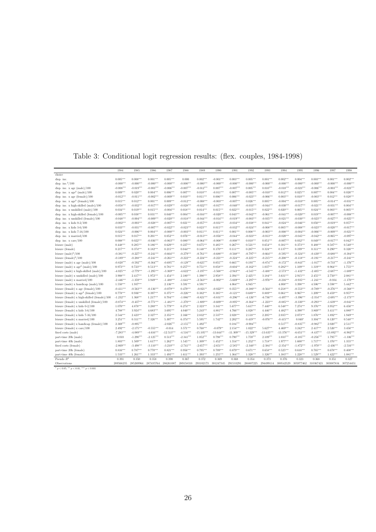|  |  | Table 3: Conditional logit regression results: (flex. couples, 1984-1998) |  |  |  |  |  |  |
|--|--|---------------------------------------------------------------------------|--|--|--|--|--|--|
|--|--|---------------------------------------------------------------------------|--|--|--|--|--|--|

|                                                  | 1984        | 1985        | 1986        | 1987         | 1988        | 1989         | 1990         | 1991         | 1992         | 1993         | 1994                | 1995        | 1996        | 1997         | 1998        |
|--------------------------------------------------|-------------|-------------|-------------|--------------|-------------|--------------|--------------|--------------|--------------|--------------|---------------------|-------------|-------------|--------------|-------------|
| choice                                           |             |             |             |              |             |              |              |              |              |              |                     |             |             |              |             |
| disp. inc.                                       | $0.005***$  | $0.008***$  | $0.001***$  | $0.005***$   | 0.000       | $0.002***$   | $-0.001***$  | $0.003***$   | $0.005***$   | $0.001***$   | $0.002***$          | $0.004***$  | $0.003***$  | $0.001***$   | $0.002***$  |
| disp. inc. $2/100$                               | $-0.000***$ | $-0.000***$ | $-0.000***$ | $-0.000***$  | $-0.000***$ | $-0.000***$  | $-0.000***$  | $-0.000***$  | $-0.000***$  | $-0.000***$  | $-0.000***$         | $-0.000***$ | $-0.000***$ | $-0.000***$  | $-0.000***$ |
| disp. inc. $x$ age (male)/100                    | $-0.008***$ | $-0.019***$ | $-0.003***$ | $-0.006***$  | $-0.007***$ | $-0.012***$  | $0.007***$   | $-0.007***$  | $0.005***$   | $0.010***$   | $-0.010***$         | $-0.023***$ | $-0.006***$ | $-0.003***$  | $-0.023***$ |
| disp. inc. $x \text{ age}^2 \text{ (male)}/100$  | $0.009***$  | $0.020***$  | $0.004***$  | $0.006***$   | $0.007***$  | $0.010***$   | $-0.011***$  | $0.007***$   | $-0.005***$  | $-0.010***$  | $0.012***$          | $0.025***$  | $0.007***$  | $0.004***$   | $0.026***$  |
| disp. inc. $x$ age (female)/100                  | $-0.012***$ | $-0.011***$ | $-0.002***$ | $-0.009***$  | $0.010***$  | $0.011***$   | $0.006***$   | $0.006***$   | $-0.023***$  | $-0.006***$  | $0.003***$          | $0.010***$  | $-0.003***$ | $0.012***$   | $0.028***$  |
| disp. inc. $x \text{ age}^2$ (female)/100        | $0.015***$  | $0.012***$  | $0.001***$  | $0.009***$   | $-0.012***$ | $-0.008***$  | $-0.003***$  | $-0.007***$  | $0.026***$   | $0.005***$   | $-0.004***$         | $-0.010***$ | $0.005***$  | $-0.014***$  | $-0.031***$ |
| disp. inc. $x$ high-skilled $(male)/100$         | $-0.058***$ | $-0.032***$ | $-0.017***$ | $-0.029***$  | $-0.028***$ | $-0.022***$  | $-0.017***$  | $-0.040***$  | $-0.033***$  | $-0.044***$  | $-0.030***$         | $-0.017***$ | $-0.021***$ | $-0.031***$  | $0.004***$  |
| disp. inc. x unskilled (male)/100                | $0.034***$  | $0.019***$  | $0.015***$  | $-0.004***$  | $0.018***$  | $0.014***$   | $0.015***$   | $0.022***$   | $-0.015***$  | $0.022***$   | $0.020***$          | $0.005***$  | $0.024***$  | $0.003***$   | $0.005***$  |
| disp. inc. x high-skilled (female)/100           | $-0.005***$ | $0.038***$  | $0.031***$  | $0.040***$   | $0.004***$  | $-0.016***$  | $-0.020***$  | $0.043***$   | $-0.042***$  | $-0.061***$  | $-0.041***$         | $-0.020***$ | $0.019***$  | $-0.007***$  | $-0.008***$ |
| disp. inc. x unskilled (female)/100              | $-0.048***$ | $-0.004***$ | $-0.009***$ | $-0.020***$  | $-0.018***$ | $-0.044***$  | $-0.014***$  | $-0.019***$  | $-0.003***$  | $-0.035***$  | $-0.021***$         | $-0.030***$ | $-0.023***$ | $-0.027***$  | $-0.025***$ |
| disp. inc. $x$ kids $0-2/100$                    | $-0.002***$ | $-0.003***$ | $-0.028***$ | $-0.007***$  | $0.021***$  | $-0.057***$  | $-0.031***$  | $-0.034***$  | $-0.038***$  | $0.041***$   | $-0.024***$         | $-0.046***$ | $0.050***$  | $-0.019***$  | $0.057***$  |
| disp. inc. $x$ kids $3-6/100$                    | $0.033***$  | $-0.031***$ | $-0.007***$ | $-0.022***$  | $-0.023***$ | $0.023***$   | $0.015***$   | $-0.032***$  | $-0.024***$  | $-0.008***$  | $0.005***$          | $-0.008***$ | $-0.023***$ | $-0.020***$  | $-0.017***$ |
| disp. inc. $x$ kids $7-16/100$                   | $0.024***$  | $-0.006***$ | $0.004***$  | $-0.000***$  | $-0.003***$ | $0.011***$   | $0.011***$   | $0.001***$   | $0.008***$   | $-0.003***$  | $-0.008***$         | $-0.004***$ | $-0.006***$ | $-0.009***$  | $-0.021***$ |
| disp. inc. $x$ married/100                       | $0.015***$  | $0.017***$  | $0.201***$  | $0.052***$   | $0.076***$  | $-0.013***$  | $-0.056***$  | $-0.044***$  | $-0.023***$  | $-0.013***$  | $-0.020***$         | $-0.045***$ | $-0.042***$ | $-0.065***$  | $-0.097***$ |
| disp. inc. $x \text{ care}/100$                  | $0.008***$  | $0.022***$  | $-0.036***$ | $-0.063***$  | $0.080***$  | $-0.064***$  | $-0.008***$  | $-0.008***$  | $0.010***$   | $0.051***$   | $-0.007***$         | $0.032***$  | $0.049***$  | $-0.017***$  | $0.042***$  |
| leisure (male)                                   | $0.448***$  | $0.285***$  | $0.186***$  | $0.629***$   | $0.227***$  | $0.675***$   | $0.485***$   | $0.267***$   | $0.521***$   | $0.654***$   | $0.381***$          | $0.373***$  | $0.488***$  | $0.587***$   | $0.540***$  |
| leisure (female)                                 | $0.217***$  | $0.374***$  | $0.182***$  | $0.215***$   | $0.044***$  | $0.148***$   | $0.170***$   | $0.111***$   | $0.287***$   | $0.324***$   | $0.137***$          | $0.199***$  | $0.311***$  | $0.290***$   | $0.326***$  |
| leisure $(male)^2/100$                           | $-0.381***$ | $-0.227***$ | $-0.241***$ | $-0.664***$  | $-0.279***$ | $-0.761***$  | $-0.688***$  | $-0.568***$  | $-0.797***$  | $-0.664***$  | $-0.595***$         | $-0.324***$ | $-0.430***$ | $-0.680***$  | $-0.384***$ |
| leisure (female) $2/100$                         | $-0.189***$ | $-0.288***$ | $-0.241***$ | $-0.261***$  | $-0.222***$ | $-0.224***$  | $-0.221***$  | $-0.224***$  | $-0.225***$  | $-0.215***$  | $-0.208***$         | $-0.118***$ | $-0.191***$ | $-0.217***$  | $-0.241***$ |
| leisure (male) $x$ age (male)/100                | $-0.820***$ | $-0.592***$ | $-0.364***$ | $-0.695***$  | $-0.129***$ | $-0.625***$  | $0.055***$   | $0.665***$   | $0.193***$   | $-0.874***$  | $-0.172***$         | $-0.843***$ | $-1.017***$ | $-0.733***$  | $-1.376***$ |
| leisure (male) $x \text{ age}^2$ (male)/100      | $0.973***$  | $0.723***$  | $0.513***$  | $0.781***$   | $0.257***$  | $0.751***$   | $0.058***$   | $-0.604***$  | $-0.162***$  | $1.037***$   | $0.282***$          | $1.109***$  | $1.319***$  | $0.964***$   | $1.755***$  |
| leisure (male) x high-skilled (male)/100         | $-4.025***$ | $-2.779***$ | $-1.295***$ | $-3.369***$  | $-4.622***$ | $-3.197***$  | $-3.568***$  | $-2.943***$  | $-4.545***$  | $-3.488***$  | $-2.573***$         | $-1.432***$ | $-2.405***$ | $-2.687***$  | $-1.689***$ |
| leisure (male) x unskilled (male)/100            | $3.908***$  | $2.417***$  | $1.972***$  | $1.454***$   | $2.180***$  | $1.390***$   | $2.958***$   | $2.394***$   | $2.425***$   | $3.184***$   | $3.631***$          | $2.915***$  | $2.455***$  | $2.750***$   | $2.081***$  |
| leisure (male) x married/100                     | $-2.446***$ | $-1.359***$ | $3.949***$  | $-1.488***$  | $-1.641***$ | $-2.563***$  | $-6.002***$  | $-5.669***$  | $-3.297***$  | $-3.976***$  | $-0.216***$         | $-0.935***$ | $-1.241***$ | $-0.034$     | $-1.170***$ |
| leisure (male) $x$ handicap (male)/100           | $1.550***$  | $1.937***$  |             | $2.136***$   | $3.591***$  | $4.591***$   |              | $4.064***$   | $4.945***$   |              | $4.008***$          | $3.398***$  | $4.506***$  | $3.598***$   | $5.442***$  |
| leisure (female) $x$ age (female)/100            | $-0.411***$ | $-0.563***$ | $-0.136***$ | $-0.079***$  | $0.479***$  | $-0.021**$   | $-0.022***$  | $0.355***$   | $-0.380***$  | $-0.564***$  | $0.218***$          | $-0.553***$ | $-0.789***$ | $-0.276***$  | $-0.568***$ |
| leisure (female) x age <sup>2</sup> (female)/100 | $0.778***$  | $0.936***$  | $0.397***$  | $0.375***$   | $-0.226***$ | $0.382***$   | $0.385***$   | $-0.121***$  | $0.689***$   | $0.889***$   | $0.061***$          | $0.967***$  | $1.209***$  | $0.459***$   | $0.957***$  |
| leisure (female) x high-skilled (female)/100     | $-1.232***$ | $1.368***$  | $1.217***$  | $0.704***$   | $-1.086***$ | $-0.821***$  | $-0.831***$  | $-0.296***$  | $-4.126***$  | $-6.736***$  | $-4.497***$         | $-3.396***$ | $-2.354***$ | $-2.695***$  | $-2.173***$ |
| leisure (female) x unskilled (female)/100        | $-0.874***$ | $-0.437***$ | $-0.771***$ | $-1.481***$  | $-1.270***$ | $-1.809***$  | $-0.609***$  | $-0.895***$  | $-0.364***$  | $-1.223***$  | $-0.885***$         | $-0.330***$ | $-0.293***$ | $-1.639***$  | $-0.041***$ |
| leisure (female) x kids $0-2/100$                | $1.070***$  | $4.878***$  | $3.280***$  | $5.779***$   | $6.274***$  | $2.323***$   | $3.341***$   | $5.677***$   | $5.617***$   | $7.440***$   | $6.548***$          | $7.274***$  | $9.376***$  | $3.952***$   | $6.456***$  |
| leisure (female) x kids $3-6/100$                | $4.788***$  | $3.924***$  | $4.683***$  | $3.695***$   | $4.040***$  | $5.243***$   | $4.881***$   | $4.766***$   | $4.028***$   | $4.446***$   | $4.482***$          | $4.390***$  | $3.869***$  | $3.411***$   | $4.080***$  |
| leisure (female) $x$ kids $7-16/100$             | $2.544***$  | $2.423***$  | $2.327***$  | $2.355***$   | $2.166***$  | $2.832***$   | $2.537***$   | $2.028***$   | $2.118***$   | $2.205***$   | $2.035***$          | $2.073***$  | $1.876***$  | $1.892***$   | $1.949***$  |
| leisure (female) $x$ married/100                 | $3.251***$  | $0.311***$  | 7.326***    | 5.307***     | 6.374***    | 5.595***     | $1.742***$   | $2.202***$   | $0.419***$   | $-0.076***$  | $-0.415***$         | $0.040*$    | $3.304***$  | $0.120***$   | $0.548***$  |
| leisure (female) x handicap (female)/100         | $2.369***$  | $-0.895***$ |             | $-2.026***$  | $-2.155***$ | $1.492***$   |              | $0.184***$   | $-0.904***$  |              | $0.517***$          | $-0.835***$ | $-0.982***$ | $2.020***$   | $2.511***$  |
| leisure (female) $x \ncare/100$                  | $2.492***$  | $-2.175***$ | $-0.555***$ | $-0.014$     | $3.571***$  | $0.768***$   | $-0.079**$   | $2.154***$   | $1.022***$   | $5.627***$   | $4.469***$          | $3.242***$  | $2.417***$  | $2.526***$   | $3.456***$  |
| fixed costs (male)                               | $-7.283***$ | $-4.089***$ | $-4.616***$ | $-12.513***$ | $-4.516***$ | $-15.105***$ | $-13.644***$ | $-11.309***$ | $-15.329***$ | $-13.635***$ | $-13.376***$        | $-6.651***$ | $-8.437***$ | $-13.892***$ | $-6.982***$ |
| part-time 20h (male)                             | 0.010       | $-1.290***$ | $-2.125***$ | $0.513***$   | $-2.341***$ | $1.052***$   | $0.798***$   | $0.790***$   | $1.759***$   | $2.109***$   | $1.033***$          | $-0.185***$ | $-0.256***$ | $1.795***$   | $-1.336***$ |
| part-time 40h (male)                             | $1.803***$  | $1.509***$  | $1.617***$  | $1.262***$   | $1.545***$  | $1.309***$   | $1.452***$   | $1.554***$   | $1.252***$   | $1.718***$   | $1.977***$          | $1.600***$  | $1.717***$  | $1.376***$   | $1.355***$  |
| fixed costs (female)                             | $-2.869***$ | $-3.498***$ | $-3.110***$ | $-3.210***$  | $-2.741***$ | $-2.657***$  | $-2.651***$  | $-2.585***$  | $-2.340***$  | $-2.384***$  | $-2.354***$         | $-1.872***$ | $-1.970***$ | $-2.436***$  | $-2.516***$ |
| part-time 20h (female)                           | $0.816***$  | $0.787***$  | $0.770***$  | $0.821***$   | $0.956***$  | $0.795***$   | $0.709***$   | $0.879***$   | $0.671***$   | $0.658***$   | $0.525***$          | $0.616***$  | $0.765***$  | $0.678***$   | $0.408***$  |
| part-time 40h (female)                           | $1.533***$  | $1.261***$  | $1.333***$  | $1.493***$   | $1.611***$  | $1.393***$   | $1.255***$   | $1.364***$   | $1.328***$   | $1.326***$   | $1.383***$          | $1.228***$  | $1.529***$  | $1.422***$   | $1.081***$  |
| Pseudo $R^2$                                     | 0.391       | 0.350       | 0.358       | 0.390        | 0.367       | 0.372        | 0.369        | 0.368        | 0.354        | 0.373        | 0.376               | 0.323       | 0.368       | 0.351        | 0.327       |
| Observations                                     | 289566235   | 285269964   | 287435764   | 286261087    | 289158310   | 293102173    | 301247345    | 291533291    | 288807225    |              | 294499114 300542529 | 305977462   | 310367421   | 303087834    | 307254451   |

<sup>∗</sup> p < <sup>0</sup>.05, ∗∗ p < <sup>0</sup>.01, ∗∗∗ p < <sup>0</sup>.<sup>001</sup>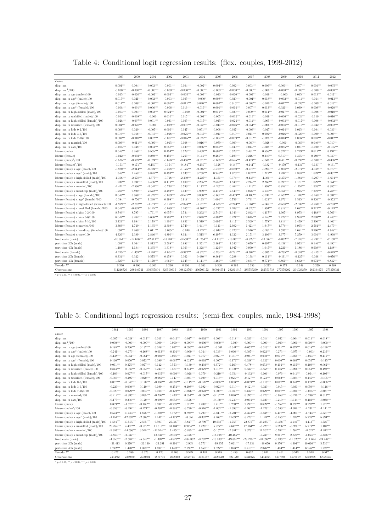Table 4: Conditional logit regression results: (flex. couples, 1999-2012)

| choice<br>$0.001***$<br>$0.004***$<br>$0.002***$<br>$-0.001***$<br>$0.004***$<br>$0.003***$<br>$0.009***$<br>$0.007***$<br>$0.001***$<br>$-0.005***$<br>disp. inc.<br>$-0.002***$<br>$0.004***$<br>$0.002***$<br>$0.006***$<br>disp. inc. $2/100$<br>$-0.000***$<br>$-0.000***$<br>$-0.000***$<br>$-0.000***$<br>$-0.000***$<br>$-0.000***$<br>$-0.000***$<br>$-0.000***$<br>$-0.000***$<br>$-0.000***$<br>$-0.000***$<br>$-0.000***$<br>$-0.000***$<br>$-0.000***$<br>$-0.002***$<br>disp. inc. $x \text{ age (male)}/100$<br>$-0.015***$<br>$-0.020***$<br>$-0.002***$<br>$0.003***$<br>$-0.005***$<br>$-0.003***$<br>$-0.010***$<br>$-0.020***$<br>$-0.019***$<br>$-0.000$<br>$0.015***$<br>$0.013***$<br>$0.012***$<br>disp. inc. $x \text{ age}^2 \text{ (male)}/100$<br>$0.015***$<br>$0.021***$<br>$0.002***$<br>$-0.003***$<br>$0.005***$<br>$0.008***$<br>$0.020***$<br>$-0.001***$<br>$0.018***$<br>$-0.002***$<br>$-0.014***$<br>$-0.014***$<br>$-0.013***$<br>$0.000*$<br>disp. inc. $x$ age (female)/100<br>$0.014***$<br>$-0.003***$<br>$0.019***$<br>$0.006***$<br>$-0.002***$<br>$0.006***$<br>$-0.011***$<br>$0.020***$<br>$0.002***$<br>$0.016***$<br>$-0.010***$<br>$-0.017***$<br>$-0.036***$<br>$-0.009***$<br>disp. inc. $x \text{ age}^2$ (female)/100<br>$-0.008***$<br>$-0.001***$<br>$0.006***$<br>$-0.019***$<br>$0.001***$<br>$-0.014***$<br>$0.007***$<br>$0.013***$<br>$0.021***$<br>$0.039***$<br>$-0.006***$<br>$0.016***$<br>$0.009***$<br>$-0.020***$<br>disp. inc. $x$ high-skilled $(male)/100$<br>$-0.003***$<br>$0.004***$<br>$0.002***$<br>$0.024***$<br>$-0.000$<br>$-0.004***$<br>$0.011***$<br>$0.020***$<br>$0.009***$<br>$0.014***$<br>$-0.017***$<br>$-0.014***$<br>$-0.008***$<br>$-0.010***$<br>$-0.005***$<br>disp. inc. $x$ unskilled (male)/100<br>$-0.013***$<br>$-0.008***$<br>$0.010***$<br>$0.015***$<br>$-0.004***$<br>$-0.032***$<br>$-0.019***$<br>$-0.019***$<br>$-0.036***$<br>$-0.024***$<br>$-0.110***$<br>$-0.016***$<br>0.000<br>$-0.014***$<br>$-0.006***$<br>disp. inc. x high-skilled (female)/100<br>$-0.028***$<br>$-0.007***$<br>$0.001***$<br>$-0.031***$<br>$0.005***$<br>$-0.015***$<br>$-0.015***$<br>$-0.024***$<br>$-0.005***$<br>$-0.003***$<br>$-0.017***$<br>$-0.002***$<br>$-0.028***$<br>$-0.037***$<br>$-0.038***$<br>$-0.044***$<br>$-0.016***$<br>$-0.006***$<br>$-0.038***$<br>$-0.016***$<br>$0.004***$<br>$-0.029***$<br>$-0.051***$<br>$-0.042***$<br>$-0.002***$<br>disp. inc. x unskilled (female)/100<br>0.000<br>disp. inc. $x$ kids $0-2/100$<br>$0.069***$<br>$0.020***$<br>$-0.007***$<br>$0.006***$<br>$0.047***$<br>$0.051***$<br>$-0.008***$<br>$0.037***$<br>$-0.003***$<br>$-0.047***$<br>$-0.014***$<br>$0.015***$<br>$-0.104***$<br>$0.036***$<br>$0.019***$<br>$-0.026***$<br>$0.010***$<br>$0.016***$<br>$-0.016***$<br>$-0.018***$<br>$-0.025***$<br>$-0.047***$<br>$-0.011***$<br>$0.011***$<br>$0.002***$<br>$-0.016***$<br>$-0.009***$<br>$0.003***$<br>disp. inc. $x$ kids $3-6/100$<br>disp. inc. $x$ kids $7-16/100$<br>$0.003***$<br>$-0.010***$<br>$0.002***$<br>$-0.007***$<br>$-0.015***$<br>$-0.022***$<br>$-0.004***$<br>$-0.009***$<br>$-0.010***$<br>$-0.025***$<br>$-0.013***$<br>$0.006***$<br>$0.001***$<br>$-0.012***$<br>$0.009***$<br>$0.009***$<br>$-0.011***$<br>$-0.096***$<br>$-0.015***$<br>$0.008***$<br>$0.016***$<br>$-0.079***$<br>$-0.060***$<br>$-0.028***$<br>$-0.069***$<br>$0.040***$<br>$0.010***$<br>disp. inc. $x$ married/100<br>$0.001*$<br>$-0.005***$<br>$0.048***$<br>$0.003***$<br>$0.058***$<br>$0.039***$<br>$0.056***$<br>$0.056***$<br>$0.040***$<br>$0.014***$<br>$-0.039***$<br>$-0.055***$<br>$0.031***$<br>$-0.100***$<br>$-0.105***$<br>disp. inc. $x \text{ care}/100$<br>$0.545***$<br>$0.555***$<br>$0.463***$<br>$0.609***$<br>$0.523***$<br>$0.558***$<br>$0.521***$<br>$0.191***$<br>leisure (male)<br>$0.856***$<br>$0.454***$<br>$0.528***$<br>$0.491***$<br>$0.729***$<br>$0.611***$<br>leisure (female)<br>$-0.042***$<br>$-0.092***$<br>$0.289***$<br>$0.150***$<br>$0.263***$<br>$0.144***$<br>$0.280***$<br>$0.193***$<br>$0.216***$<br>$0.340***$<br>$0.510***$<br>$0.395***$<br>$0.180***$<br>$0.030***$<br>$-0.525***$<br>$-0.659***$<br>$-0.624***$<br>$-0.656***$<br>$-0.458***$<br>$-0.570***$<br>$-0.656***$<br>$-0.525***$<br>$-0.474***$<br>$-0.535***$<br>$-0.431***$<br>$-0.393***$<br>$-0.500***$<br>$-0.396***$<br>leisure $(male)^2/100$<br>leisure (female) $2/100$<br>$-0.128***$<br>$-0.147***$<br>$-0.133***$<br>$-0.153***$<br>$-0.171***$<br>$-0.150***$<br>$-0.154***$<br>$-0.184***$<br>$-0.159***$<br>$-0.141***$<br>$-0.182***$<br>$-0.170***$<br>$-0.134***$<br>$-0.161***$<br>$-0.980***$<br>$-0.621***$<br>$-0.258***$<br>$-0.759***$<br>$-0.850***$<br>$-0.775***$<br>$-1.038***$<br>$-1.319***$<br>$0.379***$<br>leisure (male) $x$ age (male)/100<br>$-2.014***$<br>$-1.175***$<br>$-0.502***$<br>$-0.994***$<br>$-2.074***$<br>leisure (male) $x \text{ age}^2 \text{ (male)}/100$<br>$1.345***$<br>$2.458***$<br>$0.828***$<br>$0.493***$<br>$0.758***$<br>$0.946***$<br>$1.076***$<br>$1.002***$<br>$1.217***$<br>$1.234***$<br>$2.358***$<br>$1.623***$<br>$-0.367***$<br>$1.535***$<br>$-1.366***$<br>$-2.678***$<br>$-1.675***$<br>$-2.227***$<br>$-1.351***$<br>$0.374***$<br>$-2.375***$<br>leisure (male) x high-skilled (male)/100<br>$-0.718***$<br>$-2.339***$<br>$-0.433***$<br>$-1.300***$<br>$-1.384***$<br>$-0.207***$<br>$-1.694***$<br>$1.239***$<br>$3.436***$<br>$3.119***$<br>$2.630***$<br>$1.946***$<br>$2.214***$<br>$2.266***$<br>$0.898***$<br>$1.181***$<br>$1.029***$<br>leisure (male) x unskilled (male)/100<br>$2.391***$<br>$3.606***$<br>$2.235***$<br>$2.354***$<br>$-2.421***$<br>$-2.596***$<br>$-3.642***$<br>$-0.738***$<br>$0.590***$<br>$1.172***$<br>$-2.267***$<br>$0.464***$<br>$-1.119***$<br>$1.898***$<br>$0.858***$<br>$-1.752***$<br>$1.535***$<br>$0.985***$<br>leisure (male) $x$ married/100<br>$3.475***$<br>$2.543***$<br>$4.078***$<br>leisure (male) $x$ handicap (male)/100<br>$1.259***$<br>$0.890***$<br>$2.572***$<br>$3.493***$<br>$5.039***$<br>$4.969***$<br>$4.140***$<br>$6.354***$<br>$3.925***$<br>$7.219***$<br>$4.288***$<br>$0.640***$<br>$-0.823***$<br>$-0.661***$<br>$-1.552***$<br>$-1.200***$<br>$0.966***$<br>$-0.069***$<br>$-0.521***$<br>$0.060***$<br>$-0.409***$<br>$-0.406***$<br>$-0.748***$<br>$-0.168***$<br>$0.631***$<br>leisure (female) $x$ age (female)/100<br>leisure (female) x age <sup>2</sup> (female)/100<br>$-0.384***$<br>$-0.756***$<br>$1.240***$<br>$0.298***$<br>$0.918***$<br>$0.125***$<br>$1.001***$<br>$0.759***$<br>$0.731***$<br>1.021<br>$1.976***$<br>$1.545***$<br>$0.320***$<br>$-0.552***$<br>$-1.979***$<br>$-2.752***$<br>$-1.971***$<br>$-3.158***$<br>$-1.535***$<br>$-2.243***$<br>$-1.064***$<br>$-2.538***$<br>$-2.839***$<br>$-3.760***$<br>leisure (female) x high-skilled (female)/100<br>$-2.024***$<br>$-1.978***$<br>$-2.362***$<br>$-3.703***$ |
|-------------------------------------------------------------------------------------------------------------------------------------------------------------------------------------------------------------------------------------------------------------------------------------------------------------------------------------------------------------------------------------------------------------------------------------------------------------------------------------------------------------------------------------------------------------------------------------------------------------------------------------------------------------------------------------------------------------------------------------------------------------------------------------------------------------------------------------------------------------------------------------------------------------------------------------------------------------------------------------------------------------------------------------------------------------------------------------------------------------------------------------------------------------------------------------------------------------------------------------------------------------------------------------------------------------------------------------------------------------------------------------------------------------------------------------------------------------------------------------------------------------------------------------------------------------------------------------------------------------------------------------------------------------------------------------------------------------------------------------------------------------------------------------------------------------------------------------------------------------------------------------------------------------------------------------------------------------------------------------------------------------------------------------------------------------------------------------------------------------------------------------------------------------------------------------------------------------------------------------------------------------------------------------------------------------------------------------------------------------------------------------------------------------------------------------------------------------------------------------------------------------------------------------------------------------------------------------------------------------------------------------------------------------------------------------------------------------------------------------------------------------------------------------------------------------------------------------------------------------------------------------------------------------------------------------------------------------------------------------------------------------------------------------------------------------------------------------------------------------------------------------------------------------------------------------------------------------------------------------------------------------------------------------------------------------------------------------------------------------------------------------------------------------------------------------------------------------------------------------------------------------------------------------------------------------------------------------------------------------------------------------------------------------------------------------------------------------------------------------------------------------------------------------------------------------------------------------------------------------------------------------------------------------------------------------------------------------------------------------------------------------------------------------------------------------------------------------------------------------------------------------------------------------------------------------------------------------------------------------------------------------------------------------------------------------------------------------------------------------------------------------------------------------------------------------------------------------------------------------------------------------------------------------------------------------------------------------------------------------------------------------------------------------------------------------------------------------------------------------------------------------------------------------------------------------------------------------------------------------------------------------------------------------------------------------------------------------------------------------------------------------------------------------------------------------------------------------------------------------------------------------------------------------------------------------------------------------------------------------------------------------------------------------------------------------------------------------------------------------------------------------------------------------------------------------------------------------------------------------------------------------------------------------------------------------------------------------------------------------------------------------------------------------------------------------------------------------------------------------------------------------------------------------------------------------------------------------------------------------------------------------------------------------------------------------------------------------------------------------------------------------------------------------------------------------------------------------------------------------------------------------------------------------------------------------------------------------------------------------------------------------------------------------------------------------------------------------------------------------------------------------------------------------------------------------------------------------------------------------------------------------------------------------------------------------------------------------------------------------------------------------------------------------------------------------------------------------------------------------------------------------------------------------------------------------------------------------------------------------------------------------------------------------------------------------------------------------------------------------|
|                                                                                                                                                                                                                                                                                                                                                                                                                                                                                                                                                                                                                                                                                                                                                                                                                                                                                                                                                                                                                                                                                                                                                                                                                                                                                                                                                                                                                                                                                                                                                                                                                                                                                                                                                                                                                                                                                                                                                                                                                                                                                                                                                                                                                                                                                                                                                                                                                                                                                                                                                                                                                                                                                                                                                                                                                                                                                                                                                                                                                                                                                                                                                                                                                                                                                                                                                                                                                                                                                                                                                                                                                                                                                                                                                                                                                                                                                                                                                                                                                                                                                                                                                                                                                                                                                                                                                                                                                                                                                                                                                                                                                                                                                                                                                                                                                                                                                                                                                                                                                                                                                                                                                                                                                                                                                                                                                                                                                                                                                                                                                                                                                                                                                                                                                                                                                                                                                                                                                                                                                                                                                                                                                                                                                                                                                                                                                                                                                                                                                                                                                                                                                                                                                                                                                                                                                                                                                                                                                                                     |
|                                                                                                                                                                                                                                                                                                                                                                                                                                                                                                                                                                                                                                                                                                                                                                                                                                                                                                                                                                                                                                                                                                                                                                                                                                                                                                                                                                                                                                                                                                                                                                                                                                                                                                                                                                                                                                                                                                                                                                                                                                                                                                                                                                                                                                                                                                                                                                                                                                                                                                                                                                                                                                                                                                                                                                                                                                                                                                                                                                                                                                                                                                                                                                                                                                                                                                                                                                                                                                                                                                                                                                                                                                                                                                                                                                                                                                                                                                                                                                                                                                                                                                                                                                                                                                                                                                                                                                                                                                                                                                                                                                                                                                                                                                                                                                                                                                                                                                                                                                                                                                                                                                                                                                                                                                                                                                                                                                                                                                                                                                                                                                                                                                                                                                                                                                                                                                                                                                                                                                                                                                                                                                                                                                                                                                                                                                                                                                                                                                                                                                                                                                                                                                                                                                                                                                                                                                                                                                                                                                                     |
|                                                                                                                                                                                                                                                                                                                                                                                                                                                                                                                                                                                                                                                                                                                                                                                                                                                                                                                                                                                                                                                                                                                                                                                                                                                                                                                                                                                                                                                                                                                                                                                                                                                                                                                                                                                                                                                                                                                                                                                                                                                                                                                                                                                                                                                                                                                                                                                                                                                                                                                                                                                                                                                                                                                                                                                                                                                                                                                                                                                                                                                                                                                                                                                                                                                                                                                                                                                                                                                                                                                                                                                                                                                                                                                                                                                                                                                                                                                                                                                                                                                                                                                                                                                                                                                                                                                                                                                                                                                                                                                                                                                                                                                                                                                                                                                                                                                                                                                                                                                                                                                                                                                                                                                                                                                                                                                                                                                                                                                                                                                                                                                                                                                                                                                                                                                                                                                                                                                                                                                                                                                                                                                                                                                                                                                                                                                                                                                                                                                                                                                                                                                                                                                                                                                                                                                                                                                                                                                                                                                     |
|                                                                                                                                                                                                                                                                                                                                                                                                                                                                                                                                                                                                                                                                                                                                                                                                                                                                                                                                                                                                                                                                                                                                                                                                                                                                                                                                                                                                                                                                                                                                                                                                                                                                                                                                                                                                                                                                                                                                                                                                                                                                                                                                                                                                                                                                                                                                                                                                                                                                                                                                                                                                                                                                                                                                                                                                                                                                                                                                                                                                                                                                                                                                                                                                                                                                                                                                                                                                                                                                                                                                                                                                                                                                                                                                                                                                                                                                                                                                                                                                                                                                                                                                                                                                                                                                                                                                                                                                                                                                                                                                                                                                                                                                                                                                                                                                                                                                                                                                                                                                                                                                                                                                                                                                                                                                                                                                                                                                                                                                                                                                                                                                                                                                                                                                                                                                                                                                                                                                                                                                                                                                                                                                                                                                                                                                                                                                                                                                                                                                                                                                                                                                                                                                                                                                                                                                                                                                                                                                                                                     |
|                                                                                                                                                                                                                                                                                                                                                                                                                                                                                                                                                                                                                                                                                                                                                                                                                                                                                                                                                                                                                                                                                                                                                                                                                                                                                                                                                                                                                                                                                                                                                                                                                                                                                                                                                                                                                                                                                                                                                                                                                                                                                                                                                                                                                                                                                                                                                                                                                                                                                                                                                                                                                                                                                                                                                                                                                                                                                                                                                                                                                                                                                                                                                                                                                                                                                                                                                                                                                                                                                                                                                                                                                                                                                                                                                                                                                                                                                                                                                                                                                                                                                                                                                                                                                                                                                                                                                                                                                                                                                                                                                                                                                                                                                                                                                                                                                                                                                                                                                                                                                                                                                                                                                                                                                                                                                                                                                                                                                                                                                                                                                                                                                                                                                                                                                                                                                                                                                                                                                                                                                                                                                                                                                                                                                                                                                                                                                                                                                                                                                                                                                                                                                                                                                                                                                                                                                                                                                                                                                                                     |
|                                                                                                                                                                                                                                                                                                                                                                                                                                                                                                                                                                                                                                                                                                                                                                                                                                                                                                                                                                                                                                                                                                                                                                                                                                                                                                                                                                                                                                                                                                                                                                                                                                                                                                                                                                                                                                                                                                                                                                                                                                                                                                                                                                                                                                                                                                                                                                                                                                                                                                                                                                                                                                                                                                                                                                                                                                                                                                                                                                                                                                                                                                                                                                                                                                                                                                                                                                                                                                                                                                                                                                                                                                                                                                                                                                                                                                                                                                                                                                                                                                                                                                                                                                                                                                                                                                                                                                                                                                                                                                                                                                                                                                                                                                                                                                                                                                                                                                                                                                                                                                                                                                                                                                                                                                                                                                                                                                                                                                                                                                                                                                                                                                                                                                                                                                                                                                                                                                                                                                                                                                                                                                                                                                                                                                                                                                                                                                                                                                                                                                                                                                                                                                                                                                                                                                                                                                                                                                                                                                                     |
|                                                                                                                                                                                                                                                                                                                                                                                                                                                                                                                                                                                                                                                                                                                                                                                                                                                                                                                                                                                                                                                                                                                                                                                                                                                                                                                                                                                                                                                                                                                                                                                                                                                                                                                                                                                                                                                                                                                                                                                                                                                                                                                                                                                                                                                                                                                                                                                                                                                                                                                                                                                                                                                                                                                                                                                                                                                                                                                                                                                                                                                                                                                                                                                                                                                                                                                                                                                                                                                                                                                                                                                                                                                                                                                                                                                                                                                                                                                                                                                                                                                                                                                                                                                                                                                                                                                                                                                                                                                                                                                                                                                                                                                                                                                                                                                                                                                                                                                                                                                                                                                                                                                                                                                                                                                                                                                                                                                                                                                                                                                                                                                                                                                                                                                                                                                                                                                                                                                                                                                                                                                                                                                                                                                                                                                                                                                                                                                                                                                                                                                                                                                                                                                                                                                                                                                                                                                                                                                                                                                     |
|                                                                                                                                                                                                                                                                                                                                                                                                                                                                                                                                                                                                                                                                                                                                                                                                                                                                                                                                                                                                                                                                                                                                                                                                                                                                                                                                                                                                                                                                                                                                                                                                                                                                                                                                                                                                                                                                                                                                                                                                                                                                                                                                                                                                                                                                                                                                                                                                                                                                                                                                                                                                                                                                                                                                                                                                                                                                                                                                                                                                                                                                                                                                                                                                                                                                                                                                                                                                                                                                                                                                                                                                                                                                                                                                                                                                                                                                                                                                                                                                                                                                                                                                                                                                                                                                                                                                                                                                                                                                                                                                                                                                                                                                                                                                                                                                                                                                                                                                                                                                                                                                                                                                                                                                                                                                                                                                                                                                                                                                                                                                                                                                                                                                                                                                                                                                                                                                                                                                                                                                                                                                                                                                                                                                                                                                                                                                                                                                                                                                                                                                                                                                                                                                                                                                                                                                                                                                                                                                                                                     |
|                                                                                                                                                                                                                                                                                                                                                                                                                                                                                                                                                                                                                                                                                                                                                                                                                                                                                                                                                                                                                                                                                                                                                                                                                                                                                                                                                                                                                                                                                                                                                                                                                                                                                                                                                                                                                                                                                                                                                                                                                                                                                                                                                                                                                                                                                                                                                                                                                                                                                                                                                                                                                                                                                                                                                                                                                                                                                                                                                                                                                                                                                                                                                                                                                                                                                                                                                                                                                                                                                                                                                                                                                                                                                                                                                                                                                                                                                                                                                                                                                                                                                                                                                                                                                                                                                                                                                                                                                                                                                                                                                                                                                                                                                                                                                                                                                                                                                                                                                                                                                                                                                                                                                                                                                                                                                                                                                                                                                                                                                                                                                                                                                                                                                                                                                                                                                                                                                                                                                                                                                                                                                                                                                                                                                                                                                                                                                                                                                                                                                                                                                                                                                                                                                                                                                                                                                                                                                                                                                                                     |
|                                                                                                                                                                                                                                                                                                                                                                                                                                                                                                                                                                                                                                                                                                                                                                                                                                                                                                                                                                                                                                                                                                                                                                                                                                                                                                                                                                                                                                                                                                                                                                                                                                                                                                                                                                                                                                                                                                                                                                                                                                                                                                                                                                                                                                                                                                                                                                                                                                                                                                                                                                                                                                                                                                                                                                                                                                                                                                                                                                                                                                                                                                                                                                                                                                                                                                                                                                                                                                                                                                                                                                                                                                                                                                                                                                                                                                                                                                                                                                                                                                                                                                                                                                                                                                                                                                                                                                                                                                                                                                                                                                                                                                                                                                                                                                                                                                                                                                                                                                                                                                                                                                                                                                                                                                                                                                                                                                                                                                                                                                                                                                                                                                                                                                                                                                                                                                                                                                                                                                                                                                                                                                                                                                                                                                                                                                                                                                                                                                                                                                                                                                                                                                                                                                                                                                                                                                                                                                                                                                                     |
|                                                                                                                                                                                                                                                                                                                                                                                                                                                                                                                                                                                                                                                                                                                                                                                                                                                                                                                                                                                                                                                                                                                                                                                                                                                                                                                                                                                                                                                                                                                                                                                                                                                                                                                                                                                                                                                                                                                                                                                                                                                                                                                                                                                                                                                                                                                                                                                                                                                                                                                                                                                                                                                                                                                                                                                                                                                                                                                                                                                                                                                                                                                                                                                                                                                                                                                                                                                                                                                                                                                                                                                                                                                                                                                                                                                                                                                                                                                                                                                                                                                                                                                                                                                                                                                                                                                                                                                                                                                                                                                                                                                                                                                                                                                                                                                                                                                                                                                                                                                                                                                                                                                                                                                                                                                                                                                                                                                                                                                                                                                                                                                                                                                                                                                                                                                                                                                                                                                                                                                                                                                                                                                                                                                                                                                                                                                                                                                                                                                                                                                                                                                                                                                                                                                                                                                                                                                                                                                                                                                     |
|                                                                                                                                                                                                                                                                                                                                                                                                                                                                                                                                                                                                                                                                                                                                                                                                                                                                                                                                                                                                                                                                                                                                                                                                                                                                                                                                                                                                                                                                                                                                                                                                                                                                                                                                                                                                                                                                                                                                                                                                                                                                                                                                                                                                                                                                                                                                                                                                                                                                                                                                                                                                                                                                                                                                                                                                                                                                                                                                                                                                                                                                                                                                                                                                                                                                                                                                                                                                                                                                                                                                                                                                                                                                                                                                                                                                                                                                                                                                                                                                                                                                                                                                                                                                                                                                                                                                                                                                                                                                                                                                                                                                                                                                                                                                                                                                                                                                                                                                                                                                                                                                                                                                                                                                                                                                                                                                                                                                                                                                                                                                                                                                                                                                                                                                                                                                                                                                                                                                                                                                                                                                                                                                                                                                                                                                                                                                                                                                                                                                                                                                                                                                                                                                                                                                                                                                                                                                                                                                                                                     |
|                                                                                                                                                                                                                                                                                                                                                                                                                                                                                                                                                                                                                                                                                                                                                                                                                                                                                                                                                                                                                                                                                                                                                                                                                                                                                                                                                                                                                                                                                                                                                                                                                                                                                                                                                                                                                                                                                                                                                                                                                                                                                                                                                                                                                                                                                                                                                                                                                                                                                                                                                                                                                                                                                                                                                                                                                                                                                                                                                                                                                                                                                                                                                                                                                                                                                                                                                                                                                                                                                                                                                                                                                                                                                                                                                                                                                                                                                                                                                                                                                                                                                                                                                                                                                                                                                                                                                                                                                                                                                                                                                                                                                                                                                                                                                                                                                                                                                                                                                                                                                                                                                                                                                                                                                                                                                                                                                                                                                                                                                                                                                                                                                                                                                                                                                                                                                                                                                                                                                                                                                                                                                                                                                                                                                                                                                                                                                                                                                                                                                                                                                                                                                                                                                                                                                                                                                                                                                                                                                                                     |
|                                                                                                                                                                                                                                                                                                                                                                                                                                                                                                                                                                                                                                                                                                                                                                                                                                                                                                                                                                                                                                                                                                                                                                                                                                                                                                                                                                                                                                                                                                                                                                                                                                                                                                                                                                                                                                                                                                                                                                                                                                                                                                                                                                                                                                                                                                                                                                                                                                                                                                                                                                                                                                                                                                                                                                                                                                                                                                                                                                                                                                                                                                                                                                                                                                                                                                                                                                                                                                                                                                                                                                                                                                                                                                                                                                                                                                                                                                                                                                                                                                                                                                                                                                                                                                                                                                                                                                                                                                                                                                                                                                                                                                                                                                                                                                                                                                                                                                                                                                                                                                                                                                                                                                                                                                                                                                                                                                                                                                                                                                                                                                                                                                                                                                                                                                                                                                                                                                                                                                                                                                                                                                                                                                                                                                                                                                                                                                                                                                                                                                                                                                                                                                                                                                                                                                                                                                                                                                                                                                                     |
|                                                                                                                                                                                                                                                                                                                                                                                                                                                                                                                                                                                                                                                                                                                                                                                                                                                                                                                                                                                                                                                                                                                                                                                                                                                                                                                                                                                                                                                                                                                                                                                                                                                                                                                                                                                                                                                                                                                                                                                                                                                                                                                                                                                                                                                                                                                                                                                                                                                                                                                                                                                                                                                                                                                                                                                                                                                                                                                                                                                                                                                                                                                                                                                                                                                                                                                                                                                                                                                                                                                                                                                                                                                                                                                                                                                                                                                                                                                                                                                                                                                                                                                                                                                                                                                                                                                                                                                                                                                                                                                                                                                                                                                                                                                                                                                                                                                                                                                                                                                                                                                                                                                                                                                                                                                                                                                                                                                                                                                                                                                                                                                                                                                                                                                                                                                                                                                                                                                                                                                                                                                                                                                                                                                                                                                                                                                                                                                                                                                                                                                                                                                                                                                                                                                                                                                                                                                                                                                                                                                     |
|                                                                                                                                                                                                                                                                                                                                                                                                                                                                                                                                                                                                                                                                                                                                                                                                                                                                                                                                                                                                                                                                                                                                                                                                                                                                                                                                                                                                                                                                                                                                                                                                                                                                                                                                                                                                                                                                                                                                                                                                                                                                                                                                                                                                                                                                                                                                                                                                                                                                                                                                                                                                                                                                                                                                                                                                                                                                                                                                                                                                                                                                                                                                                                                                                                                                                                                                                                                                                                                                                                                                                                                                                                                                                                                                                                                                                                                                                                                                                                                                                                                                                                                                                                                                                                                                                                                                                                                                                                                                                                                                                                                                                                                                                                                                                                                                                                                                                                                                                                                                                                                                                                                                                                                                                                                                                                                                                                                                                                                                                                                                                                                                                                                                                                                                                                                                                                                                                                                                                                                                                                                                                                                                                                                                                                                                                                                                                                                                                                                                                                                                                                                                                                                                                                                                                                                                                                                                                                                                                                                     |
|                                                                                                                                                                                                                                                                                                                                                                                                                                                                                                                                                                                                                                                                                                                                                                                                                                                                                                                                                                                                                                                                                                                                                                                                                                                                                                                                                                                                                                                                                                                                                                                                                                                                                                                                                                                                                                                                                                                                                                                                                                                                                                                                                                                                                                                                                                                                                                                                                                                                                                                                                                                                                                                                                                                                                                                                                                                                                                                                                                                                                                                                                                                                                                                                                                                                                                                                                                                                                                                                                                                                                                                                                                                                                                                                                                                                                                                                                                                                                                                                                                                                                                                                                                                                                                                                                                                                                                                                                                                                                                                                                                                                                                                                                                                                                                                                                                                                                                                                                                                                                                                                                                                                                                                                                                                                                                                                                                                                                                                                                                                                                                                                                                                                                                                                                                                                                                                                                                                                                                                                                                                                                                                                                                                                                                                                                                                                                                                                                                                                                                                                                                                                                                                                                                                                                                                                                                                                                                                                                                                     |
|                                                                                                                                                                                                                                                                                                                                                                                                                                                                                                                                                                                                                                                                                                                                                                                                                                                                                                                                                                                                                                                                                                                                                                                                                                                                                                                                                                                                                                                                                                                                                                                                                                                                                                                                                                                                                                                                                                                                                                                                                                                                                                                                                                                                                                                                                                                                                                                                                                                                                                                                                                                                                                                                                                                                                                                                                                                                                                                                                                                                                                                                                                                                                                                                                                                                                                                                                                                                                                                                                                                                                                                                                                                                                                                                                                                                                                                                                                                                                                                                                                                                                                                                                                                                                                                                                                                                                                                                                                                                                                                                                                                                                                                                                                                                                                                                                                                                                                                                                                                                                                                                                                                                                                                                                                                                                                                                                                                                                                                                                                                                                                                                                                                                                                                                                                                                                                                                                                                                                                                                                                                                                                                                                                                                                                                                                                                                                                                                                                                                                                                                                                                                                                                                                                                                                                                                                                                                                                                                                                                     |
|                                                                                                                                                                                                                                                                                                                                                                                                                                                                                                                                                                                                                                                                                                                                                                                                                                                                                                                                                                                                                                                                                                                                                                                                                                                                                                                                                                                                                                                                                                                                                                                                                                                                                                                                                                                                                                                                                                                                                                                                                                                                                                                                                                                                                                                                                                                                                                                                                                                                                                                                                                                                                                                                                                                                                                                                                                                                                                                                                                                                                                                                                                                                                                                                                                                                                                                                                                                                                                                                                                                                                                                                                                                                                                                                                                                                                                                                                                                                                                                                                                                                                                                                                                                                                                                                                                                                                                                                                                                                                                                                                                                                                                                                                                                                                                                                                                                                                                                                                                                                                                                                                                                                                                                                                                                                                                                                                                                                                                                                                                                                                                                                                                                                                                                                                                                                                                                                                                                                                                                                                                                                                                                                                                                                                                                                                                                                                                                                                                                                                                                                                                                                                                                                                                                                                                                                                                                                                                                                                                                     |
|                                                                                                                                                                                                                                                                                                                                                                                                                                                                                                                                                                                                                                                                                                                                                                                                                                                                                                                                                                                                                                                                                                                                                                                                                                                                                                                                                                                                                                                                                                                                                                                                                                                                                                                                                                                                                                                                                                                                                                                                                                                                                                                                                                                                                                                                                                                                                                                                                                                                                                                                                                                                                                                                                                                                                                                                                                                                                                                                                                                                                                                                                                                                                                                                                                                                                                                                                                                                                                                                                                                                                                                                                                                                                                                                                                                                                                                                                                                                                                                                                                                                                                                                                                                                                                                                                                                                                                                                                                                                                                                                                                                                                                                                                                                                                                                                                                                                                                                                                                                                                                                                                                                                                                                                                                                                                                                                                                                                                                                                                                                                                                                                                                                                                                                                                                                                                                                                                                                                                                                                                                                                                                                                                                                                                                                                                                                                                                                                                                                                                                                                                                                                                                                                                                                                                                                                                                                                                                                                                                                     |
|                                                                                                                                                                                                                                                                                                                                                                                                                                                                                                                                                                                                                                                                                                                                                                                                                                                                                                                                                                                                                                                                                                                                                                                                                                                                                                                                                                                                                                                                                                                                                                                                                                                                                                                                                                                                                                                                                                                                                                                                                                                                                                                                                                                                                                                                                                                                                                                                                                                                                                                                                                                                                                                                                                                                                                                                                                                                                                                                                                                                                                                                                                                                                                                                                                                                                                                                                                                                                                                                                                                                                                                                                                                                                                                                                                                                                                                                                                                                                                                                                                                                                                                                                                                                                                                                                                                                                                                                                                                                                                                                                                                                                                                                                                                                                                                                                                                                                                                                                                                                                                                                                                                                                                                                                                                                                                                                                                                                                                                                                                                                                                                                                                                                                                                                                                                                                                                                                                                                                                                                                                                                                                                                                                                                                                                                                                                                                                                                                                                                                                                                                                                                                                                                                                                                                                                                                                                                                                                                                                                     |
|                                                                                                                                                                                                                                                                                                                                                                                                                                                                                                                                                                                                                                                                                                                                                                                                                                                                                                                                                                                                                                                                                                                                                                                                                                                                                                                                                                                                                                                                                                                                                                                                                                                                                                                                                                                                                                                                                                                                                                                                                                                                                                                                                                                                                                                                                                                                                                                                                                                                                                                                                                                                                                                                                                                                                                                                                                                                                                                                                                                                                                                                                                                                                                                                                                                                                                                                                                                                                                                                                                                                                                                                                                                                                                                                                                                                                                                                                                                                                                                                                                                                                                                                                                                                                                                                                                                                                                                                                                                                                                                                                                                                                                                                                                                                                                                                                                                                                                                                                                                                                                                                                                                                                                                                                                                                                                                                                                                                                                                                                                                                                                                                                                                                                                                                                                                                                                                                                                                                                                                                                                                                                                                                                                                                                                                                                                                                                                                                                                                                                                                                                                                                                                                                                                                                                                                                                                                                                                                                                                                     |
|                                                                                                                                                                                                                                                                                                                                                                                                                                                                                                                                                                                                                                                                                                                                                                                                                                                                                                                                                                                                                                                                                                                                                                                                                                                                                                                                                                                                                                                                                                                                                                                                                                                                                                                                                                                                                                                                                                                                                                                                                                                                                                                                                                                                                                                                                                                                                                                                                                                                                                                                                                                                                                                                                                                                                                                                                                                                                                                                                                                                                                                                                                                                                                                                                                                                                                                                                                                                                                                                                                                                                                                                                                                                                                                                                                                                                                                                                                                                                                                                                                                                                                                                                                                                                                                                                                                                                                                                                                                                                                                                                                                                                                                                                                                                                                                                                                                                                                                                                                                                                                                                                                                                                                                                                                                                                                                                                                                                                                                                                                                                                                                                                                                                                                                                                                                                                                                                                                                                                                                                                                                                                                                                                                                                                                                                                                                                                                                                                                                                                                                                                                                                                                                                                                                                                                                                                                                                                                                                                                                     |
|                                                                                                                                                                                                                                                                                                                                                                                                                                                                                                                                                                                                                                                                                                                                                                                                                                                                                                                                                                                                                                                                                                                                                                                                                                                                                                                                                                                                                                                                                                                                                                                                                                                                                                                                                                                                                                                                                                                                                                                                                                                                                                                                                                                                                                                                                                                                                                                                                                                                                                                                                                                                                                                                                                                                                                                                                                                                                                                                                                                                                                                                                                                                                                                                                                                                                                                                                                                                                                                                                                                                                                                                                                                                                                                                                                                                                                                                                                                                                                                                                                                                                                                                                                                                                                                                                                                                                                                                                                                                                                                                                                                                                                                                                                                                                                                                                                                                                                                                                                                                                                                                                                                                                                                                                                                                                                                                                                                                                                                                                                                                                                                                                                                                                                                                                                                                                                                                                                                                                                                                                                                                                                                                                                                                                                                                                                                                                                                                                                                                                                                                                                                                                                                                                                                                                                                                                                                                                                                                                                                     |
|                                                                                                                                                                                                                                                                                                                                                                                                                                                                                                                                                                                                                                                                                                                                                                                                                                                                                                                                                                                                                                                                                                                                                                                                                                                                                                                                                                                                                                                                                                                                                                                                                                                                                                                                                                                                                                                                                                                                                                                                                                                                                                                                                                                                                                                                                                                                                                                                                                                                                                                                                                                                                                                                                                                                                                                                                                                                                                                                                                                                                                                                                                                                                                                                                                                                                                                                                                                                                                                                                                                                                                                                                                                                                                                                                                                                                                                                                                                                                                                                                                                                                                                                                                                                                                                                                                                                                                                                                                                                                                                                                                                                                                                                                                                                                                                                                                                                                                                                                                                                                                                                                                                                                                                                                                                                                                                                                                                                                                                                                                                                                                                                                                                                                                                                                                                                                                                                                                                                                                                                                                                                                                                                                                                                                                                                                                                                                                                                                                                                                                                                                                                                                                                                                                                                                                                                                                                                                                                                                                                     |
|                                                                                                                                                                                                                                                                                                                                                                                                                                                                                                                                                                                                                                                                                                                                                                                                                                                                                                                                                                                                                                                                                                                                                                                                                                                                                                                                                                                                                                                                                                                                                                                                                                                                                                                                                                                                                                                                                                                                                                                                                                                                                                                                                                                                                                                                                                                                                                                                                                                                                                                                                                                                                                                                                                                                                                                                                                                                                                                                                                                                                                                                                                                                                                                                                                                                                                                                                                                                                                                                                                                                                                                                                                                                                                                                                                                                                                                                                                                                                                                                                                                                                                                                                                                                                                                                                                                                                                                                                                                                                                                                                                                                                                                                                                                                                                                                                                                                                                                                                                                                                                                                                                                                                                                                                                                                                                                                                                                                                                                                                                                                                                                                                                                                                                                                                                                                                                                                                                                                                                                                                                                                                                                                                                                                                                                                                                                                                                                                                                                                                                                                                                                                                                                                                                                                                                                                                                                                                                                                                                                     |
|                                                                                                                                                                                                                                                                                                                                                                                                                                                                                                                                                                                                                                                                                                                                                                                                                                                                                                                                                                                                                                                                                                                                                                                                                                                                                                                                                                                                                                                                                                                                                                                                                                                                                                                                                                                                                                                                                                                                                                                                                                                                                                                                                                                                                                                                                                                                                                                                                                                                                                                                                                                                                                                                                                                                                                                                                                                                                                                                                                                                                                                                                                                                                                                                                                                                                                                                                                                                                                                                                                                                                                                                                                                                                                                                                                                                                                                                                                                                                                                                                                                                                                                                                                                                                                                                                                                                                                                                                                                                                                                                                                                                                                                                                                                                                                                                                                                                                                                                                                                                                                                                                                                                                                                                                                                                                                                                                                                                                                                                                                                                                                                                                                                                                                                                                                                                                                                                                                                                                                                                                                                                                                                                                                                                                                                                                                                                                                                                                                                                                                                                                                                                                                                                                                                                                                                                                                                                                                                                                                                     |
|                                                                                                                                                                                                                                                                                                                                                                                                                                                                                                                                                                                                                                                                                                                                                                                                                                                                                                                                                                                                                                                                                                                                                                                                                                                                                                                                                                                                                                                                                                                                                                                                                                                                                                                                                                                                                                                                                                                                                                                                                                                                                                                                                                                                                                                                                                                                                                                                                                                                                                                                                                                                                                                                                                                                                                                                                                                                                                                                                                                                                                                                                                                                                                                                                                                                                                                                                                                                                                                                                                                                                                                                                                                                                                                                                                                                                                                                                                                                                                                                                                                                                                                                                                                                                                                                                                                                                                                                                                                                                                                                                                                                                                                                                                                                                                                                                                                                                                                                                                                                                                                                                                                                                                                                                                                                                                                                                                                                                                                                                                                                                                                                                                                                                                                                                                                                                                                                                                                                                                                                                                                                                                                                                                                                                                                                                                                                                                                                                                                                                                                                                                                                                                                                                                                                                                                                                                                                                                                                                                                     |
|                                                                                                                                                                                                                                                                                                                                                                                                                                                                                                                                                                                                                                                                                                                                                                                                                                                                                                                                                                                                                                                                                                                                                                                                                                                                                                                                                                                                                                                                                                                                                                                                                                                                                                                                                                                                                                                                                                                                                                                                                                                                                                                                                                                                                                                                                                                                                                                                                                                                                                                                                                                                                                                                                                                                                                                                                                                                                                                                                                                                                                                                                                                                                                                                                                                                                                                                                                                                                                                                                                                                                                                                                                                                                                                                                                                                                                                                                                                                                                                                                                                                                                                                                                                                                                                                                                                                                                                                                                                                                                                                                                                                                                                                                                                                                                                                                                                                                                                                                                                                                                                                                                                                                                                                                                                                                                                                                                                                                                                                                                                                                                                                                                                                                                                                                                                                                                                                                                                                                                                                                                                                                                                                                                                                                                                                                                                                                                                                                                                                                                                                                                                                                                                                                                                                                                                                                                                                                                                                                                                     |
| $-0.217***$<br>$2.208***$<br>$0.818***$<br>$1.687***$<br>leisure (female) x unskilled (female)/100<br>$0.643***$<br>$-0.639***$<br>$0.125***$<br>$-0.089***$<br>$0.265***$<br>$-0.761***$<br>$-0.626***$<br>$1.894***$<br>$0.212***$<br>$-0.143***$                                                                                                                                                                                                                                                                                                                                                                                                                                                                                                                                                                                                                                                                                                                                                                                                                                                                                                                                                                                                                                                                                                                                                                                                                                                                                                                                                                                                                                                                                                                                                                                                                                                                                                                                                                                                                                                                                                                                                                                                                                                                                                                                                                                                                                                                                                                                                                                                                                                                                                                                                                                                                                                                                                                                                                                                                                                                                                                                                                                                                                                                                                                                                                                                                                                                                                                                                                                                                                                                                                                                                                                                                                                                                                                                                                                                                                                                                                                                                                                                                                                                                                                                                                                                                                                                                                                                                                                                                                                                                                                                                                                                                                                                                                                                                                                                                                                                                                                                                                                                                                                                                                                                                                                                                                                                                                                                                                                                                                                                                                                                                                                                                                                                                                                                                                                                                                                                                                                                                                                                                                                                                                                                                                                                                                                                                                                                                                                                                                                                                                                                                                                                                                                                                                                                 |
| 8.740***<br>8.795***<br>$4.761***$<br>$6.262***$<br>$2.740***$<br>$4.343***$<br>$2.842***$<br>$4.417***$<br>$1.907***$<br>8.975***<br>$6.569***$<br>leisure (female) x kids $0-2/100$<br>$6.057***$<br>$6.534***$<br>$4.488***$                                                                                                                                                                                                                                                                                                                                                                                                                                                                                                                                                                                                                                                                                                                                                                                                                                                                                                                                                                                                                                                                                                                                                                                                                                                                                                                                                                                                                                                                                                                                                                                                                                                                                                                                                                                                                                                                                                                                                                                                                                                                                                                                                                                                                                                                                                                                                                                                                                                                                                                                                                                                                                                                                                                                                                                                                                                                                                                                                                                                                                                                                                                                                                                                                                                                                                                                                                                                                                                                                                                                                                                                                                                                                                                                                                                                                                                                                                                                                                                                                                                                                                                                                                                                                                                                                                                                                                                                                                                                                                                                                                                                                                                                                                                                                                                                                                                                                                                                                                                                                                                                                                                                                                                                                                                                                                                                                                                                                                                                                                                                                                                                                                                                                                                                                                                                                                                                                                                                                                                                                                                                                                                                                                                                                                                                                                                                                                                                                                                                                                                                                                                                                                                                                                                                                     |
| $4.303***$<br>$5.221***$<br>$2.427***$<br>$0.988***$<br>leisure (female) x kids $3-6/100$<br>$6.049***$<br>$5.284***$<br>$3.696***$<br>$3.700***$<br>$4.072***$<br>$2.648***$<br>$3.615***$<br>$4.146***$<br>$2.003***$<br>$4.243***$                                                                                                                                                                                                                                                                                                                                                                                                                                                                                                                                                                                                                                                                                                                                                                                                                                                                                                                                                                                                                                                                                                                                                                                                                                                                                                                                                                                                                                                                                                                                                                                                                                                                                                                                                                                                                                                                                                                                                                                                                                                                                                                                                                                                                                                                                                                                                                                                                                                                                                                                                                                                                                                                                                                                                                                                                                                                                                                                                                                                                                                                                                                                                                                                                                                                                                                                                                                                                                                                                                                                                                                                                                                                                                                                                                                                                                                                                                                                                                                                                                                                                                                                                                                                                                                                                                                                                                                                                                                                                                                                                                                                                                                                                                                                                                                                                                                                                                                                                                                                                                                                                                                                                                                                                                                                                                                                                                                                                                                                                                                                                                                                                                                                                                                                                                                                                                                                                                                                                                                                                                                                                                                                                                                                                                                                                                                                                                                                                                                                                                                                                                                                                                                                                                                                               |
| $2.423***$<br>$2.095***$<br>$2.417***$<br>$2.569***$<br>$1.778***$<br>leisure (female) $x$ kids $7-16/100$<br>$1.984***$<br>$2.178***$<br>$1.901***$<br>$1.852***$<br>$1.519***$<br>$1.814***$<br>$2.459***$<br>$2.200***$<br>$1.466***$                                                                                                                                                                                                                                                                                                                                                                                                                                                                                                                                                                                                                                                                                                                                                                                                                                                                                                                                                                                                                                                                                                                                                                                                                                                                                                                                                                                                                                                                                                                                                                                                                                                                                                                                                                                                                                                                                                                                                                                                                                                                                                                                                                                                                                                                                                                                                                                                                                                                                                                                                                                                                                                                                                                                                                                                                                                                                                                                                                                                                                                                                                                                                                                                                                                                                                                                                                                                                                                                                                                                                                                                                                                                                                                                                                                                                                                                                                                                                                                                                                                                                                                                                                                                                                                                                                                                                                                                                                                                                                                                                                                                                                                                                                                                                                                                                                                                                                                                                                                                                                                                                                                                                                                                                                                                                                                                                                                                                                                                                                                                                                                                                                                                                                                                                                                                                                                                                                                                                                                                                                                                                                                                                                                                                                                                                                                                                                                                                                                                                                                                                                                                                                                                                                                                            |
| $2.982***$<br>$3.369***$<br>$1.740***$<br>$1.165***$<br>$2.308***$<br>$2.749***$<br>$3.441***$<br>$-0.111***$<br>$1.423***$<br>$1.947***$<br>$1.574***$<br>$0.965***$<br>$2.564***$<br>$2.479***$<br>leisure (female) x married/100                                                                                                                                                                                                                                                                                                                                                                                                                                                                                                                                                                                                                                                                                                                                                                                                                                                                                                                                                                                                                                                                                                                                                                                                                                                                                                                                                                                                                                                                                                                                                                                                                                                                                                                                                                                                                                                                                                                                                                                                                                                                                                                                                                                                                                                                                                                                                                                                                                                                                                                                                                                                                                                                                                                                                                                                                                                                                                                                                                                                                                                                                                                                                                                                                                                                                                                                                                                                                                                                                                                                                                                                                                                                                                                                                                                                                                                                                                                                                                                                                                                                                                                                                                                                                                                                                                                                                                                                                                                                                                                                                                                                                                                                                                                                                                                                                                                                                                                                                                                                                                                                                                                                                                                                                                                                                                                                                                                                                                                                                                                                                                                                                                                                                                                                                                                                                                                                                                                                                                                                                                                                                                                                                                                                                                                                                                                                                                                                                                                                                                                                                                                                                                                                                                                                                 |
| $1.094***$<br>$1.611***$<br>$-3.048***$<br>$0.226***$<br>$1.537***$<br>$2.681***$<br>$4.748***$<br>leisure (female) $x$ handicap (female)/100<br>$2.860***$<br>$0.065**$<br>$-0.048$<br>$-3.422***$<br>$2.516***$<br>$-0.262***$<br>$3.960***$                                                                                                                                                                                                                                                                                                                                                                                                                                                                                                                                                                                                                                                                                                                                                                                                                                                                                                                                                                                                                                                                                                                                                                                                                                                                                                                                                                                                                                                                                                                                                                                                                                                                                                                                                                                                                                                                                                                                                                                                                                                                                                                                                                                                                                                                                                                                                                                                                                                                                                                                                                                                                                                                                                                                                                                                                                                                                                                                                                                                                                                                                                                                                                                                                                                                                                                                                                                                                                                                                                                                                                                                                                                                                                                                                                                                                                                                                                                                                                                                                                                                                                                                                                                                                                                                                                                                                                                                                                                                                                                                                                                                                                                                                                                                                                                                                                                                                                                                                                                                                                                                                                                                                                                                                                                                                                                                                                                                                                                                                                                                                                                                                                                                                                                                                                                                                                                                                                                                                                                                                                                                                                                                                                                                                                                                                                                                                                                                                                                                                                                                                                                                                                                                                                                                      |
| leisure (female) $x \text{ care}/100$<br>$4.326***$<br>$2.389***$<br>$2.846***$<br>$4.890***$<br>$8.024***$<br>$6.197***$<br>$4.322***$<br>$2.151***$<br>$3.409***$<br>$3.675***$<br>$5.279***$<br>$3.001***$<br>$-1.960***$<br>$3.515***$                                                                                                                                                                                                                                                                                                                                                                                                                                                                                                                                                                                                                                                                                                                                                                                                                                                                                                                                                                                                                                                                                                                                                                                                                                                                                                                                                                                                                                                                                                                                                                                                                                                                                                                                                                                                                                                                                                                                                                                                                                                                                                                                                                                                                                                                                                                                                                                                                                                                                                                                                                                                                                                                                                                                                                                                                                                                                                                                                                                                                                                                                                                                                                                                                                                                                                                                                                                                                                                                                                                                                                                                                                                                                                                                                                                                                                                                                                                                                                                                                                                                                                                                                                                                                                                                                                                                                                                                                                                                                                                                                                                                                                                                                                                                                                                                                                                                                                                                                                                                                                                                                                                                                                                                                                                                                                                                                                                                                                                                                                                                                                                                                                                                                                                                                                                                                                                                                                                                                                                                                                                                                                                                                                                                                                                                                                                                                                                                                                                                                                                                                                                                                                                                                                                                          |
| $-10.051***$<br>$-12.626***$<br>$-12.611***$<br>$-13.484***$<br>$-8.553***$<br>$-11.254***$<br>$-14.116***$<br>$-10.337***$<br>$-8.928***$<br>$-10.062***$<br>$-8.002***$<br>$-7.985***$<br>$-8.497***$<br>$-7.150***$<br>fixed costs (male)                                                                                                                                                                                                                                                                                                                                                                                                                                                                                                                                                                                                                                                                                                                                                                                                                                                                                                                                                                                                                                                                                                                                                                                                                                                                                                                                                                                                                                                                                                                                                                                                                                                                                                                                                                                                                                                                                                                                                                                                                                                                                                                                                                                                                                                                                                                                                                                                                                                                                                                                                                                                                                                                                                                                                                                                                                                                                                                                                                                                                                                                                                                                                                                                                                                                                                                                                                                                                                                                                                                                                                                                                                                                                                                                                                                                                                                                                                                                                                                                                                                                                                                                                                                                                                                                                                                                                                                                                                                                                                                                                                                                                                                                                                                                                                                                                                                                                                                                                                                                                                                                                                                                                                                                                                                                                                                                                                                                                                                                                                                                                                                                                                                                                                                                                                                                                                                                                                                                                                                                                                                                                                                                                                                                                                                                                                                                                                                                                                                                                                                                                                                                                                                                                                                                        |
| $1.009***$<br>$1.364***$<br>$1.812***$<br>$2.588***$<br>$0.883***$<br>$1.351***$<br>$2.362***$<br>$1.246***$<br>$0.679***$<br>$0.697***$<br>$0.438***$<br>$0.953***$<br>$0.140***$<br>$0.490***$<br>part-time 20h (male)                                                                                                                                                                                                                                                                                                                                                                                                                                                                                                                                                                                                                                                                                                                                                                                                                                                                                                                                                                                                                                                                                                                                                                                                                                                                                                                                                                                                                                                                                                                                                                                                                                                                                                                                                                                                                                                                                                                                                                                                                                                                                                                                                                                                                                                                                                                                                                                                                                                                                                                                                                                                                                                                                                                                                                                                                                                                                                                                                                                                                                                                                                                                                                                                                                                                                                                                                                                                                                                                                                                                                                                                                                                                                                                                                                                                                                                                                                                                                                                                                                                                                                                                                                                                                                                                                                                                                                                                                                                                                                                                                                                                                                                                                                                                                                                                                                                                                                                                                                                                                                                                                                                                                                                                                                                                                                                                                                                                                                                                                                                                                                                                                                                                                                                                                                                                                                                                                                                                                                                                                                                                                                                                                                                                                                                                                                                                                                                                                                                                                                                                                                                                                                                                                                                                                            |
| $1.408***$<br>$1.184***$<br>$1.365***$<br>$1.318***$<br>$1.363***$<br>$1.328***$<br>$1.426***$<br>$1.047***$<br>$0.960***$<br>$1.045***$<br>$1.221***$<br>$1.186***$<br>$0.908***$<br>$1.188***$<br>part-time 40h (male)                                                                                                                                                                                                                                                                                                                                                                                                                                                                                                                                                                                                                                                                                                                                                                                                                                                                                                                                                                                                                                                                                                                                                                                                                                                                                                                                                                                                                                                                                                                                                                                                                                                                                                                                                                                                                                                                                                                                                                                                                                                                                                                                                                                                                                                                                                                                                                                                                                                                                                                                                                                                                                                                                                                                                                                                                                                                                                                                                                                                                                                                                                                                                                                                                                                                                                                                                                                                                                                                                                                                                                                                                                                                                                                                                                                                                                                                                                                                                                                                                                                                                                                                                                                                                                                                                                                                                                                                                                                                                                                                                                                                                                                                                                                                                                                                                                                                                                                                                                                                                                                                                                                                                                                                                                                                                                                                                                                                                                                                                                                                                                                                                                                                                                                                                                                                                                                                                                                                                                                                                                                                                                                                                                                                                                                                                                                                                                                                                                                                                                                                                                                                                                                                                                                                                            |
| $-1.215***$<br>$-1.459***$<br>$-1.284***$<br>$-1.004***$<br>$-0.972***$<br>$-0.764***$<br>$-0.781***$<br>$-0.702***$<br>$-0.935***$<br>$-0.765***$<br>$-0.687***$<br>$-0.849***$<br>fixed costs (female)<br>$-0.926***$<br>$-0.415***$                                                                                                                                                                                                                                                                                                                                                                                                                                                                                                                                                                                                                                                                                                                                                                                                                                                                                                                                                                                                                                                                                                                                                                                                                                                                                                                                                                                                                                                                                                                                                                                                                                                                                                                                                                                                                                                                                                                                                                                                                                                                                                                                                                                                                                                                                                                                                                                                                                                                                                                                                                                                                                                                                                                                                                                                                                                                                                                                                                                                                                                                                                                                                                                                                                                                                                                                                                                                                                                                                                                                                                                                                                                                                                                                                                                                                                                                                                                                                                                                                                                                                                                                                                                                                                                                                                                                                                                                                                                                                                                                                                                                                                                                                                                                                                                                                                                                                                                                                                                                                                                                                                                                                                                                                                                                                                                                                                                                                                                                                                                                                                                                                                                                                                                                                                                                                                                                                                                                                                                                                                                                                                                                                                                                                                                                                                                                                                                                                                                                                                                                                                                                                                                                                                                                              |
| $0.334***$<br>$0.322***$<br>$0.575***$<br>$0.458***$<br>$0.362***$<br>$0.480***$<br>$0.364***$<br>$0.288***$<br>$0.198***$<br>$0.111***$<br>$-0.191***$<br>$-0.125***$<br>$-0.038***$<br>$-0.076***$<br>part-time 20h (female)                                                                                                                                                                                                                                                                                                                                                                                                                                                                                                                                                                                                                                                                                                                                                                                                                                                                                                                                                                                                                                                                                                                                                                                                                                                                                                                                                                                                                                                                                                                                                                                                                                                                                                                                                                                                                                                                                                                                                                                                                                                                                                                                                                                                                                                                                                                                                                                                                                                                                                                                                                                                                                                                                                                                                                                                                                                                                                                                                                                                                                                                                                                                                                                                                                                                                                                                                                                                                                                                                                                                                                                                                                                                                                                                                                                                                                                                                                                                                                                                                                                                                                                                                                                                                                                                                                                                                                                                                                                                                                                                                                                                                                                                                                                                                                                                                                                                                                                                                                                                                                                                                                                                                                                                                                                                                                                                                                                                                                                                                                                                                                                                                                                                                                                                                                                                                                                                                                                                                                                                                                                                                                                                                                                                                                                                                                                                                                                                                                                                                                                                                                                                                                                                                                                                                      |
| $1.525***$<br>$0.695***$<br>$0.831***$<br>$0.771***$<br>$0.861***$<br>$0.662***$<br>$0.672***$<br>part-time 40h (female)<br>$1.071***$<br>$1.170***$<br>$1.065***$<br>$1.145***$<br>$1.111***$<br>$1.180***$<br>$0.832***$                                                                                                                                                                                                                                                                                                                                                                                                                                                                                                                                                                                                                                                                                                                                                                                                                                                                                                                                                                                                                                                                                                                                                                                                                                                                                                                                                                                                                                                                                                                                                                                                                                                                                                                                                                                                                                                                                                                                                                                                                                                                                                                                                                                                                                                                                                                                                                                                                                                                                                                                                                                                                                                                                                                                                                                                                                                                                                                                                                                                                                                                                                                                                                                                                                                                                                                                                                                                                                                                                                                                                                                                                                                                                                                                                                                                                                                                                                                                                                                                                                                                                                                                                                                                                                                                                                                                                                                                                                                                                                                                                                                                                                                                                                                                                                                                                                                                                                                                                                                                                                                                                                                                                                                                                                                                                                                                                                                                                                                                                                                                                                                                                                                                                                                                                                                                                                                                                                                                                                                                                                                                                                                                                                                                                                                                                                                                                                                                                                                                                                                                                                                                                                                                                                                                                          |
| Pseudo $R^2$<br>0.326<br>0.306<br>0.303<br>0.296<br>0.300<br>0.300<br>0.262<br>0.256<br>0.273<br>0.273<br>0.248<br>0.259<br>0.300<br>0.268                                                                                                                                                                                                                                                                                                                                                                                                                                                                                                                                                                                                                                                                                                                                                                                                                                                                                                                                                                                                                                                                                                                                                                                                                                                                                                                                                                                                                                                                                                                                                                                                                                                                                                                                                                                                                                                                                                                                                                                                                                                                                                                                                                                                                                                                                                                                                                                                                                                                                                                                                                                                                                                                                                                                                                                                                                                                                                                                                                                                                                                                                                                                                                                                                                                                                                                                                                                                                                                                                                                                                                                                                                                                                                                                                                                                                                                                                                                                                                                                                                                                                                                                                                                                                                                                                                                                                                                                                                                                                                                                                                                                                                                                                                                                                                                                                                                                                                                                                                                                                                                                                                                                                                                                                                                                                                                                                                                                                                                                                                                                                                                                                                                                                                                                                                                                                                                                                                                                                                                                                                                                                                                                                                                                                                                                                                                                                                                                                                                                                                                                                                                                                                                                                                                                                                                                                                          |
| Observations<br>311246726<br>298640741<br>300957804<br>320500915<br>308123760<br>296706172 300014554<br>292811015<br>285755260<br>282551738<br>277570202<br>264023270<br>262334975<br>279370021                                                                                                                                                                                                                                                                                                                                                                                                                                                                                                                                                                                                                                                                                                                                                                                                                                                                                                                                                                                                                                                                                                                                                                                                                                                                                                                                                                                                                                                                                                                                                                                                                                                                                                                                                                                                                                                                                                                                                                                                                                                                                                                                                                                                                                                                                                                                                                                                                                                                                                                                                                                                                                                                                                                                                                                                                                                                                                                                                                                                                                                                                                                                                                                                                                                                                                                                                                                                                                                                                                                                                                                                                                                                                                                                                                                                                                                                                                                                                                                                                                                                                                                                                                                                                                                                                                                                                                                                                                                                                                                                                                                                                                                                                                                                                                                                                                                                                                                                                                                                                                                                                                                                                                                                                                                                                                                                                                                                                                                                                                                                                                                                                                                                                                                                                                                                                                                                                                                                                                                                                                                                                                                                                                                                                                                                                                                                                                                                                                                                                                                                                                                                                                                                                                                                                                                     |

 $\frac{\text{ }+}{\text{ }p<0.05,\text{ }^{**}$   $p<0.01,\text{ }^{***}$   $p<0.001$ 

Table 5: Conditional logit regression results: (semi-flex. couples, male, 1984-1998)

|                                                     | 1984        | 1985         | 1986        | 1987         | 1988        | 1989        | 1990        | 1991         | 1992         | 1993         | 1994         | 1995        | 1996         | 1997        | 1998         |
|-----------------------------------------------------|-------------|--------------|-------------|--------------|-------------|-------------|-------------|--------------|--------------|--------------|--------------|-------------|--------------|-------------|--------------|
| choice                                              |             |              |             |              |             |             |             |              |              |              |              |             |              |             |              |
| disp. inc.                                          | $-0.005***$ | $-0.028***$  | $-0.012***$ | $0.011***$   | $-0.042***$ | $-0.017***$ | $-0.002***$ | $0.009***$   | $-0.018***$  | $0.023***$   | $-0.014***$  | $-0.052***$ | $-0.004***$  | $0.011***$  | $0.018***$   |
| disp. inc. $2/100$                                  | $0.000***$  | $-0.000***$  | $-0.000***$ | $0.000***$   | $0.000***$  | $0.000***$  | $-0.000***$ | $-0.000***$  | $-0.000*$    | $0.000***$   | $-0.000***$  | $-0.000***$ | $-0.000***$  | $0.000***$  | $-0.000***$  |
| disp. inc. $x \text{ age (male)}/100$               | $0.188***$  | $0.236***$   | $0.137***$  | $0.016***$   | $0.097***$  | $0.095***$  | $-0.040***$ | $-0.001$     | $-0.041***$  | $-0.052***$  | $-0.016***$  | $0.231***$  | $0.079***$   | $0.018***$  | $-0.196***$  |
| disp. inc. $x \text{ age}^2 \text{ (male)}/100$     | $-0.241***$ | $-0.270***$  | $-0.168***$ | $-0.013***$  | $-0.101***$ | $-0.069***$ | $0.044***$  | $0.033***$   | $0.066***$   | $0.087***$   | $0.022***$   | $-0.273***$ | $-0.075***$  | $-0.003*$   | $0.239***$   |
| disp. inc. $x$ age (female)/100                     | $-0.138***$ | $-0.051***$  | $-0.064***$ | $-0.069***$  | $0.065***$  | $-0.041***$ | $0.077***$  | $-0.021***$  | $0.131***$   | $-0.061***$  | $0.092***$   | $0.011***$  | $-0.059***$  | $-0.063***$ | $0.115***$   |
| disp. inc. $x \text{ age}^2 \text{ (female)}/100$   | $0.166***$  | $0.050***$   | $0.072***$  | $0.080***$   | $-0.087***$ | $0.021***$  | $-0.092***$ | $0.005***$   | $-0.172***$  | $0.028***$   | $-0.122***$  | $0.010***$  | $0.063***$   | $0.055***$  | $-0.145***$  |
| disp. inc. $x$ high-skilled (male)/100              | $0.091***$  | $0.375***$   | $0.077***$  | $0.142***$   | $0.553***$  | $-0.130***$ | $-0.203***$ | $0.372***$   | $-0.169***$  | $0.478***$   | $0.653***$   | $0.404***$  | $0.115***$   | $0.160***$  | $0.062***$   |
| disp. inc. $x$ unskilled $(male)/100$               | $0.844***$  | $0.158***$   | $-0.055***$ | $0.244***$   | $0.581***$  | $0.341***$  | $-0.079***$ | $0.015***$   | $0.100***$   | $0.637***$   | $-0.558***$  | $0.136***$  | $-0.096***$  | $0.051***$  | $0.193***$   |
| disp. inc. x high-skilled (female)/100              | $-0.103***$ | $0.027***$   | $-0.017***$ | $-0.035***$  | $-0.060***$ | $-0.028***$ | $0.079***$  | $-0.210***$  | $-0.054***$  | $-0.132***$  | $-0.106***$  | $-0.076***$ | $0.041***$   | $-0.064***$ | $0.103***$   |
| disp. inc. $x$ unskilled (female)/100               | $-0.086***$ | $-0.197***$  | $0.020***$  | $-0.085***$  | $0.147***$  | $-0.031***$ | $0.100***$  | $0.016***$   | $0.025***$   | $-0.127***$  | $0.173***$   | $0.062***$  | $-0.084***$  | $0.145***$  | $-0.105***$  |
| disp. inc. $x$ kids $0-2/100$                       | $0.097***$  | $-0.045***$  | $0.120***$  | $-0.050***$  | $-0.067***$ | $-0.119***$ | $-0.128***$ | $-0.058***$  | $0.093***$   | $-0.089***$  | $-0.116***$  | $0.007***$  | $0.043***$   | $0.170***$  | $-0.086***$  |
| disp. inc. $x$ kids $3-6/100$                       | $-0.226***$ | $0.030***$   | $0.110***$  | $0.190***$   | $-0.151***$ | $0.108***$  | $0.192***$  | $-0.023***$  | $-0.010***$  | $-0.121***$  | $-0.023***$  | $-0.015***$ | $-0.031***$  | $0.050***$  | $-0.116***$  |
| disp. inc. $x$ kids $7-16/100$                      | $-0.020***$ | $0.029***$   | $0.004***$  | $0.015***$   | $-0.122***$ | $-0.076***$ | $-0.023***$ | $0.006***$   | $-0.080***$  | $0.137***$   | $0.029***$   | $0.007***$  | $-0.020***$  | $-0.075***$ | $-0.037***$  |
| disp. inc. $x$ married/100                          | $-0.212***$ | $-0.935***$  | $0.095***$  | $-0.236***$  | $0.433***$  | $0.051***$  | $-0.156***$ | $-0.197***$  | $0.076***$   | $0.095***$   | $-0.173***$  | $-0.058***$ | $-0.210***$  | $-0.296***$ | $0.013***$   |
| disp. inc. $x \text{ care}/100$                     | $-0.175***$ | $0.298***$   | $0.120***$  | $-0.099***$  | $-0.058***$ | $-0.576***$ |             | $-0.160***$  | $-0.239***$  | $-0.094***$  | $-0.129***$  | $-0.210***$ | $-0.114***$  | $0.403***$  | $-0.030***$  |
| leisure (male)                                      | $0.339***$  | $-1.578***$  | $-0.139***$ | $0.591***$   | $-0.797***$ | $1.612***$  | $0.400***$  | $1.710***$   | $1.250***$   | $2.493***$   | $0.609***$   | $-0.952***$ | $0.797***$   | $3.292***$  | $1.578***$   |
| leisure $(male)^2/100$                              | $-0.359***$ | $-0.294***$  | $-0.274***$ | $-0.202***$  | $-0.385***$ | $-3.790***$ | $-0.516***$ | $-1.062***$  | $-1.093***$  | $-1.987***$  | $-1.229***$  | $-0.580***$ | $-1.098***$  | $-4.231***$ | $-1.141***$  |
| leisure (male) $x$ age (male)/100                   | $0.573***$  | $10.314***$  | $1.828***$  | $-1.802***$  | $3.772***$  | $0.893***$  | $0.293***$  | $-4.811***$  | $-2.201***$  | $-5.374***$  | $-0.638***$  | $5.417***$  | $-1.003***$  | $-4.743***$ | $-4.567***$  |
| leisure (male) $x \text{ age}^2 \text{ (male)}/100$ | $-1.451***$ | $-12.392***$ | $-2.508***$ | $2.147***$   | $-4.179***$ | $-0.052$    | $-0.332***$ | $6.269***$   | $2.539***$   | $6.229***$   | $1.143***$   | $-5.155***$ | $1.776***$   | $5.770***$  | $5.894***$   |
| leisure (male) x high-skilled (male)/100            | $1.564***$  | $10.505***$  | $2.505***$  | $9.503***$   | $25.020***$ | $-5.847***$ | $-2.799***$ | 19.598***    | $-1.755***$  | 22.875***    | 33.235***    | $13.358***$ | $3.146***$   | $4.413***$  | $1.520***$   |
| leisure (male) $x$ unskilled (male)/100             | $26.264***$ | $4.467***$   | $-0.979***$ | $11.513***$  | $31.134***$ | 12.084***   | $2.425***$  | $5.977***$   | $4.647***$   | 17.164***    | $-8.229***$  | $12.286***$ | $-3.920***$  | $5.719***$  | $1.101***$   |
| leisure (male) $x$ married/100                      | $-9.987***$ | $-24.596***$ | $3.528***$  | $-12.524***$ | 7.495***    | $-5.895***$ | $-6.947***$ | $-5.157***$  | $-7.681***$  | $9.079***$   | $11.302***$  | $-0.762***$ | $1.761***$   | $-0.522**$  | $-1.812***$  |
| leisure (male) $x$ handicap (male)/100              | $14.864***$ | $-2.037***$  |             | $13.634***$  | $-2.001***$ | $-2.478***$ |             | $-13.108***$ | $-10.485***$ |              | $-6.239***$  | $9.201***$  | $2.870***$   | $-1.053***$ | $-4.876***$  |
| fixed costs (male)                                  | $-4.950***$ | $-2.584***$  | $-5.349***$ | $-1.309***$  | $-4.827***$ | $-104.332$  | $-8.792***$ | $-16.809***$ | $-19.031***$ | $-28.223***$ | $-20.698***$ | $-6.705***$ | $-21.625***$ | $-111.624$  | $-24.447***$ |
| part-time 20h (male)                                | $-21.413$   | $0.270***$   | $-22.130$   | $-22.291$    | $-0.294***$ | 2.905       | $0.773***$  | $-19.357$    | $5.021***$   | $-17.934$    | $-18.650$    | $0.376***$  | $4.304***$   | $40.626***$ | $5.730***$   |
| part-time 40h (male)                                | $1.742***$  | $1.440***$   | $1.322***$  | $1.697***$   | $1.650***$  | $7.296***$  | $1.653***$  | $0.827***$   | $1.073***$   | $0.419***$   | $2.076***$   | $1.433***$  | $1.414***$   | $6.946***$  | $1.922***$   |
| Pseudo $R^2$                                        | 0.477       | 0.380        | 0.370       | 0.426        | 0.460       | 0.529       | 0.481       | 0.518        | 0.459        | 0.637        | 0.641        | 0.491       | 0.513        | 0.518       | 0.517        |
| Observations                                        | 2434866     | 2369605      | 2590301     | 2871701      | 2898203     | 3338713     | 3184167     | 4423510      | 5271203      | 5031075      | 5434065      | 6177696     | 5570019      | 6523958     | 6843473      |

 $\frac{1}{\alpha}$   $p$   $<$  0.05,  $^{**}$   $p$   $<$  0.01,  $^{***}$   $p$   $<$  0.001  $\,$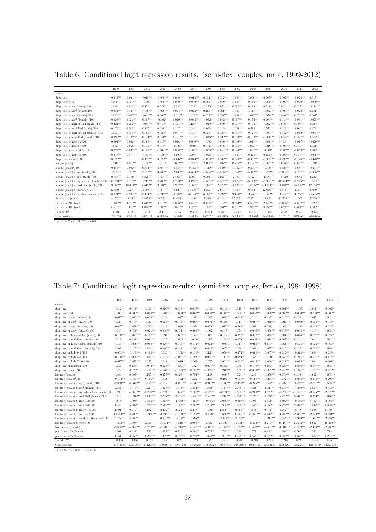Table 6: Conditional logit regression results: (semi-flex. couples, male, 1999-2012)

|                                                 | 1999         | 2000         | 2001         | 2002         | 2003         | 2004         | 2005        | 2006        | 2007         | 2008         | 2009         | 2010         | 2011         | 2012        |
|-------------------------------------------------|--------------|--------------|--------------|--------------|--------------|--------------|-------------|-------------|--------------|--------------|--------------|--------------|--------------|-------------|
| choice                                          |              |              |              |              |              |              |             |             |              |              |              |              |              |             |
| disp. inc.                                      | $-0.011***$  | $-0.024***$  | $0.019***$   | $-0.009***$  | $0.009***$   | $-0.013***$  | $0.032***$  | $0.012***$  | $-0.006***$  | $0.008***$   | $0.005***$   | $-0.007***$  | $-0.023***$  | $0.015***$  |
| disp. inc. $2/100$                              | $0.000***$   | $0.000***$   | 0.000        | $-0.000***$  | $0.000***$   | $-0.000***$  | $0.000***$  | $-0.000***$ | $-0.000***$  | $-0.000***$  | $-0.000***$  | $-0.000***$  | $-0.000***$  | $-0.000***$ |
| disp. inc. $x \text{ age (male)}/100$           | $0.049***$   | $0.146***$   | $-0.150***$  | $0.041***$   | $-0.026***$  | $0.021***$   | $-0.170***$ | $-0.071***$ | $0.084***$   | $-0.089***$  | $0.048***$   | $0.004***$   | $0.027***$   | $-0.114***$ |
| disp. inc. $x \text{ age}^2 \text{ (male)}/100$ | $-0.051***$  | $-0.147***$  | $0.178***$   | $-0.046***$  | $0.024***$   | $-0.023***$  | $0.180***$  | $0.081***$  | $-0.106***$  | $0.114***$   | $-0.052***$  | $-0.006***$  | $-0.022***$  | $0.131***$  |
| disp. inc. x age (female)/100                   | $0.021***$   | $-0.027***$  | $0.064***$   | $0.006***$   | $-0.010***$  | $0.032***$   | $0.029***$  | $0.038***$  | $-0.048***$  | $0.047***$   | $-0.079***$  | $0.036***$   | $0.074***$   | $0.061***$  |
| disp. inc. $x \text{ age}^2$ (female)/100       | $-0.023***$  | $0.024***$   | $-0.087***$  | $-0.002**$   | $0.019***$   | $-0.034***$  | $-0.032***$ | $-0.042***$ | $0.067***$   | $-0.054***$  | $0.090***$   | $-0.040***$  | $-0.081***$  | $-0.075***$ |
| disp. inc. x high-skilled (male)/100            | $-0.221***$  | $0.267***$   | $0.087***$   | $0.040***$   | $0.121***$   | $0.124***$   | $-0.019***$ | $-0.050***$ | $0.017***$   | $-0.030***$  | $-0.072***$  | $0.006***$   | $0.005***$   | $0.020***$  |
| disp. inc. $x$ unskilled $(male)/100$           | $-0.176***$  | $0.389***$   | $-0.117***$  | $0.058***$   | $0.167***$   | $0.044***$   | $-0.093***$ | $-0.245***$ | $-0.151***$  | $-0.793***$  | $-0.573***$  | $-0.046***$  | $1.166***$   | $0.673***$  |
| disp. inc. x high-skilled (female)/100          | $0.023***$   | $0.054***$   | $-0.069***$  | $0.020***$   | $0.037***$   | $0.030***$   | $0.026***$  | $0.035***$  | $0.048***$   | $-0.027***$  | $-0.001*$    | $-0.032***$  | $-0.052***$  | $-0.045***$ |
| disp. inc. x unskilled (female)/100             | $-0.092***$  | $-0.102***$  | $-0.014***$  | $0.041***$   | $0.121***$   | $0.012***$   | $-0.016***$ | $0.230***$  | $0.030***$   | $-0.010***$  | $-0.056***$  | $0.064***$   | $0.053***$   | $0.145***$  |
| disp. inc. $x$ kids $0-2/100$                   | $-0.004***$  | $-0.092***$  | $-0.068***$  | $0.015***$   | $0.016***$   | $-0.009***$  | $-0.000$    | $-0.040***$ | $0.049***$   | $0.010***$   | $-0.088***$  | $0.138***$   | $-0.017***$  | $-0.029***$ |
| disp. inc. $x$ kids $3-6/100$                   | $0.052***$   | $-0.058***$  | $-0.019***$  | $0.015***$   | $-0.024***$  | 0.000        | $0.012***$  | $-0.056***$ | $0.005***$   | $0.027***$   | $-0.019***$  | $-0.003***$  | $0.045***$   | $0.031***$  |
| disp. inc. $x$ kids $7-16/100$                  | $-0.023***$  | $-0.031***$  | $-0.039***$  | $-0.014***$  | $0.008***$   | $0.001***$   | $-0.006***$ | $-0.021***$ | $0.026***$   | $0.008***$   | $0.001*$     | $-0.005***$  | $-0.009***$  | $0.002***$  |
| disp. inc. $x$ married/100                      | $-0.318***$  | $-0.571***$  | $0.131***$   | $-0.149***$  | $-0.193***$  | $0.205***$   | $-0.025***$ | $-0.341***$ | $-0.066***$  | $-0.125***$  | $0.282***$   | $-0.093***$  | $0.053***$   | $-0.066***$ |
| disp. inc. $x \text{ care}/100$                 | $-0.128***$  |              | $-0.177***$  | $0.022***$   | $-0.137***$  | $-0.043***$  | $-0.009***$ | $0.032***$  | $0.044***$   | $-0.112***$  | $-0.022***$  | $-0.298***$  | $-0.176***$  | $-0.370***$ |
| leisure (male)                                  | $0.316***$   | $0.140***$   | $2.109***$   | $-0.014$     | $1.002***$   | $0.455***$   | $2.161***$  | $1.308***$  | $0.275***$   | $1.408***$   | $-0.032***$  | $0.656***$   | $0.146***$   | $1.231***$  |
| leisure $(male)^2/100$                          | $-0.455***$  | $-0.992***$  | $-0.814***$  | $-1.037***$  | $-0.786***$  | $-0.748***$  | $-0.449***$ | $-0.510***$ | $-0.762***$  | $-0.471***$  | $-0.709***$  | $-0.726***$  | $-0.637***$  | $-0.451***$ |
| leisure (male) $x$ age (male)/100               | $0.393***$   | $1.950***$   | $-7.612***$  | $3.239***$   | $-2.136***$  | $-0.630***$  | $-8.524***$ | $-4.583***$ | $1.614***$   | $-5.102***$  | $1.577***$   | $-0.094**$   | $1.026***$   | $-4.006***$ |
| leisure (male) $x \text{ age}^2$ (male)/100     | $-0.158***$  | $-1.189***$  | $8.826***$   | $-3.434***$  | $2.588***$   | $1.097***$   | $9.402***$  | $5.457***$  | $-2.195***$  | $6.122***$   | $-1.484***$  | $-0.019$     | $-0.688***$  | $4.222***$  |
| leisure (male) x high-skilled (male)/100        | $-12.150***$ | $8.010***$   | $0.747***$   | $4.708***$   | $6.763***$   | $4.192***$   | $-0.391***$ | $-1.897***$ | $-1.672***$  | $-3.360***$  | $-5.964***$  | $-10.143***$ | $-3.776***$  | $1.048***$  |
| leisure (male) x unskilled (male)/100           | $-9.182***$  | 18.060***    | 7.545***     | $9.081***$   | 8.967***     | $5.063***$   | $1.569***$  | $2.273***$  | $-1.305***$  | $-18.705***$ | $-14.611***$ | $-9.184***$  | 14.838***    | 12.924***   |
| leisure (male) $x$ married/100                  | $-12.540***$ | $-19.779***$ | $-1.508***$  | $-9.397***$  | $-8.426***$  | $11.903***$  | $-1.291***$ | $-2.941***$ | $-4.359***$  | $-9.554***$  | $12.616***$  | $-8.774***$  | $1.559***$   | $-1.030***$ |
| leisure (male) $x$ handicap (male)/100          | $-0.824***$  | $-9.291***$  | $-8.114***$  | $-0.712***$  | $-6.284***$  | $-6.124***$  | $6.862***$  | $7.024***$  | $9.434***$   | $10.259***$  | $1.856***$   | $11.912***$  | $4.897***$   | $-3.535***$ |
| fixed costs (male)                              | $-8.176***$  | $-18.042***$ | $-13.954***$ | $-22.503***$ | $-14.686***$ | $-14.418***$ | $-7.846***$ | $-9.304***$ | $-15.557***$ | $-7.751***$  | $-12.642***$ | $-12.735***$ | $-10.065***$ | $-7.729***$ |
| part-time 20h (male)                            | $-1.030***$  | $3.870***$   | $1.548***$   | $4.016***$   | $2.688***$   | $1.744***$   | $0.149***$  | $1.512***$  | $3.323***$   | $1.594***$   | $2.940***$   | $-0.085**$   | $-0.862***$  | $1.928***$  |
| part-time 40h (male)                            | $1.431***$   | $1.478***$   | $1.070***$   | $1.500***$   | $1.041***$   | $1.021***$   | $1.081***$  | $1.051***$  | $0.901***$   | $0.930***$   | $0.839***$   | $0.652***$   | $0.701***$   | $0.933***$  |
| Pseudo $R^2$                                    | 0.421        | 0.487        | 0.448        | 0.457        | 0.417        | 0.418        | 0.364       | 0.367       | 0.361        | 0.343        | 0.385        | 0.408        | 0.411        | 0.327       |
| Observations                                    | 6781306      | 8056125      | 7447811      | 6009815      | 6468203      | 6841044      | 6720707     | 6339025     | 5683860      | 5995584      | 5845665      | 6107612      | 6197541      | 5689635     |

 $^{\ast}$   $p$   $<$  0.05,  $^{\ast\ast}$   $p$   $<$  0.01,  $^{\ast\ast\ast}$   $p$   $<$  0.001

Table 7: Conditional logit regression results: (semi-flex. couples, female, 1984-1998)

| choice<br>$0.012***$<br>$0.013***$<br>$0.010***$<br>$0.018***$<br>$0.018***$<br>$0.019***$<br>$-0.002***$<br>$0.010***$<br>$-0.011***$<br>$-0.010***$<br>$-0.004***$<br>$-0.020***$<br>$0.004***$<br>$-0.000$<br>$0.011***$<br>disp. inc. $2/100$<br>$-0.000***$<br>$0.000***$<br>$0.000***$<br>$-0.000***$<br>$0.000***$<br>$0.000***$<br>$-0.000***$<br>$-0.000***$<br>$0.000***$<br>$-0.000***$<br>$-0.000***$<br>$-0.000***$<br>$0.000***$<br>$-0.000***$<br>$-0.000***$<br>$0.028***$<br>$0.043***$<br>$-0.017***$<br>$-0.012***$<br>$-0.036***$<br>$-0.028***$<br>$-0.037***$<br>$-0.011***$<br>$-0.005***$<br>$-0.019***$<br>$0.014***$<br>$0.035***$<br>$0.019***$<br>$0.028***$<br>$0.057***$<br>$-0.047***$<br>disp. inc. $x \text{ age}^2 \text{ (male)}/100$<br>$0.015***$<br>$0.037***$<br>$0.025***$<br>$0.041***$<br>$0.007***$<br>$0.003***$<br>$-0.028***$<br>$0.014***$<br>$-0.017***$<br>$-0.040***$<br>$-0.015***$<br>$-0.030***$<br>$-0.064***$<br>$0.020***$<br>$0.017***$<br>$-0.037***$<br>$-0.050***$<br>$0.033***$<br>$-0.018***$<br>$-0.030***$<br>$-0.071***$<br>$0.058***$<br>$-0.063***$<br>$0.008***$<br>$0.053***$<br>$-0.045***$<br>$-0.103***$<br>$-0.029***$<br>$-0.001$<br>$0.053***$<br>$-0.021***$<br>$0.030***$<br>$0.034***$<br>$0.091***$<br>$-0.062***$<br>$-0.017***$<br>$0.074***$<br>$-0.005***$<br>$-0.056***$<br>$-0.003***$<br>$0.035***$<br>$0.040***$<br>$0.046***$<br>$0.119***$<br>$-0.107***$<br>$-0.090***$<br>$-0.067***$<br>$-0.093***$<br>$-0.045***$<br>$-0.030***$<br>$-0.047***$<br>$-0.048***$<br>$-0.072***$<br>$-0.100***$<br>$-0.081***$<br>$-0.104***$<br>$-0.046***$<br>$-0.036***$<br>$-0.057***$<br>$0.081***$<br>$-0.091***$<br>$-0.015***$<br>$-0.003***$<br>$-0.007***$<br>$0.108***$<br>$-0.078***$<br>$-0.009***$<br>$-0.018***$<br>$0.067***$<br>$0.032***$<br>$0.012***$<br>$-0.000$<br>$0.014***$<br>$0.014***$<br>$0.112***$<br>$0.023***$<br>$0.017***$<br>$-0.069***$<br>$0.056***$<br>$-0.096***$<br>$-0.050***$<br>$0.020***$<br>$0.049***$<br>$-0.015***$<br>$0.179***$<br>$-0.026***$<br>$-0.395***$<br>$-0.023***$<br>$-0.001$<br>$0.046***$<br>$0.097***$<br>$0.026***$<br>$0.068***$<br>$-0.027***$<br>$0.029***$<br>$0.102***$<br>$-0.105***$<br>$0.114***$<br>$0.080***$<br>$0.049***$<br>$-0.092***$<br>$0.126***$<br>$0.437***$<br>$-0.162***$<br>$-0.033***$<br>$-0.106***$<br>$-0.018***$<br>$-0.007***$<br>$-0.218***$<br>$-0.246***$<br>$-0.091***$<br>$-0.165***$<br>$-0.166***$<br>$0.110***$<br>$-0.123***$<br>$0.050***$<br>$-0.272***$<br>$0.032***$<br>$0.084***$<br>$-0.113***$<br>$-0.160***$<br>$-0.058***$<br>$0.154***$<br>$-0.114***$<br>$-0.051***$<br>$-0.068***$<br>$0.081***$<br>$0.111***$<br>$-0.094***$<br>$0.089***$<br>$0.050***$<br>$0.090***$<br>$-0.077***$<br>$-0.002$<br>$0.027***$<br>$-0.068***$<br>$-0.017***$<br>$-0.075***$<br>$-0.016***$<br>$-0.019***$<br>$-0.039***$<br>$-0.077***$<br>$0.003***$<br>$-0.050***$<br>$-0.045***$<br>$-0.060***$<br>$-0.035***$<br>$0.031***$<br>$0.004***$<br>$0.137***$<br>$0.188***$<br>$-1.044***$<br>$0.027***$<br>$-0.231***$<br>$-0.020***$<br>$0.077***$<br>$-0.021***$<br>$0.086***$<br>$-0.130***$<br>$0.186***$<br>$0.095***$<br>$0.126***$<br>$-0.264***$<br>$-0.047***$<br>$-0.475***$<br>$0.073***$<br>$-0.168***$<br>$0.188***$<br>$0.210***$<br>$0.072***$<br>$0.212***$<br>$-0.268***$<br>$-0.174***$<br>$0.359***$<br>$-0.356***$<br>$-0.032***$<br>$2.646***$<br>$0.332***$<br>$0.170***$<br>$0.395***$<br>$0.157***$<br>$0.277***$<br>$0.426***$<br>$0.704***$<br>$-0.118***$<br>$0.095***$<br>$0.469***$<br>$-0.007$<br>$0.724***$<br>$0.210***$<br>$-0.250***$<br>$0.176***$<br>$0.038***$<br>$0.661***$<br>$-0.148***$<br>$-0.205***$<br>$-0.164***$<br>$-0.163***$<br>$-0.165***$<br>$-0.162***$<br>$-0.262***$<br>$-0.181***$<br>$-0.105***$<br>$-0.157***$<br>$-0.118***$<br>$-0.274***$<br>$-0.152***$<br>$-0.264***$<br>$-0.238***$<br>$-2.080***$<br>$-1.513***$<br>$0.415***$<br>$-0.814***$<br>$-1.091***$<br>$-2.642***$<br>$0.911***$<br>$0.146***$<br>$-2.429***$<br>$-0.275***$<br>$1.847***$<br>$-0.414***$<br>$1.428***$<br>$-2.211***$<br>$0.558***$<br>$2.634***$<br>$1.916***$<br>$0.223***$<br>$1.327***$<br>$1.573***$<br>$3.354***$<br>$-0.858***$<br>$0.144***$<br>$2.706***$<br>$0.528***$<br>$-1.814***$<br>$0.638***$<br>$-1.289***$<br>$2.859***$<br>$-0.447***$<br>$0.590***$<br>$-2.921***$<br>$-3.728***$<br>$-0.576***$<br>$1.145***$<br>$2.108***$<br>$-3.270***$<br>$-0.574***$<br>$2.688***$<br>$-3.210***$<br>$3.679***$<br>$-4.233***$<br>$-13.101***$<br>$-3.145***$<br>$-2.979***$<br>$4.613***$<br>$4.143***$<br>$3.738***$<br>$3.035***$<br>$3.551***$<br>$3.818***$<br>$4.022***$<br>$-0.710***$<br>$-0.830***$<br>$2.676***$<br>$4.433***$<br>$5.520***$<br>$9.802***$<br>$0.139**$<br>5.076***<br>$0.818***$<br>$4.480***$<br>$-2.067***$<br>$1.393***$<br>$-1.395***$<br>$1.017***$<br>$-1.570***$<br>$-0.195**$<br>$7.036***$<br>$-9.095***$<br>$0.495***$<br>$4.454***$<br>$4.302***$<br>$-0.434***$<br>$7.487***$<br>$2.762***$<br>$6.908***$<br>$1.488***$<br>$1.045***$<br>$5.007***$<br>$9.525***$<br>$2.512***$<br>$1.882***$<br>$4.760***$<br>$0.250***$<br>6.059***<br>$4.350***$<br>$6.527***$<br>$9.700***$<br>$2.592***$<br>$-0.186***$<br>$1.760***$<br>$0.679***$<br>$3.182***$<br>$2.432***$<br>$2.422***$<br>$2.218***$<br>$1.666***$<br>$0.646***$<br>$0.911***$<br>$4.152***$<br>$3.048***$<br>$3.838***$<br>$1.491***$<br>0.014<br>$8.208***$<br>$-19.353***$<br>$-1.992***$<br>$7.199***$<br>$3.650***$<br>$1.344***$<br>$-7.471***$<br>$8.439***$<br>$-0.884***$<br>$10.721***$<br>$-9.190***$<br>$11.320***$<br>$3.539***$<br>$-9.051***$<br>$-2.070***$<br>$-2.382***$<br>$4.478***$<br>$4.260***$<br>$0.635***$<br>$1.598***$<br>$-3.142***$<br>$-3.176***$<br>$-2.314***$<br>$-3.592***$<br>$-5.929***$<br>$-1.891***$<br>$0.108**$<br>$-1.333***$<br>$1.498***$<br>$2.437***$<br>$-11.511***$<br>$-6.818***$<br>$2.996***$<br>$-2.332***$<br>$-2.474***$<br>45.487***<br>$4.637***$<br>$-10.260***$<br>21.394***<br>$16.081***$<br>$2.279***$<br>$15.131***$ |                                                  |      |      |      |      |      |      |      |      |      |      |      |      |      |      |      |
|------------------------------------------------------------------------------------------------------------------------------------------------------------------------------------------------------------------------------------------------------------------------------------------------------------------------------------------------------------------------------------------------------------------------------------------------------------------------------------------------------------------------------------------------------------------------------------------------------------------------------------------------------------------------------------------------------------------------------------------------------------------------------------------------------------------------------------------------------------------------------------------------------------------------------------------------------------------------------------------------------------------------------------------------------------------------------------------------------------------------------------------------------------------------------------------------------------------------------------------------------------------------------------------------------------------------------------------------------------------------------------------------------------------------------------------------------------------------------------------------------------------------------------------------------------------------------------------------------------------------------------------------------------------------------------------------------------------------------------------------------------------------------------------------------------------------------------------------------------------------------------------------------------------------------------------------------------------------------------------------------------------------------------------------------------------------------------------------------------------------------------------------------------------------------------------------------------------------------------------------------------------------------------------------------------------------------------------------------------------------------------------------------------------------------------------------------------------------------------------------------------------------------------------------------------------------------------------------------------------------------------------------------------------------------------------------------------------------------------------------------------------------------------------------------------------------------------------------------------------------------------------------------------------------------------------------------------------------------------------------------------------------------------------------------------------------------------------------------------------------------------------------------------------------------------------------------------------------------------------------------------------------------------------------------------------------------------------------------------------------------------------------------------------------------------------------------------------------------------------------------------------------------------------------------------------------------------------------------------------------------------------------------------------------------------------------------------------------------------------------------------------------------------------------------------------------------------------------------------------------------------------------------------------------------------------------------------------------------------------------------------------------------------------------------------------------------------------------------------------------------------------------------------------------------------------------------------------------------------------------------------------------------------------------------------------------------------------------------------------------------------------------------------------------------------------------------------------------------------------------------------------------------------------------------------------------------------------------------------------------------------------------------------------------------------------------------------------------------------------------------------------------------------------------------------------------------------------------------------------------------------------------------------------------------------------------------------------------------------------------------------------------------------------------------------------------------------------------------------------------------------------------------------------------------------------------------------------------------------------------------------------------------------------------------------------------------------------------------------------------------------------------------------------------------------------------------------------------------------------------------------------------------------------------------------------------------------------------------------------------------------------------------------------------------------------------------------------------------------------------------------------------------------------------------------------------------------------------------------------------------------------------------------------------------------------------------------------------------------------------------------------------------------------------------------------------------------------------------------------------|--------------------------------------------------|------|------|------|------|------|------|------|------|------|------|------|------|------|------|------|
|                                                                                                                                                                                                                                                                                                                                                                                                                                                                                                                                                                                                                                                                                                                                                                                                                                                                                                                                                                                                                                                                                                                                                                                                                                                                                                                                                                                                                                                                                                                                                                                                                                                                                                                                                                                                                                                                                                                                                                                                                                                                                                                                                                                                                                                                                                                                                                                                                                                                                                                                                                                                                                                                                                                                                                                                                                                                                                                                                                                                                                                                                                                                                                                                                                                                                                                                                                                                                                                                                                                                                                                                                                                                                                                                                                                                                                                                                                                                                                                                                                                                                                                                                                                                                                                                                                                                                                                                                                                                                                                                                                                                                                                                                                                                                                                                                                                                                                                                                                                                                                                                                                                                                                                                                                                                                                                                                                                                                                                                                                                                                                                                                                                                                                                                                                                                                                                                                                                                                                                                                                                                                                                        |                                                  | 1984 | 1985 | 1986 | 1987 | 1988 | 1989 | 1990 | 1991 | 1992 | 1993 | 1994 | 1995 | 1996 | 1997 | 1998 |
|                                                                                                                                                                                                                                                                                                                                                                                                                                                                                                                                                                                                                                                                                                                                                                                                                                                                                                                                                                                                                                                                                                                                                                                                                                                                                                                                                                                                                                                                                                                                                                                                                                                                                                                                                                                                                                                                                                                                                                                                                                                                                                                                                                                                                                                                                                                                                                                                                                                                                                                                                                                                                                                                                                                                                                                                                                                                                                                                                                                                                                                                                                                                                                                                                                                                                                                                                                                                                                                                                                                                                                                                                                                                                                                                                                                                                                                                                                                                                                                                                                                                                                                                                                                                                                                                                                                                                                                                                                                                                                                                                                                                                                                                                                                                                                                                                                                                                                                                                                                                                                                                                                                                                                                                                                                                                                                                                                                                                                                                                                                                                                                                                                                                                                                                                                                                                                                                                                                                                                                                                                                                                                                        |                                                  |      |      |      |      |      |      |      |      |      |      |      |      |      |      |      |
|                                                                                                                                                                                                                                                                                                                                                                                                                                                                                                                                                                                                                                                                                                                                                                                                                                                                                                                                                                                                                                                                                                                                                                                                                                                                                                                                                                                                                                                                                                                                                                                                                                                                                                                                                                                                                                                                                                                                                                                                                                                                                                                                                                                                                                                                                                                                                                                                                                                                                                                                                                                                                                                                                                                                                                                                                                                                                                                                                                                                                                                                                                                                                                                                                                                                                                                                                                                                                                                                                                                                                                                                                                                                                                                                                                                                                                                                                                                                                                                                                                                                                                                                                                                                                                                                                                                                                                                                                                                                                                                                                                                                                                                                                                                                                                                                                                                                                                                                                                                                                                                                                                                                                                                                                                                                                                                                                                                                                                                                                                                                                                                                                                                                                                                                                                                                                                                                                                                                                                                                                                                                                                                        | disp. inc.                                       |      |      |      |      |      |      |      |      |      |      |      |      |      |      |      |
|                                                                                                                                                                                                                                                                                                                                                                                                                                                                                                                                                                                                                                                                                                                                                                                                                                                                                                                                                                                                                                                                                                                                                                                                                                                                                                                                                                                                                                                                                                                                                                                                                                                                                                                                                                                                                                                                                                                                                                                                                                                                                                                                                                                                                                                                                                                                                                                                                                                                                                                                                                                                                                                                                                                                                                                                                                                                                                                                                                                                                                                                                                                                                                                                                                                                                                                                                                                                                                                                                                                                                                                                                                                                                                                                                                                                                                                                                                                                                                                                                                                                                                                                                                                                                                                                                                                                                                                                                                                                                                                                                                                                                                                                                                                                                                                                                                                                                                                                                                                                                                                                                                                                                                                                                                                                                                                                                                                                                                                                                                                                                                                                                                                                                                                                                                                                                                                                                                                                                                                                                                                                                                                        |                                                  |      |      |      |      |      |      |      |      |      |      |      |      |      |      |      |
|                                                                                                                                                                                                                                                                                                                                                                                                                                                                                                                                                                                                                                                                                                                                                                                                                                                                                                                                                                                                                                                                                                                                                                                                                                                                                                                                                                                                                                                                                                                                                                                                                                                                                                                                                                                                                                                                                                                                                                                                                                                                                                                                                                                                                                                                                                                                                                                                                                                                                                                                                                                                                                                                                                                                                                                                                                                                                                                                                                                                                                                                                                                                                                                                                                                                                                                                                                                                                                                                                                                                                                                                                                                                                                                                                                                                                                                                                                                                                                                                                                                                                                                                                                                                                                                                                                                                                                                                                                                                                                                                                                                                                                                                                                                                                                                                                                                                                                                                                                                                                                                                                                                                                                                                                                                                                                                                                                                                                                                                                                                                                                                                                                                                                                                                                                                                                                                                                                                                                                                                                                                                                                                        | disp. inc. $x \text{ age (male)}/100$            |      |      |      |      |      |      |      |      |      |      |      |      |      |      |      |
|                                                                                                                                                                                                                                                                                                                                                                                                                                                                                                                                                                                                                                                                                                                                                                                                                                                                                                                                                                                                                                                                                                                                                                                                                                                                                                                                                                                                                                                                                                                                                                                                                                                                                                                                                                                                                                                                                                                                                                                                                                                                                                                                                                                                                                                                                                                                                                                                                                                                                                                                                                                                                                                                                                                                                                                                                                                                                                                                                                                                                                                                                                                                                                                                                                                                                                                                                                                                                                                                                                                                                                                                                                                                                                                                                                                                                                                                                                                                                                                                                                                                                                                                                                                                                                                                                                                                                                                                                                                                                                                                                                                                                                                                                                                                                                                                                                                                                                                                                                                                                                                                                                                                                                                                                                                                                                                                                                                                                                                                                                                                                                                                                                                                                                                                                                                                                                                                                                                                                                                                                                                                                                                        |                                                  |      |      |      |      |      |      |      |      |      |      |      |      |      |      |      |
|                                                                                                                                                                                                                                                                                                                                                                                                                                                                                                                                                                                                                                                                                                                                                                                                                                                                                                                                                                                                                                                                                                                                                                                                                                                                                                                                                                                                                                                                                                                                                                                                                                                                                                                                                                                                                                                                                                                                                                                                                                                                                                                                                                                                                                                                                                                                                                                                                                                                                                                                                                                                                                                                                                                                                                                                                                                                                                                                                                                                                                                                                                                                                                                                                                                                                                                                                                                                                                                                                                                                                                                                                                                                                                                                                                                                                                                                                                                                                                                                                                                                                                                                                                                                                                                                                                                                                                                                                                                                                                                                                                                                                                                                                                                                                                                                                                                                                                                                                                                                                                                                                                                                                                                                                                                                                                                                                                                                                                                                                                                                                                                                                                                                                                                                                                                                                                                                                                                                                                                                                                                                                                                        | disp. inc. $x$ age (female)/100                  |      |      |      |      |      |      |      |      |      |      |      |      |      |      |      |
|                                                                                                                                                                                                                                                                                                                                                                                                                                                                                                                                                                                                                                                                                                                                                                                                                                                                                                                                                                                                                                                                                                                                                                                                                                                                                                                                                                                                                                                                                                                                                                                                                                                                                                                                                                                                                                                                                                                                                                                                                                                                                                                                                                                                                                                                                                                                                                                                                                                                                                                                                                                                                                                                                                                                                                                                                                                                                                                                                                                                                                                                                                                                                                                                                                                                                                                                                                                                                                                                                                                                                                                                                                                                                                                                                                                                                                                                                                                                                                                                                                                                                                                                                                                                                                                                                                                                                                                                                                                                                                                                                                                                                                                                                                                                                                                                                                                                                                                                                                                                                                                                                                                                                                                                                                                                                                                                                                                                                                                                                                                                                                                                                                                                                                                                                                                                                                                                                                                                                                                                                                                                                                                        | disp. inc. $x \text{ age}^2$ (female)/100        |      |      |      |      |      |      |      |      |      |      |      |      |      |      |      |
|                                                                                                                                                                                                                                                                                                                                                                                                                                                                                                                                                                                                                                                                                                                                                                                                                                                                                                                                                                                                                                                                                                                                                                                                                                                                                                                                                                                                                                                                                                                                                                                                                                                                                                                                                                                                                                                                                                                                                                                                                                                                                                                                                                                                                                                                                                                                                                                                                                                                                                                                                                                                                                                                                                                                                                                                                                                                                                                                                                                                                                                                                                                                                                                                                                                                                                                                                                                                                                                                                                                                                                                                                                                                                                                                                                                                                                                                                                                                                                                                                                                                                                                                                                                                                                                                                                                                                                                                                                                                                                                                                                                                                                                                                                                                                                                                                                                                                                                                                                                                                                                                                                                                                                                                                                                                                                                                                                                                                                                                                                                                                                                                                                                                                                                                                                                                                                                                                                                                                                                                                                                                                                                        | disp. inc. x high-skilled (male)/100             |      |      |      |      |      |      |      |      |      |      |      |      |      |      |      |
|                                                                                                                                                                                                                                                                                                                                                                                                                                                                                                                                                                                                                                                                                                                                                                                                                                                                                                                                                                                                                                                                                                                                                                                                                                                                                                                                                                                                                                                                                                                                                                                                                                                                                                                                                                                                                                                                                                                                                                                                                                                                                                                                                                                                                                                                                                                                                                                                                                                                                                                                                                                                                                                                                                                                                                                                                                                                                                                                                                                                                                                                                                                                                                                                                                                                                                                                                                                                                                                                                                                                                                                                                                                                                                                                                                                                                                                                                                                                                                                                                                                                                                                                                                                                                                                                                                                                                                                                                                                                                                                                                                                                                                                                                                                                                                                                                                                                                                                                                                                                                                                                                                                                                                                                                                                                                                                                                                                                                                                                                                                                                                                                                                                                                                                                                                                                                                                                                                                                                                                                                                                                                                                        | disp. inc. $x$ unskilled $(male)/100$            |      |      |      |      |      |      |      |      |      |      |      |      |      |      |      |
|                                                                                                                                                                                                                                                                                                                                                                                                                                                                                                                                                                                                                                                                                                                                                                                                                                                                                                                                                                                                                                                                                                                                                                                                                                                                                                                                                                                                                                                                                                                                                                                                                                                                                                                                                                                                                                                                                                                                                                                                                                                                                                                                                                                                                                                                                                                                                                                                                                                                                                                                                                                                                                                                                                                                                                                                                                                                                                                                                                                                                                                                                                                                                                                                                                                                                                                                                                                                                                                                                                                                                                                                                                                                                                                                                                                                                                                                                                                                                                                                                                                                                                                                                                                                                                                                                                                                                                                                                                                                                                                                                                                                                                                                                                                                                                                                                                                                                                                                                                                                                                                                                                                                                                                                                                                                                                                                                                                                                                                                                                                                                                                                                                                                                                                                                                                                                                                                                                                                                                                                                                                                                                                        | disp. inc. x high-skilled (female)/100           |      |      |      |      |      |      |      |      |      |      |      |      |      |      |      |
|                                                                                                                                                                                                                                                                                                                                                                                                                                                                                                                                                                                                                                                                                                                                                                                                                                                                                                                                                                                                                                                                                                                                                                                                                                                                                                                                                                                                                                                                                                                                                                                                                                                                                                                                                                                                                                                                                                                                                                                                                                                                                                                                                                                                                                                                                                                                                                                                                                                                                                                                                                                                                                                                                                                                                                                                                                                                                                                                                                                                                                                                                                                                                                                                                                                                                                                                                                                                                                                                                                                                                                                                                                                                                                                                                                                                                                                                                                                                                                                                                                                                                                                                                                                                                                                                                                                                                                                                                                                                                                                                                                                                                                                                                                                                                                                                                                                                                                                                                                                                                                                                                                                                                                                                                                                                                                                                                                                                                                                                                                                                                                                                                                                                                                                                                                                                                                                                                                                                                                                                                                                                                                                        | disp. inc. $x$ unskilled (female)/100            |      |      |      |      |      |      |      |      |      |      |      |      |      |      |      |
|                                                                                                                                                                                                                                                                                                                                                                                                                                                                                                                                                                                                                                                                                                                                                                                                                                                                                                                                                                                                                                                                                                                                                                                                                                                                                                                                                                                                                                                                                                                                                                                                                                                                                                                                                                                                                                                                                                                                                                                                                                                                                                                                                                                                                                                                                                                                                                                                                                                                                                                                                                                                                                                                                                                                                                                                                                                                                                                                                                                                                                                                                                                                                                                                                                                                                                                                                                                                                                                                                                                                                                                                                                                                                                                                                                                                                                                                                                                                                                                                                                                                                                                                                                                                                                                                                                                                                                                                                                                                                                                                                                                                                                                                                                                                                                                                                                                                                                                                                                                                                                                                                                                                                                                                                                                                                                                                                                                                                                                                                                                                                                                                                                                                                                                                                                                                                                                                                                                                                                                                                                                                                                                        | disp. inc. $x$ kids $0-2/100$                    |      |      |      |      |      |      |      |      |      |      |      |      |      |      |      |
|                                                                                                                                                                                                                                                                                                                                                                                                                                                                                                                                                                                                                                                                                                                                                                                                                                                                                                                                                                                                                                                                                                                                                                                                                                                                                                                                                                                                                                                                                                                                                                                                                                                                                                                                                                                                                                                                                                                                                                                                                                                                                                                                                                                                                                                                                                                                                                                                                                                                                                                                                                                                                                                                                                                                                                                                                                                                                                                                                                                                                                                                                                                                                                                                                                                                                                                                                                                                                                                                                                                                                                                                                                                                                                                                                                                                                                                                                                                                                                                                                                                                                                                                                                                                                                                                                                                                                                                                                                                                                                                                                                                                                                                                                                                                                                                                                                                                                                                                                                                                                                                                                                                                                                                                                                                                                                                                                                                                                                                                                                                                                                                                                                                                                                                                                                                                                                                                                                                                                                                                                                                                                                                        | disp. inc. $x$ kids $3-6/100$                    |      |      |      |      |      |      |      |      |      |      |      |      |      |      |      |
|                                                                                                                                                                                                                                                                                                                                                                                                                                                                                                                                                                                                                                                                                                                                                                                                                                                                                                                                                                                                                                                                                                                                                                                                                                                                                                                                                                                                                                                                                                                                                                                                                                                                                                                                                                                                                                                                                                                                                                                                                                                                                                                                                                                                                                                                                                                                                                                                                                                                                                                                                                                                                                                                                                                                                                                                                                                                                                                                                                                                                                                                                                                                                                                                                                                                                                                                                                                                                                                                                                                                                                                                                                                                                                                                                                                                                                                                                                                                                                                                                                                                                                                                                                                                                                                                                                                                                                                                                                                                                                                                                                                                                                                                                                                                                                                                                                                                                                                                                                                                                                                                                                                                                                                                                                                                                                                                                                                                                                                                                                                                                                                                                                                                                                                                                                                                                                                                                                                                                                                                                                                                                                                        | disp. inc. $x$ kids $7-16/100$                   |      |      |      |      |      |      |      |      |      |      |      |      |      |      |      |
|                                                                                                                                                                                                                                                                                                                                                                                                                                                                                                                                                                                                                                                                                                                                                                                                                                                                                                                                                                                                                                                                                                                                                                                                                                                                                                                                                                                                                                                                                                                                                                                                                                                                                                                                                                                                                                                                                                                                                                                                                                                                                                                                                                                                                                                                                                                                                                                                                                                                                                                                                                                                                                                                                                                                                                                                                                                                                                                                                                                                                                                                                                                                                                                                                                                                                                                                                                                                                                                                                                                                                                                                                                                                                                                                                                                                                                                                                                                                                                                                                                                                                                                                                                                                                                                                                                                                                                                                                                                                                                                                                                                                                                                                                                                                                                                                                                                                                                                                                                                                                                                                                                                                                                                                                                                                                                                                                                                                                                                                                                                                                                                                                                                                                                                                                                                                                                                                                                                                                                                                                                                                                                                        | disp. inc. $x$ married/100                       |      |      |      |      |      |      |      |      |      |      |      |      |      |      |      |
|                                                                                                                                                                                                                                                                                                                                                                                                                                                                                                                                                                                                                                                                                                                                                                                                                                                                                                                                                                                                                                                                                                                                                                                                                                                                                                                                                                                                                                                                                                                                                                                                                                                                                                                                                                                                                                                                                                                                                                                                                                                                                                                                                                                                                                                                                                                                                                                                                                                                                                                                                                                                                                                                                                                                                                                                                                                                                                                                                                                                                                                                                                                                                                                                                                                                                                                                                                                                                                                                                                                                                                                                                                                                                                                                                                                                                                                                                                                                                                                                                                                                                                                                                                                                                                                                                                                                                                                                                                                                                                                                                                                                                                                                                                                                                                                                                                                                                                                                                                                                                                                                                                                                                                                                                                                                                                                                                                                                                                                                                                                                                                                                                                                                                                                                                                                                                                                                                                                                                                                                                                                                                                                        | disp. inc. $x \text{ care}/100$                  |      |      |      |      |      |      |      |      |      |      |      |      |      |      |      |
|                                                                                                                                                                                                                                                                                                                                                                                                                                                                                                                                                                                                                                                                                                                                                                                                                                                                                                                                                                                                                                                                                                                                                                                                                                                                                                                                                                                                                                                                                                                                                                                                                                                                                                                                                                                                                                                                                                                                                                                                                                                                                                                                                                                                                                                                                                                                                                                                                                                                                                                                                                                                                                                                                                                                                                                                                                                                                                                                                                                                                                                                                                                                                                                                                                                                                                                                                                                                                                                                                                                                                                                                                                                                                                                                                                                                                                                                                                                                                                                                                                                                                                                                                                                                                                                                                                                                                                                                                                                                                                                                                                                                                                                                                                                                                                                                                                                                                                                                                                                                                                                                                                                                                                                                                                                                                                                                                                                                                                                                                                                                                                                                                                                                                                                                                                                                                                                                                                                                                                                                                                                                                                                        | leisure (female)                                 |      |      |      |      |      |      |      |      |      |      |      |      |      |      |      |
|                                                                                                                                                                                                                                                                                                                                                                                                                                                                                                                                                                                                                                                                                                                                                                                                                                                                                                                                                                                                                                                                                                                                                                                                                                                                                                                                                                                                                                                                                                                                                                                                                                                                                                                                                                                                                                                                                                                                                                                                                                                                                                                                                                                                                                                                                                                                                                                                                                                                                                                                                                                                                                                                                                                                                                                                                                                                                                                                                                                                                                                                                                                                                                                                                                                                                                                                                                                                                                                                                                                                                                                                                                                                                                                                                                                                                                                                                                                                                                                                                                                                                                                                                                                                                                                                                                                                                                                                                                                                                                                                                                                                                                                                                                                                                                                                                                                                                                                                                                                                                                                                                                                                                                                                                                                                                                                                                                                                                                                                                                                                                                                                                                                                                                                                                                                                                                                                                                                                                                                                                                                                                                                        | leisure (female) $2/100$                         |      |      |      |      |      |      |      |      |      |      |      |      |      |      |      |
|                                                                                                                                                                                                                                                                                                                                                                                                                                                                                                                                                                                                                                                                                                                                                                                                                                                                                                                                                                                                                                                                                                                                                                                                                                                                                                                                                                                                                                                                                                                                                                                                                                                                                                                                                                                                                                                                                                                                                                                                                                                                                                                                                                                                                                                                                                                                                                                                                                                                                                                                                                                                                                                                                                                                                                                                                                                                                                                                                                                                                                                                                                                                                                                                                                                                                                                                                                                                                                                                                                                                                                                                                                                                                                                                                                                                                                                                                                                                                                                                                                                                                                                                                                                                                                                                                                                                                                                                                                                                                                                                                                                                                                                                                                                                                                                                                                                                                                                                                                                                                                                                                                                                                                                                                                                                                                                                                                                                                                                                                                                                                                                                                                                                                                                                                                                                                                                                                                                                                                                                                                                                                                                        | leisure (female) $x$ age (female)/100            |      |      |      |      |      |      |      |      |      |      |      |      |      |      |      |
|                                                                                                                                                                                                                                                                                                                                                                                                                                                                                                                                                                                                                                                                                                                                                                                                                                                                                                                                                                                                                                                                                                                                                                                                                                                                                                                                                                                                                                                                                                                                                                                                                                                                                                                                                                                                                                                                                                                                                                                                                                                                                                                                                                                                                                                                                                                                                                                                                                                                                                                                                                                                                                                                                                                                                                                                                                                                                                                                                                                                                                                                                                                                                                                                                                                                                                                                                                                                                                                                                                                                                                                                                                                                                                                                                                                                                                                                                                                                                                                                                                                                                                                                                                                                                                                                                                                                                                                                                                                                                                                                                                                                                                                                                                                                                                                                                                                                                                                                                                                                                                                                                                                                                                                                                                                                                                                                                                                                                                                                                                                                                                                                                                                                                                                                                                                                                                                                                                                                                                                                                                                                                                                        | leisure (female) x age <sup>2</sup> (female)/100 |      |      |      |      |      |      |      |      |      |      |      |      |      |      |      |
|                                                                                                                                                                                                                                                                                                                                                                                                                                                                                                                                                                                                                                                                                                                                                                                                                                                                                                                                                                                                                                                                                                                                                                                                                                                                                                                                                                                                                                                                                                                                                                                                                                                                                                                                                                                                                                                                                                                                                                                                                                                                                                                                                                                                                                                                                                                                                                                                                                                                                                                                                                                                                                                                                                                                                                                                                                                                                                                                                                                                                                                                                                                                                                                                                                                                                                                                                                                                                                                                                                                                                                                                                                                                                                                                                                                                                                                                                                                                                                                                                                                                                                                                                                                                                                                                                                                                                                                                                                                                                                                                                                                                                                                                                                                                                                                                                                                                                                                                                                                                                                                                                                                                                                                                                                                                                                                                                                                                                                                                                                                                                                                                                                                                                                                                                                                                                                                                                                                                                                                                                                                                                                                        | leisure (female) x high-skilled (female)/100     |      |      |      |      |      |      |      |      |      |      |      |      |      |      |      |
|                                                                                                                                                                                                                                                                                                                                                                                                                                                                                                                                                                                                                                                                                                                                                                                                                                                                                                                                                                                                                                                                                                                                                                                                                                                                                                                                                                                                                                                                                                                                                                                                                                                                                                                                                                                                                                                                                                                                                                                                                                                                                                                                                                                                                                                                                                                                                                                                                                                                                                                                                                                                                                                                                                                                                                                                                                                                                                                                                                                                                                                                                                                                                                                                                                                                                                                                                                                                                                                                                                                                                                                                                                                                                                                                                                                                                                                                                                                                                                                                                                                                                                                                                                                                                                                                                                                                                                                                                                                                                                                                                                                                                                                                                                                                                                                                                                                                                                                                                                                                                                                                                                                                                                                                                                                                                                                                                                                                                                                                                                                                                                                                                                                                                                                                                                                                                                                                                                                                                                                                                                                                                                                        | leisure (female) x unskilled (female)/100        |      |      |      |      |      |      |      |      |      |      |      |      |      |      |      |
|                                                                                                                                                                                                                                                                                                                                                                                                                                                                                                                                                                                                                                                                                                                                                                                                                                                                                                                                                                                                                                                                                                                                                                                                                                                                                                                                                                                                                                                                                                                                                                                                                                                                                                                                                                                                                                                                                                                                                                                                                                                                                                                                                                                                                                                                                                                                                                                                                                                                                                                                                                                                                                                                                                                                                                                                                                                                                                                                                                                                                                                                                                                                                                                                                                                                                                                                                                                                                                                                                                                                                                                                                                                                                                                                                                                                                                                                                                                                                                                                                                                                                                                                                                                                                                                                                                                                                                                                                                                                                                                                                                                                                                                                                                                                                                                                                                                                                                                                                                                                                                                                                                                                                                                                                                                                                                                                                                                                                                                                                                                                                                                                                                                                                                                                                                                                                                                                                                                                                                                                                                                                                                                        | leisure (female) x kids $0-2/100$                |      |      |      |      |      |      |      |      |      |      |      |      |      |      |      |
|                                                                                                                                                                                                                                                                                                                                                                                                                                                                                                                                                                                                                                                                                                                                                                                                                                                                                                                                                                                                                                                                                                                                                                                                                                                                                                                                                                                                                                                                                                                                                                                                                                                                                                                                                                                                                                                                                                                                                                                                                                                                                                                                                                                                                                                                                                                                                                                                                                                                                                                                                                                                                                                                                                                                                                                                                                                                                                                                                                                                                                                                                                                                                                                                                                                                                                                                                                                                                                                                                                                                                                                                                                                                                                                                                                                                                                                                                                                                                                                                                                                                                                                                                                                                                                                                                                                                                                                                                                                                                                                                                                                                                                                                                                                                                                                                                                                                                                                                                                                                                                                                                                                                                                                                                                                                                                                                                                                                                                                                                                                                                                                                                                                                                                                                                                                                                                                                                                                                                                                                                                                                                                                        | leisure (female) x kids $3-6/100$                |      |      |      |      |      |      |      |      |      |      |      |      |      |      |      |
|                                                                                                                                                                                                                                                                                                                                                                                                                                                                                                                                                                                                                                                                                                                                                                                                                                                                                                                                                                                                                                                                                                                                                                                                                                                                                                                                                                                                                                                                                                                                                                                                                                                                                                                                                                                                                                                                                                                                                                                                                                                                                                                                                                                                                                                                                                                                                                                                                                                                                                                                                                                                                                                                                                                                                                                                                                                                                                                                                                                                                                                                                                                                                                                                                                                                                                                                                                                                                                                                                                                                                                                                                                                                                                                                                                                                                                                                                                                                                                                                                                                                                                                                                                                                                                                                                                                                                                                                                                                                                                                                                                                                                                                                                                                                                                                                                                                                                                                                                                                                                                                                                                                                                                                                                                                                                                                                                                                                                                                                                                                                                                                                                                                                                                                                                                                                                                                                                                                                                                                                                                                                                                                        | leisure (female) $x$ kids $7-16/100$             |      |      |      |      |      |      |      |      |      |      |      |      |      |      |      |
|                                                                                                                                                                                                                                                                                                                                                                                                                                                                                                                                                                                                                                                                                                                                                                                                                                                                                                                                                                                                                                                                                                                                                                                                                                                                                                                                                                                                                                                                                                                                                                                                                                                                                                                                                                                                                                                                                                                                                                                                                                                                                                                                                                                                                                                                                                                                                                                                                                                                                                                                                                                                                                                                                                                                                                                                                                                                                                                                                                                                                                                                                                                                                                                                                                                                                                                                                                                                                                                                                                                                                                                                                                                                                                                                                                                                                                                                                                                                                                                                                                                                                                                                                                                                                                                                                                                                                                                                                                                                                                                                                                                                                                                                                                                                                                                                                                                                                                                                                                                                                                                                                                                                                                                                                                                                                                                                                                                                                                                                                                                                                                                                                                                                                                                                                                                                                                                                                                                                                                                                                                                                                                                        | leisure (female) $x$ married/100                 |      |      |      |      |      |      |      |      |      |      |      |      |      |      |      |
|                                                                                                                                                                                                                                                                                                                                                                                                                                                                                                                                                                                                                                                                                                                                                                                                                                                                                                                                                                                                                                                                                                                                                                                                                                                                                                                                                                                                                                                                                                                                                                                                                                                                                                                                                                                                                                                                                                                                                                                                                                                                                                                                                                                                                                                                                                                                                                                                                                                                                                                                                                                                                                                                                                                                                                                                                                                                                                                                                                                                                                                                                                                                                                                                                                                                                                                                                                                                                                                                                                                                                                                                                                                                                                                                                                                                                                                                                                                                                                                                                                                                                                                                                                                                                                                                                                                                                                                                                                                                                                                                                                                                                                                                                                                                                                                                                                                                                                                                                                                                                                                                                                                                                                                                                                                                                                                                                                                                                                                                                                                                                                                                                                                                                                                                                                                                                                                                                                                                                                                                                                                                                                                        | leisure (female) x handicap (female)/100         |      |      |      |      |      |      |      |      |      |      |      |      |      |      |      |
|                                                                                                                                                                                                                                                                                                                                                                                                                                                                                                                                                                                                                                                                                                                                                                                                                                                                                                                                                                                                                                                                                                                                                                                                                                                                                                                                                                                                                                                                                                                                                                                                                                                                                                                                                                                                                                                                                                                                                                                                                                                                                                                                                                                                                                                                                                                                                                                                                                                                                                                                                                                                                                                                                                                                                                                                                                                                                                                                                                                                                                                                                                                                                                                                                                                                                                                                                                                                                                                                                                                                                                                                                                                                                                                                                                                                                                                                                                                                                                                                                                                                                                                                                                                                                                                                                                                                                                                                                                                                                                                                                                                                                                                                                                                                                                                                                                                                                                                                                                                                                                                                                                                                                                                                                                                                                                                                                                                                                                                                                                                                                                                                                                                                                                                                                                                                                                                                                                                                                                                                                                                                                                                        | leisure (female) $x \ncare/100$                  |      |      |      |      |      |      |      |      |      |      |      |      |      |      |      |
| $-2.230***$<br>$-2.835***$<br>$-2.798***$<br>$-2.836***$<br>$-2.748***$<br>$-2.865***$<br>$-2.188***$<br>$-2.954***$<br>$-1.637***$<br>$-1.720***$<br>$-1.828***$<br>$-2.831***$<br>$-1.915***$<br>$-1.759***$<br>$-2.484***$                                                                                                                                                                                                                                                                                                                                                                                                                                                                                                                                                                                                                                                                                                                                                                                                                                                                                                                                                                                                                                                                                                                                                                                                                                                                                                                                                                                                                                                                                                                                                                                                                                                                                                                                                                                                                                                                                                                                                                                                                                                                                                                                                                                                                                                                                                                                                                                                                                                                                                                                                                                                                                                                                                                                                                                                                                                                                                                                                                                                                                                                                                                                                                                                                                                                                                                                                                                                                                                                                                                                                                                                                                                                                                                                                                                                                                                                                                                                                                                                                                                                                                                                                                                                                                                                                                                                                                                                                                                                                                                                                                                                                                                                                                                                                                                                                                                                                                                                                                                                                                                                                                                                                                                                                                                                                                                                                                                                                                                                                                                                                                                                                                                                                                                                                                                                                                                                                          | fixed costs (female)                             |      |      |      |      |      |      |      |      |      |      |      |      |      |      |      |
| $0.668***$<br>$0.642***$<br>$0.722***$<br>$1.072***$<br>$0.710***$<br>$0.490***$<br>$0.752***$<br>$0.795***$<br>$0.628***$<br>$0.579***$<br>$0.850***$<br>1.199<br>$0.563***$<br>$0.552***$<br>$0.788***$                                                                                                                                                                                                                                                                                                                                                                                                                                                                                                                                                                                                                                                                                                                                                                                                                                                                                                                                                                                                                                                                                                                                                                                                                                                                                                                                                                                                                                                                                                                                                                                                                                                                                                                                                                                                                                                                                                                                                                                                                                                                                                                                                                                                                                                                                                                                                                                                                                                                                                                                                                                                                                                                                                                                                                                                                                                                                                                                                                                                                                                                                                                                                                                                                                                                                                                                                                                                                                                                                                                                                                                                                                                                                                                                                                                                                                                                                                                                                                                                                                                                                                                                                                                                                                                                                                                                                                                                                                                                                                                                                                                                                                                                                                                                                                                                                                                                                                                                                                                                                                                                                                                                                                                                                                                                                                                                                                                                                                                                                                                                                                                                                                                                                                                                                                                                                                                                                                              | part-time 20h (female)                           |      |      |      |      |      |      |      |      |      |      |      |      |      |      |      |
| $1.351***$<br>$0.959***$<br>$1.293***$<br>$1.399***$<br>$0.977***$<br>$0.721***$<br>$1.026***$<br>$0.961***$<br>$1.259***$<br>$1.068***$<br>$0.976***$<br>$0.889***$<br>$1.468***$<br>$0.582***$<br>$1.261***$                                                                                                                                                                                                                                                                                                                                                                                                                                                                                                                                                                                                                                                                                                                                                                                                                                                                                                                                                                                                                                                                                                                                                                                                                                                                                                                                                                                                                                                                                                                                                                                                                                                                                                                                                                                                                                                                                                                                                                                                                                                                                                                                                                                                                                                                                                                                                                                                                                                                                                                                                                                                                                                                                                                                                                                                                                                                                                                                                                                                                                                                                                                                                                                                                                                                                                                                                                                                                                                                                                                                                                                                                                                                                                                                                                                                                                                                                                                                                                                                                                                                                                                                                                                                                                                                                                                                                                                                                                                                                                                                                                                                                                                                                                                                                                                                                                                                                                                                                                                                                                                                                                                                                                                                                                                                                                                                                                                                                                                                                                                                                                                                                                                                                                                                                                                                                                                                                                         | part-time 40h (female)                           |      |      |      |      |      |      |      |      |      |      |      |      |      |      |      |
| 0.364<br>0.346<br>0.371<br>0.327<br>0.281<br>0.255<br>0.257<br>0.214<br>0.233<br>0.201<br>0.241<br>0.213<br>0.291<br>0.250<br>0.214                                                                                                                                                                                                                                                                                                                                                                                                                                                                                                                                                                                                                                                                                                                                                                                                                                                                                                                                                                                                                                                                                                                                                                                                                                                                                                                                                                                                                                                                                                                                                                                                                                                                                                                                                                                                                                                                                                                                                                                                                                                                                                                                                                                                                                                                                                                                                                                                                                                                                                                                                                                                                                                                                                                                                                                                                                                                                                                                                                                                                                                                                                                                                                                                                                                                                                                                                                                                                                                                                                                                                                                                                                                                                                                                                                                                                                                                                                                                                                                                                                                                                                                                                                                                                                                                                                                                                                                                                                                                                                                                                                                                                                                                                                                                                                                                                                                                                                                                                                                                                                                                                                                                                                                                                                                                                                                                                                                                                                                                                                                                                                                                                                                                                                                                                                                                                                                                                                                                                                                    | Pseudo $\overline{R^2}$                          |      |      |      |      |      |      |      |      |      |      |      |      |      |      |      |
| 11673865<br>11126388<br>10979675<br>10576258<br>11386760<br>12622519<br>12177760<br>12229560<br>11211879<br>10701691<br>10616928<br>10596775<br>10811073<br>10969721<br>11952199                                                                                                                                                                                                                                                                                                                                                                                                                                                                                                                                                                                                                                                                                                                                                                                                                                                                                                                                                                                                                                                                                                                                                                                                                                                                                                                                                                                                                                                                                                                                                                                                                                                                                                                                                                                                                                                                                                                                                                                                                                                                                                                                                                                                                                                                                                                                                                                                                                                                                                                                                                                                                                                                                                                                                                                                                                                                                                                                                                                                                                                                                                                                                                                                                                                                                                                                                                                                                                                                                                                                                                                                                                                                                                                                                                                                                                                                                                                                                                                                                                                                                                                                                                                                                                                                                                                                                                                                                                                                                                                                                                                                                                                                                                                                                                                                                                                                                                                                                                                                                                                                                                                                                                                                                                                                                                                                                                                                                                                                                                                                                                                                                                                                                                                                                                                                                                                                                                                                       | Observations                                     |      |      |      |      |      |      |      |      |      |      |      |      |      |      |      |

 $^{\ast}$   $p$   $<$  0.05,  $^{\ast\ast}$   $p$   $<$  0.01,  $^{\ast\ast\ast}$   $p$   $<$  0.001